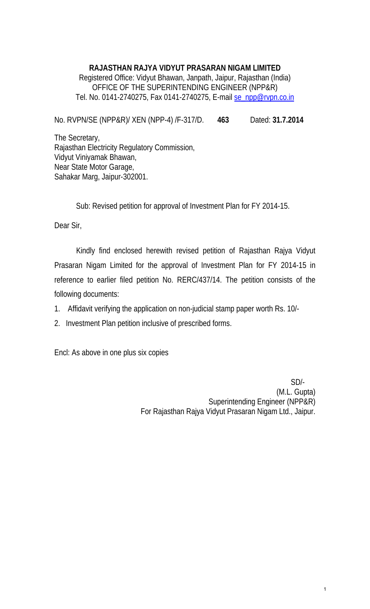### **RAJASTHAN RAJYA VIDYUT PRASARAN NIGAM LIMITED**  Registered Office: Vidyut Bhawan, Janpath, Jaipur, Rajasthan (India) OFFICE OF THE SUPERINTENDING ENGINEER (NPP&R) Tel. No. 0141-2740275, Fax 0141-2740275, E-mail [se\\_npp@rvpn.co.in](mailto:se_npp@rvpn.co.in)

No. RVPN/SE (NPP&R)/ XEN (NPP-4) /F-317/D. **463** Dated: **31.7.2014** 

The Secretary, Rajasthan Electricity Regulatory Commission, Vidyut Viniyamak Bhawan, Near State Motor Garage, Sahakar Marg, Jaipur-302001.

Sub: Revised petition for approval of Investment Plan for FY 2014-15.

Dear Sir,

Kindly find enclosed herewith revised petition of Rajasthan Rajya Vidyut Prasaran Nigam Limited for the approval of Investment Plan for FY 2014-15 in reference to earlier filed petition No. RERC/437/14. The petition consists of the following documents:

- 1. Affidavit verifying the application on non-judicial stamp paper worth Rs. 10/-
- 2. Investment Plan petition inclusive of prescribed forms.

Encl: As above in one plus six copies

 SD/- (M.L. Gupta) Superintending Engineer (NPP&R) For Rajasthan Rajya Vidyut Prasaran Nigam Ltd., Jaipur.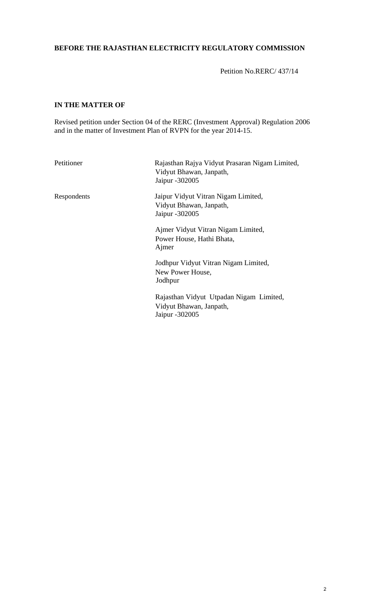#### **BEFORE THE RAJASTHAN ELECTRICITY REGULATORY COMMISSION**

Petition No.RERC/ 437/14

#### **IN THE MATTER OF**

Revised petition under Section 04 of the RERC (Investment Approval) Regulation 2006 and in the matter of Investment Plan of RVPN for the year 2014-15.

| Petitioner  | Rajasthan Rajya Vidyut Prasaran Nigam Limited,<br>Vidyut Bhawan, Janpath,<br>Jaipur -302005 |
|-------------|---------------------------------------------------------------------------------------------|
| Respondents | Jaipur Vidyut Vitran Nigam Limited,<br>Vidyut Bhawan, Janpath,<br>Jaipur - 302005           |
|             | Ajmer Vidyut Vitran Nigam Limited,<br>Power House, Hathi Bhata,<br>Ajmer                    |
|             | Jodhpur Vidyut Vitran Nigam Limited,<br>New Power House,<br>Jodhpur                         |
|             | Rajasthan Vidyut Utpadan Nigam Limited,<br>Vidyut Bhawan, Janpath,<br>Jaipur -302005        |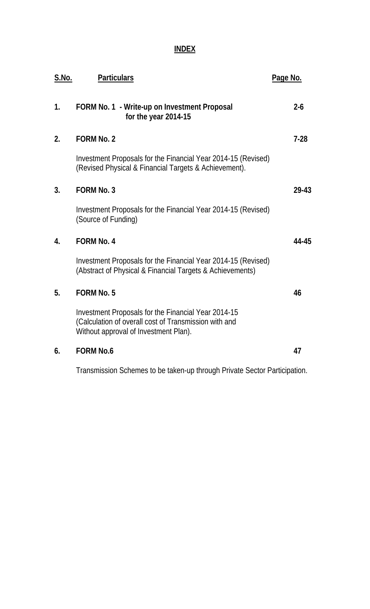### **INDEX**

| S.No. | <b>Particulars</b>                                                                                                                                    | Page No. |
|-------|-------------------------------------------------------------------------------------------------------------------------------------------------------|----------|
| 1.    | FORM No. 1 - Write-up on Investment Proposal<br>for the year 2014-15                                                                                  | $2 - 6$  |
| 2.    | <b>FORM No. 2</b>                                                                                                                                     | $7-28$   |
|       | Investment Proposals for the Financial Year 2014-15 (Revised)<br>(Revised Physical & Financial Targets & Achievement).                                |          |
| 3.    | <b>FORM No. 3</b>                                                                                                                                     | 29-43    |
|       | Investment Proposals for the Financial Year 2014-15 (Revised)<br>(Source of Funding)                                                                  |          |
| 4.    | <b>FORM No. 4</b>                                                                                                                                     | 44-45    |
|       | Investment Proposals for the Financial Year 2014-15 (Revised)<br>(Abstract of Physical & Financial Targets & Achievements)                            |          |
| 5.    | <b>FORM No. 5</b>                                                                                                                                     | 46       |
|       | Investment Proposals for the Financial Year 2014-15<br>(Calculation of overall cost of Transmission with and<br>Without approval of Investment Plan). |          |
| 6.    | <b>FORM No.6</b>                                                                                                                                      | 47       |
|       |                                                                                                                                                       |          |

Transmission Schemes to be taken-up through Private Sector Participation.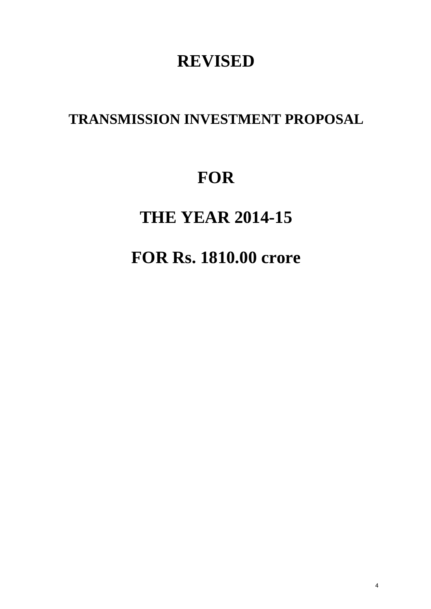## **REVISED**

### **TRANSMISSION INVESTMENT PROPOSAL**

# **FOR**

# **THE YEAR 2014-15**

# **FOR Rs. 1810.00 crore**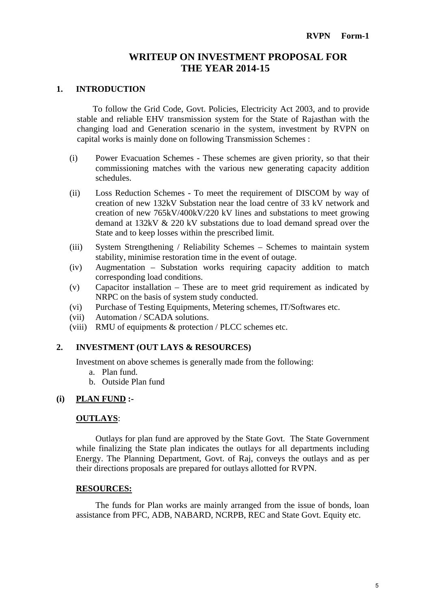#### **WRITEUP ON INVESTMENT PROPOSAL FOR THE YEAR 2014-15**

#### **1. INTRODUCTION**

To follow the Grid Code, Govt. Policies, Electricity Act 2003, and to provide stable and reliable EHV transmission system for the State of Rajasthan with the changing load and Generation scenario in the system, investment by RVPN on capital works is mainly done on following Transmission Schemes :

- (i) Power Evacuation Schemes These schemes are given priority, so that their commissioning matches with the various new generating capacity addition schedules.
- (ii) Loss Reduction Schemes To meet the requirement of DISCOM by way of creation of new 132kV Substation near the load centre of 33 kV network and creation of new 765kV/400kV/220 kV lines and substations to meet growing demand at 132kV & 220 kV substations due to load demand spread over the State and to keep losses within the prescribed limit.
- (iii) System Strengthening / Reliability Schemes Schemes to maintain system stability, minimise restoration time in the event of outage.
- (iv) Augmentation Substation works requiring capacity addition to match corresponding load conditions.
- (v) Capacitor installation These are to meet grid requirement as indicated by NRPC on the basis of system study conducted.
- (vi) Purchase of Testing Equipments, Metering schemes, IT/Softwares etc.
- (vii) Automation / SCADA solutions.
- (viii) RMU of equipments & protection / PLCC schemes etc.

#### **2. INVESTMENT (OUT LAYS & RESOURCES)**

Investment on above schemes is generally made from the following:

- a. Plan fund.
- b. Outside Plan fund

#### **(i) PLAN FUND :-**

#### **OUTLAYS**:

Outlays for plan fund are approved by the State Govt. The State Government while finalizing the State plan indicates the outlays for all departments including Energy. The Planning Department, Govt. of Raj, conveys the outlays and as per their directions proposals are prepared for outlays allotted for RVPN.

#### **RESOURCES:**

The funds for Plan works are mainly arranged from the issue of bonds, loan assistance from PFC, ADB, NABARD, NCRPB, REC and State Govt. Equity etc.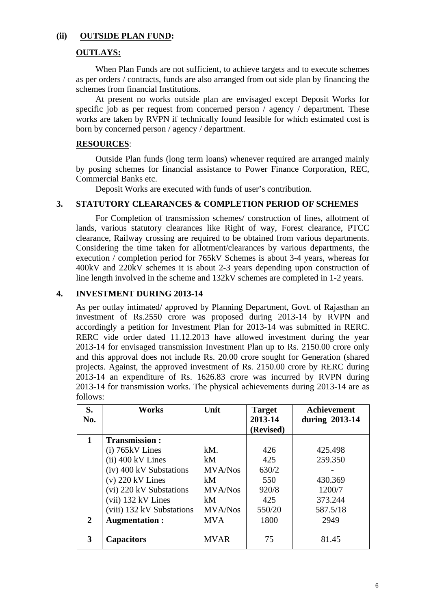#### **(ii) OUTSIDE PLAN FUND:**

#### **OUTLAYS:**

When Plan Funds are not sufficient, to achieve targets and to execute schemes as per orders / contracts, funds are also arranged from out side plan by financing the schemes from financial Institutions.

At present no works outside plan are envisaged except Deposit Works for specific job as per request from concerned person / agency / department. These works are taken by RVPN if technically found feasible for which estimated cost is born by concerned person / agency / department.

#### **RESOURCES**:

Outside Plan funds (long term loans) whenever required are arranged mainly by posing schemes for financial assistance to Power Finance Corporation, REC, Commercial Banks etc.

Deposit Works are executed with funds of user's contribution.

#### **3. STATUTORY CLEARANCES & COMPLETION PERIOD OF SCHEMES**

For Completion of transmission schemes/ construction of lines, allotment of lands, various statutory clearances like Right of way, Forest clearance, PTCC clearance, Railway crossing are required to be obtained from various departments. Considering the time taken for allotment/clearances by various departments, the execution / completion period for 765kV Schemes is about 3-4 years, whereas for 400kV and 220kV schemes it is about 2-3 years depending upon construction of line length involved in the scheme and 132kV schemes are completed in 1-2 years.

#### **4. INVESTMENT DURING 2013-14**

As per outlay intimated/ approved by Planning Department, Govt. of Rajasthan an investment of Rs.2550 crore was proposed during 2013-14 by RVPN and accordingly a petition for Investment Plan for 2013-14 was submitted in RERC. RERC vide order dated 11.12.2013 have allowed investment during the year 2013-14 for envisaged transmission Investment Plan up to Rs. 2150.00 crore only and this approval does not include Rs. 20.00 crore sought for Generation (shared projects. Against, the approved investment of Rs. 2150.00 crore by RERC during 2013-14 an expenditure of Rs. 1626.83 crore was incurred by RVPN during 2013-14 for transmission works. The physical achievements during 2013-14 are as follows:

| S.<br>No. | <b>Works</b>              | Unit           | <b>Target</b><br>2013-14 | <b>Achievement</b><br>during 2013-14 |
|-----------|---------------------------|----------------|--------------------------|--------------------------------------|
|           |                           |                | (Revised)                |                                      |
| 1         | <b>Transmission:</b>      |                |                          |                                      |
|           | $(i)$ 765 $kV$ Lines      | kM.            | 426                      | 425.498                              |
|           | $(ii)$ 400 kV Lines       | kM             | 425                      | 259.350                              |
|           | (iv) 400 kV Substations   | <b>MVA/Nos</b> | 630/2                    |                                      |
|           | $(v)$ 220 kV Lines        | kM             | 550                      | 430.369                              |
|           | (vi) 220 kV Substations   | <b>MVA/Nos</b> | 920/8                    | 1200/7                               |
|           | (vii) 132 kV Lines        | kM             | 425                      | 373.244                              |
|           | (viii) 132 kV Substations | <b>MVA/Nos</b> | 550/20                   | 587.5/18                             |
| 2         | <b>Augmentation:</b>      | <b>MVA</b>     | 1800                     | 2949                                 |
|           |                           |                |                          |                                      |
| 3         | <b>Capacitors</b>         | <b>MVAR</b>    | 75                       | 81.45                                |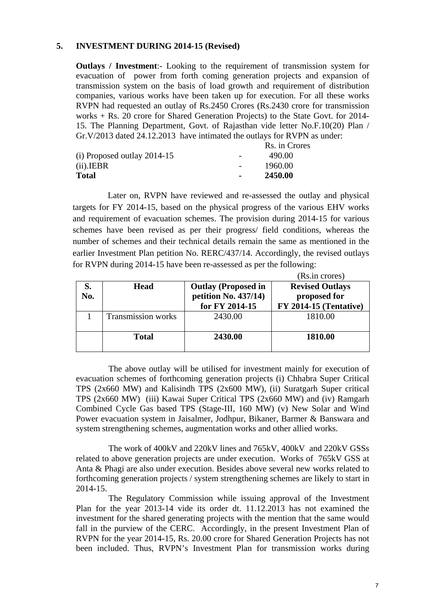#### **5. INVESTMENT DURING 2014-15 (Revised)**

**Outlays / Investment**:- Looking to the requirement of transmission system for evacuation of power from forth coming generation projects and expansion of transmission system on the basis of load growth and requirement of distribution companies, various works have been taken up for execution. For all these works RVPN had requested an outlay of Rs.2450 Crores (Rs.2430 crore for transmission works + Rs. 20 crore for Shared Generation Projects) to the State Govt. for 2014- 15. The Planning Department, Govt. of Rajasthan vide letter No.F.10(20) Plan / Gr.V/2013 dated 24.12.2013 have intimated the outlays for RVPN as under:

|                               |                          | Rs. in Crores |
|-------------------------------|--------------------------|---------------|
| $(i)$ Proposed outlay 2014-15 | $\overline{\phantom{0}}$ | 490.00        |
| (ii). <b>IEBR</b>             |                          | 1960.00       |
| <b>Total</b>                  |                          | 2450.00       |

Later on, RVPN have reviewed and re-assessed the outlay and physical targets for FY 2014-15, based on the physical progress of the various EHV works and requirement of evacuation schemes. The provision during 2014-15 for various schemes have been revised as per their progress/ field conditions, whereas the number of schemes and their technical details remain the same as mentioned in the earlier Investment Plan petition No. RERC/437/14. Accordingly, the revised outlays for RVPN during 2014-15 have been re-assessed as per the following:

| S.<br>No. | <b>Head</b>               | <b>Outlay (Proposed in</b><br>petition No. 437/14)<br>for FY 2014-15 | (Rs.in crores)<br><b>Revised Outlays</b><br>proposed for<br><b>FY 2014-15 (Tentative)</b> |
|-----------|---------------------------|----------------------------------------------------------------------|-------------------------------------------------------------------------------------------|
|           | <b>Transmission works</b> | 2430.00                                                              | 1810.00                                                                                   |
|           | <b>Total</b>              | 2430.00                                                              | 1810.00                                                                                   |

The above outlay will be utilised for investment mainly for execution of evacuation schemes of forthcoming generation projects (i) Chhabra Super Critical TPS (2x660 MW) and Kalisindh TPS (2x600 MW), (ii) Suratgarh Super critical TPS (2x660 MW) (iii) Kawai Super Critical TPS (2x660 MW) and (iv) Ramgarh Combined Cycle Gas based TPS (Stage-III, 160 MW) (v) New Solar and Wind Power evacuation system in Jaisalmer, Jodhpur, Bikaner, Barmer & Banswara and system strengthening schemes, augmentation works and other allied works.

The work of 400kV and 220kV lines and 765kV, 400kV and 220kV GSSs related to above generation projects are under execution. Works of 765kV GSS at Anta & Phagi are also under execution. Besides above several new works related to forthcoming generation projects / system strengthening schemes are likely to start in 2014-15.

The Regulatory Commission while issuing approval of the Investment Plan for the year 2013-14 vide its order dt. 11.12.2013 has not examined the investment for the shared generating projects with the mention that the same would fall in the purview of the CERC. Accordingly, in the present Investment Plan of RVPN for the year 2014-15, Rs. 20.00 crore for Shared Generation Projects has not been included. Thus, RVPN's Investment Plan for transmission works during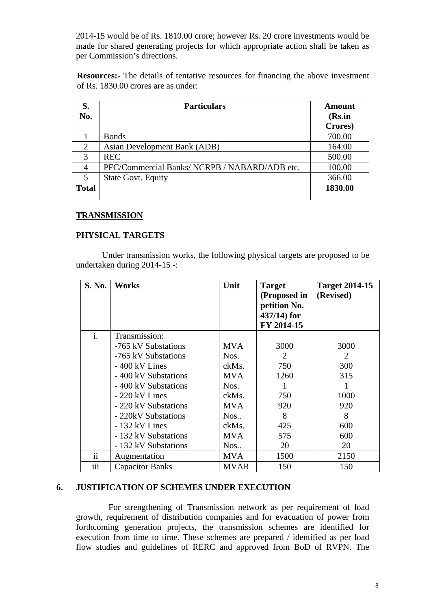2014-15 would be of Rs. 1810.00 crore; however Rs. 20 crore investments would be made for shared generating projects for which appropriate action shall be taken as per Commission's directions.

**Resources:**- The details of tentative resources for financing the above investment of Rs. 1830.00 crores are as under:

| S.<br>No.    | <b>Particulars</b>                            | <b>Amount</b><br>(Rs.in |
|--------------|-----------------------------------------------|-------------------------|
|              |                                               | Crores)                 |
|              | <b>Bonds</b>                                  | 700.00                  |
| 2            | Asian Development Bank (ADB)                  | 164.00                  |
| 3            | <b>REC</b>                                    | 500.00                  |
| 4            | PFC/Commercial Banks/ NCRPB / NABARD/ADB etc. | 100.00                  |
| 5            | <b>State Govt. Equity</b>                     | 366.00                  |
| <b>Total</b> |                                               | 1830.00                 |
|              |                                               |                         |

#### **TRANSMISSION**

#### **PHYSICAL TARGETS**

Under transmission works, the following physical targets are proposed to be undertaken during 2014-15 -:

| S. No.          | <b>Works</b>           | Unit        | <b>Target</b><br>(Proposed in<br>petition No.<br>$437/14$ ) for<br>FY 2014-15 | <b>Target 2014-15</b><br>(Revised) |
|-----------------|------------------------|-------------|-------------------------------------------------------------------------------|------------------------------------|
| $\mathbf{i}$ .  | Transmission:          |             |                                                                               |                                    |
|                 | -765 kV Substations    | <b>MVA</b>  | 3000                                                                          | 3000                               |
|                 | -765 kV Substations    | Nos.        | 2                                                                             | 2                                  |
|                 | - 400 kV Lines         | ckMs.       | 750                                                                           | 300                                |
|                 | - 400 kV Substations   | <b>MVA</b>  | 1260                                                                          | 315                                |
|                 | - 400 kV Substations   | Nos.        |                                                                               |                                    |
|                 | $-220$ kV Lines        | ckMs.       | 750                                                                           | 1000                               |
|                 | - 220 kV Substations   | <b>MVA</b>  | 920                                                                           | 920                                |
|                 | - 220kV Substations    | Nos         | 8                                                                             | 8                                  |
|                 | - 132 kV Lines         | ckMs.       | 425                                                                           | 600                                |
|                 | - 132 kV Substations   | <b>MVA</b>  | 575                                                                           | 600                                |
|                 | - 132 kV Substations   | Nos         | 20                                                                            | 20                                 |
| $\overline{11}$ | Augmentation           | <b>MVA</b>  | 1500                                                                          | 2150                               |
| iii             | <b>Capacitor Banks</b> | <b>MVAR</b> | 150                                                                           | 150                                |

#### **6. JUSTIFICATION OF SCHEMES UNDER EXECUTION**

For strengthening of Transmission network as per requirement of load growth, requirement of distribution companies and for evacuation of power from forthcoming generation projects, the transmission schemes are identified for execution from time to time. These schemes are prepared / identified as per load flow studies and guidelines of RERC and approved from BoD of RVPN. The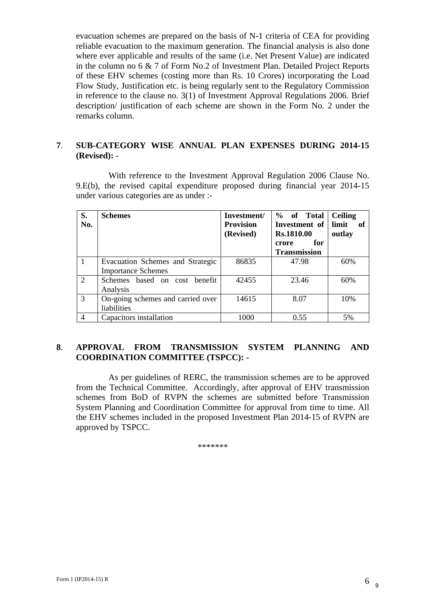evacuation schemes are prepared on the basis of N-1 criteria of CEA for providing reliable evacuation to the maximum generation. The financial analysis is also done where ever applicable and results of the same (i.e. Net Present Value) are indicated in the column no 6 & 7 of Form No.2 of Investment Plan. Detailed Project Reports of these EHV schemes (costing more than Rs. 10 Crores) incorporating the Load Flow Study, Justification etc. is being regularly sent to the Regulatory Commission in reference to the clause no. 3(1) of Investment Approval Regulations 2006. Brief description/ justification of each scheme are shown in the Form No. 2 under the remarks column.

#### **7**. **SUB-CATEGORY WISE ANNUAL PLAN EXPENSES DURING 2014-15 (Revised): -**

With reference to the Investment Approval Regulation 2006 Clause No. 9.E(b), the revised capital expenditure proposed during financial year 2014-15 under various categories are as under :-

| S.<br>No.      | <b>Schemes</b>                                                | Investment/<br><b>Provision</b><br>(Revised) | % of Total<br>Investment of<br>Rs.1810.00 | <b>Ceiling</b><br>limit<br>- of<br>outlay |
|----------------|---------------------------------------------------------------|----------------------------------------------|-------------------------------------------|-------------------------------------------|
|                |                                                               |                                              | for<br>crore<br><b>Transmission</b>       |                                           |
|                | Evacuation Schemes and Strategic<br><b>Importance Schemes</b> | 86835                                        | 47.98                                     | 60%                                       |
| $\mathcal{L}$  | Schemes based on cost benefit<br>Analysis                     | 42455                                        | 23.46                                     | 60%                                       |
| 3              | On-going schemes and carried over<br>liabilities              | 14615                                        | 8.07                                      | 10%                                       |
| $\overline{4}$ | Capacitors installation                                       | 1000                                         | 0.55                                      | 5%                                        |

#### **8**. **APPROVAL FROM TRANSMISSION SYSTEM PLANNING AND COORDINATION COMMITTEE (TSPCC): -**

As per guidelines of RERC, the transmission schemes are to be approved from the Technical Committee. Accordingly, after approval of EHV transmission schemes from BoD of RVPN the schemes are submitted before Transmission System Planning and Coordination Committee for approval from time to time. All the EHV schemes included in the proposed Investment Plan 2014-15 of RVPN are approved by TSPCC.

\*\*\*\*\*\*\*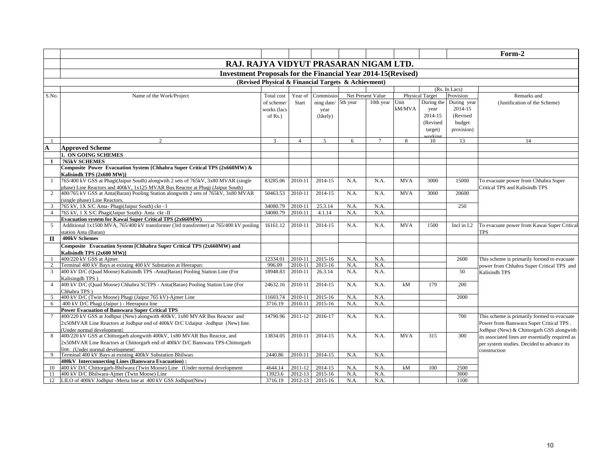|                                       |                                                                                                                                                 |             |                    |                    |              |                   |            |                        |             | Form-2                                                                                                                                   |  |  |  |
|---------------------------------------|-------------------------------------------------------------------------------------------------------------------------------------------------|-------------|--------------------|--------------------|--------------|-------------------|------------|------------------------|-------------|------------------------------------------------------------------------------------------------------------------------------------------|--|--|--|
| RAJ. RAJYA VIDYUT PRASARAN NIGAM LTD. |                                                                                                                                                 |             |                    |                    |              |                   |            |                        |             |                                                                                                                                          |  |  |  |
|                                       |                                                                                                                                                 |             |                    |                    |              |                   |            |                        |             |                                                                                                                                          |  |  |  |
|                                       | <b>Investment Proposals for the Financial Year 2014-15 (Revised)</b>                                                                            |             |                    |                    |              |                   |            |                        |             |                                                                                                                                          |  |  |  |
|                                       | (Revised Physical & Financial Targets & Achievment)<br>(Rs. In Lacs)                                                                            |             |                    |                    |              |                   |            |                        |             |                                                                                                                                          |  |  |  |
|                                       |                                                                                                                                                 |             |                    |                    |              |                   |            |                        |             |                                                                                                                                          |  |  |  |
| S.No.                                 | Name of the Work/Project                                                                                                                        | Total cost  | Year of            | Commissic          |              | Net Present Value |            | <b>Physical Target</b> | Provision   | Remarks and                                                                                                                              |  |  |  |
|                                       |                                                                                                                                                 | of scheme.  | Start              | ning date/         | 5th year     | 10th year         | Unit       | During the             | During year | (Justification of the Scheme)                                                                                                            |  |  |  |
|                                       |                                                                                                                                                 | works (lacs |                    | year               |              |                   | kM/MVA     | year                   | 2014-15     |                                                                                                                                          |  |  |  |
|                                       |                                                                                                                                                 | of $Rs.$ )  |                    | (likely)           |              |                   |            | 2014-15                | (Revised    |                                                                                                                                          |  |  |  |
|                                       |                                                                                                                                                 |             |                    |                    |              |                   |            | (Revised               | budget      |                                                                                                                                          |  |  |  |
|                                       |                                                                                                                                                 |             |                    |                    |              |                   |            | target)                | provision)  |                                                                                                                                          |  |  |  |
|                                       | $\overline{2}$                                                                                                                                  | 3           | $\overline{4}$     | $\overline{5}$     | 6            | $\tau$            | 8          | orkin<br>10            | 13          | 14                                                                                                                                       |  |  |  |
| $\mathbf A$                           | <b>Approved Scheme</b>                                                                                                                          |             |                    |                    |              |                   |            |                        |             |                                                                                                                                          |  |  |  |
|                                       | 1. ON GOING SCHEMES                                                                                                                             |             |                    |                    |              |                   |            |                        |             |                                                                                                                                          |  |  |  |
| $\bf{I}$                              | <b>765kV SCHEMES</b>                                                                                                                            |             |                    |                    |              |                   |            |                        |             |                                                                                                                                          |  |  |  |
|                                       | Composite Power Evacuation System {Chhabra Super Critical TPS (2x660MW) &                                                                       |             |                    |                    |              |                   |            |                        |             |                                                                                                                                          |  |  |  |
|                                       | Kalisindh TPS (2x600 MW)}                                                                                                                       |             |                    |                    |              |                   |            |                        |             |                                                                                                                                          |  |  |  |
| -1                                    | 765/400 kV GSS at Phagi(Jaipur South) alongwith 2 sets of 765kV, 3x80 MVAR (single                                                              | 83285.06    | 2010-11            | 2014-15            | N.A.         | N.A.              | <b>MVA</b> | 3000                   | 15000       | To evacuate power from Chhabra Super                                                                                                     |  |  |  |
|                                       | phase) Line Reactors and 400kV, 1x125 MVAR Bus Reactor at Phagi (Jaipur South)                                                                  |             |                    |                    |              |                   |            |                        |             | <b>Critical TPS and Kalisindh TPS</b>                                                                                                    |  |  |  |
| 2                                     | 400/765 kV GSS at Anta(Baran) Pooling Station alongwith 2 sets of 765kV, 3x80 MVAR                                                              | 50463.53    | 2010-11            | 2014-15            | N.A.         | N.A.              | <b>MVA</b> | 3000                   | 20600       |                                                                                                                                          |  |  |  |
|                                       | (single phase) Line Reactors.                                                                                                                   |             |                    |                    |              |                   |            |                        |             |                                                                                                                                          |  |  |  |
| 3                                     | 765 kV, 1X S/C Anta- Phagi(Jaipur South) ckt - I                                                                                                | 34080.79    | 2010-11            | 25.3.14            | N.A.         | N.A.              |            |                        | 250         |                                                                                                                                          |  |  |  |
| $\overline{4}$                        | 765 kV, 1 X S/C Phagi(Jaipur South)- Anta ckt -II                                                                                               | 34080.79    | 2010-11            | 4.1.14             | N.A.         | N.A.              |            |                        |             |                                                                                                                                          |  |  |  |
|                                       | <b>Evacuation system for Kawai Super Critical TPS (2x660MW)</b>                                                                                 |             |                    |                    |              |                   |            |                        |             |                                                                                                                                          |  |  |  |
| 5                                     | Additional 1x1500 MVA, 765/400 kV transformer (3rd transformer) at 765/400 kV pooling                                                           | 16161.12    | 2010-11            | 2014-15            | N.A.         | N.A.              | <b>MVA</b> | 1500                   | Incl in I.2 | To evacuate power from Kawai Super Critical                                                                                              |  |  |  |
|                                       | station Anta (Baran)                                                                                                                            |             |                    |                    |              |                   |            |                        |             | <b>TPS</b>                                                                                                                               |  |  |  |
| $\Pi$                                 | 400kV Schemes                                                                                                                                   |             |                    |                    |              |                   |            |                        |             |                                                                                                                                          |  |  |  |
|                                       | Composite Evacuation System [Chhabra Super Critical TPS (2x660MW) and                                                                           |             |                    |                    |              |                   |            |                        |             |                                                                                                                                          |  |  |  |
|                                       | Kalisindh TPS (2x600 MW)]                                                                                                                       |             |                    |                    |              |                   |            |                        |             |                                                                                                                                          |  |  |  |
|                                       | 400/220 kV GSS at Ajmer                                                                                                                         | 12334.01    | 2010-11            | 2015-16            | N.A.         | N.A.              |            |                        | 2600        | This scheme is primarily formed to evacuate                                                                                              |  |  |  |
| $\mathbf{2}$                          | Terminal 400 kV Bays at existing 400 kV Substation at Heerapura<br>400 kV D/C (Quad Moose) Kalisindh TPS -Anta(Baran) Pooling Station Line (For | 996.09      | 2010-11<br>2010-11 | 2015-16<br>26.3.14 | N.A.<br>N.A. | N.A.<br>N.A.      |            |                        |             | power from Chhabra Super Critical TPS and                                                                                                |  |  |  |
| 3                                     | Kalisingdh TPS)                                                                                                                                 | 18948.83    |                    |                    |              |                   |            |                        | 50          | <b>Kalisindh TPS</b>                                                                                                                     |  |  |  |
| $\overline{4}$                        | 400 kV D/C (Quad Moose) Chhabra SCTPS - Anta(Baran) Pooling Station Line (For                                                                   | 24632.16    | 2010-11            | 2014-15            | N.A.         | N.A.              | kM         | 179                    | 200         |                                                                                                                                          |  |  |  |
|                                       | Chhabra TPS)                                                                                                                                    |             |                    |                    |              |                   |            |                        |             |                                                                                                                                          |  |  |  |
| 5                                     | 400 kV D/C (Twin Moose) Phagi (Jaipur 765 kV)-Ajmer Line                                                                                        | 11603.74    | 2010-11            | 2015-16            | N.A.         | N.A.              |            |                        | 2000        |                                                                                                                                          |  |  |  |
| 6                                     | 400 kV D/C Phagi (Jaipur) - Heerapura line                                                                                                      | 3716.19     | 2010-11            | 2015-16            | N.A.         | N.A.              |            |                        |             |                                                                                                                                          |  |  |  |
|                                       | <b>Power Evacuation of Banswara Super Critical TPS</b>                                                                                          |             |                    |                    |              |                   |            |                        |             |                                                                                                                                          |  |  |  |
|                                       | 400/220 kV GSS at Jodhpur (New) alongwith 400kV, 1x80 MVAR Bus Reactor and                                                                      | 14790.96    | 2011-12            | 2016-17            | N.A.         | N.A.              |            |                        | 700         | This scheme is primarily formed to evacuate                                                                                              |  |  |  |
|                                       | 2x50MVAR Line Reactors at Jodhpur end of 400kV D/C Udaipur -Jodhpur (New) line.                                                                 |             |                    |                    |              |                   |            |                        |             | Power from Banswara Super Critical TPS.<br>Jodhpur (New) & Chittorgarh GSS alongwith<br>its associated lines are essentially required as |  |  |  |
|                                       | (Under normal development)                                                                                                                      |             |                    |                    |              |                   |            |                        |             |                                                                                                                                          |  |  |  |
|                                       | 400/220 kV GSS at Chittorgarh alongwith 400kV, 1x80 MVAR Bus Reactor, and                                                                       | 13834.05    | 2010-11            | 2014-15            | N.A.         | N.A.              | <b>MVA</b> | 315                    | 300         |                                                                                                                                          |  |  |  |
|                                       | 2x50MVAR Line Reactors at Chittorgarh end of 400kV D/C Banswara TPS-Chittorgarh                                                                 |             |                    |                    |              |                   |            |                        |             | per system studies. Decided to advance its                                                                                               |  |  |  |
|                                       | line. (Under normal development)                                                                                                                |             |                    |                    |              |                   |            |                        |             | construction                                                                                                                             |  |  |  |
| 9                                     | Terminal 400 kV Bays at existing 400kV Substation Bhilwara                                                                                      | 2440.86     | 2010-11            | 2014-15            | N.A.         | N.A.              |            |                        |             |                                                                                                                                          |  |  |  |
|                                       | 400kV Interconnecting Lines (Banswara Evacuation):                                                                                              |             |                    |                    |              |                   |            |                        |             |                                                                                                                                          |  |  |  |
| 10                                    | 400 kV D/C Chittorgarh-Bhilwara (Twin Moose) Line (Under normal development                                                                     | 4644.14     | 2011-12            | 2014-15            | N.A.         | N.A.              | kM         | 100                    | 2500        |                                                                                                                                          |  |  |  |
| 11                                    | 400 kV D/C Bhilwara-Ajmer (Twin Moose) Line                                                                                                     | 13923.6     | 2012-13            | 2015-16            | N.A.         | N.A.              |            |                        | 3000        |                                                                                                                                          |  |  |  |
| 12                                    | LILO of 400kV Jodhpur -Merta line at 400 kV GSS Jodhpur(New)                                                                                    | 3716.19     | $2012 - 13$        | 2015-16            | N.A.         | N.A.              |            |                        | 1100        |                                                                                                                                          |  |  |  |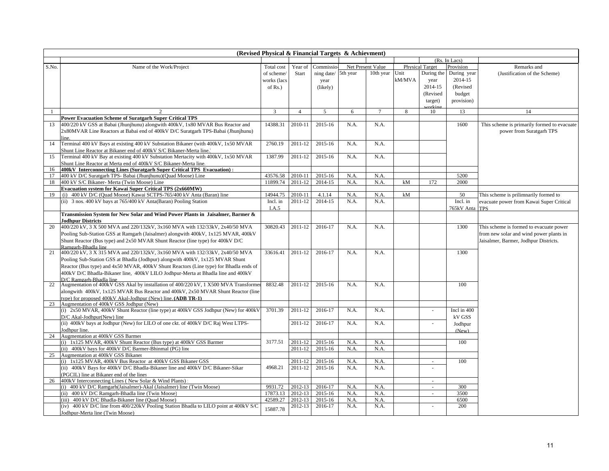|       | (Revised Physical & Financial Targets & Achievment)                                   |              |                |            |          |                   |        |                        |             |                                             |
|-------|---------------------------------------------------------------------------------------|--------------|----------------|------------|----------|-------------------|--------|------------------------|-------------|---------------------------------------------|
|       |                                                                                       |              | (Rs. In Lacs)  |            |          |                   |        |                        |             |                                             |
| S.No. | Name of the Work/Project                                                              | Total cost   | Year of        | Commissio  |          | Net Present Value |        | <b>Physical Target</b> | Provision   | Remarks and                                 |
|       |                                                                                       | of scheme/   | Start          | ning date/ | 5th year | 10th year Unit    |        | During the             | During year | (Justification of the Scheme)               |
|       |                                                                                       | works (lacs  |                | year       |          |                   | kM/MVA | year                   | 2014-15     |                                             |
|       |                                                                                       | of $Rs.$ )   |                | (likely)   |          |                   |        | 2014-15                | (Revised    |                                             |
|       |                                                                                       |              |                |            |          |                   |        | (Revised               | budget      |                                             |
|       |                                                                                       |              |                |            |          |                   |        | target)                | provision)  |                                             |
|       |                                                                                       |              |                |            |          |                   |        | orkin                  |             |                                             |
|       | $\mathfrak{D}$                                                                        | $\mathbf{3}$ | $\overline{4}$ | 5          | 6        | $\tau$            | 8      | 10                     | 13          | 14                                          |
|       | <b>Power Evacuation Scheme of Suratgarh Super Critical TPS</b>                        |              |                |            |          |                   |        |                        |             |                                             |
| 13    | 400/220 kV GSS at Babai (Jhunjhunu) alongwith 400kV, 1x80 MVAR Bus Reactor and        | 14388.31     | 2010-11        | 2015-16    | N.A.     | N.A.              |        |                        | 1600        | This scheme is primarily formed to evacuate |
|       | 2x80MVAR Line Reactors at Babai end of 400kV D/C Suratgarh TPS-Babai (Jhunjhunu)      |              |                |            |          |                   |        |                        |             | power from Suratgarh TPS                    |
|       | line.                                                                                 |              |                |            |          |                   |        |                        |             |                                             |
| 14    | Terminal 400 kV Bays at existing 400 kV Substation Bikaner (with 400kV, 1x50 MVAR     | 2760.19      | 2011-12        | 2015-16    | N.A.     | N.A.              |        |                        |             |                                             |
|       | Shunt Line Reactor at Bikaner end of 400kV S/C Bikaner-Merta line.)                   |              |                |            |          |                   |        |                        |             |                                             |
| 15    | Terminal 400 kV Bay at existing 400 kV Substation Mertacity with 400kV, 1x50 MVAR     | 1387.99      | 2011-12        | 2015-16    | N.A.     | N.A.              |        |                        |             |                                             |
|       | Shunt Line Reactor at Merta end of 400kV S/C Bikaner-Merta line.                      |              |                |            |          |                   |        |                        |             |                                             |
| 16    | 400kV Interconnecting Lines (Suratgarh Super Critical TPS Evacuation):                |              |                |            |          |                   |        |                        |             |                                             |
| 17    | 400 kV D/C Suratgarh TPS- Babai (Jhunjhunu)(Quad Moose) Line                          | 43576.58     | 2010-11        | 2015-16    | N.A.     | N.A.              |        |                        | 5200        |                                             |
| 18    | 400 kV S/C Bikaner- Merta (Twin Moose) Line                                           | 11899.74     | 2011-12        | 2014-15    | N.A.     | N.A.              | kM     | 172                    | 2000        |                                             |
|       | Evacuation system for Kawai Super Critical TPS (2x660MW)                              |              |                |            |          |                   |        |                        |             |                                             |
| 19    | (i) 400 kV D/C (Quad Moose) Kawai SCTPS-765/400 kV Anta (Baran) line                  | 14944.75     | 2010-11        | 4.1.14     | N.A.     | N.A.              | kM     |                        | 50          | This scheme is prilimnarily formed to       |
|       | (ii) 3 nos. 400 kV bays at 765/400 kV Anta(Baran) Pooling Station                     | Incl. in     | 2011-12        | 2014-15    | N.A.     | N.A.              |        |                        | Incl. in    | evacuate power from Kawai Super Critical    |
|       |                                                                                       | I.A.5        |                |            |          |                   |        |                        | 765kV Anta  | <b>TPS</b>                                  |
|       | Transmission System for New Solar and Wind Power Plants in Jaisalmer, Barmer &        |              |                |            |          |                   |        |                        |             |                                             |
|       | <b>Jodhpur Districts</b>                                                              |              |                |            |          |                   |        |                        |             |                                             |
| 20    | 400/220 kV, 3 X 500 MVA and 220/132kV, 3x160 MVA with 132/33kV, 2x40/50 MVA           | 30820.43     | 2011-12        | 2016-17    | N.A.     | N.A.              |        |                        | 1300        | This scheme is formed to evacuate power     |
|       | Pooling Sub-Station GSS at Ramgarh (Jaisalmer) alongwith 400kV, 1x125 MVAR, 400kV     |              |                |            |          |                   |        |                        |             | from new solar and wind power plants in     |
|       | Shunt Reactor (Bus type) and 2x50 MVAR Shunt Reactor (line type) for 400kV D/C        |              |                |            |          |                   |        |                        |             | Jaisalmer, Barmer, Jodhpur Districts.       |
|       | Ramgarh-Bhadla line                                                                   |              |                |            |          |                   |        |                        |             |                                             |
| 21    | 400/220 kV, 3 X 315 MVA and 220/132kV, 3x160 MVA with 132/33kV, 2x40/50 MVA           | 33616.41     | 2011-12        | 2016-17    | N.A.     | N.A.              |        |                        | 1300        |                                             |
|       | Pooling Sub-Station GSS at Bhadla (Jodhpur) alongwith 400kV, 1x125 MVAR Shunt         |              |                |            |          |                   |        |                        |             |                                             |
|       | Reactor (Bus type) and 4x50 MVAR, 400kV Shunt Reactors (Line type) for Bhadla ends of |              |                |            |          |                   |        |                        |             |                                             |
|       | 400kV D/C Bhadla-Bikaner line, 400kV LILO Jodhpur-Merta at Bhadla line and 400kV      |              |                |            |          |                   |        |                        |             |                                             |
|       | D/C Ramoarh-Bhadla line                                                               |              |                |            |          |                   |        |                        |             |                                             |
| 22    | Augmentation of 400kV GSS Akal by installation of 400/220 kV, 1 X500 MVA Transformer  | 8832.48      | 2011-12        | 2015-16    | N.A.     | N.A.              |        |                        | 100         |                                             |
|       | alongwith 400kV, 1x125 MVAR Bus Reactor and 400kV, 2x50 MVAR Shunt Reactor (line      |              |                |            |          |                   |        |                        |             |                                             |
|       | type) for proposed 400kV Akal-Jodhpur (New) line. (ADB TR-1)                          |              |                |            |          |                   |        |                        |             |                                             |
| 23    | Augmentation of 400kV GSS Jodhpur (New)                                               |              |                |            |          |                   |        |                        |             |                                             |
|       | (i) 2x50 MVAR, 400kV Shunt Reactor (line type) at 400kV GSS Jodhpur (New) for 400kV   | 3701.39      | 2011-12        | 2016-17    | N.A.     | N.A.              |        | ä,                     | Incl in 400 |                                             |
|       | D/C Akal-Jodhpur(New) line                                                            |              |                |            |          |                   |        |                        | kV GSS      |                                             |
|       | (ii) 400kV bays at Jodhpur (New) for LILO of one ckt. of 400kV D/C Raj West LTPS-     |              | 2011-12        | 2016-17    | N.A.     | N.A.              |        | ÷                      | Jodhpur     |                                             |
|       | Jodhpur line.                                                                         |              |                |            |          |                   |        |                        | (New)       |                                             |
| 24    | Augmentation at 400kV GSS Barmer                                                      |              |                |            |          |                   |        |                        |             |                                             |
|       | (i) 1x125 MVAR, 400kV Shunt Reactor (Bus type) at 400kV GSS Barmer                    | 3177.51      | 2011-12        | 2015-16    | N.A.     | N.A.              |        |                        | 100         |                                             |
|       | (ii) 400kV bays for 400kV D/C Barmer-Bhinmal (PG) line                                |              | 2011-12        | 2015-16    | N.A.     | N.A.              |        |                        |             |                                             |
| 25    | Augmentation at 400kV GSS Bikaner                                                     |              |                |            |          |                   |        |                        |             |                                             |
|       | (i) 1x125 MVAR, 400kV Bus Reactor at 400kV GSS Bikaner GSS                            |              | 2011-12        | 2015-16    | N.A.     | N.A.              |        | ÷.                     | 100         |                                             |
|       | (ii) 400kV Bays for 400kV D/C Bhadla-Bikaner line and 400kV D/C Bikaner-Sikar         | 4968.21      | 2011-12        | 2015-16    | N.A.     | N.A.              |        |                        |             |                                             |
|       | (PGCIL) line at Bikaner end of the lines                                              |              |                |            |          |                   |        |                        |             |                                             |
| 26    | 400kV Interconnecting Lines (New Solar & Wind Plants)                                 |              |                |            |          |                   |        | ÷.                     |             |                                             |
|       | (i) 400 kV D/C Ramgarh(Jaisalmer)-Akal (Jaisalmer) line (Twin Moose)                  | 9931.72      | 2012-13        | 2016-17    | N.A.     | N.A.              |        | $\bar{a}$              | 300         |                                             |
|       | (ii) 400 kV D/C Ramgarh-Bhadla line (Twin Moose)                                      | 17873.13     | 2012-13        | 2015-16    | N.A.     | N.A.              |        | $\sim$                 | 3500        |                                             |
|       | (iii) 400 kV D/C Bhadla-Bikaner line (Quad Moose)                                     | 42589.27     | 2012-13        | 2015-16    | N.A.     | N.A.              |        |                        | 6500        |                                             |
|       | (iv) 400 kV D/C line from 400/220kV Pooling Station Bhadla to LILO point at 400kV S/C | 15887.78     | 2012-13        | 2016-17    | N.A.     | N.A.              |        | ÷                      | 200         |                                             |
|       | Jodhpur-Merta line (Twin Moose)                                                       |              |                |            |          |                   |        |                        |             |                                             |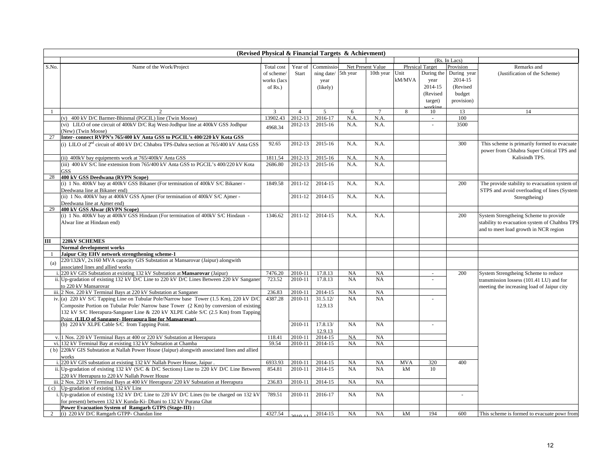|                | (Revised Physical & Financial Targets & Achievment)                                           |             |                |            |           |                   |               |                        |                          |                                               |  |  |
|----------------|-----------------------------------------------------------------------------------------------|-------------|----------------|------------|-----------|-------------------|---------------|------------------------|--------------------------|-----------------------------------------------|--|--|
|                |                                                                                               |             |                |            |           |                   | (Rs. In Lacs) |                        |                          |                                               |  |  |
| S.No.          | Name of the Work/Project                                                                      | Total cost  | Year of        | Commissio  |           | Net Present Value |               | <b>Physical Target</b> | Provision                | Remarks and                                   |  |  |
|                |                                                                                               | of scheme   | Start          | ning date/ | 5th year  | 10th year         | Unit          | During the             | During year              | (Justification of the Scheme)                 |  |  |
|                |                                                                                               | works (lacs |                | year       |           |                   | kM/MVA        | year                   | 2014-15                  |                                               |  |  |
|                |                                                                                               | of $Rs.$ )  |                | (likely)   |           |                   |               | 2014-15                | (Revised                 |                                               |  |  |
|                |                                                                                               |             |                |            |           |                   |               | (Revised               | budget                   |                                               |  |  |
|                |                                                                                               |             |                |            |           |                   |               | target)                | provision)               |                                               |  |  |
|                |                                                                                               |             |                |            |           |                   |               | orkin                  |                          |                                               |  |  |
|                |                                                                                               | 3           | $\overline{4}$ | 5          | 6         | $\tau$            | 8             | 10                     | 13                       | 14                                            |  |  |
|                | (v) 400 kV D/C Barmer-Bhinmal (PGCIL) line (Twin Moose)                                       | 13902.43    | 2012-13        | 2016-17    | N.A.      | N.A.              |               | ÷.                     | 100                      |                                               |  |  |
|                | (vi) LILO of one circuit of 400kV D/C Raj West-Jodhpur line at 400kV GSS Jodhpur              | 4968.34     | 2012-13        | 2015-16    | N.A.      | N.A.              |               |                        | 3500                     |                                               |  |  |
|                | (New) (Twin Moose)                                                                            |             |                |            |           |                   |               |                        |                          |                                               |  |  |
| 27             | Inter-connect RVPN's 765/400 kV Anta GSS to PGCIL's 400/220 kV Kota GSS                       |             |                |            |           |                   |               |                        |                          |                                               |  |  |
|                | (i) LILO of $2nd$ circuit of 400 kV D/C Chhabra TPS-Dahra section at 765/400 kV Anta GSS      | 92.65       | 2012-13        | 2015-16    | N.A.      | N.A.              |               |                        | 300                      | This scheme is primarily formed to evacuate   |  |  |
|                |                                                                                               |             |                |            |           |                   |               |                        |                          | power from Chhabra Super Critical TPS and     |  |  |
|                | (ii) 400kV bay equipments work at 765/400kV Anta GSS                                          | 1811.54     | 2012-13        | 2015-16    | N.A.      | N.A.              |               |                        |                          | Kalisindh TPS.                                |  |  |
|                | (iii) 400 kV S/C line extension from 765/400 kV Anta GSS to PGCIL's 400/220 kV Kota           | 2686.80     | 2012-13        | 2015-16    | N.A.      | N.A.              |               |                        |                          |                                               |  |  |
|                | <b>GSS</b>                                                                                    |             |                |            |           |                   |               |                        |                          |                                               |  |  |
| 28             | 400 kV GSS Deedwana (RVPN Scope)                                                              |             |                |            |           |                   |               |                        |                          |                                               |  |  |
|                | (i) 1 No. 400kV bay at 400kV GSS Bikaner (For termination of 400kV S/C Bikaner -              | 1849.58     | 2011-12        | 2014-15    | N.A.      | N.A.              |               |                        | 200                      | The provide stability to evacuation system of |  |  |
|                | Deedwana line at Bikaner end)                                                                 |             |                |            |           |                   |               |                        |                          | STPS and avoid overloading of lines (System   |  |  |
|                | (ii) 1 No. 400kV bay at 400kV GSS Ajmer (For termination of 400kV S/C Ajmer -                 |             | 2011-12        | 2014-15    | N.A.      | N.A.              |               |                        |                          | Strengtheing)                                 |  |  |
|                | Deedwana line at Ajmer end)                                                                   |             |                |            |           |                   |               |                        |                          |                                               |  |  |
| 29             | 400 kV GSS Alwar (RVPN Scope)                                                                 |             |                |            |           |                   |               |                        |                          |                                               |  |  |
|                | (i) 1 No. 400kV bay at 400kV GSS Hindaun (For termination of 400kV S/C Hindaun -              | 1346.62     | 2011-12        | 2014-15    | N.A.      | N.A.              |               |                        | 200                      | System Strengtheing Scheme to provide         |  |  |
|                | Alwar line at Hindaun end)                                                                    |             |                |            |           |                   |               |                        |                          | stability to evacuation system of Chahbra TPS |  |  |
|                |                                                                                               |             |                |            |           |                   |               |                        |                          | and to meet load growth in NCR region         |  |  |
|                |                                                                                               |             |                |            |           |                   |               |                        |                          |                                               |  |  |
| Ш              | 220kV SCHEMES                                                                                 |             |                |            |           |                   |               |                        |                          |                                               |  |  |
|                | <b>Normal development works</b>                                                               |             |                |            |           |                   |               |                        |                          |                                               |  |  |
| -1             | Jaipur City EHV network strengthening scheme-1                                                |             |                |            |           |                   |               |                        |                          |                                               |  |  |
| (a)            | 220/132kV, 2x160 MVA capacity GIS Substation at Mansarovar (Jaipur) alongwith                 |             |                |            |           |                   |               |                        |                          |                                               |  |  |
|                | associated lines and allied works                                                             |             |                |            |           |                   |               |                        |                          |                                               |  |  |
|                | 220 kV GIS Substation at existing 132 kV Substation at Mansarovar (Jaipur)                    | 7476.20     | 2010-11        | 17.8.13    | NA        | NA                |               | $\sim$                 | 200                      | System Strengtheing Scheme to reduce          |  |  |
|                | ii. Up-gradation of existing 132 kV D/C Line to 220 kV D/C Lines Between 220 kV Sanganer      | 723.52      | 2010-11        | 17.8.13    | NA        | NA                |               |                        |                          | transmission lossess (101.41 LU) and for      |  |  |
|                | to 220 kV Mansarovar                                                                          |             |                |            |           |                   |               |                        |                          | meeting the increasing load of Jaipur city    |  |  |
|                | iii. 2 Nos. 220 kV Terminal Bays at 220 kV Substation at Sanganer                             | 236.83      | 2010-11        | 2014-15    | NA        | NA                |               |                        |                          |                                               |  |  |
|                | iv. (a) 220 kV S/C Tapping Line on Tubular Pole/Narrow base Tower (1.5 Km), 220 kV D/C        | 4387.28     | 2010-11        | 31.5.12/   | NA        | NA                |               |                        |                          |                                               |  |  |
|                | Composite Portion on Tubular Pole/Narrow base Tower (2 Km) by conversion of existing          |             |                | 12.9.13    |           |                   |               |                        |                          |                                               |  |  |
|                | 132 kV S/C Heerapura-Sanganer Line & 220 kV XLPE Cable S/C (2.5 Km) from Tapping              |             |                |            |           |                   |               |                        |                          |                                               |  |  |
|                | Point (LILO of Sanganer-Heeranura line for Mansarovar)                                        |             |                |            |           |                   |               |                        |                          |                                               |  |  |
|                | (b) 220 kV XLPE Cable S/C from Tapping Point.                                                 |             | 2010-11        | 17.8.13/   | <b>NA</b> | NA                |               | L.                     |                          |                                               |  |  |
|                |                                                                                               |             |                | 12.9.13    |           |                   |               |                        |                          |                                               |  |  |
|                | v. 1 Nos. 220 kV Terminal Bays at 400 or 220 kV Substation at Heerapura                       | 118.41      | 2010-11        | 2014-15    | NA        | NA                |               |                        |                          |                                               |  |  |
| vi.            | 132 kV Terminal Bay at existing 132 kV Substation at Chambal                                  | 59.54       | 2010-11        | 2014-15    | <b>NA</b> | NA                |               |                        |                          |                                               |  |  |
|                | (b) 220kV GIS Substation at Nallah Power House (Jaipur) alongwith associated lines and allied |             |                |            |           |                   |               |                        |                          |                                               |  |  |
|                | works                                                                                         |             |                |            |           |                   |               |                        |                          |                                               |  |  |
|                | i. 220 kV GIS substation at existing 132 kV Nallah Power House, Jaipur.                       | 6933.93     | 2010-11        | 2014-15    | NA        | NA                | <b>MVA</b>    | 320                    | 400                      |                                               |  |  |
|                | ii. Up-gradation of existing 132 kV (S/C & D/C Sections) Line to 220 kV D/C Line Between      | 854.81      | 2010-11        | 2014-15    | <b>NA</b> | <b>NA</b>         | kM            | 10                     |                          |                                               |  |  |
|                | 220 kV Heerapura to 220 kV Nallah Power House                                                 |             |                |            |           |                   |               |                        |                          |                                               |  |  |
|                | iii. 2 Nos. 220 kV Terminal Bays at 400 kV Heerapura/ 220 kV Substation at Heerapura          | 236.83      | 2010-11        | 2014-15    | NA        | NA                |               |                        |                          |                                               |  |  |
|                | (c) Up-gradation of existing 132 kV Line                                                      |             |                |            |           |                   |               |                        |                          |                                               |  |  |
|                | Up-gradation of existing 132 kV D/C Line to 220 kV D/C Lines (to be charged on 132 kV         | 789.51      | 2010-11        | 2016-17    | NA        | NA                |               |                        | $\overline{\phantom{a}}$ |                                               |  |  |
|                | for present) between 132 kV Kunda-Ki- Dhani to 132 kV Purana Ghat                             |             |                |            |           |                   |               |                        |                          |                                               |  |  |
|                | <b>Power Evacuation System of Ramgarh GTPS (Stage-III):</b>                                   |             |                |            |           |                   |               |                        |                          |                                               |  |  |
| $\overline{2}$ | (i) 220 kV D/C Ramgarh GTPP- Chandan line                                                     | 4327.54     | 0.10.11        | 2014-15    | NA        | NA                | kM            | 194                    | 600                      | This scheme is formed to evacuate powr from   |  |  |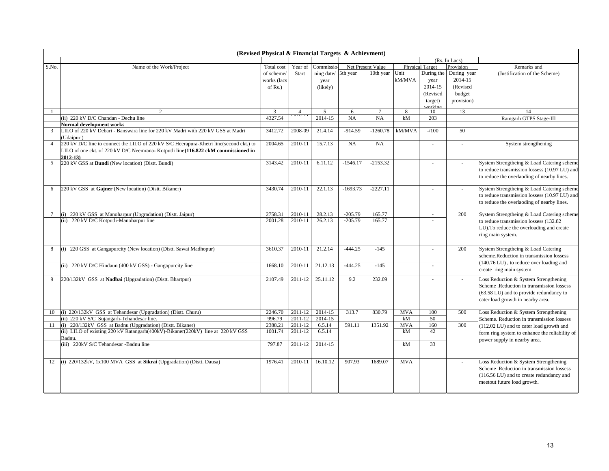|                | (Revised Physical & Financial Targets & Achievment)                                                                |             |                |            |            |                   |            |                          |                          |                                                |  |  |
|----------------|--------------------------------------------------------------------------------------------------------------------|-------------|----------------|------------|------------|-------------------|------------|--------------------------|--------------------------|------------------------------------------------|--|--|
|                | (Rs. In Lacs)                                                                                                      |             |                |            |            |                   |            |                          |                          |                                                |  |  |
| S.No.          | Name of the Work/Project                                                                                           | Total cost  | Year of        | Commissio  |            | Net Present Value |            | <b>Physical Target</b>   | Provision                | Remarks and                                    |  |  |
|                |                                                                                                                    | of scheme   | Start          | ning date/ | 5th year   | 10th year         | Unit       | During the               | During year              | (Justification of the Scheme)                  |  |  |
|                |                                                                                                                    | works (lacs |                | year       |            |                   | kM/MVA     | year                     | 2014-15                  |                                                |  |  |
|                |                                                                                                                    | of $Rs.$ )  |                | (likely)   |            |                   |            | 2014-15                  | (Revised                 |                                                |  |  |
|                |                                                                                                                    |             |                |            |            |                   |            | (Revised                 | budget                   |                                                |  |  |
|                |                                                                                                                    |             |                |            |            |                   |            | target)                  | provision)               |                                                |  |  |
|                |                                                                                                                    |             |                |            |            |                   |            | orkin                    |                          |                                                |  |  |
|                | 2                                                                                                                  | 3           | $\overline{4}$ | 5          | 6          | $\tau$            | 8          | 10                       | 13                       | 14                                             |  |  |
|                | (ii) 220 kV D/C Chandan - Dechu line                                                                               | 4327.54     |                | 2014-15    | NA         | NA                | kM         | 203                      |                          | Ramgarh GTPS Stage-III                         |  |  |
|                | <b>Normal development works</b><br>LILO of 220 kV Debari - Banswara line for 220 kV Madri with 220 kV GSS at Madri |             |                |            |            |                   |            |                          |                          |                                                |  |  |
| 3              |                                                                                                                    | 3412.72     | 2008-09        | 21.4.14    | $-914.59$  | $-1260.78$        | kM/MVA     | $-100$                   | 50                       |                                                |  |  |
|                | (Udaipur)                                                                                                          | 2004.65     |                | 15.7.13    |            |                   |            |                          |                          |                                                |  |  |
| $\overline{4}$ | 220 kV D/C line to connect the LILO of 220 kV S/C Heerapura-Khetri line(second ckt.) to                            |             | 2010-11        |            | <b>NA</b>  | <b>NA</b>         |            | $\overline{\phantom{a}}$ | $\sim$                   | System strengthening                           |  |  |
|                | LILO of one ckt. of 220 kV D/C Neemrana- Kotputli line (116.822 ckM commissioned in                                |             |                |            |            |                   |            |                          |                          |                                                |  |  |
| 5              | $2012 - 13$<br>220 kV GSS at Bundi (New location) (Distt. Bundi)                                                   | 3143.42     | 2010-11        | 6.11.12    | $-1546.17$ | $-2153.32$        |            | $\sim$                   |                          | System Strengtheing & Load Catering scheme     |  |  |
|                |                                                                                                                    |             |                |            |            |                   |            |                          |                          | to reduce transmission lossess (10.97 LU) and  |  |  |
|                |                                                                                                                    |             |                |            |            |                   |            |                          |                          | to reduce the overlaoding of nearby lines.     |  |  |
|                |                                                                                                                    |             |                |            |            |                   |            |                          |                          |                                                |  |  |
| 6              | 220 kV GSS at Gajner (New location) (Distt. Bikaner)                                                               | 3430.74     | 2010-11        | 22.1.13    | $-1693.73$ | $-2227.11$        |            | $\overline{\phantom{a}}$ | $\sim$                   | System Strengtheing & Load Catering scheme     |  |  |
|                |                                                                                                                    |             |                |            |            |                   |            |                          |                          | to reduce transmission lossess (10.97 LU) and  |  |  |
|                |                                                                                                                    |             |                |            |            |                   |            |                          |                          | to reduce the overlaoding of nearby lines.     |  |  |
|                |                                                                                                                    |             |                |            |            |                   |            |                          |                          |                                                |  |  |
| 7              | (i) 220 kV GSS at Manoharpur (Upgradation) (Dist. Jaipur)                                                          | 2758.31     | 2010-11        | 28.2.13    | $-205.79$  | 165.77            |            | $\overline{\phantom{a}}$ | 200                      | System Strengtheing & Load Catering scheme     |  |  |
|                | (ii) 220 kV D/C Kotputli-Manoharpur line                                                                           | 2001.28     | 2010-11        | 26.2.13    | $-205.79$  | 165.77            |            |                          |                          | to reduce transmission lossess (132.82         |  |  |
|                |                                                                                                                    |             |                |            |            |                   |            |                          |                          | LU). To reduce the overloading and create      |  |  |
|                |                                                                                                                    |             |                |            |            |                   |            |                          |                          | ring main system.                              |  |  |
|                |                                                                                                                    |             |                |            |            |                   |            |                          |                          |                                                |  |  |
| 8              | (i) 220 GSS at Gangapurcity (New location) (Distt. Sawai Madhopur)                                                 | 3610.37     | 2010-11        | 21.2.14    | $-444.25$  | $-145$            |            |                          | 200                      | System Strengtheing & Load Catering            |  |  |
|                |                                                                                                                    |             |                |            |            |                   |            |                          |                          | scheme.Reduction in transmission lossess       |  |  |
|                |                                                                                                                    |             |                |            |            |                   |            |                          |                          | (140.76 LU), to reduce over loading and        |  |  |
|                | (ii) 220 kV D/C Hindaun (400 kV GSS) - Gangapurcity line                                                           | 1668.10     | 2010-11        | 21.12.13   | $-444.25$  | $-145$            |            | $\sim$                   |                          | create ring main system.                       |  |  |
|                |                                                                                                                    |             |                |            |            |                   |            |                          |                          |                                                |  |  |
| 9              | 220/132kV GSS at Nadbai (Upgradation) (Distt. Bhartpur)                                                            | 2107.49     | 2011-12        | 25.11.12   | 9.2        | 232.09            |            |                          | $\overline{\phantom{a}}$ | Loss Reduction & System Strengthening          |  |  |
|                |                                                                                                                    |             |                |            |            |                   |            |                          |                          | Scheme .Reduction in transmission lossess      |  |  |
|                |                                                                                                                    |             |                |            |            |                   |            |                          |                          | (63.58 LU) and to provide redundancy to        |  |  |
|                |                                                                                                                    |             |                |            |            |                   |            |                          |                          | cater load growth in nearby area.              |  |  |
| 10             | (i) 220/132kV GSS at Tehandesar (Upgradation) (Distt. Churu)                                                       | 2246.70     | 2011-12        | 2014-15    | 313.7      | 830.79            | <b>MVA</b> | 100                      | 500                      | Loss Reduction & System Strengthening          |  |  |
|                | (ii) 220 kV S/C Sujangarh-Tehandesar line.                                                                         | 996.79      | 2011-12        | 2014-15    |            |                   | kM         | 50                       |                          | Scheme. Reduction in transmission lossess      |  |  |
|                | 11 (i) 220/132kV GSS at Badnu (Upgradation) (Dist. Bikaner)                                                        | 2388.21     | 2011-12        | 6.5.14     | 591.11     | 1351.92           | <b>MVA</b> | 160                      | 300                      | (112.02 LU) and to cater load growth and       |  |  |
|                | (ii) LILO of existing 220 kV Ratangarh(400kV)-Bikaner(220kV) line at 220 kV GSS                                    | 1001.74     | 2011-12        | 6.5.14     |            |                   | kM         | 42                       |                          | form ring system to enhance the reliability of |  |  |
|                | Badnu                                                                                                              |             |                |            |            |                   |            |                          |                          | power supply in nearby area.                   |  |  |
|                | (iii) 220kV S/C Tehandesar -Badnu line                                                                             | 797.87      | 2011-12        | 2014-15    |            |                   | kM         | 33                       |                          |                                                |  |  |
|                |                                                                                                                    |             |                |            |            |                   |            |                          |                          |                                                |  |  |
|                |                                                                                                                    |             |                |            |            |                   |            |                          |                          |                                                |  |  |
| 12             | (i) 220/132kV, 1x100 MVA GSS at Sikrai (Upgradation) (Distt. Dausa)                                                | 1976.41     | 2010-11        | 16.10.12   | 907.93     | 1689.07           | <b>MVA</b> |                          | $\sim$                   | Loss Reduction & System Strengthening          |  |  |
|                |                                                                                                                    |             |                |            |            |                   |            |                          |                          | Scheme .Reduction in transmission lossess      |  |  |
|                |                                                                                                                    |             |                |            |            |                   |            |                          |                          | (116.56 LU) and to create redundancy and       |  |  |
|                |                                                                                                                    |             |                |            |            |                   |            |                          |                          | meetout future load growth.                    |  |  |
|                |                                                                                                                    |             |                |            |            |                   |            |                          |                          |                                                |  |  |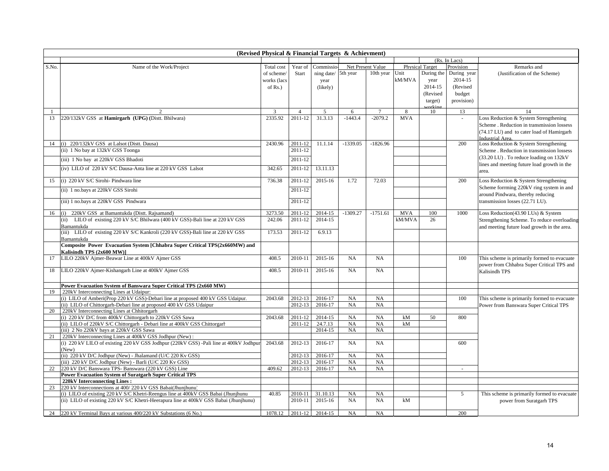|       | (Revised Physical & Financial Targets & Achievment)                                                                                                    |              |                    |                    |            |                   |            |                        |               |                                                                                      |  |  |  |
|-------|--------------------------------------------------------------------------------------------------------------------------------------------------------|--------------|--------------------|--------------------|------------|-------------------|------------|------------------------|---------------|--------------------------------------------------------------------------------------|--|--|--|
|       |                                                                                                                                                        |              |                    |                    |            |                   |            |                        | (Rs. In Lacs) |                                                                                      |  |  |  |
| S.No. | Name of the Work/Project                                                                                                                               | Total cost   | Year of            | Commissio          |            | Net Present Value |            | <b>Physical Target</b> | Provision     | Remarks and                                                                          |  |  |  |
|       |                                                                                                                                                        | of scheme    | Start              | ning date/         | 5th year   | 10th year         | Unit       | During the             | During year   | (Justification of the Scheme)                                                        |  |  |  |
|       |                                                                                                                                                        | works (lacs  |                    | year               |            |                   | kM/MVA     | year                   | 2014-15       |                                                                                      |  |  |  |
|       |                                                                                                                                                        | of $Rs.$ )   |                    | (likely)           |            |                   |            | 2014-15                | (Revised      |                                                                                      |  |  |  |
|       |                                                                                                                                                        |              |                    |                    |            |                   |            | (Revised               | budget        |                                                                                      |  |  |  |
|       |                                                                                                                                                        |              |                    |                    |            |                   |            | target)                | provision)    |                                                                                      |  |  |  |
|       |                                                                                                                                                        |              |                    |                    |            |                   |            | vrkir                  |               |                                                                                      |  |  |  |
|       |                                                                                                                                                        | $\mathbf{3}$ | $\overline{4}$     | 5                  | 6          |                   | 8          | 10                     | 13            | 14                                                                                   |  |  |  |
| 13    | 220/132kV GSS at Hamirgarh (UPG) (Distt. Bhilwara)                                                                                                     | 2335.92      | 2011-12            | 31.3.13            | $-1443.4$  | $-2079.2$         | <b>MVA</b> |                        |               | Loss Reduction & System Strengthening                                                |  |  |  |
|       |                                                                                                                                                        |              |                    |                    |            |                   |            |                        |               | Scheme . Reduction in transmission lossess                                           |  |  |  |
|       |                                                                                                                                                        |              |                    |                    |            |                   |            |                        |               | (74.17 LU) and to cater load of Hamirgarh                                            |  |  |  |
| 14    | (i) 220/132kV GSS at Lalsot (Distt. Dausa)                                                                                                             | 2430.96      | 2011-12            | 11.1.14            | $-1339.05$ | $-1826.96$        |            |                        | 200           | Industrial Area.<br>Loss Reduction & System Strengthening                            |  |  |  |
|       | (ii) 1 No bay at 132kV GSS Toonga                                                                                                                      |              | 2011-12            |                    |            |                   |            |                        |               |                                                                                      |  |  |  |
|       |                                                                                                                                                        |              |                    |                    |            |                   |            |                        |               | Scheme . Reduction in transmission lossess<br>(33.20 LU). To reduce loading on 132kV |  |  |  |
|       | (iii) 1 No bay at 220kV GSS Bhadoti                                                                                                                    |              | 2011-12            |                    |            |                   |            |                        |               |                                                                                      |  |  |  |
|       | (iv) LILO of 220 kV S/C Dausa-Anta line at 220 kV GSS Lalsot                                                                                           | 342.65       | 2011-12            | 13.11.13           |            |                   |            |                        |               | lines and meeting future load growth in the<br>area.                                 |  |  |  |
|       |                                                                                                                                                        |              |                    |                    |            |                   |            |                        |               |                                                                                      |  |  |  |
| 15    | (i) 220 kV S/C Sirohi- Pindwara line                                                                                                                   | 736.38       | 2011-12            | 2015-16            | 1.72       | 72.03             |            |                        | 200           | Loss Reduction & System Strengthening                                                |  |  |  |
|       | (ii) 1 no.bays at 220kV GSS Sirohi                                                                                                                     |              | 2011-12            |                    |            |                   |            |                        |               | Scheme forrming 220kV ring system in and                                             |  |  |  |
|       |                                                                                                                                                        |              |                    |                    |            |                   |            |                        |               | around Pindwara, thereby reducing                                                    |  |  |  |
|       | (iii) 1 no.bays at 220kV GSS Pindwara                                                                                                                  |              | 2011-12            |                    |            |                   |            |                        |               | transmission losses (22.71 LU).                                                      |  |  |  |
| 16    | 220kV GSS at Bamantukda (Distt. Rajsamand)<br>(i)                                                                                                      | 3273.50      | 2011-12            | 2014-15            | $-1309.27$ | $-1751.61$        | <b>MVA</b> | 100                    | 1000          | Loss Reduction(43.90 LUs) & System                                                   |  |  |  |
|       | LILO of existing 220 kV S/C Bhilwara (400 kV GSS)-Bali line at 220 kV GSS<br>(ii)                                                                      | 242.06       | 2011-12            | 2014-15            |            |                   | kM/MVA     | 26                     |               | Strengthening Scheme. To reduce overloading                                          |  |  |  |
|       | Bamantukda                                                                                                                                             |              |                    |                    |            |                   |            |                        |               | and meeting future load growth in the area.                                          |  |  |  |
|       | (iii) LILO of existing 220 kV S/C Kankroli (220 kV GSS)-Bali line at 220 kV GSS                                                                        | 173.53       | 2011-12            | 6.9.13             |            |                   |            |                        |               |                                                                                      |  |  |  |
|       | Bamantukda                                                                                                                                             |              |                    |                    |            |                   |            |                        |               |                                                                                      |  |  |  |
|       | Composite Power Evacuation System [Chhabra Super Critical TPS(2x660MW) and                                                                             |              |                    |                    |            |                   |            |                        |               |                                                                                      |  |  |  |
|       | Kalisindh TPS (2x600 MW)]                                                                                                                              |              |                    |                    |            |                   |            |                        |               |                                                                                      |  |  |  |
| 17    | LILO 220kV Ajmer-Beawar Line at 400kV Ajmer GSS                                                                                                        | 408.5        | 2010-11            | 2015-16            | NA         | NA                |            |                        | 100           | This scheme is primarily formed to evacuate                                          |  |  |  |
|       |                                                                                                                                                        |              |                    |                    |            |                   |            |                        |               | power from Chhabra Super Critical TPS and                                            |  |  |  |
| 18    | LILO 220kV Ajmer-Kishangarh Line at 400kV Ajmer GSS                                                                                                    | 408.5        | 2010-11            | 2015-16            | NA         | NA                |            |                        |               | Kalisindh TPS                                                                        |  |  |  |
|       |                                                                                                                                                        |              |                    |                    |            |                   |            |                        |               |                                                                                      |  |  |  |
|       | Power Evacuation System of Banswara Super Critical TPS (2x660 MW)                                                                                      |              |                    |                    |            |                   |            |                        |               |                                                                                      |  |  |  |
| 19    | 220kV Interconnecting Lines at Udaipur:                                                                                                                |              |                    |                    |            |                   |            |                        |               |                                                                                      |  |  |  |
|       | (i) LILO of Amberi(Prop 220 kV GSS)-Debari line at proposed 400 kV GSS Udaipur.<br>(ii) LILO of Chittorgarh-Debari line at proposed 400 kV GSS Udaipur | 2043.68      | 2012-13<br>2012-13 | 2016-17<br>2016-17 | NA<br>NA   | NA<br>NA          |            |                        | 100           | This scheme is primarily formed to evacuate                                          |  |  |  |
| 20    | 220kV Interconnecting Lines at Chhitorgarh                                                                                                             |              |                    |                    |            |                   |            |                        |               | Power from Banswara Super Critical TPS                                               |  |  |  |
|       | (i) 220 kV D/C from 400kV Chittorgarh to 220kV GSS Sawa                                                                                                | 2043.68      | 2011-12            | 2014-15            | NA         | NA                | kM         | 50                     | 800           |                                                                                      |  |  |  |
|       | (ii) LILO of 220kV S/C Chittorgarh - Debari line at 400kV GSS Chittorgarh                                                                              |              | 2011-12            | 24.7.13            | NA         | NA                | kM         |                        |               |                                                                                      |  |  |  |
|       | (iii) 2 No 220kV bays at 220kV GSS Sawa                                                                                                                |              |                    | 2014-15            | NA         | NA                |            |                        |               |                                                                                      |  |  |  |
| 21    | 220kV Interconnecting Lines at 400kV GSS Jodhpur (New):                                                                                                |              |                    |                    |            |                   |            |                        |               |                                                                                      |  |  |  |
|       | (i) 220 kV LILO of existing 220 kV GSS Jodhpur (220kV GSS) -Pali line at 400kV Jodhpur                                                                 | 2043.68      | 2012-13            | 2016-17            | <b>NA</b>  | NA                |            |                        | 600           |                                                                                      |  |  |  |
|       | (New)                                                                                                                                                  |              |                    |                    |            |                   |            |                        |               |                                                                                      |  |  |  |
|       | (ii) 220 kV D/C Jodhpur (New) - Jhalamand (U/C 220 Kv GSS)                                                                                             |              | 2012-13            | 2016-17            | NA         | NA                |            |                        |               |                                                                                      |  |  |  |
|       | (iii) 220 kV D/C Jodhpur (New) - Barli (U/C 220 Kv GSS)                                                                                                |              | 2012-13            | 2016-17            | NA         | NA                |            |                        |               |                                                                                      |  |  |  |
| 22    | 220 kV D/C Banswara TPS- Banswara (220 kV GSS) Line                                                                                                    | 409.62       | 2012-13            | 2016-17            | NA         | NA                |            |                        | $\sim$        |                                                                                      |  |  |  |
|       | <b>Power Evacuation System of Suratgarh Super Critical TPS</b>                                                                                         |              |                    |                    |            |                   |            |                        |               |                                                                                      |  |  |  |
|       | 220kV Interconnecting Lines:                                                                                                                           |              |                    |                    |            |                   |            |                        |               |                                                                                      |  |  |  |
| 23    | 220 kV Interconnections at 400/220 kV GSS Babai(Jhunjhunu)                                                                                             |              |                    |                    |            |                   |            |                        |               |                                                                                      |  |  |  |
|       | (i) LILO of existing 220 kV S/C Khetri-Reengus line at 400kV GSS Babai (Jhunjhunu                                                                      | 40.85        | 2010-11            | 31.10.13           | NA         | NA<br><b>NA</b>   |            |                        | 5             | This scheme is primarily formed to evacuate                                          |  |  |  |
|       | (ii) LILO of existing 220 kV S/C Khetri-Heerapura line at 400kV GSS Babai (Jhunjhunu)                                                                  |              | 2010-11            | 2015-16            | <b>NA</b>  |                   | kM         |                        |               | power from Suratgarh TPS                                                             |  |  |  |
|       | 24 220 kV Terminal Bays at various 400/220 kV Substations (6 No.)                                                                                      | 1078.12      | 2011-12            | 2014-15            | NA         | NA                |            |                        | 200           |                                                                                      |  |  |  |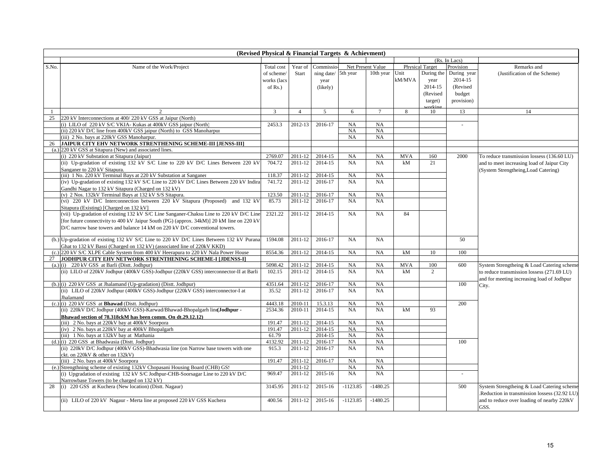| (Revised Physical & Financial Targets & Achievment) |                                                                                                                                                              |                  |                |                    |            |                   |            |                        |               |                                               |  |
|-----------------------------------------------------|--------------------------------------------------------------------------------------------------------------------------------------------------------------|------------------|----------------|--------------------|------------|-------------------|------------|------------------------|---------------|-----------------------------------------------|--|
|                                                     |                                                                                                                                                              |                  |                |                    |            |                   |            |                        | (Rs. In Lacs) |                                               |  |
| S.No.                                               | Name of the Work/Project                                                                                                                                     | Total cost       | Year of        | Commissio          |            | Net Present Value |            | <b>Physical Target</b> | Provision     | Remarks and                                   |  |
|                                                     |                                                                                                                                                              | of scheme        | Start          | ning date/         | 5th year   | 10th year         | Unit       | During the             | During year   | (Justification of the Scheme)                 |  |
|                                                     |                                                                                                                                                              | works (lacs      |                | year               |            |                   | kM/MVA     | year                   | 2014-15       |                                               |  |
|                                                     |                                                                                                                                                              | of $Rs.$ )       |                | (likely)           |            |                   |            | 2014-15                | (Revised      |                                               |  |
|                                                     |                                                                                                                                                              |                  |                |                    |            |                   |            | (Revised               | budget        |                                               |  |
|                                                     |                                                                                                                                                              |                  |                |                    |            |                   |            | target)                | provision)    |                                               |  |
|                                                     |                                                                                                                                                              |                  |                |                    |            |                   |            | ritin                  |               |                                               |  |
|                                                     | $\mathcal{D}$                                                                                                                                                | $\overline{3}$   | $\overline{4}$ | 5                  | 6          | $\tau$            | 8          | 10                     | 13            | 14                                            |  |
| 25                                                  | 220 kV Interconnections at 400/220 kV GSS at Jaipur (North)                                                                                                  |                  |                |                    |            |                   |            |                        |               |                                               |  |
|                                                     | (i) LILO of 220 kV S/C VKIA- Kukas at 400kV GSS jaipur (North)                                                                                               | 2453.3           | 2012-13        | 2016-17            | NA         | NA                |            |                        |               |                                               |  |
|                                                     | (ii) 220 kV D/C line from 400kV GSS jaipur (North) to GSS Manoharpur                                                                                         |                  |                |                    | NA         | NA                |            |                        |               |                                               |  |
|                                                     | (iii) 2 No. bays at 220kV GSS Manoharpur.                                                                                                                    |                  |                |                    | NA         | NA                |            |                        |               |                                               |  |
| 26                                                  | JAIPUR CITY EHV NETWORK STRENTHENING SCHEME-III [JENSS-III]                                                                                                  |                  |                |                    |            |                   |            |                        |               |                                               |  |
| (a.)                                                | 220 kV GSS at Sitapura (New) and associated lines.                                                                                                           |                  |                |                    |            |                   |            |                        |               |                                               |  |
|                                                     | (i) 220 kV Substation at Sitapura (Jaipur)                                                                                                                   | 2769.07          | 2011-12        | 2014-15            | NA         | NA                | <b>MVA</b> | 160                    | 2000          | To reduce transmission lossess (136.60 LU)    |  |
|                                                     | (ii) Up-gradation of existing 132 kV S/C Line to 220 kV D/C Lines Between 220 kV                                                                             | 704.72           | 2011-12        | 2014-15            | NA         | NA                | kM         | 21                     |               | and to meet increasing load of Jaipur City    |  |
|                                                     | Sanganer to 220 kV Sitapura.                                                                                                                                 | 118.37           | 2011-12        | 2014-15            | NA         | NA                |            |                        |               | (System Strengtheing, Load Catering)          |  |
|                                                     | (iii) 1 No. 220 kV Terminal Bays at 220 kV Substation at Sanganer<br>(iv) Up-gradation of existing 132 kV S/C Line to 220 kV D/C Lines Between 220 kV Indira | 741.72           | 2011-12        | 2016-17            | NA         | NA                |            |                        |               |                                               |  |
|                                                     |                                                                                                                                                              |                  |                |                    |            |                   |            |                        |               |                                               |  |
|                                                     | Gandhi Nagar to 132 kV Sitapura (Charged on 132 kV)<br>(v) 2 Nos. 132kV Terminal Bays at 132 kV S/S Sitapura.                                                | 123.50           | 2011-12        | 2016-17            | NA         | NA                |            |                        |               |                                               |  |
|                                                     | (vi) 220 kV D/C Interconnection between 220 kV Sitapura (Proposed) and 132 kV                                                                                | 85.73            | 2011-12        | 2016-17            | NA         | NA                |            |                        |               |                                               |  |
|                                                     | Sitapura (Existing) [Charged on 132 kV]                                                                                                                      |                  |                |                    |            |                   |            |                        |               |                                               |  |
|                                                     | (vii) Up-gradation of existing 132 kV S/C Line Sanganer-Chaksu Line to 220 kV D/C Line                                                                       | 2321.22          | 2011-12        | 2014-15            | NA         | NA                | 84         |                        |               |                                               |  |
|                                                     | [for future connectivity to 400 kV Jaipur South (PG) (approx. 34kM)] 20 kM line on 220 kV                                                                    |                  |                |                    |            |                   |            |                        |               |                                               |  |
|                                                     | D/C narrow base towers and balance 14 kM on 220 kV D/C conventional towers.                                                                                  |                  |                |                    |            |                   |            |                        |               |                                               |  |
|                                                     |                                                                                                                                                              |                  |                |                    |            |                   |            |                        |               |                                               |  |
|                                                     | (b.) Up-gradation of existing 132 kV S/C Line to 220 kV D/C Lines Between 132 kV Purana                                                                      | 1594.08          | 2011-12        | 2016-17            | NA         | NA                |            |                        | 50            |                                               |  |
|                                                     | Ghat to 132 kV Bassi (Charged on 132 kV) (associated line of 220kV KKD)                                                                                      |                  |                |                    |            |                   |            |                        |               |                                               |  |
| (c.)                                                | 220 kV S/C XLPE Cable System from 400 kV Heerapura to 220 kV Nala Power House                                                                                | 8554.36          | 2011-12        | 2014-15            | NA         | NA                | kM         | 10                     | 100           |                                               |  |
| 27                                                  | JODHPUR CITY EHV NETWORK STRENTHENING SCHEME-I [JDENSS-I]                                                                                                    |                  |                |                    |            |                   |            |                        |               |                                               |  |
|                                                     | $(a.)$ (i) 220 kV GSS at Barli (Distt. Jodhpur)                                                                                                              | 5098.42          | 2011-12        | 2014-15            | <b>NA</b>  | NA                | <b>MVA</b> | 100                    | 600           | System Strengtheing & Load Catering scheme    |  |
|                                                     | (ii) LILO of 220kV Jodhpur (400kV GSS)-Jodhpur (220kV GSS) interconnector-II at Barli                                                                        | 102.15           | 2011-12        | 2014-15            | <b>NA</b>  | NA                | kM         | 2                      |               | to reduce transmission lossess (271.69 LU)    |  |
|                                                     |                                                                                                                                                              |                  |                |                    |            |                   |            |                        |               | and for meeting increasing load of Jodhpur    |  |
|                                                     | (b.) (i) 220 kV GSS at Jhalamand (Up-gradation) (Distt. Jodhpur)                                                                                             | 4351.64          | 2011-12        | 2016-17            | NA         | NA                |            |                        | 100           | City.                                         |  |
|                                                     | (ii) LILO of 220kV Jodhpur (400kV GSS)-Jodhpur (220kV GSS) interconnector-I at                                                                               | 35.52            | 2011-12        | 2016-17            | NA         | NA                |            |                        |               |                                               |  |
|                                                     | Jhalamand                                                                                                                                                    |                  |                |                    |            |                   |            |                        |               |                                               |  |
|                                                     | $(c.)$ (i) 220 kV GSS at <b>Bhawad</b> (Dist. Jodhpur)                                                                                                       | 4443.18          | 2010-11        | 15.3.13            | NA         | NA                |            |                        | 200           |                                               |  |
|                                                     | (ii) 220kV D/C Jodhpur (400kV GSS)-Karwad/Bhawad-Bhopalgarh line(Jodhpur -                                                                                   | 2534.36          | 2010-11        | 2014-15            | <b>NA</b>  | NA                | kM         | 93                     |               |                                               |  |
|                                                     | Bhawad section of 78.318ckM has been comm. On dt.29.12.12)                                                                                                   |                  |                |                    |            |                   |            |                        |               |                                               |  |
|                                                     | (iii) 2 No. bays at 220kV bay at 400kV Soorpora                                                                                                              | 191.47           | 2011-12        | 2014-15            | NA         | NA                |            |                        |               |                                               |  |
|                                                     | (iv) 2 No. bays at 220kV bay at 400kV Bhopalgarh                                                                                                             | 191.47           | 2011-12        | 2014-15            | NA         | NA<br>NA          |            |                        |               |                                               |  |
|                                                     | (iii) 1 No. bays at 132kV bay at Mathania<br>$(d.)$ (i) 220 GSS at Bhadwasia (Dist. Jodhpur)                                                                 | 61.79<br>4132.92 | 2011-12        | 2014-15<br>2016-17 | NA<br>NA   | NA                |            |                        | 100           |                                               |  |
|                                                     | (ii) 220kV D/C Jodhpur (400kV GSS)-Bhadwasia line (on Narrow base towers with one                                                                            | 915.3            | 2011-12        | 2016-17            | <b>NA</b>  | NA                |            |                        |               |                                               |  |
|                                                     | ckt. on 220kV & other on 132kV)                                                                                                                              |                  |                |                    |            |                   |            |                        |               |                                               |  |
|                                                     | (iii) 2 No. bays at 400kV Soorpora                                                                                                                           | 191.47           | 2011-12        | 2016-17            | NA         | NA                |            |                        |               |                                               |  |
|                                                     | (e.) Strengthning scheme of existing 132kV Chopasani Housing Board (CHB) GSS                                                                                 |                  | 2011-12        |                    | NA         | NA                |            |                        |               |                                               |  |
|                                                     | (i) Upgradation of existing 132 kV S/C Jodhpur-CHB-Soorsagar Line to 220 kV D/C                                                                              | 969.47           | 2011-12        | 2015-16            | NA         | NA                |            |                        | $\sim$        |                                               |  |
|                                                     | Narrowbase Towers (to be charged on 132 kV)                                                                                                                  |                  |                |                    |            |                   |            |                        |               |                                               |  |
| 28                                                  | (i) 220 GSS at Kuchera (New location) (Dist. Nagaur)                                                                                                         | 3145.95          | 2011-12        | 2015-16            | $-1123.85$ | $-1480.25$        |            |                        | 500           | System Strengtheing & Load Catering scheme    |  |
|                                                     |                                                                                                                                                              |                  |                |                    |            |                   |            |                        |               | .Reduction in transmission lossess (32.92 LU) |  |
|                                                     | (ii) LILO of 220 kV Nagaur - Merta line at proposed 220 kV GSS Kuchera                                                                                       | 400.56           | 2011-12        | 2015-16            | $-1123.85$ | $-1480.25$        |            |                        |               | and to reduce over loading of nearby 220kV    |  |
|                                                     |                                                                                                                                                              |                  |                |                    |            |                   |            |                        |               | GSS.                                          |  |
|                                                     |                                                                                                                                                              |                  |                |                    |            |                   |            |                        |               |                                               |  |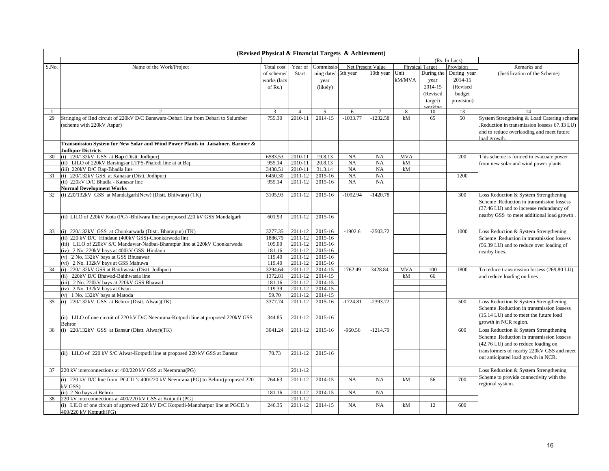|       | (Revised Physical & Financial Targets & Achievment)                                                    |                   |                    |                    |            |                   |            |                        |               |                                             |  |  |
|-------|--------------------------------------------------------------------------------------------------------|-------------------|--------------------|--------------------|------------|-------------------|------------|------------------------|---------------|---------------------------------------------|--|--|
|       |                                                                                                        |                   |                    |                    |            |                   |            |                        | (Rs. In Lacs) |                                             |  |  |
| S.No. | Name of the Work/Project                                                                               | <b>Total</b> cost | Year of            | Commissio          |            | Net Present Value |            | <b>Physical Target</b> | Provision     | Remarks and                                 |  |  |
|       |                                                                                                        | of scheme/        | Start              | ning date/         | 5th year   | 10th year         | Unit       | During the             | During year   | (Justification of the Scheme)               |  |  |
|       |                                                                                                        | works (lacs       |                    | year               |            |                   | kM/MVA     | year                   | 2014-15       |                                             |  |  |
|       |                                                                                                        | of $Rs.$ )        |                    | (likely)           |            |                   |            | 2014-15                | (Revised      |                                             |  |  |
|       |                                                                                                        |                   |                    |                    |            |                   |            | (Revised               | budget        |                                             |  |  |
|       |                                                                                                        |                   |                    |                    |            |                   |            | target)                | provision)    |                                             |  |  |
|       |                                                                                                        |                   |                    |                    |            |                   |            | arkir                  |               |                                             |  |  |
|       | $\mathfrak{D}$                                                                                         | 3                 | $\overline{4}$     | 5                  | 6          |                   | 8          | 10                     | 13            | 14                                          |  |  |
| 29    | Stringing of IInd circuit of 220kV D/C Banswara-Debari line from Debari to Salumber                    | 755.30            | 2010-11            | 2014-15            | $-1033.77$ | $-1232.58$        | kM         | 65                     | 50            | System Strengtheing & Load Catering scheme  |  |  |
|       | (scheme with 220kV Aspur)                                                                              |                   |                    |                    |            |                   |            |                        |               | Reduction in transmission lossess 67.33 LU) |  |  |
|       |                                                                                                        |                   |                    |                    |            |                   |            |                        |               | and to reduce overlaoding and meet future   |  |  |
|       |                                                                                                        |                   |                    |                    |            |                   |            |                        |               | load growth.                                |  |  |
|       | Transmission System for New Solar and Wind Power Plants in Jaisalmer, Barmer &                         |                   |                    |                    |            |                   |            |                        |               |                                             |  |  |
| 30    | <b>Jodhpur Districts</b>                                                                               | 6583.53           | 2010-11            | 19.8.13            | NA         | NA                | <b>MVA</b> |                        | 200           |                                             |  |  |
|       | (i) 220/132kV GSS at Bap (Distt. Jodhpur)<br>(ii) LILO of 220kV Barsingsar LTPS-Phalodi line at at Bar | 955.14            | 2010-11            | 20.8.13            | NA         | NA                | kM         |                        |               | This scheme is formed to evacuate power     |  |  |
|       | (iii) 220kV D/C Bap-Bhadla line                                                                        | 3438.51           | 2010-11            | 31.3.14            | NA         | NA                | kM         |                        |               | from new solar and wind power plants        |  |  |
| 31    | (i) 220/132kV GSS at Kanasar (Distt. Jodhpur)                                                          | 6450.30           | 2011-12            | 2015-16            | NA         | NA                |            |                        | 1200          |                                             |  |  |
|       | (ii) 220kV D/C Bhadla - Kanasar line                                                                   | 955.14            | 2011-12            | 2015-16            | NA         | NA                |            |                        |               |                                             |  |  |
|       | <b>Normal Development Works</b>                                                                        |                   |                    |                    |            |                   |            |                        |               |                                             |  |  |
| 32    | (i) 220/132kV GSS at Mandalgarh(New) (Distt. Bhilwara) (TK)                                            | 3105.93           | 2011-12            | 2015-16            | $-1092.94$ | $-1420.78$        |            |                        | 300           | Loss Reduction & System Strengthening       |  |  |
|       |                                                                                                        |                   |                    |                    |            |                   |            |                        |               | Scheme .Reduction in transmission lossess   |  |  |
|       |                                                                                                        |                   |                    |                    |            |                   |            |                        |               | (37.46 LU) and to increase redundancy of    |  |  |
|       |                                                                                                        |                   |                    | $2015 - 16$        |            |                   |            |                        |               | nearby GSS to meet additional load growth.  |  |  |
|       | (ii) LILO of 220kV Kota (PG) -Bhilwara line at proposed 220 kV GSS Mandalgarh                          | 601.93            | 2011-12            |                    |            |                   |            |                        |               |                                             |  |  |
|       |                                                                                                        |                   |                    |                    |            |                   |            |                        |               |                                             |  |  |
| 33    | (i) 220/132kV GSS at Chonkarwada (Distt. Bharatpur) (TK)                                               | 3277.35           | 2011-12            | 2015-16            | $-1902.6$  | $-2503.72$        |            |                        | 1000          | Loss Reduction & System Strengthening       |  |  |
|       | (ii) 220 kV D/C Hindaun (400kV GSS)-Chonkarwada line                                                   | 1886.79           | 2011-12            | 2015-16            |            |                   |            |                        |               | Scheme .Reduction in transmission lossess   |  |  |
|       | (iii) LILO of 220kV S/C Mandawar-Nadbai-Bharatpur line at 220kV Chonkarwada                            | 105.00            | 2011-12            | 2015-16            |            |                   |            |                        |               | (56.39 LU) and to reduce over loading of    |  |  |
|       | (iv) 2 No. 220kV bays at 400kV GSS Hindaun                                                             | 181.16            | 2011-12            | 2015-16            |            |                   |            |                        |               | nearby lines.                               |  |  |
|       | (v) 2 No. 132kV bays at GSS Bhusawar<br>(vi) 2 No. 132kV bays at GSS Mahuwa                            | 119.40<br>119.40  | 2011-12<br>2011-12 | 2015-16<br>2015-16 |            |                   |            |                        |               |                                             |  |  |
| 34    | (i) 220/132kV GSS at Baithwasia (Distt. Jodhpur)                                                       | 3294.64           | 2011-12            | 2014-15            | 1762.49    | 3428.84           | <b>MVA</b> | 100                    | 1800          | To reduce transmission lossess (269.80 LU)  |  |  |
|       | (ii) 220kV D/C Bhawad-Baithwasia line                                                                  | 1372.81           | 2011-12            | 2014-15            |            |                   | kM         | 66                     |               | and reduce loading on lines                 |  |  |
|       | (iii) 2 No. 220kV bays at 220kV GSS Bhawad                                                             | 181.16            | 2011-12            | 2014-15            |            |                   |            |                        |               |                                             |  |  |
|       | (iv) 2 No. 132kV bays at Osian                                                                         | 119.39            | 2011-12            | 2014-15            |            |                   |            |                        |               |                                             |  |  |
|       | (v) 1 No. 132kV bays at Matoda                                                                         | 59.70             | 2011-12            | 2014-15            |            |                   |            |                        |               |                                             |  |  |
| 35    | (i) 220/132kV GSS at Behror (Distt. Alwar)(TK)                                                         | 3377.74           | 2011-12            | 2015-16            | $-1724.81$ | $-2393.72$        |            |                        | 500           | Loss Reduction & System Strengthening       |  |  |
|       |                                                                                                        |                   |                    |                    |            |                   |            |                        |               | Scheme .Reduction in transmission lossess   |  |  |
|       |                                                                                                        |                   |                    |                    |            |                   |            |                        |               | (15.14 LU) and to meet the future load      |  |  |
|       | (ii) LILO of one circuit of 220 kV D/C Neemrana-Kotputli line at proposed 220kV GSS                    | 344.85            | 2011-12            | 2015-16            |            |                   |            |                        |               | growth in NCR region.                       |  |  |
| 36    | Behror<br>(i) 220/132kV GSS at Bansur (Distt. Alwar)(TK)                                               | 3041.24           | 2011-12            | 2015-16            | $-960.56$  | $-1214.79$        |            |                        | 600           | Loss Reduction & System Strengthening       |  |  |
|       |                                                                                                        |                   |                    |                    |            |                   |            |                        |               | Scheme .Reduction in transmission lossess   |  |  |
|       |                                                                                                        |                   |                    |                    |            |                   |            |                        |               |                                             |  |  |
|       |                                                                                                        |                   |                    |                    |            |                   |            |                        |               | (42.76 LU) and to reduce loading on         |  |  |
|       | (ii) LILO of 220 kV S/C Alwar-Kotputli line at proposed 220 kV GSS at Bansur                           | 70.73             | 2011-12            | 2015-16            |            |                   |            |                        |               | transformers of nearby 220kV GSS and meet   |  |  |
|       |                                                                                                        |                   |                    |                    |            |                   |            |                        |               | out anticipated load growth in NCR.         |  |  |
| 37    | 220 kV interconnections at 400/220 kV GSS at Neemrana(PG)                                              |                   | 2011-12            |                    |            |                   |            |                        |               | Loss Reduction & System Strengthening       |  |  |
|       |                                                                                                        |                   |                    |                    |            |                   |            |                        |               |                                             |  |  |
|       | (i) 220 kV D/C line from PGCIL's 400/220 kV Neemrana (PG) to Behror(proposed 220                       | 764.63            | 2011-12            | 2014-15            | NA         | NA                | kM         | 56                     | 700           | Scheme to provide connectivity with the     |  |  |
|       | kV GSS)                                                                                                |                   |                    |                    |            |                   |            |                        |               | regional system.                            |  |  |
|       | (ii) 2 No bays at Behror                                                                               | 181.16            | 2011-12            | 2014-15            | NA         | NA                |            |                        |               |                                             |  |  |
| 38    | 220 kV interconnections at 400/220 kV GSS at Kotputli (PG)                                             |                   | 2011-12            |                    |            |                   |            |                        |               |                                             |  |  |
|       | (i) LILO of one circuit of approved 220 kV D/C Kotputli-Manoharpur line at PGCIL's                     | 246.35            | 2011-12            | 2014-15            | NA         | NA                | kM         | 12                     | 600           |                                             |  |  |
|       | 400/220 kV Kotputli(PG)                                                                                |                   |                    |                    |            |                   |            |                        |               |                                             |  |  |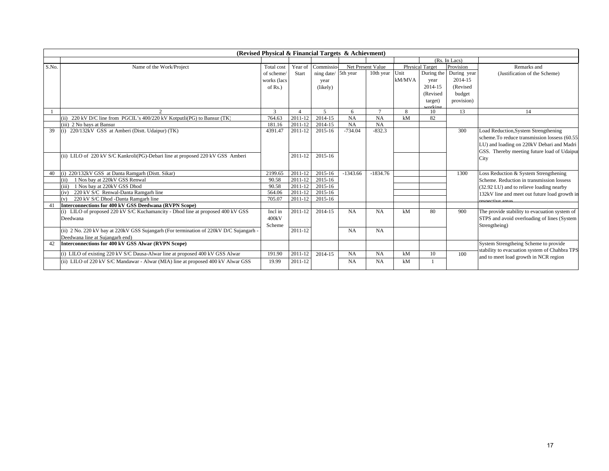|       | (Revised Physical & Financial Targets & Achievment)                                    |               |         |                          |            |                   |              |                        |                        |                                                |  |  |
|-------|----------------------------------------------------------------------------------------|---------------|---------|--------------------------|------------|-------------------|--------------|------------------------|------------------------|------------------------------------------------|--|--|
|       |                                                                                        |               |         |                          |            |                   |              |                        | (Rs. In Lacs)          |                                                |  |  |
| S.No. | Name of the Work/Project                                                               | Total cost    | Year of | Commissio                |            | Net Present Value |              | <b>Physical Target</b> | Provision              | Remarks and                                    |  |  |
|       |                                                                                        | of scheme/    | Start   | ning date/               | 5th year   | 10th year         | Unit         |                        | During the During year | (Justification of the Scheme)                  |  |  |
|       |                                                                                        | works (lacs   |         | year                     |            |                   | kM/MVA       | year                   | 2014-15                |                                                |  |  |
|       |                                                                                        | of Rs.)       |         | (likely)                 |            |                   |              | 2014-15                | (Revised               |                                                |  |  |
|       |                                                                                        |               |         |                          |            |                   |              | (Revised               | budget                 |                                                |  |  |
|       |                                                                                        |               |         |                          |            |                   |              | target)                | provision)             |                                                |  |  |
|       |                                                                                        |               |         |                          |            |                   |              | vorking                |                        |                                                |  |  |
|       | $\mathcal{L}$                                                                          | $\mathcal{R}$ |         | $\overline{\phantom{0}}$ | 6          | $\mathcal{I}$     | $\mathbf{8}$ | 10                     | 13                     | 14                                             |  |  |
|       | (ii) 220 kV D/C line from PGCIL's 400/220 kV Kotputli(PG) to Bansur (TK)               | 764.63        | 2011-12 | $201\overline{4-15}$     | NA         | NA                | kM           | 82                     |                        |                                                |  |  |
|       | (iii) 2 No bays at Bansur                                                              | 181.16        | 2011-12 | 2014-15                  | NA         | NA                |              |                        |                        |                                                |  |  |
| 39    | (i) 220/132kV GSS at Amberi (Distt. Udaipur) (TK)                                      | 4391.47       | 2011-12 | 2015-16                  | $-734.04$  | $-832.3$          |              |                        | 300                    | Load Reduction, System Strengthening           |  |  |
|       |                                                                                        |               |         |                          |            |                   |              |                        |                        | scheme. To reduce transmission lossess (60.55) |  |  |
|       |                                                                                        |               |         |                          |            |                   |              |                        |                        | LU) and loading on 220kV Debari and Madri      |  |  |
|       |                                                                                        |               |         |                          |            |                   |              |                        |                        | GSS. Thereby meeting future load of Udaipur    |  |  |
|       | (ii) LILO of 220 kV S/C Kankroli(PG)-Debari line at proposed 220 kV GSS Amberi         |               | 2011-12 | 2015-16                  |            |                   |              |                        |                        | City                                           |  |  |
|       |                                                                                        |               |         |                          |            |                   |              |                        |                        |                                                |  |  |
|       | (i) 220/132kV GSS at Danta Ramgarh (Distt. Sikar)                                      | 2199.65       | 2011-12 | 2015-16                  | $-1343.66$ | $-1834.76$        |              |                        | 1300                   | Loss Reduction & System Strengthening          |  |  |
|       | 1 Nos bay at 220kV GSS Renwal<br>(ii)                                                  | 90.58         | 2011-12 | 2015-16                  |            |                   |              |                        |                        | Scheme. Reduction in transmission lossess      |  |  |
|       | (iii)<br>1 Nos bay at 220kV GSS Dhod                                                   | 90.58         | 2011-12 | 2015-16                  |            |                   |              |                        |                        | (32.92 LU) and to relieve loading nearby       |  |  |
|       | 220 kV S/C Renwal-Danta Ramgarh line<br>(iv)                                           | 564.06        | 2011-12 | 2015-16                  |            |                   |              |                        |                        | 132kV line and meet out future load growth in  |  |  |
|       | 220 kV S/C Dhod -Danta Ramgarh line<br>(v)                                             | 705.07        | 2011-12 | 2015-16                  |            |                   |              |                        |                        | respective areas                               |  |  |
| 41    | Interconnections for 400 kV GSS Deedwana (RVPN Scope)                                  |               |         |                          |            |                   |              |                        |                        |                                                |  |  |
|       | (i) LILO of proposed 220 kV S/C Kuchamancity - Dhod line at proposed 400 kV GSS        | Incl in       | 2011-12 | 2014-15                  | NA         | <b>NA</b>         | kM           | 80                     | 900                    | The provide stability to evacuation system of  |  |  |
|       | Deedwana                                                                               | 400kV         |         |                          |            |                   |              |                        |                        | STPS and avoid overloading of lines (System    |  |  |
|       |                                                                                        | Scheme        |         |                          |            |                   |              |                        |                        | Strengtheing)                                  |  |  |
|       | (ii) 2 No. 220 kV bay at 220kV GSS Sujangarh (For termination of 220kV D/C Sujangarh - |               | 2011-12 |                          | <b>NA</b>  | <b>NA</b>         |              |                        |                        |                                                |  |  |
|       | Deedwana line at Suiangarh end)                                                        |               |         |                          |            |                   |              |                        |                        |                                                |  |  |
|       | Interconnections for 400 kV GSS Alwar (RVPN Scope)                                     |               |         |                          |            |                   |              |                        |                        | System Strengtheing Scheme to provide          |  |  |
|       |                                                                                        | 191.90        | 2011-12 | 2014-15                  | <b>NA</b>  | <b>NA</b>         | kM           | 10                     | 100                    | stability to evacuation system of Chahbra TPS  |  |  |
|       | (i) LILO of existing 220 kV S/C Dausa-Alwar line at proposed 400 kV GSS Alwar          |               |         |                          |            |                   |              |                        |                        | and to meet load growth in NCR region          |  |  |
|       | (ii) LILO of 220 kV S/C Mandawar - Alwar (MIA) line at proposed 400 kV Alwar GSS       | 19.99         | 2011-12 |                          | <b>NA</b>  | <b>NA</b>         | kM           |                        |                        |                                                |  |  |
|       |                                                                                        |               |         |                          |            |                   |              |                        |                        |                                                |  |  |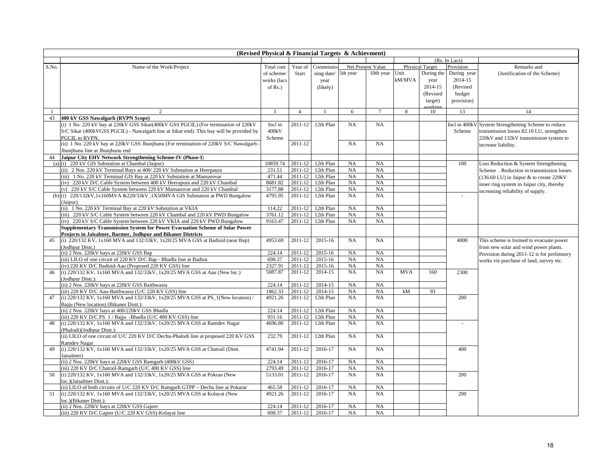|              | (Revised Physical & Financial Targets & Achievment)                                                                                                 |                    |                    |                        |                 |                   |            |                        |               |                                                     |  |
|--------------|-----------------------------------------------------------------------------------------------------------------------------------------------------|--------------------|--------------------|------------------------|-----------------|-------------------|------------|------------------------|---------------|-----------------------------------------------------|--|
|              |                                                                                                                                                     |                    |                    |                        |                 |                   |            |                        | (Rs. In Lacs) |                                                     |  |
| S.No.        | Name of the Work/Project                                                                                                                            | Total cost         | Year of            | Commissio              |                 | Net Present Value |            | <b>Physical Target</b> | Provision     | Remarks and                                         |  |
|              |                                                                                                                                                     | of scheme/         | Start              | ning date/             | 5th year        | 10th year         | Unit       | During the             | During year   | (Justification of the Scheme)                       |  |
|              |                                                                                                                                                     | works (lacs        |                    | year                   |                 |                   | kM/MVA     | year                   | 2014-15       |                                                     |  |
|              |                                                                                                                                                     | of $Rs.$ )         |                    | (likely)               |                 |                   |            | 2014-15                | (Revised      |                                                     |  |
|              |                                                                                                                                                     |                    |                    |                        |                 |                   |            | (Revised               | budget        |                                                     |  |
|              |                                                                                                                                                     |                    |                    |                        |                 |                   |            | target)                | provision)    |                                                     |  |
|              |                                                                                                                                                     |                    |                    |                        |                 |                   |            | arkine                 |               |                                                     |  |
| $\mathbf{1}$ | $\overline{2}$                                                                                                                                      | 3                  | $\overline{4}$     | $\mathfrak{S}$         | 6               | $\tau$            | 8          | 10                     | 13            | 14                                                  |  |
| 43           | 400 kV GSS Nawalgarh (RVPN Scope)                                                                                                                   |                    |                    |                        |                 |                   |            |                        |               |                                                     |  |
|              | (i) 1 No. 220 kV bay at 220 kV GSS Sikar(400 kV GSS PGCIL) (For termination of 220 kV                                                               | Incl in            | 2011-12            | 12th Plan              | NA              | NA                |            |                        |               | Incl in 400kV System Strengthening Scheme to reduce |  |
|              | S/C Sikar (400kVGSS PGCIL) - Nawalgarh line at Sikar end). This bay will be provided by                                                             | 400kV              |                    |                        |                 |                   |            |                        | Scheme        | transmission losses 82.10 LU, strengthen            |  |
|              | PGCIL to RVPN.                                                                                                                                      | Scheme             |                    |                        |                 |                   |            |                        |               | 220kV and 132kV transmission system to              |  |
|              | (ii) 1 No. 220 kV bay at 220kV GSS Jhunjhunu (For termination of 220kV S/C Nawalgarh                                                                |                    | 2011-12            |                        | NA              | NA                |            |                        |               | increase liability.                                 |  |
|              | Jhunjhunu line at Jhunjhunu end                                                                                                                     |                    |                    |                        |                 |                   |            |                        |               |                                                     |  |
| 44           | Jaipur City EHV Network Strengthening Scheme-IV (Phase-I)                                                                                           |                    |                    |                        |                 |                   |            |                        |               |                                                     |  |
|              | (a) (i) 220 kV GIS Substation at Chambal (Jaipur)                                                                                                   | 10859.74           | 2011-12            | 12th Plan              | NA              | NA                |            |                        | 100           | Loss Reduction & System Strengthening               |  |
|              | (ii) 2 Nos. 220 kV Terminal Bays at 400/220 kV Substation at Heerpaura                                                                              | 231.51             | 2011-12            | 12th Plan              | NA              | NA                |            |                        |               | Scheme . Reduction in transmission losses           |  |
|              | (iii) 1 No. 220 kV Terminal GIS Bay at 220 kV Substation at Mansarovar                                                                              | 471.44<br>8681.82  | 2011-12<br>2011-12 | 12th Plan<br>12th Plan | NA<br>NA        | NA<br>NA          |            |                        |               | (136.60 LU) in Jaipur & to create 220kV             |  |
|              | (iv) 220 kV D/C Cable System between 400 kV Heerapura and 220 kV Chambal                                                                            |                    |                    |                        |                 |                   |            |                        |               | inner ring system in Jaipur city, thereby           |  |
| (b)          | (v) 220 kV S/C Cable System between 220 kV Mansarovar and 220 kV Chambal<br>(i) 220/132kV,1x160MVA &220/33kV,1X50MVA GIS Substation at PWD Bungalow | 3177.88<br>4795.95 | 2011-12<br>2011-12 | 12th Plan<br>12th Plan | NA<br><b>NA</b> | NA<br>NA          |            |                        |               | increasing reliability of supply.                   |  |
|              | (Jaipur)                                                                                                                                            |                    |                    |                        |                 |                   |            |                        | $\sim$        |                                                     |  |
|              | (ii) 1 No. 220 kV Terminal Bay at 220 kV Substation at VKIA                                                                                         | 114.22             | 2011-12            | 12th Plan              | NA              | NA                |            |                        |               |                                                     |  |
|              | (iii) 220 kV S/C Cable System between 220 kV Chambal and 220 kV PWD Bungalow                                                                        | 3761.12            | 2011-12            | 12th Plan              | NA              | NA                |            |                        |               |                                                     |  |
|              | (iv) 220 kV S/C Cable System between 220 kV VKIA and 220 kV PWD Bungalow                                                                            | 9163.47            | 2011-12            | 12th Plan              | NA              | NA                |            |                        |               |                                                     |  |
|              | Supplementary Transmission System for Power Evacuation Scheme of Solar Power                                                                        |                    |                    |                        |                 |                   |            |                        |               |                                                     |  |
|              | Projects in Jaisalmer, Barmer, Jodhpur and Bikaner Districts                                                                                        |                    |                    |                        |                 |                   |            |                        |               |                                                     |  |
| 45           | (i) $220/132$ KV, $1x160$ MVA and $132/33kV$ , $1x20/25$ MVA GSS at Badisid (near Bap)                                                              | 4953.69            | 2011-12            | 2015-16                | NA              | <b>NA</b>         |            |                        | 4000          | This scheme is formed to evacuate power             |  |
|              | (Jodhpur Distt.)                                                                                                                                    |                    |                    |                        |                 |                   |            |                        |               | from new solar and wind power plants.               |  |
|              | (ii) 2 Nos. 220kV bays at 220kV GSS Bap                                                                                                             | 224.14             | 2011-12            | 2015-16                | NA              | NA                |            |                        |               | Provision during 2011-12 is for prelimnery          |  |
|              | (iii) LILO of one circuit of 220 KV D/C Bap - Bhadla line at Badisic                                                                                | 698.37             | 2011-12            | 2015-16                | NA              | NA                |            |                        |               | works viz purchase of land, survey etc.             |  |
|              | (iv) 220 KV D/C Badisid-Aau (Proposed 220 KV GSS) line                                                                                              | 2327.91            | 2011-12            | 2015-16                | NA              | NA                |            |                        |               |                                                     |  |
| 46           | (i) 220/132 KV, 1x160 MVA and 132/33kV, 1x20/25 MVA GSS at Aau (New loc.)                                                                           | 5087.87            | 2011-12            | 2014-15                | NA              | NA                | <b>MVA</b> | 160                    | 2300          |                                                     |  |
|              | (Jodhpur Distt.):                                                                                                                                   |                    |                    |                        |                 |                   |            |                        |               |                                                     |  |
|              | (ii) 2 Nos. 220kV bays at 220kV GSS Baithwasia                                                                                                      | 224.14             | 2011-12            | 2014-15                | NA              | NA                |            |                        |               |                                                     |  |
|              | (iii) 220 KV D/C Aau-Baithwasia (U/C 220 KV GSS) line                                                                                               | 1862.33            | 2011-12            | 2014-15                | NA              | NA                | kM         | 93                     |               |                                                     |  |
| 47           | (i) 220/132 KV, 1x160 MVA and 132/33kV, 1x20/25 MVA GSS at PS 1(New location) /                                                                     | 4921.26            | 2011-12            | 12th Plan              | NA              | NA                |            |                        | 200           |                                                     |  |
|              | Bajju (New location) (Bikaner Distt.):                                                                                                              |                    |                    |                        |                 |                   |            |                        |               |                                                     |  |
|              | (ii) 2 Nos. 220kV bays at 400/220kV GSS Bhadla                                                                                                      | 224.14             | 2011-12            | 12th Plan              | NA              | NA                |            |                        |               |                                                     |  |
|              | (iii) 220 KV D/C PS 1/Bajju -Bhadla (U/C 400 KV GSS) line                                                                                           | 931.16             | 2011-12            | 12th Plan              | NA              | NA                |            |                        |               |                                                     |  |
| 48           | (i) 220/132 KV, 1x160 MVA and 132/33kV, 1x20/25 MVA GSS at Ramdev Nagar                                                                             | 4696.80            | 2011-12            | 12th Plan              | NA              | NA                |            |                        |               |                                                     |  |
|              | (Phalodi)(Jodhpur Distt.):                                                                                                                          |                    |                    |                        |                 |                   |            |                        |               |                                                     |  |
|              | (ii) LILO of one circuit of U/C 220 KV D/C Dechu-Phalodi line at proposed 220 KV GSS                                                                | 232.79             | 2011-12            | 12th Plan              | NA              | NA                |            |                        |               |                                                     |  |
|              | Ramdev Nagar                                                                                                                                        |                    |                    |                        |                 |                   |            |                        |               |                                                     |  |
| 49           | (i) $220/132$ KV, $1x160$ MVA and $132/33$ kV, $1x20/25$ MVA GSS at Chatrail (Distt.                                                                | 4741.94            | 2011-12            | 2016-17                | <b>NA</b>       | NA                |            |                        | 400           |                                                     |  |
|              | Jaisalmer)                                                                                                                                          |                    |                    |                        |                 |                   |            |                        |               |                                                     |  |
|              | (ii) 2 Nos. 220kV bays at 220kV GSS Ramgarh (400kV GSS)                                                                                             | 224.14             | 2011-12            | 2016-17                | NA              | NA                |            |                        |               |                                                     |  |
|              | (iii) 220 KV D/C Chatrail-Ramgarh (U/C 400 KV GSS) line                                                                                             | 2793.49            | 2011-12            | 2016-17                | NA              | NA                |            |                        |               |                                                     |  |
| 50           | (i) 220/132 KV, 1x160 MVA and 132/33kV, 1x20/25 MVA GSS at Pokran (New                                                                              | 5133.01            | 2011-12            | 2016-17                | <b>NA</b>       | NA                |            |                        | 200           |                                                     |  |
|              | loc.)(Jaisalmer Distt.):                                                                                                                            |                    |                    |                        |                 |                   |            |                        |               |                                                     |  |
|              | (ii) LILO of both circuits of U/C 220 KV D/C Ramgarh GTPP - Dechu line at Pokarar                                                                   | 465.58             | 2011-12            | 2016-17                | NA              | NA                |            |                        |               |                                                     |  |
| 51           | (i) 220/132 KV, 1x160 MVA and 132/33kV, 1x20/25 MVA GSS at Kolayat (New                                                                             | 4921.26            | 2011-12            | 2016-17                | NA              | NA                |            |                        | 200           |                                                     |  |
|              | loc.)(Bikaner Distt.):<br>(ii) 2 Nos. 220kV bays at 220kV GSS Gajner                                                                                | 224.14             | 2011-12            | 2016-17                | NA              | NA                |            |                        |               |                                                     |  |
|              | (iii) 220 KV D/C Gajner (U/C 220 KV GSS)-Kolayat line                                                                                               | 698.37             | 2011-12            | 2016-17                | NA              | <b>NA</b>         |            |                        |               |                                                     |  |
|              |                                                                                                                                                     |                    |                    |                        |                 |                   |            |                        |               |                                                     |  |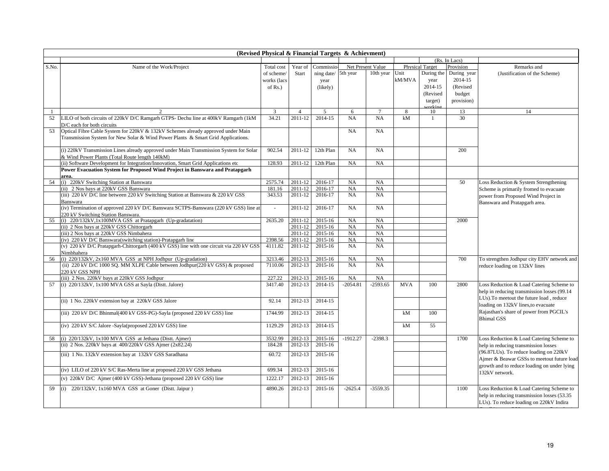|                |                                                                                         |                |                |                |            |                   |            |                        | (Rs. In Lacs) |                                              |
|----------------|-----------------------------------------------------------------------------------------|----------------|----------------|----------------|------------|-------------------|------------|------------------------|---------------|----------------------------------------------|
| S.No.          | Name of the Work/Project                                                                | Total cost     | Year of        | Commissio      |            | Net Present Value |            | <b>Physical Target</b> | Provision     | Remarks and                                  |
|                |                                                                                         | of scheme/     | Start          | ning date/     | 5th year   | 10th year         | Unit       | During the             | During year   | (Justification of the Scheme)                |
|                |                                                                                         | works (lacs    |                | year           |            |                   | kM/MVA     | year                   | 2014-15       |                                              |
|                |                                                                                         | of $Rs.$ )     |                | (likely)       |            |                   |            | 2014-15                | (Revised      |                                              |
|                |                                                                                         |                |                |                |            |                   |            | (Revised               | budget        |                                              |
|                |                                                                                         |                |                |                |            |                   |            | target)                | provision)    |                                              |
|                |                                                                                         |                |                |                |            |                   |            | orkin                  |               |                                              |
| $\overline{1}$ | $\mathcal{D}$                                                                           | $\overline{3}$ | $\overline{4}$ | $\overline{5}$ | 6          | $\tau$            | 8          | 10                     | 13            | 14                                           |
| 52             | LILO of both circuits of 220kV D/C Ramgarh GTPS- Dechu line at 400kV Ramgarh (1kM       | 34.21          | 2011-12        | 2014-15        | NA         | NA                | kM         | $\mathbf{1}$           | 30            |                                              |
|                | D/C each for both circuits                                                              |                |                |                |            |                   |            |                        |               |                                              |
| 53             | Optical Fibre Cable System for 220kV & 132kV Schemes already approved under Main        |                |                |                | NA         | NA                |            |                        |               |                                              |
|                | Transmission System for New Solar & Wind Power Plants & Smart Grid Applications.        |                |                |                |            |                   |            |                        |               |                                              |
|                |                                                                                         |                |                |                |            |                   |            |                        |               |                                              |
|                | (i) 220kV Transmission Lines already approved under Main Transmission System for Solar  | 902.54         | 2011-12        | 12th Plan      | NA         | NA                |            |                        | 200           |                                              |
|                | & Wind Power Plants (Total Route length 140kM)                                          |                |                |                |            |                   |            |                        |               |                                              |
|                | (ii) Software Development for Integration/Innovation, Smart Grid Applications etc       | 128.93         | 2011-12        | 12th Plan      | NA         | NA                |            |                        |               |                                              |
|                | Power Evacuation System for Proposed Wind Project in Banswara and Pratapgarh            |                |                |                |            |                   |            |                        |               |                                              |
| 54             | area.<br>(i) 220kV Switching Station at Banswara                                        | 2575.74        | 2011-12        | 2016-17        | NA         | NA                |            |                        | 50            | Loss Reduction & System Strengthening        |
|                | (ii) 2 Nos bays at 220kV GSS Banswara                                                   | 181.16         | 2011-12        | 2016-17        | NA         | NA                |            |                        |               |                                              |
|                | (iii) 220 kV D/C line between 220 kV Switching Station at Banswara & 220 kV GSS         | 343.53         | 2011-12        | 2016-17        | NA         | <b>NA</b>         |            |                        |               | Scheme is primarily fromed to evacuate       |
|                | Banswara                                                                                |                |                |                |            |                   |            |                        |               | power from Proposed Wind Project in          |
|                | (iv) Termination of approved 220 kV D/C Banswara SCTPS-Banswara (220 kV GSS) line at    | $\sim$         | 2011-12        | 2016-17        | NA         | NA                |            |                        |               | Banswara and Pratapgarh area.                |
|                | 220 kV Switching Station Banswara.                                                      |                |                |                |            |                   |            |                        |               |                                              |
| 55             | (i) 220/132kV,1x100MVA GSS at Pratapgarh (Up-gradatation)                               | 2635.20        | 2011-12        | 2015-16        | NA         | NA                |            |                        | 2000          |                                              |
|                | (ii) 2 Nos bays at 220kV GSS Chittorgarh                                                |                | 2011-12        | 2015-16        | <b>NA</b>  | NA                |            |                        |               |                                              |
|                | (iii) 2 Nos bays at 220kV GSS Nimbahera                                                 |                | 2011-12        | 2015-16        | NA         | NA                |            |                        |               |                                              |
|                | (iv) 220 kV D/C Banswara(switching station)-Pratapgarh line                             | 2398.56        | 2011-12        | 2015-16        | NA         | <b>NA</b>         |            |                        |               |                                              |
|                | (v) 220 kV D/C Pratapgarh-Chittorgarh (400 kV GSS) line with one circuit via 220 kV GSS | 4111.82        | 2011-12        | 2015-16        | NA         | <b>NA</b>         |            |                        |               |                                              |
|                | Nimbhahera                                                                              |                |                |                |            |                   |            |                        |               |                                              |
| 56             | (i) 220/132kV, 2x160 MVA GSS at NPH Jodhpur (Up-gradation)                              | 3213.46        | 2012-13        | 2015-16        | NA         | <b>NA</b>         |            |                        | 700           | To strengthen Jodhpur city EHV network and   |
|                | (ii) 220 kV D/C 1000 SQ. MM XLPE Cable between Jodhpur(220 kV GSS) & proposed           | 7110.06        | 2012-13        | 2015-16        | <b>NA</b>  | <b>NA</b>         |            |                        |               | reduce loading on 132kV lines                |
|                | 220 kV GSS NPH                                                                          |                |                |                |            |                   |            |                        |               |                                              |
|                | (iii) 2 Nos. 220kV bays at 220kV GSS Jodhpur                                            | 227.22         | 2012-13        | 2015-16        | NA         | NA                |            |                        |               |                                              |
| 57             | (i) 220/132kV, 1x100 MVA GSS at Sayla (Distt. Jalore)                                   | 3417.40        | 2012-13        | 2014-15        | $-2054.81$ | $-2593.65$        | <b>MVA</b> | 100                    | 2800          | Loss Reduction & Load Catering Scheme to     |
|                |                                                                                         |                |                |                |            |                   |            |                        |               | help in reducing transmission losses (99.14) |
|                | (ii) 1 No. 220kV extension bay at 220kV GSS Jalore                                      | 92.14          | 2012-13        | 2014-15        |            |                   |            |                        |               | LUs). To meetout the future load, reduce     |
|                |                                                                                         |                |                |                |            |                   |            |                        |               | loading on 132kV lines, to evacuate          |
|                | (iii) 220 kV D/C Bhinmal(400 kV GSS-PG)-Sayla (proposed 220 kV GSS) line                | 1744.99        | 2012-13        | 2014-15        |            |                   | kM         | 100                    |               | Rajasthan's share of power from PGCIL's      |
|                |                                                                                         |                |                |                |            |                   |            |                        |               | <b>Bhimal GSS</b>                            |
|                | (iv) 220 kV S/C Jalore -Sayla(proposed 220 kV GSS) line                                 | 1129.29        | 2012-13        | 2014-15        |            |                   | kM         | 55                     |               |                                              |
|                |                                                                                         |                |                |                |            |                   |            |                        |               |                                              |
| 58             | (i) 220/132kV, 1x100 MVA GSS at Jethana (Distt. Ajmer)                                  | 3532.99        | 2012-13        | 2015-16        | $-1912.27$ | $-2398.3$         |            |                        | 1700          | Loss Reduction & Load Catering Scheme to     |
|                | (ii) 2 Nos. 220kV bays at 400/220kV GSS Ajmer (2x82.24)                                 | 184.28         | 2012-13        | 2015-16        |            |                   |            |                        |               | help in reducing transmission losses         |
|                | (iii) 1 No. 132kV extension bay at 132kV GSS Saradhana                                  | 60.72          | 2012-13        | 2015-16        |            |                   |            |                        |               | (96.87LUs). To reduce loading on 220kV       |
|                |                                                                                         |                |                |                |            |                   |            |                        |               | Ajmer & Beawar GSSs to meetout future load   |
|                |                                                                                         |                |                |                |            |                   |            |                        |               | growth and to reduce loading on under lying  |
|                | (iv) LILO of 220 kV S/C Ras-Merta line at proposed 220 kV GSS Jethana                   | 699.34         | 2012-13        | 2015-16        |            |                   |            |                        |               | 132kV network.                               |
|                | (v) 220kV D/C Ajmer (400 kV GSS)-Jethana (proposed 220 kV GSS) line                     | 1222.17        | 2012-13        | 2015-16        |            |                   |            |                        |               |                                              |
|                |                                                                                         |                |                |                |            |                   |            |                        |               |                                              |
| 59             | (i) 220/132kV, 1x160 MVA GSS at Goner (Dist. Jaipur)                                    | 4890.26        | 2012-13        | 2015-16        | $-2625.4$  | $-3559.35$        |            |                        | 1100          | Loss Reduction & Load Catering Scheme to     |
|                |                                                                                         |                |                |                |            |                   |            |                        |               | help in reducing transmission losses (53.35) |
|                |                                                                                         |                |                |                |            |                   |            |                        |               | LUs). To reduce loading on 220kV Indira      |
|                |                                                                                         |                |                |                |            |                   |            |                        |               |                                              |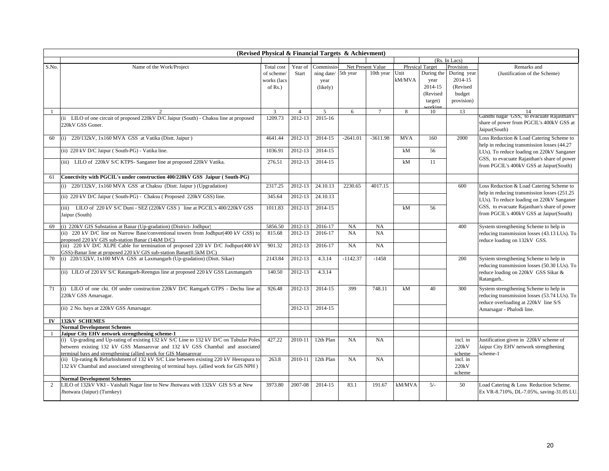|       | (Revised Physical & Financial Targets & Achievment)                                                                                             |                |                |                |            |                   |            |                        |               |                                                                                        |  |  |  |
|-------|-------------------------------------------------------------------------------------------------------------------------------------------------|----------------|----------------|----------------|------------|-------------------|------------|------------------------|---------------|----------------------------------------------------------------------------------------|--|--|--|
|       |                                                                                                                                                 |                |                |                |            |                   |            |                        | (Rs. In Lacs) |                                                                                        |  |  |  |
| S.No. | Name of the Work/Project                                                                                                                        | Total cost     | Year of        | Commissio      |            | Net Present Value |            | <b>Physical Target</b> | Provision     | Remarks and                                                                            |  |  |  |
|       |                                                                                                                                                 | of scheme/     | Start          | ning date/     | 5th year   | 10th year         | Unit       | During the             | During year   | (Justification of the Scheme)                                                          |  |  |  |
|       |                                                                                                                                                 | works (lacs    |                | year           |            |                   | kM/MVA     | year                   | 2014-15       |                                                                                        |  |  |  |
|       |                                                                                                                                                 | of $Rs.$ )     |                | (likely)       |            |                   |            | 2014-15                | (Revised      |                                                                                        |  |  |  |
|       |                                                                                                                                                 |                |                |                |            |                   |            | (Revised               | budget        |                                                                                        |  |  |  |
|       |                                                                                                                                                 |                |                |                |            |                   |            | target)                | provision)    |                                                                                        |  |  |  |
|       |                                                                                                                                                 | $\overline{3}$ | $\overline{4}$ | $\overline{5}$ | 6          | $\tau$            | 8          | zorkine<br>10          | 13            | 14                                                                                     |  |  |  |
|       | (ii) LILO of one circuit of proposed 220kV D/C Jaipur (South) - Chaksu line at proposed                                                         | 1209.73        | 2012-13        | 2015-16        |            |                   |            |                        |               | Gandhi nagar GSS, to evacuate Rajasthan's                                              |  |  |  |
|       | 220kV GSS Goner.                                                                                                                                |                |                |                |            |                   |            |                        |               | share of power from PGCIL's 400kV GSS at                                               |  |  |  |
|       |                                                                                                                                                 |                |                |                |            |                   |            |                        |               | Jaipur(South)                                                                          |  |  |  |
| 60    | (i) 220/132kV, 1x160 MVA GSS at Vatika (Distt. Jaipur)                                                                                          | 4641.44        | 2012-13        | 2014-15        | $-2641.01$ | $-3611.98$        | <b>MVA</b> | 160                    | 2000          | Loss Reduction & Load Catering Scheme to                                               |  |  |  |
|       |                                                                                                                                                 |                |                |                |            |                   |            |                        |               | help in reducing transmission losses (44.27)                                           |  |  |  |
|       | (ii) 220 kV D/C Jaipur (South-PG) - Vatika line.                                                                                                | 1036.91        | 2012-13        | 2014-15        |            |                   | kM         | 56                     |               | LUs). To reduce loading on 220kV Sanganer                                              |  |  |  |
|       |                                                                                                                                                 |                |                |                |            |                   |            |                        |               | GSS, to evacuate Rajasthan's share of power                                            |  |  |  |
|       | (iii) LILO of 220kV S/C KTPS- Sanganer line at proposed 220kV Vatika.                                                                           | 276.51         | 2012-13        | 2014-15        |            |                   | kM         | 11                     |               | from PGCIL's 400kV GSS at Jaipur(South)                                                |  |  |  |
|       |                                                                                                                                                 |                |                |                |            |                   |            |                        |               |                                                                                        |  |  |  |
| 61    | Conectivity with PGCIL's under construction 400/220kV GSS Jaipur (South-PG)                                                                     |                |                |                |            |                   |            |                        |               |                                                                                        |  |  |  |
|       | (i) 220/132kV, 1x160 MVA GSS at Chaksu (Distt. Jaipur) (Upgradation)                                                                            | 2317.25        | 2012-13        | 24.10.13       | 2230.65    | 4017.15           |            |                        | 600           | Loss Reduction & Load Catering Scheme to                                               |  |  |  |
|       |                                                                                                                                                 |                |                | 24.10.13       |            |                   |            |                        |               | help in reducing transmission losses (251.25)                                          |  |  |  |
|       | (ii) 220 kV D/C Jaipur (South-PG) - Chaksu (Proposed 220kV GSS) line.                                                                           | 345.64         | 2012-13        |                |            |                   |            |                        |               | LUs). To reduce loading on 220kV Sanganer                                              |  |  |  |
|       | (iii) LILO of 220 kV S/C Duni - SEZ (220kV GSS) line at PGCIL's 400/220kV GSS                                                                   | 1011.83        | 2012-13        | 2014-15        |            |                   | kM         | 56                     |               | GSS, to evacuate Rajasthan's share of power                                            |  |  |  |
|       | Jaipur (South)                                                                                                                                  |                |                |                |            |                   |            |                        |               | from PGCIL's 400kV GSS at Jaipur(South)                                                |  |  |  |
|       |                                                                                                                                                 |                |                |                |            |                   |            |                        |               |                                                                                        |  |  |  |
| 69    | (i) 220kV GIS Substation at Banar (Up-gradation) (District-Jodhpur)                                                                             | 5856.50        | 2012-13        | 2016-17        | NA         | NA                |            |                        | 400           | System strengthening Scheme to help in                                                 |  |  |  |
|       | (ii) 220 kV D/C line on Narrow Base/conventional towers from Jodhpur(400 kV GSS) to                                                             | 815.68         | 2012-13        | 2016-17        | NA         | NA                |            |                        |               | reducing transmission losses (43.13 LUs). To                                           |  |  |  |
|       | proposed 220 kV GIS sub-station Banar (14kM D/C)                                                                                                |                |                |                |            |                   |            |                        |               | reduce loading on 132kV GSS.                                                           |  |  |  |
|       | (iii) 220 kV D/C XLPE Cable for termination of proposed 220 kV D/C Jodhpur(400 kV                                                               | 901.32         | 2012-13        | 2016-17        | NA         | NA                |            |                        |               |                                                                                        |  |  |  |
| 70    | GSS)-Banar line at proposed 220 kV GIS sub-station Banar(0.5kM D/C)<br>(i) 220/132kV, 1x100 MVA GSS at Laxmangarh (Up-gradation) (Distt. Sikar) | 2143.84        | 2012-13        | 4.3.14         | $-1142.37$ | $-1458$           |            |                        | 200           |                                                                                        |  |  |  |
|       |                                                                                                                                                 |                |                |                |            |                   |            |                        |               | System strengthening Scheme to help in<br>reducing transmission losses (50.30 LUs). To |  |  |  |
|       | (ii) LILO of 220 kV S/C Ratangarh-Reengus line at proposed 220 kV GSS Laxmangarh                                                                | 140.50         | 2012-13        | 4.3.14         |            |                   |            |                        |               | reduce loading on 220kV GSS Sikar &                                                    |  |  |  |
|       |                                                                                                                                                 |                |                |                |            |                   |            |                        |               | Ratangarh                                                                              |  |  |  |
|       |                                                                                                                                                 |                |                |                |            |                   |            |                        |               |                                                                                        |  |  |  |
| 71    | (i) LILO of one ckt. Of under construction 220kV D/C Ramgarh GTPS - Dechu line at                                                               | 926.48         | 2012-13        | 2014-15        | 399        | 748.11            | kM         | 40                     | 300           | System strengthening Scheme to help in                                                 |  |  |  |
|       | 220kV GSS Amarsagar.                                                                                                                            |                |                |                |            |                   |            |                        |               | reducing transmission losses (53.74 LUs). To                                           |  |  |  |
|       |                                                                                                                                                 |                |                |                |            |                   |            |                        |               | reduce overloading at 220kV line S/S                                                   |  |  |  |
|       | (ii) 2 No. bays at 220kV GSS Amarsagar.                                                                                                         |                | 2012-13        | 2014-15        |            |                   |            |                        |               | Amarsagar - Phalodi line.                                                              |  |  |  |
| IV    | 132kV SCHEMES                                                                                                                                   |                |                |                |            |                   |            |                        |               |                                                                                        |  |  |  |
|       | <b>Normal Development Schemes</b>                                                                                                               |                |                |                |            |                   |            |                        |               |                                                                                        |  |  |  |
|       | Jaipur City EHV network strengthening scheme-1                                                                                                  |                |                |                |            |                   |            |                        |               |                                                                                        |  |  |  |
|       | (i) Up-grading and Up-rating of existing 132 kV S/C Line to 132 kV D/C on Tubular Poles                                                         | 427.22         | 2010-11        | 12th Plan      | NA         | NA                |            |                        | incl. in      | Justification given in 220kV scheme of                                                 |  |  |  |
|       | between existing 132 kV GSS Mansarovar and 132 kV GSS Chambal and associated                                                                    |                |                |                |            |                   |            |                        | 220kV         | Jaipur City EHV network strengthening                                                  |  |  |  |
|       | terminal bays and strengthening (allied work for GIS Mansarovar)                                                                                |                |                |                |            |                   |            |                        | scheme        | scheme-1                                                                               |  |  |  |
|       | (ii) Up-rating & Refurbishment of 132 kV S/C Line between existing 220 kV Heerapura to                                                          | 263.8          | 2010-11        | 12th Plan      | NA         | NA                |            |                        | incl. in      |                                                                                        |  |  |  |
|       | 132 kV Chambal and associated strengthening of terminal bays. (allied work for GIS NPH)                                                         |                |                |                |            |                   |            |                        | 220kV         |                                                                                        |  |  |  |
|       |                                                                                                                                                 |                |                |                |            |                   |            |                        | scheme        |                                                                                        |  |  |  |
|       | <b>Normal Development Schemes</b>                                                                                                               |                |                |                |            |                   |            |                        |               |                                                                                        |  |  |  |
| 2     | LILO of 132kV VKI - Vaishali Nagar line to New Jhotwara with 132kV GIS S/S at New                                                               | 3973.80        | 2007-08        | 2014-15        | 83.1       | 191.67            | kM/MVA     | $5/-$                  | 50            | Load Catering & Loss Reduction Scheme.                                                 |  |  |  |
|       | Jhotwara (Jaipur) (Turnkey)                                                                                                                     |                |                |                |            |                   |            |                        |               | Ex VR-8.710%, DL-7.05%, saving-31.05 LU.                                               |  |  |  |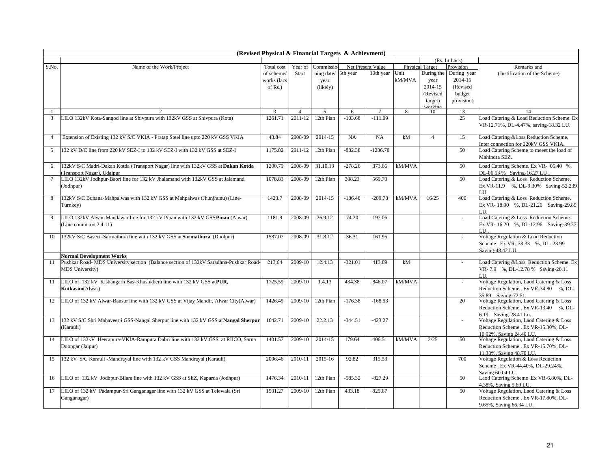| (Revised Physical & Financial Targets & Achievment) |                                                                                                                          |             |                |                          |           |                   |        |                        |               |                                                                 |  |
|-----------------------------------------------------|--------------------------------------------------------------------------------------------------------------------------|-------------|----------------|--------------------------|-----------|-------------------|--------|------------------------|---------------|-----------------------------------------------------------------|--|
|                                                     |                                                                                                                          |             |                |                          |           |                   |        |                        | (Rs. In Lacs) |                                                                 |  |
| S.No.                                               | Name of the Work/Project                                                                                                 | Total cost  | Year of        | Commissio                |           | Net Present Value |        | <b>Physical Target</b> | Provision     | Remarks and                                                     |  |
|                                                     |                                                                                                                          | of scheme/  | Start          | ning date/               | 5th year  | 10th year         | Unit   | During the             | During year   | (Justification of the Scheme)                                   |  |
|                                                     |                                                                                                                          | works (lacs |                | year                     |           |                   | kM/MVA | year                   | 2014-15       |                                                                 |  |
|                                                     |                                                                                                                          | of $Rs.$ )  |                | (likely)                 |           |                   |        | 2014-15                | (Revised      |                                                                 |  |
|                                                     |                                                                                                                          |             |                |                          |           |                   |        | (Revised               | budget        |                                                                 |  |
|                                                     |                                                                                                                          |             |                |                          |           |                   |        | target)                | provision)    |                                                                 |  |
|                                                     |                                                                                                                          |             |                |                          |           |                   |        | orkin                  |               |                                                                 |  |
|                                                     |                                                                                                                          | 3           | $\overline{4}$ | $\overline{\phantom{0}}$ | 6         | $\overline{7}$    | 8      | 10                     | 13            | 14                                                              |  |
| 3                                                   | LILO 132kV Kota-Sangod line at Shivpura with 132kV GSS at Shivpura (Kota)                                                | 1261.71     | 2011-12        | 12th Plan                | $-103.68$ | $-111.09$         |        |                        | 25            | Load Catering & Load Reduction Scheme. Ex                       |  |
|                                                     |                                                                                                                          |             |                |                          |           |                   |        |                        |               | VR-12.71%, DL-4.47%, saving-18.32 LU.                           |  |
|                                                     |                                                                                                                          |             |                |                          |           |                   |        |                        |               |                                                                 |  |
| $\overline{4}$                                      | Extension of Existing 132 kV S/C VKIA - Pratap Steel line upto 220 kV GSS VKIA                                           | 43.84       | 2008-09        | 2014-15                  | NA        | NA                | kM     | $\overline{4}$         | 15            | Load Catering &Loss Reduction Scheme.                           |  |
|                                                     |                                                                                                                          |             |                |                          |           |                   |        |                        |               | Inter connection for 220kV GSS VKIA.                            |  |
| 5                                                   | 132 kV D/C line from 220 kV SEZ-I to 132 kV SEZ-I with 132 kV GSS at SEZ-I                                               | 1175.82     | 2011-12        | 12th Plan                | $-882.38$ | $-1236.78$        |        |                        | 50            | Load Catering Scheme to meeet the load of                       |  |
|                                                     |                                                                                                                          |             |                |                          |           |                   |        |                        |               | Mahindra SEZ.                                                   |  |
| 6                                                   | 132kV S/C Madri-Dakan Kotda (Transport Nagar) line with 132kV GSS at Dakan Kotda                                         | 1200.79     | 2008-09        | 31.10.13                 | $-278.26$ | 373.66            | kM/MVA |                        | 50            | Load Catering Scheme. Ex VR- 05.40 %,                           |  |
|                                                     | Transport Nagar), Udaipur                                                                                                |             |                |                          |           |                   |        |                        |               | DL-06.53 % Saving-16.27 LU                                      |  |
| $7\phantom{.0}$                                     | LILO 132kV Jodhpur-Baori line for 132 kV Jhalamand with 132kV GSS at Jalamand                                            | 1078.83     | 2008-09        | 12th Plan                | 308.23    | 569.70            |        |                        | 50            | Load Catering & Loss Reduction Scheme.                          |  |
|                                                     |                                                                                                                          |             |                |                          |           |                   |        |                        |               | Ex VR-11.9 %, DL-9.30% Saving-52.239                            |  |
|                                                     | (Jodhpur)                                                                                                                |             |                |                          |           |                   |        |                        |               | LU.                                                             |  |
| 8                                                   | 132kV S/C Buhana-Mahpalwas with 132 kV GSS at Mahpalwas (Jhunjhunu) (Line-                                               | 1423.7      | 2008-09        | 2014-15                  | $-186.48$ | $-209.78$         | kM/MVA | 16/25                  | 400           | Load Catering & Loss Reduction Scheme.                          |  |
|                                                     | Turnkey)                                                                                                                 |             |                |                          |           |                   |        |                        |               | Ex VR-18.90 %, DL-21.26 Saving-29.89                            |  |
|                                                     |                                                                                                                          |             |                |                          |           |                   |        |                        |               | LН                                                              |  |
| 9                                                   | LILO 132kV Alwar-Mandawar line for 132 kV Pinan with 132 kV GSS Pinan (Alwar)                                            | 1181.9      | 2008-09        | 26.9.12                  | 74.20     | 197.06            |        |                        | ÷.            | Load Catering & Loss Reduction Scheme.                          |  |
|                                                     |                                                                                                                          |             |                |                          |           |                   |        |                        |               |                                                                 |  |
|                                                     | (Line comm. on $2.4.11$ )                                                                                                |             |                |                          |           |                   |        |                        |               | Ex VR-16.20 %, DL-12.96 Saving-39.27                            |  |
|                                                     |                                                                                                                          | 1587.07     | 2008-09        | 31.8.12                  | 36.31     |                   |        |                        |               | LU.<br>Voltage Regulation & Load Reduction                      |  |
| 10                                                  | 132kV S/C Baseri -Sarmathura line with 132 kV GSS at Sarmathura (Dholpur)                                                |             |                |                          |           | 161.95            |        |                        | $\sim$        |                                                                 |  |
|                                                     |                                                                                                                          |             |                |                          |           |                   |        |                        |               | Scheme . Ex VR- 33.33 %, DL- 23.99                              |  |
|                                                     |                                                                                                                          |             |                |                          |           |                   |        |                        |               | Saving-48.42 LU.                                                |  |
| 11                                                  | <b>Normal Development Works</b><br>Pushkar Road- MDS University section (Balance section of 132kV Saradhna-Pushkar Road- | 213.64      | 2009-10        | 12.4.13                  | $-321.01$ | 413.89            | kM     |                        |               | Load Catering &Loss Reduction Scheme. Ex                        |  |
|                                                     | <b>MDS University)</b>                                                                                                   |             |                |                          |           |                   |        |                        |               | VR-7.9 %, DL-12.78 % Saving-26.11                               |  |
|                                                     |                                                                                                                          |             |                |                          |           |                   |        |                        |               |                                                                 |  |
| 11                                                  |                                                                                                                          | 1725.59     | 2009-10        | 1.4.13                   | 434.38    | 846.07            | kM/MVA |                        | ÷.            | Voltage Regulation, Laod Catering & Loss                        |  |
|                                                     | LILO of 132 kV Kishangarh Bas-Khushkhera line with 132 kV GSS at PUR,                                                    |             |                |                          |           |                   |        |                        |               |                                                                 |  |
|                                                     | Kotkasim(Alwar)                                                                                                          |             |                |                          |           |                   |        |                        |               | Reduction Scheme . Ex VR-34.80 %, DL-                           |  |
|                                                     |                                                                                                                          | 1426.49     | 2009-10        | 12th Plan                | $-176.38$ | $-168.53$         |        |                        | 20            | 35.89 Saving-72.51.<br>Voltage Regulation, Laod Catering & Loss |  |
| 12                                                  | LILO of 132 kV Alwar-Bansur line with 132 kV GSS at Vijay Mandir, Alwar City(Alwar)                                      |             |                |                          |           |                   |        |                        |               |                                                                 |  |
|                                                     |                                                                                                                          |             |                |                          |           |                   |        |                        |               | Reduction Scheme . Ex VR-13.40 %, DL-                           |  |
|                                                     |                                                                                                                          | 1642.71     | 2009-10        | 22.2.13                  |           |                   |        |                        | $\mathcal{L}$ | 6.19 Saving-28.41 Lu.                                           |  |
| 13                                                  | 132 kV S/C Shri Mahaveerji GSS-Nangal Sherpur line with 132 kV GSS at Nangal Sherpur                                     |             |                |                          | $-344.51$ | $-423.27$         |        |                        |               | Voltage Regulation, Laod Catering & Loss                        |  |
|                                                     | (Karauli)                                                                                                                |             |                |                          |           |                   |        |                        |               | Reduction Scheme . Ex VR-15.30%, DL-                            |  |
|                                                     |                                                                                                                          |             |                |                          |           |                   |        |                        |               | 10.92%, Saving 24.40 LU.                                        |  |
| 14                                                  | LILO of 132kV Heerapura-VKIA-Rampura Dabri line with 132 kV GSS at RIICO, Sarna                                          | 1401.57     | 2009-10        | 2014-15                  | 179.64    | 406.51            | kM/MVA | 2/25                   | 50            | Voltage Regulation, Laod Catering & Loss                        |  |
|                                                     | Doongar (Jaipur)                                                                                                         |             |                |                          |           |                   |        |                        |               | Reduction Scheme . Ex VR-15.70%, DL-                            |  |
|                                                     |                                                                                                                          |             |                |                          |           |                   |        |                        |               | 11.38%, Saving 48.70 LU.                                        |  |
| 15                                                  | 132 kV S/C Karauli -Mandrayal line with 132 kV GSS Mandrayal (Karauli)                                                   | 2006.46     | 2010-11        | 2015-16                  | 92.82     | 315.53            |        |                        | 700           | Voltage Regulation & Loss Reduction                             |  |
|                                                     |                                                                                                                          |             |                |                          |           |                   |        |                        |               | Scheme . Ex VR-44.40%, DL-29.24%,                               |  |
|                                                     |                                                                                                                          |             |                |                          |           |                   |        |                        |               | Saving 60.04 LU.                                                |  |
| 16                                                  | LILO of 132 kV Jodhpur-Bilara line with 132 kV GSS at SEZ, Kaparda (Jodhpur)                                             | 1476.34     | 2010-11        | 12th Plan                | $-585.32$ | $-827.29$         |        |                        | 50            | Laod Catering Scheme .Ex VR-6.80%, DL-                          |  |
|                                                     |                                                                                                                          |             |                |                          |           |                   |        |                        |               | 4.38%, Saving 5.69 LU                                           |  |
| 17                                                  | LILO of 132 kV Padampur-Sri Ganganagar line with 132 kV GSS at Telewala (Sri                                             | 1501.27     | 2009-10        | 12th Plan                | 433.18    | 825.67            |        |                        | 50            | Voltage Regulation, Laod Catering & Loss                        |  |
|                                                     | Ganganagar)                                                                                                              |             |                |                          |           |                   |        |                        |               | Reduction Scheme . Ex VR-17.80%, DL-                            |  |
|                                                     |                                                                                                                          |             |                |                          |           |                   |        |                        |               | 9.65%, Saving 66.34 LU.                                         |  |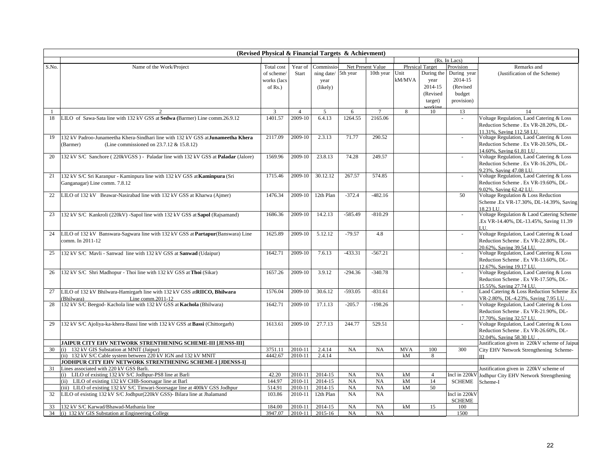|       | (Revised Physical & Financial Targets & Achievment)                                        |               |                |                 |           |                   |            |                        |                          |                                                                                  |  |  |  |
|-------|--------------------------------------------------------------------------------------------|---------------|----------------|-----------------|-----------|-------------------|------------|------------------------|--------------------------|----------------------------------------------------------------------------------|--|--|--|
|       |                                                                                            |               |                |                 |           |                   |            |                        | (Rs. In Lacs)            |                                                                                  |  |  |  |
| S.No. | Name of the Work/Project                                                                   | Total cost    | Year of        | Commissio       |           | Net Present Value |            | <b>Physical Target</b> | Provision                | Remarks and                                                                      |  |  |  |
|       |                                                                                            | of scheme     | Start          | ning date/      | 5th year  | 10th year         | Unit       | During the             | During year              | (Justification of the Scheme)                                                    |  |  |  |
|       |                                                                                            | works (lacs   |                | year            |           |                   | kM/MVA     | year                   | 2014-15                  |                                                                                  |  |  |  |
|       |                                                                                            | of $Rs.$ )    |                | (likely)        |           |                   |            | 2014-15                | (Revised                 |                                                                                  |  |  |  |
|       |                                                                                            |               |                |                 |           |                   |            | (Revised               | budget                   |                                                                                  |  |  |  |
|       |                                                                                            |               |                |                 |           |                   |            | target)                | provision)               |                                                                                  |  |  |  |
|       |                                                                                            |               |                |                 |           |                   |            | vrkin                  |                          |                                                                                  |  |  |  |
|       |                                                                                            | $\mathcal{R}$ | $\overline{4}$ | 5               | 6         |                   | 8          | 10                     | 13                       | 14                                                                               |  |  |  |
| 18    | LILO of Sawa-Sata line with 132 kV GSS at Sedwa (Barmer) Line comm.26.9.12                 | 1401.57       | 2009-10        | 6.4.13          | 1264.55   | 2165.06           |            |                        | $\sim$                   | Voltage Regulation, Laod Catering & Loss                                         |  |  |  |
|       |                                                                                            |               |                |                 |           |                   |            |                        |                          | Reduction Scheme . Ex VR-28.20%, DL-                                             |  |  |  |
| 19    |                                                                                            | 2117.09       | 2009-10        | 2.3.13          | 71.77     |                   |            |                        |                          | 11.31%, Saving 112.58 LU.                                                        |  |  |  |
|       | 132 kV Padroo-Junameetha Khera-Sindhari line with 132 kV GSS at Junameetha Khera           |               |                |                 |           | 290.52            |            |                        | $\omega$                 | Voltage Regulation, Laod Catering & Loss                                         |  |  |  |
|       | (Barmer)<br>(Line commissioned on $23.7.12 \& 15.8.12$ )                                   |               |                |                 |           |                   |            |                        |                          | Reduction Scheme. Ex VR-20.50%, DL-                                              |  |  |  |
| 20    | 132 kV S/C Sanchore (220kVGSS) - Paladar line with 132 kV GSS at Paladar (Jalore)          | 1569.96       | 2009-10        | 23.8.13         | 74.28     | 249.57            |            |                        | $\sim$                   | 14.60%, Saving 61.81 LU<br>Voltage Regulation, Laod Catering & Loss              |  |  |  |
|       |                                                                                            |               |                |                 |           |                   |            |                        |                          | Reduction Scheme . Ex VR-16.20%, DL-                                             |  |  |  |
|       |                                                                                            |               |                |                 |           |                   |            |                        |                          | 9.23%, Saving 47.08 LU.                                                          |  |  |  |
| 21    | 132 kV S/C Sri Karanpur - Kaminpura line with 132 kV GSS at Kaminpura (Sri                 | 1715.46       | 2009-10        | 30.12.12        | 267.57    | 574.85            |            |                        | $\omega$                 | Voltage Regulation, Laod Catering & Loss                                         |  |  |  |
|       | Ganganagar) Line comm. 7.8.12                                                              |               |                |                 |           |                   |            |                        |                          | Reduction Scheme . Ex VR-19.60%, DL-                                             |  |  |  |
|       |                                                                                            |               |                |                 |           |                   |            |                        |                          | 9.02%, Saving 62.42 LU.                                                          |  |  |  |
| 22    | LILO of 132 kV Beawar-Nasirabad line with 132 kV GSS at Kharwa (Ajmer)                     | 1476.34       | 2009-10        | 12th Plan       | $-372.4$  | $-482.16$         |            |                        | 50                       | Voltage Regulation & Loss Reduction                                              |  |  |  |
|       |                                                                                            |               |                |                 |           |                   |            |                        |                          | Scheme .Ex VR-17.30%, DL-14.39%, Saving                                          |  |  |  |
|       |                                                                                            |               |                |                 |           |                   |            |                        |                          | 18.23 LT                                                                         |  |  |  |
| 23    | 132 kV S/C Kankroli (220kV) -Sapol line with 132 kV GSS at Sapol (Rajsamand)               | 1686.36       | 2009-10        | 14.2.13         | $-585.49$ | $-810.29$         |            |                        |                          | Voltage Regulation & Laod Catering Scheme                                        |  |  |  |
|       |                                                                                            |               |                |                 |           |                   |            |                        |                          | .Ex VR-14.40%, DL-13.45%, Saving 11.39                                           |  |  |  |
|       |                                                                                            |               |                |                 |           |                   |            |                        |                          | LU.                                                                              |  |  |  |
| 24    | LILO of 132 kV Banswara-Sagwara line with 132 kV GSS at Partapur(Banswara) Line            | 1625.89       | 2009-10        | 5.12.12         | $-79.57$  | 4.8               |            |                        | $\sim$                   | Voltage Regulation, Laod Catering & Load                                         |  |  |  |
|       | comm. In 2011-12                                                                           |               |                |                 |           |                   |            |                        |                          | Reduction Scheme . Ex VR-22.80%, DL-                                             |  |  |  |
|       |                                                                                            |               |                |                 |           |                   |            |                        |                          | 20.62%, Saving 39.54 LU.                                                         |  |  |  |
| 25    | 132 kV S/C Mavli - Sanwad line with 132 kV GSS at Sanwad (Udaipur)                         | 1642.71       | 2009-10        | 7.6.13          | $-433.31$ | $-567.21$         |            |                        | $\sim$                   | Voltage Regulation, Laod Catering & Loss                                         |  |  |  |
|       |                                                                                            |               |                |                 |           |                   |            |                        |                          | Reduction Scheme . Ex VR-13.60%, DL-                                             |  |  |  |
|       |                                                                                            |               |                |                 |           |                   |            |                        |                          | 12.67%, Saving 19.17 LU.                                                         |  |  |  |
| 26    | 132 kV S/C Shri Madhopur - Thoi line with 132 kV GSS at Thoi (Sikar)                       | 1657.26       | 2009-10        | 3.9.12          | $-294.36$ | $-340.78$         |            |                        | $\sim$                   | Voltage Regulation, Laod Catering & Loss                                         |  |  |  |
|       |                                                                                            |               |                |                 |           |                   |            |                        |                          | Reduction Scheme . Ex VR-17.50%, DL-                                             |  |  |  |
| 27    | LILO of 132 kV Bhilwara-Hamirgarh line with 132 kV GSS atRIICO, Bhilwara                   | 1576.04       | 2009-10        | 30.6.12         | $-593.05$ | $-831.61$         |            |                        | $\blacksquare$           | 15.55%, Saving 27.74 LU.                                                         |  |  |  |
|       | (Bhilwara)                                                                                 |               |                |                 |           |                   |            |                        |                          | Laod Catering & Loss Reduction Scheme .Ex<br>VR-2.80%, DL-4.23%, Saving 7.95 LU. |  |  |  |
| 28    | Line comm.2011-12<br>132 kV S/C Beegod- Kachola line with 132 kV GSS at Kachola (Bhilwara) | 1642.71       | 2009-10        | 17.1.13         | $-205.7$  | $-198.26$         |            |                        | $\overline{\phantom{a}}$ | Voltage Regulation, Laod Catering & Loss                                         |  |  |  |
|       |                                                                                            |               |                |                 |           |                   |            |                        |                          | Reduction Scheme . Ex VR-21.90%, DL-                                             |  |  |  |
|       |                                                                                            |               |                |                 |           |                   |            |                        |                          | 17.70%, Saving 32.57 LU.                                                         |  |  |  |
| 29    | 132 kV S/C Ajoliya-ka-khera-Bassi line with 132 kV GSS at Bassi (Chittorgarh)              | 1613.61       | 2009-10        | 27.7.13         | 244.77    | 529.51            |            |                        | $\blacksquare$           | Voltage Regulation, Laod Catering & Loss                                         |  |  |  |
|       |                                                                                            |               |                |                 |           |                   |            |                        |                          | Reduction Scheme . Ex VR-26.60%, DL-                                             |  |  |  |
|       |                                                                                            |               |                |                 |           |                   |            |                        |                          | 32.04%, Saving 58.30 LU                                                          |  |  |  |
|       | JAIPUR CITY EHV NETWORK STRENTHENING SCHEME-III [JENSS-III]                                |               |                |                 |           |                   |            |                        |                          | Justification given in 220kV scheme of Jaipur                                    |  |  |  |
| 30    | (i) 132 kV GIS Substation at MNIT (Jaipur)                                                 | 3751.11       | 2010-11        | 2.4.14          | NA        | NA                | <b>MVA</b> | 100                    | 300                      | City EHV Network Strengthening Scheme-                                           |  |  |  |
|       | (ii) 132 kV S/C Cable system between 220 kV IGN and 132 kV MNIT                            | 4442.67       | 2010-11        | 2.4.14          |           |                   | kM         | 8                      |                          | III                                                                              |  |  |  |
|       | JODHPUR CITY EHV NETWORK STRENTHENING SCHEME-I [JDENSS-I]                                  |               |                |                 |           |                   |            |                        |                          |                                                                                  |  |  |  |
| 31    | Lines associated with 220 kV GSS Barli.                                                    |               |                |                 |           |                   |            |                        |                          | Justification given in 220kV scheme of                                           |  |  |  |
|       | (i) LILO of existing 132 kV S/C Jodhpur-PS8 line at Barl                                   | 42.20         | 2010-11        | 2014-15         | <b>NA</b> | NA                | kM         | $\overline{4}$         | Incl in 220kV            | Jodhpur City EHV Network Strengthening                                           |  |  |  |
|       | (ii) LILO of existing 132 kV CHB-Soorsagar line at Barl                                    | 144.97        | 2010-11        | 2014-15         | <b>NA</b> | NA                | kM         | 14                     | <b>SCHEME</b>            | Scheme-I                                                                         |  |  |  |
|       | (iii) LILO of existing 132 kV S/C Tinwari-Soorsagar line at 400kV GSS Jodhpur              | 514.91        | 2010-11        | 2014-15         | NA        | NA                | kM         | 50                     |                          |                                                                                  |  |  |  |
| 32    | LILO of existing 132 kV S/C Jodhpur(220kV GSS)- Bilara line at Jhalamand                   | 103.86        | 2010-11        | 12th Plan       | <b>NA</b> | NA                |            |                        | Incl in 220kV            |                                                                                  |  |  |  |
|       | 132 kV S/C Karwad/Bhawad-Mathania line                                                     | 184.00        | 2010-11        | 2014-15         | NA        | NA                | kM         | 15                     | <b>SCHEME</b><br>100     |                                                                                  |  |  |  |
|       | 34 (i) 132 kV GIS Substation at Engineering College                                        | 3947.07       |                | 2010-11 2015-16 | NA        | NA                |            |                        | 1500                     |                                                                                  |  |  |  |
|       |                                                                                            |               |                |                 |           |                   |            |                        |                          |                                                                                  |  |  |  |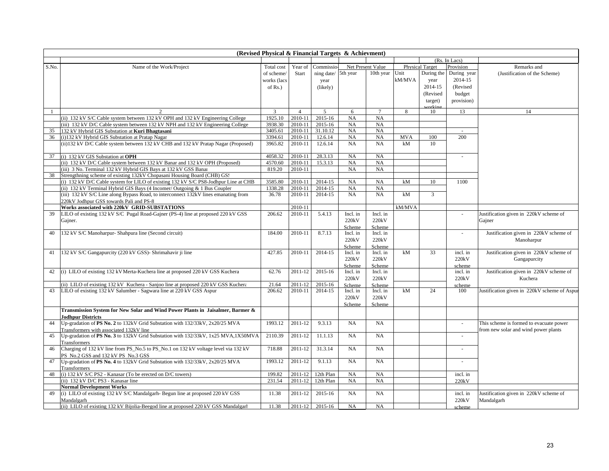| (Rs. In Lacs)<br>Net Present Value<br>Commissic<br><b>Physical Target</b><br>S.No.<br>Name of the Work/Project<br>Total cost<br>Year of<br>Provision<br>Remarks and<br>During year<br>5th year<br>10th year<br>Unit<br>During the<br>ning date/<br>of scheme/<br>Start<br>(Justification of the Scheme)<br>kM/MVA<br>2014-15<br>works (lacs<br>year<br>year<br>2014-15<br>(Revised<br>of $Rs.$ )<br>(likely)<br>(Revised<br>budget<br>provision)<br>target)<br>rkir<br>3<br>5<br>$\overline{7}$<br>8<br>13<br>$\overline{4}$<br>6<br>10<br>14<br>(ii) 132 kV S/C Cable system between 132 kV OPH and 132 kV Engineering College<br>1925.10<br>$2010 - 11$<br>$2015 - 16$<br>NA<br>NA<br>(iii) 132 kV D/C Cable system between 132 kV NPH and 132 kV Engineering College<br>3938.30<br>2010-11<br>2015-16<br>NA<br>NA<br>132 kV Hybrid GIS Substation at Kuri Bhagtasani<br>3405.61<br>2010-11<br>31.10.12<br>NA<br>NA<br>35<br>$\sim$<br>(i)132 kV Hybrid GIS Substation at Pratap Nagar<br>3394.61<br>2010-11<br>12.6.14<br>NA<br>NA<br><b>MVA</b><br>100<br>200<br>36<br>(ii) 132 kV D/C Cable system between 132 kV CHB and 132 kV Pratap Nagar (Proposed)<br>2010-11<br>12.6.14<br>NA<br>kM<br>3965.82<br><b>NA</b><br>10<br>4058.32<br>2010-11<br>28.3.13<br>37<br>(i) 132 kV GIS Substation at OPH<br>NA<br>NA<br>$\sim$<br>(ii) 132 kV D/C Cable system between 132 kV Banar and 132 kV OPH (Proposed)<br>4570.60<br>2010-11<br>15.3.13<br>NA<br>NA<br>(iii) 3 No. Terminal 132 kV Hybrid GIS Bays at 132 kV GSS Banar<br>819.20<br>2010-11<br>NA<br><b>NA</b><br>Strengthning scheme of existing 132kV Chopasani Housing Board (CHB) GS.<br>38<br>2014-15<br>(i) 132 kV D/C Cable system for LILO of existing 132 kV S/C PS8-Jodhpur Line at CHB<br>3585.80<br>2010-11<br>NA<br>NA<br>kM<br>10<br>1100<br>(ii) 132 kV Terminal Hybrid GIS Bays (4 Incomer/ Outgoing & 1 Bus Coupler<br>2014-15<br>1338.28<br>2010-11<br>NA<br>NA<br>$\overline{3}$<br>(iii) 132 kV S/C Line along Bypass Road, to interconnect 132kV lines emanating from<br>36.78<br>2010-11<br>2014-15<br>NA<br>NA<br>kM<br>220kV Jodhpur GSS towards Pali and PS-8<br>Works associated with 220kV GRID-SUBSTATIONS<br>2010-11<br>kM/MVA<br>LILO of existing 132 kV S/C Pugal Road-Gajner (PS-4) line at proposed 220 kV GSS<br>5.4.13<br>206.62<br>2010-11<br>Incl. in<br>Incl. in<br>Justification given in 220kV scheme of<br>39<br>÷.<br>220kV<br>220kV<br>Gajner.<br>Gajner<br>Scheme<br>Scheme<br>8.7.13<br>132 kV S/C Manoharpur- Shahpura line (Second circuit)<br>184.00<br>2010-11<br>Justification given in 220kV scheme of<br>40<br>Incl. in<br>Incl. in<br>$\sim$<br>220kV<br>220kV<br>Manoharpur<br>Scheme<br>Scheme<br>132 kV S/C Gangapurcity (220 kV GSS)- Shrimahavir ji line<br>427.85<br>2014-15<br>kM<br>33<br>41<br>2010-11<br>incl. in<br>Justification given in 220kV scheme of<br>Incl. in<br>Incl. in<br>220kV<br>220kV<br>220kV<br>Gangapurcity<br>Scheme<br>Scheme<br>scheme<br>(i) LILO of existing 132 kV Merta-Kuchera line at proposed 220 kV GSS Kuchera<br>62.76<br>2011-12<br>2015-16<br>Justification given in 220kV scheme of<br>42<br>Incl. in<br>incl. in<br>Incl. in<br>220kV<br>220kV<br>220kV<br>Kuchera<br>(ii) LILO of existing 132 kV Kuchera - Sanjoo line at proposed 220 kV GSS Kuchera<br>2011-12<br>2015-16<br>21.64<br>Scheme<br>Scheme<br>scheme |
|--------------------------------------------------------------------------------------------------------------------------------------------------------------------------------------------------------------------------------------------------------------------------------------------------------------------------------------------------------------------------------------------------------------------------------------------------------------------------------------------------------------------------------------------------------------------------------------------------------------------------------------------------------------------------------------------------------------------------------------------------------------------------------------------------------------------------------------------------------------------------------------------------------------------------------------------------------------------------------------------------------------------------------------------------------------------------------------------------------------------------------------------------------------------------------------------------------------------------------------------------------------------------------------------------------------------------------------------------------------------------------------------------------------------------------------------------------------------------------------------------------------------------------------------------------------------------------------------------------------------------------------------------------------------------------------------------------------------------------------------------------------------------------------------------------------------------------------------------------------------------------------------------------------------------------------------------------------------------------------------------------------------------------------------------------------------------------------------------------------------------------------------------------------------------------------------------------------------------------------------------------------------------------------------------------------------------------------------------------------------------------------------------------------------------------------------------------------------------------------------------------------------------------------------------------------------------------------------------------------------------------------------------------------------------------------------------------------------------------------------------------------------------------------------------------------------------------------------------------------------------------------------------------------------------------------------------------------------------------------------------------------------------------------------------------------------------------------------------------------------------------------------------------------------------------------------------------------------------------------------------------------------------------------------------------------------------------------------------------------------------------|
|                                                                                                                                                                                                                                                                                                                                                                                                                                                                                                                                                                                                                                                                                                                                                                                                                                                                                                                                                                                                                                                                                                                                                                                                                                                                                                                                                                                                                                                                                                                                                                                                                                                                                                                                                                                                                                                                                                                                                                                                                                                                                                                                                                                                                                                                                                                                                                                                                                                                                                                                                                                                                                                                                                                                                                                                                                                                                                                                                                                                                                                                                                                                                                                                                                                                                                                                                                                |
|                                                                                                                                                                                                                                                                                                                                                                                                                                                                                                                                                                                                                                                                                                                                                                                                                                                                                                                                                                                                                                                                                                                                                                                                                                                                                                                                                                                                                                                                                                                                                                                                                                                                                                                                                                                                                                                                                                                                                                                                                                                                                                                                                                                                                                                                                                                                                                                                                                                                                                                                                                                                                                                                                                                                                                                                                                                                                                                                                                                                                                                                                                                                                                                                                                                                                                                                                                                |
|                                                                                                                                                                                                                                                                                                                                                                                                                                                                                                                                                                                                                                                                                                                                                                                                                                                                                                                                                                                                                                                                                                                                                                                                                                                                                                                                                                                                                                                                                                                                                                                                                                                                                                                                                                                                                                                                                                                                                                                                                                                                                                                                                                                                                                                                                                                                                                                                                                                                                                                                                                                                                                                                                                                                                                                                                                                                                                                                                                                                                                                                                                                                                                                                                                                                                                                                                                                |
|                                                                                                                                                                                                                                                                                                                                                                                                                                                                                                                                                                                                                                                                                                                                                                                                                                                                                                                                                                                                                                                                                                                                                                                                                                                                                                                                                                                                                                                                                                                                                                                                                                                                                                                                                                                                                                                                                                                                                                                                                                                                                                                                                                                                                                                                                                                                                                                                                                                                                                                                                                                                                                                                                                                                                                                                                                                                                                                                                                                                                                                                                                                                                                                                                                                                                                                                                                                |
|                                                                                                                                                                                                                                                                                                                                                                                                                                                                                                                                                                                                                                                                                                                                                                                                                                                                                                                                                                                                                                                                                                                                                                                                                                                                                                                                                                                                                                                                                                                                                                                                                                                                                                                                                                                                                                                                                                                                                                                                                                                                                                                                                                                                                                                                                                                                                                                                                                                                                                                                                                                                                                                                                                                                                                                                                                                                                                                                                                                                                                                                                                                                                                                                                                                                                                                                                                                |
|                                                                                                                                                                                                                                                                                                                                                                                                                                                                                                                                                                                                                                                                                                                                                                                                                                                                                                                                                                                                                                                                                                                                                                                                                                                                                                                                                                                                                                                                                                                                                                                                                                                                                                                                                                                                                                                                                                                                                                                                                                                                                                                                                                                                                                                                                                                                                                                                                                                                                                                                                                                                                                                                                                                                                                                                                                                                                                                                                                                                                                                                                                                                                                                                                                                                                                                                                                                |
|                                                                                                                                                                                                                                                                                                                                                                                                                                                                                                                                                                                                                                                                                                                                                                                                                                                                                                                                                                                                                                                                                                                                                                                                                                                                                                                                                                                                                                                                                                                                                                                                                                                                                                                                                                                                                                                                                                                                                                                                                                                                                                                                                                                                                                                                                                                                                                                                                                                                                                                                                                                                                                                                                                                                                                                                                                                                                                                                                                                                                                                                                                                                                                                                                                                                                                                                                                                |
|                                                                                                                                                                                                                                                                                                                                                                                                                                                                                                                                                                                                                                                                                                                                                                                                                                                                                                                                                                                                                                                                                                                                                                                                                                                                                                                                                                                                                                                                                                                                                                                                                                                                                                                                                                                                                                                                                                                                                                                                                                                                                                                                                                                                                                                                                                                                                                                                                                                                                                                                                                                                                                                                                                                                                                                                                                                                                                                                                                                                                                                                                                                                                                                                                                                                                                                                                                                |
|                                                                                                                                                                                                                                                                                                                                                                                                                                                                                                                                                                                                                                                                                                                                                                                                                                                                                                                                                                                                                                                                                                                                                                                                                                                                                                                                                                                                                                                                                                                                                                                                                                                                                                                                                                                                                                                                                                                                                                                                                                                                                                                                                                                                                                                                                                                                                                                                                                                                                                                                                                                                                                                                                                                                                                                                                                                                                                                                                                                                                                                                                                                                                                                                                                                                                                                                                                                |
|                                                                                                                                                                                                                                                                                                                                                                                                                                                                                                                                                                                                                                                                                                                                                                                                                                                                                                                                                                                                                                                                                                                                                                                                                                                                                                                                                                                                                                                                                                                                                                                                                                                                                                                                                                                                                                                                                                                                                                                                                                                                                                                                                                                                                                                                                                                                                                                                                                                                                                                                                                                                                                                                                                                                                                                                                                                                                                                                                                                                                                                                                                                                                                                                                                                                                                                                                                                |
|                                                                                                                                                                                                                                                                                                                                                                                                                                                                                                                                                                                                                                                                                                                                                                                                                                                                                                                                                                                                                                                                                                                                                                                                                                                                                                                                                                                                                                                                                                                                                                                                                                                                                                                                                                                                                                                                                                                                                                                                                                                                                                                                                                                                                                                                                                                                                                                                                                                                                                                                                                                                                                                                                                                                                                                                                                                                                                                                                                                                                                                                                                                                                                                                                                                                                                                                                                                |
|                                                                                                                                                                                                                                                                                                                                                                                                                                                                                                                                                                                                                                                                                                                                                                                                                                                                                                                                                                                                                                                                                                                                                                                                                                                                                                                                                                                                                                                                                                                                                                                                                                                                                                                                                                                                                                                                                                                                                                                                                                                                                                                                                                                                                                                                                                                                                                                                                                                                                                                                                                                                                                                                                                                                                                                                                                                                                                                                                                                                                                                                                                                                                                                                                                                                                                                                                                                |
|                                                                                                                                                                                                                                                                                                                                                                                                                                                                                                                                                                                                                                                                                                                                                                                                                                                                                                                                                                                                                                                                                                                                                                                                                                                                                                                                                                                                                                                                                                                                                                                                                                                                                                                                                                                                                                                                                                                                                                                                                                                                                                                                                                                                                                                                                                                                                                                                                                                                                                                                                                                                                                                                                                                                                                                                                                                                                                                                                                                                                                                                                                                                                                                                                                                                                                                                                                                |
|                                                                                                                                                                                                                                                                                                                                                                                                                                                                                                                                                                                                                                                                                                                                                                                                                                                                                                                                                                                                                                                                                                                                                                                                                                                                                                                                                                                                                                                                                                                                                                                                                                                                                                                                                                                                                                                                                                                                                                                                                                                                                                                                                                                                                                                                                                                                                                                                                                                                                                                                                                                                                                                                                                                                                                                                                                                                                                                                                                                                                                                                                                                                                                                                                                                                                                                                                                                |
|                                                                                                                                                                                                                                                                                                                                                                                                                                                                                                                                                                                                                                                                                                                                                                                                                                                                                                                                                                                                                                                                                                                                                                                                                                                                                                                                                                                                                                                                                                                                                                                                                                                                                                                                                                                                                                                                                                                                                                                                                                                                                                                                                                                                                                                                                                                                                                                                                                                                                                                                                                                                                                                                                                                                                                                                                                                                                                                                                                                                                                                                                                                                                                                                                                                                                                                                                                                |
|                                                                                                                                                                                                                                                                                                                                                                                                                                                                                                                                                                                                                                                                                                                                                                                                                                                                                                                                                                                                                                                                                                                                                                                                                                                                                                                                                                                                                                                                                                                                                                                                                                                                                                                                                                                                                                                                                                                                                                                                                                                                                                                                                                                                                                                                                                                                                                                                                                                                                                                                                                                                                                                                                                                                                                                                                                                                                                                                                                                                                                                                                                                                                                                                                                                                                                                                                                                |
|                                                                                                                                                                                                                                                                                                                                                                                                                                                                                                                                                                                                                                                                                                                                                                                                                                                                                                                                                                                                                                                                                                                                                                                                                                                                                                                                                                                                                                                                                                                                                                                                                                                                                                                                                                                                                                                                                                                                                                                                                                                                                                                                                                                                                                                                                                                                                                                                                                                                                                                                                                                                                                                                                                                                                                                                                                                                                                                                                                                                                                                                                                                                                                                                                                                                                                                                                                                |
|                                                                                                                                                                                                                                                                                                                                                                                                                                                                                                                                                                                                                                                                                                                                                                                                                                                                                                                                                                                                                                                                                                                                                                                                                                                                                                                                                                                                                                                                                                                                                                                                                                                                                                                                                                                                                                                                                                                                                                                                                                                                                                                                                                                                                                                                                                                                                                                                                                                                                                                                                                                                                                                                                                                                                                                                                                                                                                                                                                                                                                                                                                                                                                                                                                                                                                                                                                                |
|                                                                                                                                                                                                                                                                                                                                                                                                                                                                                                                                                                                                                                                                                                                                                                                                                                                                                                                                                                                                                                                                                                                                                                                                                                                                                                                                                                                                                                                                                                                                                                                                                                                                                                                                                                                                                                                                                                                                                                                                                                                                                                                                                                                                                                                                                                                                                                                                                                                                                                                                                                                                                                                                                                                                                                                                                                                                                                                                                                                                                                                                                                                                                                                                                                                                                                                                                                                |
|                                                                                                                                                                                                                                                                                                                                                                                                                                                                                                                                                                                                                                                                                                                                                                                                                                                                                                                                                                                                                                                                                                                                                                                                                                                                                                                                                                                                                                                                                                                                                                                                                                                                                                                                                                                                                                                                                                                                                                                                                                                                                                                                                                                                                                                                                                                                                                                                                                                                                                                                                                                                                                                                                                                                                                                                                                                                                                                                                                                                                                                                                                                                                                                                                                                                                                                                                                                |
|                                                                                                                                                                                                                                                                                                                                                                                                                                                                                                                                                                                                                                                                                                                                                                                                                                                                                                                                                                                                                                                                                                                                                                                                                                                                                                                                                                                                                                                                                                                                                                                                                                                                                                                                                                                                                                                                                                                                                                                                                                                                                                                                                                                                                                                                                                                                                                                                                                                                                                                                                                                                                                                                                                                                                                                                                                                                                                                                                                                                                                                                                                                                                                                                                                                                                                                                                                                |
|                                                                                                                                                                                                                                                                                                                                                                                                                                                                                                                                                                                                                                                                                                                                                                                                                                                                                                                                                                                                                                                                                                                                                                                                                                                                                                                                                                                                                                                                                                                                                                                                                                                                                                                                                                                                                                                                                                                                                                                                                                                                                                                                                                                                                                                                                                                                                                                                                                                                                                                                                                                                                                                                                                                                                                                                                                                                                                                                                                                                                                                                                                                                                                                                                                                                                                                                                                                |
|                                                                                                                                                                                                                                                                                                                                                                                                                                                                                                                                                                                                                                                                                                                                                                                                                                                                                                                                                                                                                                                                                                                                                                                                                                                                                                                                                                                                                                                                                                                                                                                                                                                                                                                                                                                                                                                                                                                                                                                                                                                                                                                                                                                                                                                                                                                                                                                                                                                                                                                                                                                                                                                                                                                                                                                                                                                                                                                                                                                                                                                                                                                                                                                                                                                                                                                                                                                |
|                                                                                                                                                                                                                                                                                                                                                                                                                                                                                                                                                                                                                                                                                                                                                                                                                                                                                                                                                                                                                                                                                                                                                                                                                                                                                                                                                                                                                                                                                                                                                                                                                                                                                                                                                                                                                                                                                                                                                                                                                                                                                                                                                                                                                                                                                                                                                                                                                                                                                                                                                                                                                                                                                                                                                                                                                                                                                                                                                                                                                                                                                                                                                                                                                                                                                                                                                                                |
|                                                                                                                                                                                                                                                                                                                                                                                                                                                                                                                                                                                                                                                                                                                                                                                                                                                                                                                                                                                                                                                                                                                                                                                                                                                                                                                                                                                                                                                                                                                                                                                                                                                                                                                                                                                                                                                                                                                                                                                                                                                                                                                                                                                                                                                                                                                                                                                                                                                                                                                                                                                                                                                                                                                                                                                                                                                                                                                                                                                                                                                                                                                                                                                                                                                                                                                                                                                |
|                                                                                                                                                                                                                                                                                                                                                                                                                                                                                                                                                                                                                                                                                                                                                                                                                                                                                                                                                                                                                                                                                                                                                                                                                                                                                                                                                                                                                                                                                                                                                                                                                                                                                                                                                                                                                                                                                                                                                                                                                                                                                                                                                                                                                                                                                                                                                                                                                                                                                                                                                                                                                                                                                                                                                                                                                                                                                                                                                                                                                                                                                                                                                                                                                                                                                                                                                                                |
|                                                                                                                                                                                                                                                                                                                                                                                                                                                                                                                                                                                                                                                                                                                                                                                                                                                                                                                                                                                                                                                                                                                                                                                                                                                                                                                                                                                                                                                                                                                                                                                                                                                                                                                                                                                                                                                                                                                                                                                                                                                                                                                                                                                                                                                                                                                                                                                                                                                                                                                                                                                                                                                                                                                                                                                                                                                                                                                                                                                                                                                                                                                                                                                                                                                                                                                                                                                |
|                                                                                                                                                                                                                                                                                                                                                                                                                                                                                                                                                                                                                                                                                                                                                                                                                                                                                                                                                                                                                                                                                                                                                                                                                                                                                                                                                                                                                                                                                                                                                                                                                                                                                                                                                                                                                                                                                                                                                                                                                                                                                                                                                                                                                                                                                                                                                                                                                                                                                                                                                                                                                                                                                                                                                                                                                                                                                                                                                                                                                                                                                                                                                                                                                                                                                                                                                                                |
|                                                                                                                                                                                                                                                                                                                                                                                                                                                                                                                                                                                                                                                                                                                                                                                                                                                                                                                                                                                                                                                                                                                                                                                                                                                                                                                                                                                                                                                                                                                                                                                                                                                                                                                                                                                                                                                                                                                                                                                                                                                                                                                                                                                                                                                                                                                                                                                                                                                                                                                                                                                                                                                                                                                                                                                                                                                                                                                                                                                                                                                                                                                                                                                                                                                                                                                                                                                |
|                                                                                                                                                                                                                                                                                                                                                                                                                                                                                                                                                                                                                                                                                                                                                                                                                                                                                                                                                                                                                                                                                                                                                                                                                                                                                                                                                                                                                                                                                                                                                                                                                                                                                                                                                                                                                                                                                                                                                                                                                                                                                                                                                                                                                                                                                                                                                                                                                                                                                                                                                                                                                                                                                                                                                                                                                                                                                                                                                                                                                                                                                                                                                                                                                                                                                                                                                                                |
|                                                                                                                                                                                                                                                                                                                                                                                                                                                                                                                                                                                                                                                                                                                                                                                                                                                                                                                                                                                                                                                                                                                                                                                                                                                                                                                                                                                                                                                                                                                                                                                                                                                                                                                                                                                                                                                                                                                                                                                                                                                                                                                                                                                                                                                                                                                                                                                                                                                                                                                                                                                                                                                                                                                                                                                                                                                                                                                                                                                                                                                                                                                                                                                                                                                                                                                                                                                |
|                                                                                                                                                                                                                                                                                                                                                                                                                                                                                                                                                                                                                                                                                                                                                                                                                                                                                                                                                                                                                                                                                                                                                                                                                                                                                                                                                                                                                                                                                                                                                                                                                                                                                                                                                                                                                                                                                                                                                                                                                                                                                                                                                                                                                                                                                                                                                                                                                                                                                                                                                                                                                                                                                                                                                                                                                                                                                                                                                                                                                                                                                                                                                                                                                                                                                                                                                                                |
|                                                                                                                                                                                                                                                                                                                                                                                                                                                                                                                                                                                                                                                                                                                                                                                                                                                                                                                                                                                                                                                                                                                                                                                                                                                                                                                                                                                                                                                                                                                                                                                                                                                                                                                                                                                                                                                                                                                                                                                                                                                                                                                                                                                                                                                                                                                                                                                                                                                                                                                                                                                                                                                                                                                                                                                                                                                                                                                                                                                                                                                                                                                                                                                                                                                                                                                                                                                |
|                                                                                                                                                                                                                                                                                                                                                                                                                                                                                                                                                                                                                                                                                                                                                                                                                                                                                                                                                                                                                                                                                                                                                                                                                                                                                                                                                                                                                                                                                                                                                                                                                                                                                                                                                                                                                                                                                                                                                                                                                                                                                                                                                                                                                                                                                                                                                                                                                                                                                                                                                                                                                                                                                                                                                                                                                                                                                                                                                                                                                                                                                                                                                                                                                                                                                                                                                                                |
|                                                                                                                                                                                                                                                                                                                                                                                                                                                                                                                                                                                                                                                                                                                                                                                                                                                                                                                                                                                                                                                                                                                                                                                                                                                                                                                                                                                                                                                                                                                                                                                                                                                                                                                                                                                                                                                                                                                                                                                                                                                                                                                                                                                                                                                                                                                                                                                                                                                                                                                                                                                                                                                                                                                                                                                                                                                                                                                                                                                                                                                                                                                                                                                                                                                                                                                                                                                |
|                                                                                                                                                                                                                                                                                                                                                                                                                                                                                                                                                                                                                                                                                                                                                                                                                                                                                                                                                                                                                                                                                                                                                                                                                                                                                                                                                                                                                                                                                                                                                                                                                                                                                                                                                                                                                                                                                                                                                                                                                                                                                                                                                                                                                                                                                                                                                                                                                                                                                                                                                                                                                                                                                                                                                                                                                                                                                                                                                                                                                                                                                                                                                                                                                                                                                                                                                                                |
| LILO of existing 132 kV Salumber - Sagwara line at 220 kV GSS Aspur<br>kM<br>100<br>Justification given in 220kV scheme of Aspur<br>43<br>206.62<br>2010-11<br>2014-15<br>Incl. in<br>24<br>Incl. in                                                                                                                                                                                                                                                                                                                                                                                                                                                                                                                                                                                                                                                                                                                                                                                                                                                                                                                                                                                                                                                                                                                                                                                                                                                                                                                                                                                                                                                                                                                                                                                                                                                                                                                                                                                                                                                                                                                                                                                                                                                                                                                                                                                                                                                                                                                                                                                                                                                                                                                                                                                                                                                                                                                                                                                                                                                                                                                                                                                                                                                                                                                                                                           |
| 220kV<br>220kV                                                                                                                                                                                                                                                                                                                                                                                                                                                                                                                                                                                                                                                                                                                                                                                                                                                                                                                                                                                                                                                                                                                                                                                                                                                                                                                                                                                                                                                                                                                                                                                                                                                                                                                                                                                                                                                                                                                                                                                                                                                                                                                                                                                                                                                                                                                                                                                                                                                                                                                                                                                                                                                                                                                                                                                                                                                                                                                                                                                                                                                                                                                                                                                                                                                                                                                                                                 |
| Scheme<br>Scheme                                                                                                                                                                                                                                                                                                                                                                                                                                                                                                                                                                                                                                                                                                                                                                                                                                                                                                                                                                                                                                                                                                                                                                                                                                                                                                                                                                                                                                                                                                                                                                                                                                                                                                                                                                                                                                                                                                                                                                                                                                                                                                                                                                                                                                                                                                                                                                                                                                                                                                                                                                                                                                                                                                                                                                                                                                                                                                                                                                                                                                                                                                                                                                                                                                                                                                                                                               |
| Transmission System for New Solar and Wind Power Plants in Jaisalmer, Barmer &                                                                                                                                                                                                                                                                                                                                                                                                                                                                                                                                                                                                                                                                                                                                                                                                                                                                                                                                                                                                                                                                                                                                                                                                                                                                                                                                                                                                                                                                                                                                                                                                                                                                                                                                                                                                                                                                                                                                                                                                                                                                                                                                                                                                                                                                                                                                                                                                                                                                                                                                                                                                                                                                                                                                                                                                                                                                                                                                                                                                                                                                                                                                                                                                                                                                                                 |
| <b>Jodhpur Districts</b><br>9.3.13<br>1993.12<br>2011-12<br>NA<br>NA<br>44<br>÷.                                                                                                                                                                                                                                                                                                                                                                                                                                                                                                                                                                                                                                                                                                                                                                                                                                                                                                                                                                                                                                                                                                                                                                                                                                                                                                                                                                                                                                                                                                                                                                                                                                                                                                                                                                                                                                                                                                                                                                                                                                                                                                                                                                                                                                                                                                                                                                                                                                                                                                                                                                                                                                                                                                                                                                                                                                                                                                                                                                                                                                                                                                                                                                                                                                                                                               |
| Up-gradation of PS No. 2 to 132kV Grid Substation with 132/33kV, 2x20/25 MVA<br>This scheme is formed to evacuate power                                                                                                                                                                                                                                                                                                                                                                                                                                                                                                                                                                                                                                                                                                                                                                                                                                                                                                                                                                                                                                                                                                                                                                                                                                                                                                                                                                                                                                                                                                                                                                                                                                                                                                                                                                                                                                                                                                                                                                                                                                                                                                                                                                                                                                                                                                                                                                                                                                                                                                                                                                                                                                                                                                                                                                                                                                                                                                                                                                                                                                                                                                                                                                                                                                                        |
| Transformers with associated 132kV line<br>from new solar and wind power plants<br>Up-gradation of PS No. 3 to 132kV Grid Substation with 132/33kV, 1x25 MVA,1X50MVA<br>2110.39<br>2011-12<br>11.1.13<br>NA<br>NA<br>45                                                                                                                                                                                                                                                                                                                                                                                                                                                                                                                                                                                                                                                                                                                                                                                                                                                                                                                                                                                                                                                                                                                                                                                                                                                                                                                                                                                                                                                                                                                                                                                                                                                                                                                                                                                                                                                                                                                                                                                                                                                                                                                                                                                                                                                                                                                                                                                                                                                                                                                                                                                                                                                                                                                                                                                                                                                                                                                                                                                                                                                                                                                                                        |
| $\sim$                                                                                                                                                                                                                                                                                                                                                                                                                                                                                                                                                                                                                                                                                                                                                                                                                                                                                                                                                                                                                                                                                                                                                                                                                                                                                                                                                                                                                                                                                                                                                                                                                                                                                                                                                                                                                                                                                                                                                                                                                                                                                                                                                                                                                                                                                                                                                                                                                                                                                                                                                                                                                                                                                                                                                                                                                                                                                                                                                                                                                                                                                                                                                                                                                                                                                                                                                                         |
| Transformers<br>Charging of 132 kV line from PS_No.5 to PS_No.1 on 132 kV voltage level via 132 kV<br>718.88<br>2011-12<br>31.3.14<br>NA<br>NA<br>46<br>$\sim$                                                                                                                                                                                                                                                                                                                                                                                                                                                                                                                                                                                                                                                                                                                                                                                                                                                                                                                                                                                                                                                                                                                                                                                                                                                                                                                                                                                                                                                                                                                                                                                                                                                                                                                                                                                                                                                                                                                                                                                                                                                                                                                                                                                                                                                                                                                                                                                                                                                                                                                                                                                                                                                                                                                                                                                                                                                                                                                                                                                                                                                                                                                                                                                                                 |
|                                                                                                                                                                                                                                                                                                                                                                                                                                                                                                                                                                                                                                                                                                                                                                                                                                                                                                                                                                                                                                                                                                                                                                                                                                                                                                                                                                                                                                                                                                                                                                                                                                                                                                                                                                                                                                                                                                                                                                                                                                                                                                                                                                                                                                                                                                                                                                                                                                                                                                                                                                                                                                                                                                                                                                                                                                                                                                                                                                                                                                                                                                                                                                                                                                                                                                                                                                                |
| PS No.2 GSS and 132 kV PS No.3 GSS<br>Up-gradation of PS No. 4 to 132kV Grid Substation with 132/33kV, 2x20/25 MVA<br>2011-12<br>9.1.13<br>1993.12<br>NA<br>NA<br>47<br>$\sim$                                                                                                                                                                                                                                                                                                                                                                                                                                                                                                                                                                                                                                                                                                                                                                                                                                                                                                                                                                                                                                                                                                                                                                                                                                                                                                                                                                                                                                                                                                                                                                                                                                                                                                                                                                                                                                                                                                                                                                                                                                                                                                                                                                                                                                                                                                                                                                                                                                                                                                                                                                                                                                                                                                                                                                                                                                                                                                                                                                                                                                                                                                                                                                                                 |
| <b>Transformers</b>                                                                                                                                                                                                                                                                                                                                                                                                                                                                                                                                                                                                                                                                                                                                                                                                                                                                                                                                                                                                                                                                                                                                                                                                                                                                                                                                                                                                                                                                                                                                                                                                                                                                                                                                                                                                                                                                                                                                                                                                                                                                                                                                                                                                                                                                                                                                                                                                                                                                                                                                                                                                                                                                                                                                                                                                                                                                                                                                                                                                                                                                                                                                                                                                                                                                                                                                                            |
| (i) 132 kV S/C PS2 - Kanasar (To be erected on D/C towers)<br>199.82<br>2011-12<br>12th Plan<br>NA<br>NA<br>incl. in<br>48                                                                                                                                                                                                                                                                                                                                                                                                                                                                                                                                                                                                                                                                                                                                                                                                                                                                                                                                                                                                                                                                                                                                                                                                                                                                                                                                                                                                                                                                                                                                                                                                                                                                                                                                                                                                                                                                                                                                                                                                                                                                                                                                                                                                                                                                                                                                                                                                                                                                                                                                                                                                                                                                                                                                                                                                                                                                                                                                                                                                                                                                                                                                                                                                                                                     |
| (ii) 132 kV D/C PS3 - Kanasar line<br>231.54<br>2011-12<br>12th Plan<br>NA<br>NA<br>220kV                                                                                                                                                                                                                                                                                                                                                                                                                                                                                                                                                                                                                                                                                                                                                                                                                                                                                                                                                                                                                                                                                                                                                                                                                                                                                                                                                                                                                                                                                                                                                                                                                                                                                                                                                                                                                                                                                                                                                                                                                                                                                                                                                                                                                                                                                                                                                                                                                                                                                                                                                                                                                                                                                                                                                                                                                                                                                                                                                                                                                                                                                                                                                                                                                                                                                      |
| <b>Normal Development Works</b>                                                                                                                                                                                                                                                                                                                                                                                                                                                                                                                                                                                                                                                                                                                                                                                                                                                                                                                                                                                                                                                                                                                                                                                                                                                                                                                                                                                                                                                                                                                                                                                                                                                                                                                                                                                                                                                                                                                                                                                                                                                                                                                                                                                                                                                                                                                                                                                                                                                                                                                                                                                                                                                                                                                                                                                                                                                                                                                                                                                                                                                                                                                                                                                                                                                                                                                                                |
| (i) LILO of existing 132 kV S/C Mandalgarh-Begun line at proposed 220 kV GSS<br>11.38<br>2011-12<br>2015-16<br>NA<br>NA<br>Justification given in 220kV scheme of<br>49<br>incl. in                                                                                                                                                                                                                                                                                                                                                                                                                                                                                                                                                                                                                                                                                                                                                                                                                                                                                                                                                                                                                                                                                                                                                                                                                                                                                                                                                                                                                                                                                                                                                                                                                                                                                                                                                                                                                                                                                                                                                                                                                                                                                                                                                                                                                                                                                                                                                                                                                                                                                                                                                                                                                                                                                                                                                                                                                                                                                                                                                                                                                                                                                                                                                                                            |
| Mandalgarh<br>220kV<br>Mandalgarh                                                                                                                                                                                                                                                                                                                                                                                                                                                                                                                                                                                                                                                                                                                                                                                                                                                                                                                                                                                                                                                                                                                                                                                                                                                                                                                                                                                                                                                                                                                                                                                                                                                                                                                                                                                                                                                                                                                                                                                                                                                                                                                                                                                                                                                                                                                                                                                                                                                                                                                                                                                                                                                                                                                                                                                                                                                                                                                                                                                                                                                                                                                                                                                                                                                                                                                                              |
| $2011 - 12$<br>2015-16<br>(ii) LILO of existing 132 kV Bijolia-Beegod line at proposed 220 kV GSS Mandalgarl<br>11.38<br><b>NA</b><br><b>NA</b><br>scheme                                                                                                                                                                                                                                                                                                                                                                                                                                                                                                                                                                                                                                                                                                                                                                                                                                                                                                                                                                                                                                                                                                                                                                                                                                                                                                                                                                                                                                                                                                                                                                                                                                                                                                                                                                                                                                                                                                                                                                                                                                                                                                                                                                                                                                                                                                                                                                                                                                                                                                                                                                                                                                                                                                                                                                                                                                                                                                                                                                                                                                                                                                                                                                                                                      |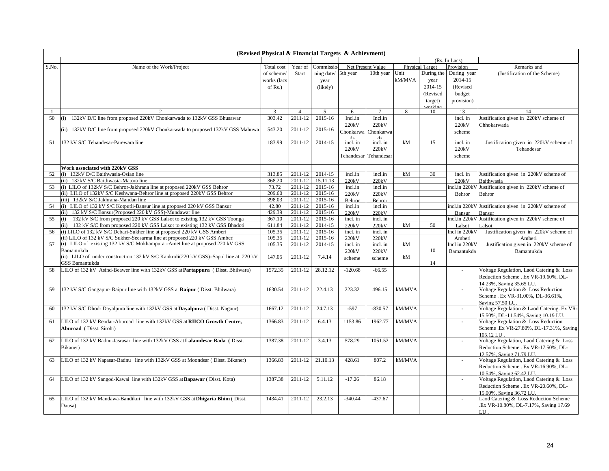| (Revised Physical & Financial Targets & Achievment) |                                                                                      |             |                |               |            |                   |        |                        |               |                                                                |  |
|-----------------------------------------------------|--------------------------------------------------------------------------------------|-------------|----------------|---------------|------------|-------------------|--------|------------------------|---------------|----------------------------------------------------------------|--|
|                                                     |                                                                                      |             |                |               |            |                   |        |                        | (Rs. In Lacs) |                                                                |  |
| S.No.                                               | Name of the Work/Project                                                             | Total cost  | Year of        | Commissio     |            | Net Present Value |        | <b>Physical Target</b> | Provision     | Remarks and                                                    |  |
|                                                     |                                                                                      | of scheme/  | Start          | ning date/    | 5th year   | 10th year         | Unit   | During the             | During year   | (Justification of the Scheme)                                  |  |
|                                                     |                                                                                      | works (lacs |                | year          |            |                   | kM/MVA | year                   | 2014-15       |                                                                |  |
|                                                     |                                                                                      | of $Rs.$ )  |                | (likely)      |            |                   |        | 2014-15                | (Revised      |                                                                |  |
|                                                     |                                                                                      |             |                |               |            |                   |        | (Revised               | budget        |                                                                |  |
|                                                     |                                                                                      |             |                |               |            |                   |        | target)                | provision)    |                                                                |  |
|                                                     |                                                                                      |             |                |               |            |                   |        | orkin                  |               |                                                                |  |
| -1                                                  |                                                                                      | 3           | $\overline{4}$ | $\mathcal{F}$ | 6          | $\tau$            | 8      | 10                     | 13            | 14                                                             |  |
| 50                                                  | (i) 132kV D/C line from proposed 220kV Chonkarwada to 132kV GSS Bhusawar             | 303.42      | 2011-12        | 2015-16       | Incl.in    | Incl.in           |        |                        | incl. in      | Justification given in 220kV scheme of                         |  |
|                                                     | (ii) 132kV D/C line from proposed 220kV Chonkarwada to proposed 132kV GSS Mahuwa     | 543.20      | 2011-12        | 2015-16       | 220kV      | 220kV             |        |                        | 220kV         | Chhokarwada                                                    |  |
|                                                     |                                                                                      |             |                |               | Chonkarwa  | Chonkarwa         |        |                        | scheme        |                                                                |  |
| 51                                                  | 132 kV S/C Tehandesar-Parewara line                                                  | 183.99      | 2011-12        | 2014-15       | incl. in   | incl. in          | kM     | 15                     | incl. in      | Justification given in 220kV scheme of                         |  |
|                                                     |                                                                                      |             |                |               | 220kV      | 220kV             |        |                        | 220kV         | Tehandesar                                                     |  |
|                                                     |                                                                                      |             |                |               | Tehandesar | Tehandesar        |        |                        |               |                                                                |  |
|                                                     |                                                                                      |             |                |               |            |                   |        |                        | scheme        |                                                                |  |
|                                                     | Work associated with 220kV GSS                                                       |             |                |               |            |                   |        |                        |               |                                                                |  |
| 52                                                  | (i) 132kV D/C Baithwasia-Osian line                                                  | 313.85      | 2011-12        | 2014-15       | incl.in    | incl.in           | kM     | 30                     | incl. in      | Justification given in 220kV scheme of                         |  |
|                                                     | (ii) 132kV S/C Baithwasia-Matora line                                                | 368.20      | 2011-12        | 15.11.13      | 220kV      | 220kV             |        |                        | 220kV         | Baithwasia                                                     |  |
| 53                                                  | (i) LILO of 132kV S/C Behror-Jakhrana line at proposed 220kV GSS Behror              | 73.72       | 2011-12        | 2015-16       | incl.in    | incl.in           |        |                        | ncl.in 220kV  | Justification given in 220kV scheme of                         |  |
|                                                     | (ii) LILO of 132kV S/C Keshwana-Behror line at proposed 220kV GSS Behror             | 209.60      | 2011-12        | 2015-16       | 220kV      | 220kV             |        |                        | Behror        | Behror                                                         |  |
|                                                     | (iii) 132kV S/C Jakhrana-Mandan line                                                 | 398.03      | 2011-12        | 2015-16       | Behror     | Behror            |        |                        |               |                                                                |  |
| 54                                                  | (i) LILO of 132 kV S/C Kotputli-Bansur line at proposed 220 kV GSS Bansur            | 42.80       | 2011-12        | 2015-16       | incl.in    | incl.in           |        |                        | incl.in 220kV | Justification given in 220kV scheme of                         |  |
|                                                     | (ii) 132 kV S/C Bansur(Proposed 220 kV GSS)-Mundawar line                            | 429.39      | 2011-12        | 2015-16       | 220kV      | 220kV             |        |                        | Bansur        | Bansur                                                         |  |
| 55                                                  | (i) 132 kV S/C from proposed 220 kV GSS Lalsot to existing 132 kV GSS Toonga         | 367.10      | 2011-12        | 2015-16       | incl. in   | incl. in          |        |                        | incl.in 220kV | Justification given in 220kV scheme of                         |  |
|                                                     | (ii) 132 kV S/C from proposed 220 kV GSS Lalsot to existing 132 kV GSS Bhadoti       | 611.84      | 2011-12        | 2014-15       | 220kV      | 220kV             | kM     | 50                     | Lalsot        | Lalsot                                                         |  |
| 56                                                  | (i) LILO of 132 kV S/C Debari-Sukher line at proposed 220 kV GSS Amberi              | 105.35      | 2011-12        | 2015-16       | incl. in   | incl. in          |        |                        | Incl in 220kV | Justification given in 220kV scheme of                         |  |
|                                                     | (ii) LILO of 132 kV S/C Sukher-Seesarma line at proposed 220 kV GSS Amber            | 105.35      | 2011-12        | 2015-16       | 220kV      | 220kV             |        |                        | Amberi        | Amberi                                                         |  |
| 57                                                  | (i) LILO of existing 132 kV S/C Mokhampura – Amet line at proposed 220 kV GSS        | 105.35      | 2011-12        | 2014-15       | incl. in   | incl. in          | kM     |                        | Incl in 220kV | Justification given in 220kV scheme of                         |  |
|                                                     | Bamantukda                                                                           |             |                |               | 220kV      | 220kV             |        | 10                     | Bamantukda    | Bamantukda                                                     |  |
|                                                     | (ii) LILO of under construction 132 kV S/C Kankroli(220 kV GSS)-Sapol line at 220 kV | 147.05      | 2011-12        | 7.4.14        | scheme     | scheme            | kM     |                        |               |                                                                |  |
|                                                     | GSS Bamantukda                                                                       |             |                |               |            |                   |        | 14                     |               |                                                                |  |
| 58                                                  | LILO of 132 kV Asind-Beawer line with 132kV GSS at Partappura (Disst. Bhilwara)      | 1572.35     | 2011-12        | 28.12.12      | $-120.68$  | $-66.55$          |        |                        | $\omega$      | Voltage Regulation, Laod Catering & Loss                       |  |
|                                                     |                                                                                      |             |                |               |            |                   |        |                        |               | Reduction Scheme . Ex VR-19.60%, DL-                           |  |
|                                                     |                                                                                      |             |                |               |            |                   |        |                        |               | 14.23%, Saving 35.65 LU.                                       |  |
| 59                                                  | 132 kV S/C Gangapur- Raipur line with 132kV GSS at Raipur (Disst. Bhilwara)          | 1630.54     | 2011-12        | 22.4.13       | 223.32     | 496.15            | kM/MVA |                        | $\omega$      | Voltage Regulation & Loss Reduction                            |  |
|                                                     |                                                                                      |             |                |               |            |                   |        |                        |               | Scheme . Ex VR-31.00%, DL-36.61%,                              |  |
| 60                                                  | 132 kV S/C Dhod- Dayalpura line with 132kV GSS at Dayalpura (Disst. Nagaur)          | 1667.12     | 2011-12        | 24.7.13       | $-597$     | $-830.57$         | kM/MVA |                        | $\omega$      | Saving 57.50 LU.<br>Voltage Regulation & Laod Catering. Ex VR- |  |
|                                                     |                                                                                      |             |                |               |            |                   |        |                        |               | 15.50%, DL-11.54%, Saving 10.19 LU.                            |  |
| 61                                                  | LILO of 132 kV Reodar-Aburoad line with 132kV GSS at RIICO Growth Centre,            | 1366.83     | 2011-12        | 6.4.13        | 1153.86    | 1962.77           | kM/MVA |                        |               | Voltage Regulation & Loss Reduction                            |  |
|                                                     | <b>Aburoad</b> (Disst. Sirohi)                                                       |             |                |               |            |                   |        |                        |               | Scheme .Ex VR-27.80%, DL-17.31%, Saving                        |  |
|                                                     |                                                                                      |             |                |               |            |                   |        |                        |               | 105.12 LU                                                      |  |
| 62                                                  | LILO of 132 kV Badnu-Jasrasar line with 132kV GSS at Lalamdesar Bada (Disst.         | 1387.38     | 2011-12        | 3.4.13        | 578.29     | 1051.52           | kM/MVA |                        | $\sim$        | Voltage Regulation, Laod Catering & Loss                       |  |
|                                                     | Bikaner)                                                                             |             |                |               |            |                   |        |                        |               | Reduction Scheme . Ex VR-17.50%, DL-                           |  |
|                                                     |                                                                                      |             |                |               |            |                   |        |                        |               | 12.57%, Saving 71.79 LU.                                       |  |
| 63                                                  | LILO of 132 kV Napasar-Badnu line with 132kV GSS at Moondsar (Disst. Bikaner)        | 1366.83     | 2011-12        | 21.10.13      | 428.61     | 807.2             | kM/MVA |                        | ÷             | Voltage Regulation, Laod Catering & Loss                       |  |
|                                                     |                                                                                      |             |                |               |            |                   |        |                        |               | Reduction Scheme . Ex VR-16.90%, DL-                           |  |
|                                                     |                                                                                      |             |                |               |            |                   |        |                        |               | 10.54%, Saving 62.42 LU.                                       |  |
| 64                                                  | LILO of 132 kV Sangod-Kawai line with 132kV GSS at Bapawar (Disst. Kota)             | 1387.38     | 2011-12        | 5.11.12       | $-17.26$   | 86.18             |        |                        | $\sim$        | Voltage Regulation, Laod Catering & Loss                       |  |
|                                                     |                                                                                      |             |                |               |            |                   |        |                        |               | Reduction Scheme . Ex VR-20.60%, DL-                           |  |
|                                                     |                                                                                      |             |                |               |            |                   |        |                        |               | 15.00%, Saving 36.72 LU.                                       |  |
| 65                                                  | LILO of 132 kV Mandawa-Bandikui line with 132kV GSS at Dhigaria Bhim (Disst.         | 1434.41     | 2011-12        | 23.2.13       | $-340.44$  | $-437.67$         |        |                        |               | Laod Catering & Loss Reduction Scheme                          |  |
|                                                     | Dausa)                                                                               |             |                |               |            |                   |        |                        |               | Ex VR-10.80%, DL-7.17%, Saving 17.69                           |  |
|                                                     |                                                                                      |             |                |               |            |                   |        |                        |               | LU.                                                            |  |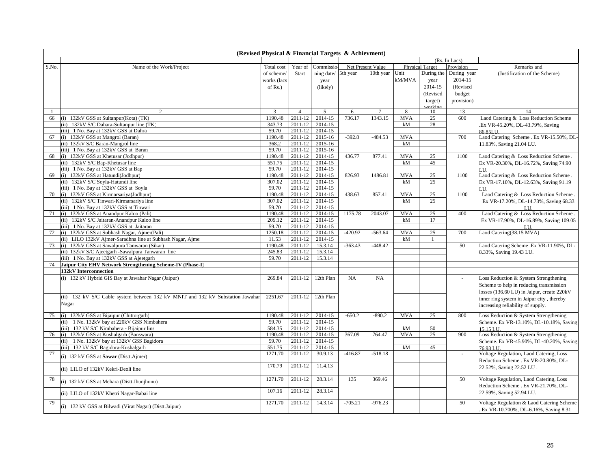| (Revised Physical & Financial Targets & Achievment) |                                                                                 |                   |                    |                    |           |                   |            |                        |               |                                                          |  |
|-----------------------------------------------------|---------------------------------------------------------------------------------|-------------------|--------------------|--------------------|-----------|-------------------|------------|------------------------|---------------|----------------------------------------------------------|--|
|                                                     |                                                                                 |                   |                    |                    |           |                   |            |                        | (Rs. In Lacs) |                                                          |  |
| S.No.                                               | Name of the Work/Project                                                        | Total cost        | Year of            | Commissic          |           | Net Present Value |            | <b>Physical Target</b> | Provision     | Remarks and                                              |  |
|                                                     |                                                                                 | of scheme.        | Start              | ning date/         | 5th year  | 10th year         | Unit       | During the             | During year   | (Justification of the Scheme)                            |  |
|                                                     |                                                                                 | works (lacs       |                    | year               |           |                   | kM/MVA     | year                   | 2014-15       |                                                          |  |
|                                                     |                                                                                 | of $Rs.$ )        |                    | (likely)           |           |                   |            | 2014-15                | (Revised      |                                                          |  |
|                                                     |                                                                                 |                   |                    |                    |           |                   |            | (Revised               | budget        |                                                          |  |
|                                                     |                                                                                 |                   |                    |                    |           |                   |            | target)                | provision)    |                                                          |  |
|                                                     |                                                                                 |                   |                    |                    |           |                   |            | orkin                  |               |                                                          |  |
|                                                     | 2                                                                               | 3                 | $\overline{4}$     | 5                  | 6         | $\tau$            | 8          | 10                     | 13            | 14                                                       |  |
| 66                                                  | (i) 132kV GSS at Sultanpur(Kota) (TK)                                           | 1190.48           | $2011 - 12$        | $2014 - 15$        | 736.17    | 1343.15           | <b>MVA</b> | 25                     | 600           | Laod Catering & Loss Reduction Scheme                    |  |
|                                                     | (ii) 132kV S/C Dahara-Sultanpur line (TK)                                       | 343.73            | 2011-12            | $2014 - 15$        |           |                   | kM         | 28                     |               | .Ex VR-45.20%, DL-43.79%, Saving                         |  |
|                                                     | (iii) 1 No. Bay at 132kV GSS at Dahra                                           | 59.70             | 2011-12            | 2014-15            |           |                   |            |                        |               | 86.85LU.                                                 |  |
| 67                                                  | (i) 132kV GSS at Mangrol (Baran)                                                | 1190.48           | 2011-12            | 2015-16            | $-392.8$  | $-484.53$         | <b>MVA</b> |                        | 700           | Laod Catering Scheme . Ex VR-15.50%, DL-                 |  |
|                                                     | (ii) 132kV S/C Baran-Mangrol line                                               | 368.2             | 2011-12            | 2015-16            |           |                   | kM         |                        |               | 11.83%, Saving 21.04 LU.                                 |  |
|                                                     | (iii) 1 No. Bay at 132kV GSS at Baran                                           | 59.70             | 2011-12            | 2015-16            |           |                   |            |                        |               |                                                          |  |
| 68                                                  | (i) 132kV GSS at Khetusar (Jodhpur)                                             | 1190.48           | 2011-12            | 2014-15            | 436.77    | 877.41            | <b>MVA</b> | 25                     | 1100          | Laod Catering & Loss Reduction Scheme.                   |  |
|                                                     | (ii) 132kV S/C Bap-Khetusar line                                                | 551.75            | 2011-12            | 2014-15            |           |                   | kM         | 45                     |               | Ex VR-20.30%, DL-16.72%, Saving 74.90                    |  |
|                                                     | (iii) 1 No. Bay at 132kV GSS at Bap                                             | 59.70             | 2011-12            | 2014-15            | 826.93    |                   | <b>MVA</b> |                        |               | $\overline{11}$                                          |  |
| 69                                                  | (i) 132kV GSS at Hatundi(Jodhpur)                                               | 1190.48<br>307.02 | 2011-12            | 2014-15<br>2014-15 |           | 1486.81           | kM         | 25<br>25               | 1100          | Laod Catering & Loss Reduction Scheme.                   |  |
|                                                     | (ii) 132kV S/C Soyla-Hatundi line                                               | 59.70             | 2011-12<br>2011-12 | $2014 - 15$        |           |                   |            |                        |               | Ex VR-17.10%, DL-12.63%, Saving 91.19<br>$\overline{11}$ |  |
| 70                                                  | (iii) 1 No. Bay at 132kV GSS at Soyla<br>(i) 132kV GSS at Kirmarsariya(Jodhpur) | 1190.48           | 2011-12            | 2014-15            | 438.63    | 857.41            | <b>MVA</b> | 25                     | 1100          | Laod Catering & Loss Reduction Scheme.                   |  |
|                                                     | (ii) 132kV S/C Tinwari-Kirmarsariya line                                        | 307.02            | 2011-12            | 2014-15            |           |                   | kM         | 25                     |               |                                                          |  |
|                                                     | (iii) 1 No. Bay at 132kV GSS at Tinwari                                         | 59.70             | 2011-12            | 2014-15            |           |                   |            |                        |               | Ex VR-17.20%, DL-14.73%, Saving 68.33                    |  |
| 71                                                  | (i) 132kV GSS at Anandpur Kaloo (Pali)                                          | 1190.48           | 2011-12            | 2014-15            | 1175.78   | 2043.07           | <b>MVA</b> | 25                     | 400           | LU.<br>Laod Catering & Loss Reduction Scheme.            |  |
|                                                     | (ii) 132kV S/C Jaitaran-Anandpur Kaloo line                                     | 209.12            | 2011-12            | 2014-15            |           |                   | kM         | 17                     |               | Ex VR-17.90%, DL-16.89%, Saving 109.05                   |  |
|                                                     | (iii) 1 No. Bay at 132kV GSS at Jaitaran                                        | 59.70             | 2011-12            | 2014-15            |           |                   |            |                        |               | LU                                                       |  |
| 72                                                  | (i) 132kV GSS at Subhash Nagar, Ajmer(Pali)                                     | 1250.18           | 2011-12            | 2014-15            | $-420.92$ | $-563.64$         | <b>MVA</b> | 25                     | 700           | Laod Catering (38.15 MVA)                                |  |
|                                                     | (ii) LILO 132kV Ajmer-Saradhna line at Subhash Nagar, Ajmer                     | 11.53             | 2011-12            | 2014-15            |           |                   | kM         | 1                      |               |                                                          |  |
| 73                                                  | (i) 132kV GSS at Sawalpura Tanwaran (Sikar)                                     | 1190.48           | 2011-12            | 15.3.14            | $-363.43$ | $-448.42$         |            |                        | 50            | Laod Catering Scheme .Ex VR-11.90%, DL-                  |  |
|                                                     | (ii) 132kV S/C Ajeetgarh -Sawalpura Tanwaran line                               | 245.83            | 2011-12            | 15.3.14            |           |                   |            |                        |               | 8.33%, Saving 19.43 LU.                                  |  |
|                                                     | (iii) 1 No. Bay at 132kV GSS at Ajeetgarh                                       | 59.70             | 2011-12            | 15.3.14            |           |                   |            |                        |               |                                                          |  |
| 74                                                  | Jaipur City EHV Network Strengthening Scheme-IV (Phase-I)                       |                   |                    |                    |           |                   |            |                        |               |                                                          |  |
|                                                     | 132kV Interconnection                                                           |                   |                    |                    |           |                   |            |                        |               |                                                          |  |
|                                                     | (i) 132 kV Hybrid GIS Bay at Jawahar Nagar (Jaipur)                             | 269.84            | 2011-12            | 12th Plan          | NA        | NA                |            |                        |               | Loss Reduction & System Strengthening                    |  |
|                                                     |                                                                                 |                   |                    |                    |           |                   |            |                        |               | Scheme to help in reducing transmission                  |  |
|                                                     |                                                                                 |                   |                    |                    |           |                   |            |                        |               | losses (136.60 LU) in Jaipur, create 220kV               |  |
|                                                     | (ii) 132 kV S/C Cable system between 132 kV MNIT and 132 kV Substation Jawahar  | 2251.67           | 2011-12            | 12th Plan          |           |                   |            |                        |               | inner ring system in Jaipur city, thereby                |  |
|                                                     | Nagar                                                                           |                   |                    |                    |           |                   |            |                        |               | increasing reliability of supply.                        |  |
|                                                     |                                                                                 |                   |                    |                    |           |                   |            |                        |               |                                                          |  |
| 75                                                  | (i) 132kV GSS at Bijaipur (Chittorgarh)                                         | 1190.48           | 2011-12            | 2014-15            | $-650.2$  | $-890.2$          | <b>MVA</b> | 25                     | 800           | Loss Reduction & System Strengthening                    |  |
|                                                     | (ii) 1 No. 132kV bay at 220kV GSS Nimbahera                                     | 59.70             | 2011-12            | 2014-15            |           |                   |            |                        |               | Scheme. Ex VR-13.10%, DL-10.18%, Saving                  |  |
|                                                     | (iii) 132 kV S/C Nimbahera - Bijaipur line                                      | 584.35            | 2011-12            | 2014-15            |           |                   | kM         | 50                     |               | 15.15 LU.                                                |  |
| 76                                                  | (i) 132kV GSS at Kushalgarh (Banswara)                                          | 1190.48           | 2011-12            | 2014-15            | 367.09    | 764.47            | <b>MVA</b> | 25                     | 900           | Loss Reduction & System Strengthening                    |  |
|                                                     | (ii) 1 No. 132kV bay at 132kV GSS Bagidora                                      | 59.70             | 2011-12            | 2014-15            |           |                   |            |                        |               | Scheme. Ex VR-45.90%, DL-40.20%, Saving                  |  |
|                                                     | (iii) 132 kV S/C Bagidora-Kushalgarh                                            | 551.75            | 2011-12            | 2014-15            |           |                   | kM         | 45                     |               | 76.93 LU.                                                |  |
| 77                                                  | (i) 132 kV GSS at Sawar (Distt.Ajmer)                                           | 1271.70           | 2011-12            | 30.9.13            | $-416.87$ | $-518.18$         |            |                        | $\omega$      | Voltage Regulation, Laod Catering, Loss                  |  |
|                                                     |                                                                                 |                   |                    |                    |           |                   |            |                        |               | Reduction Scheme . Ex VR-20.80%, DL-                     |  |
|                                                     | (ii) LILO of 132kV Kekri-Deoli line                                             | 170.79            | 2011-12            | 11.4.13            |           |                   |            |                        |               | 22.52%, Saving 22.52 LU.                                 |  |
| 78                                                  |                                                                                 | 1271.70           | 2011-12            | 28.3.14            | 135       | 369.46            |            |                        | 50            | Voltage Regulation, Laod Catering, Loss                  |  |
|                                                     | (i) 132 kV GSS at Mehara (Distt.Jhunjhunu)                                      |                   |                    |                    |           |                   |            |                        |               | Reduction Scheme . Ex VR-21.70%, DL-                     |  |
|                                                     |                                                                                 | 107.16            | 2011-12            | 28.3.14            |           |                   |            |                        |               | 22.59%, Saving 52.94 LU.                                 |  |
|                                                     | (ii) LILO of 132kV Khetri Nagar-Babai line                                      |                   |                    |                    |           |                   |            |                        |               |                                                          |  |
| 79                                                  | (i) 132 kV GSS at Bilwadi (Virat Nagar) (Distt.Jaipur)                          | 1271.70           | 2011-12            | 14.3.14            | $-705.21$ | $-976.23$         |            |                        | 50            | Voltage Regulation & Laod Catering Scheme                |  |
|                                                     |                                                                                 |                   |                    |                    |           |                   |            |                        |               | Ex VR-10.700%, DL-6.16%, Saving 8.31                     |  |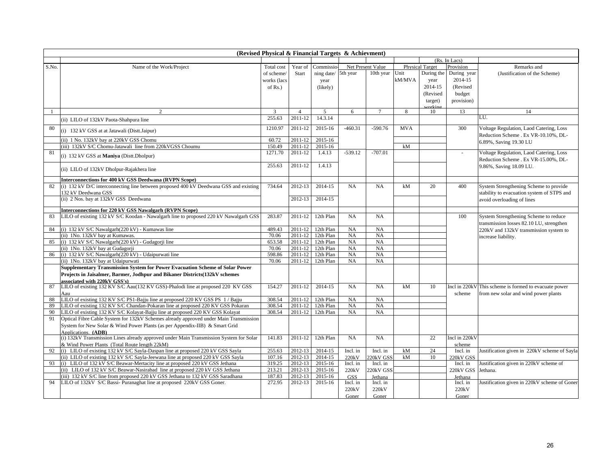| (Revised Physical & Financial Targets & Achievment) |                                                                                        |             |                |                |            |                   |            |                        |                         |                                                                                   |  |  |
|-----------------------------------------------------|----------------------------------------------------------------------------------------|-------------|----------------|----------------|------------|-------------------|------------|------------------------|-------------------------|-----------------------------------------------------------------------------------|--|--|
|                                                     |                                                                                        |             |                |                |            |                   |            |                        | (Rs. In Lacs)           |                                                                                   |  |  |
| S.No.                                               | Name of the Work/Project                                                               | Total cost  | Year of        | Commissio      |            | Net Present Value |            | <b>Physical Target</b> | Provision               | Remarks and                                                                       |  |  |
|                                                     |                                                                                        | of scheme/  | Start          | ning date/     | 5th year   | 10th year         | Unit       | During the             | During year             | (Justification of the Scheme)                                                     |  |  |
|                                                     |                                                                                        | works (lacs |                | year           |            |                   | kM/MVA     | year                   | 2014-15                 |                                                                                   |  |  |
|                                                     |                                                                                        | of $Rs.$ )  |                | (likely)       |            |                   |            | 2014-15                | (Revised                |                                                                                   |  |  |
|                                                     |                                                                                        |             |                |                |            |                   |            | (Revised               | budget                  |                                                                                   |  |  |
|                                                     |                                                                                        |             |                |                |            |                   |            | target)                | provision)              |                                                                                   |  |  |
|                                                     |                                                                                        |             |                |                |            |                   |            | vorkin                 |                         |                                                                                   |  |  |
|                                                     | $\mathfrak{D}$                                                                         | 3           | $\overline{4}$ | $\overline{5}$ | 6          | $7\phantom{.0}$   | 8          | 10                     | 13                      | 14                                                                                |  |  |
|                                                     | (ii) LILO of 132kV Paota-Shahpura line                                                 | 255.63      | 2011-12        | 14.3.14        |            |                   |            |                        |                         | LU.                                                                               |  |  |
| 80                                                  | (i) 132 kV GSS at at Jatawali (Distt.Jaipur)                                           | 1210.97     | 2011-12        | 2015-16        | $-460.31$  | $-590.76$         | <b>MVA</b> |                        | 300                     | Voltage Regulation, Laod Catering, Loss<br>Reduction Scheme . Ex VR-10.10%, DL-   |  |  |
|                                                     | (ii) 1 No. 132kV bay at 220kV GSS Chomu                                                | 60.72       | 2011-12        | 2015-16        |            |                   |            |                        |                         | 6.89%, Saving 19.30 LU                                                            |  |  |
|                                                     | (iii) 132kV S/C Chomu-Jatawali line from 220kVGSS Choumu                               | 150.49      | 2011-12        | 2015-16        |            |                   | kM         |                        |                         |                                                                                   |  |  |
| 81                                                  | (i) 132 kV GSS at Maniya (Distt.Dholpur)                                               | 1271.70     | 2011-12        | 1.4.13         | $-539.12$  | $-707.01$         |            |                        | ä,                      | Voltage Regulation, Laod Catering, Loss<br>Reduction Scheme . Ex VR-15.00%, DL-   |  |  |
|                                                     | (ii) LILO of 132kV Dholpur-Rajakhera line                                              | 255.63      | 2011-12        | 1.4.13         |            |                   |            |                        |                         | 9.86%, Saving 18.09 LU.                                                           |  |  |
|                                                     | <b>Interconnections for 400 kV GSS Deedwana (RVPN Scope)</b>                           |             |                |                |            |                   |            |                        |                         |                                                                                   |  |  |
| 82                                                  | (i) 132 kV D/C interconnecting line between proposed 400 kV Deedwana GSS and existing  | 734.64      | 2012-13        | 2014-15        | NA         | NA                | kM         | 20                     | 400                     | System Strengthening Scheme to provide                                            |  |  |
|                                                     | 132 kV Deedwana GSS                                                                    |             |                |                |            |                   |            |                        |                         | stability to evacuation system of STPS and                                        |  |  |
|                                                     | (ii) 2 Nos. bay at 132kV GSS Deedwana                                                  |             | 2012-13        | 2014-15        |            |                   |            |                        |                         | avoid overloading of lines                                                        |  |  |
|                                                     | Interconnections for 220 kV GSS Nawalgarh (RVPN Scope)                                 |             |                |                |            |                   |            |                        |                         |                                                                                   |  |  |
| 83                                                  | LILO of existing 132 kV S/C Koodan - Nawalgarh line to proposed 220 kV Nawalgarh GSS   | 283.87      | 2011-12        | 12th Plan      | NA         | NA                |            |                        | 100                     | System Strengthening Scheme to reduce<br>transmission losses 82.10 LU, strengthen |  |  |
| 84                                                  | (i) 132 kV S/C Nawalgarh(220 kV) - Kumawas line                                        | 489.43      | 2011-12        | 12th Plan      | NA         | NA                |            |                        |                         | 220kV and 132kV transmission system to                                            |  |  |
|                                                     | (ii) 1No. 132kV bay at Kumawas.                                                        | 70.06       | 2011-12        | 12th Plan      | NA         | NA                |            |                        |                         | increase liability.                                                               |  |  |
| 85                                                  | (i) 132 kV S/C Nawalgarh(220 kV) - Gudagorji line                                      | 653.58      | 2011-12        | 12th Plan      | NA         | NA                |            |                        |                         |                                                                                   |  |  |
|                                                     | (ii) 1No. 132kV bay at Gudagorji                                                       | 70.06       | 2011-12        | 12th Plan      | NA         | NA                |            |                        |                         |                                                                                   |  |  |
| 86                                                  | (i) 132 kV S/C Nawalgarh(220 kV) - Udaipurwati line                                    | 598.86      | 2011-12        | 12th Plan      | NA         | NA                |            |                        |                         |                                                                                   |  |  |
|                                                     | (ii) 1No. 132kV bay at Udaipurwati                                                     | 70.06       | 2011-12        | 12th Plan      | NA         | NA                |            |                        |                         |                                                                                   |  |  |
|                                                     | Supplementary Transmission System for Power Evacuation Scheme of Solar Power           |             |                |                |            |                   |            |                        |                         |                                                                                   |  |  |
|                                                     | Projects in Jaisalmer, Barmer, Jodhpur and Bikaner Districts(132kV schemes             |             |                |                |            |                   |            |                        |                         |                                                                                   |  |  |
|                                                     | associated with 220kV GSS's)                                                           |             |                |                |            |                   |            |                        |                         |                                                                                   |  |  |
| 87                                                  | LILO of existing 132 KV S/C Aau(132 KV GSS)-Phalodi line at proposed 220 KV GSS<br>Aau | 154.27      | 2011-12        | 2014-15        | NA         | NA                | kM         | 10                     | Incl in 220kV<br>scheme | This scheme is formed to evacuate power<br>from new solar and wind power plants   |  |  |
| 88                                                  | LILO of existing 132 KV S/C PS1-Bajju line at proposed 220 KV GSS PS 1/Bajju           | 308.54      | 2011-12        | 12th Plan      | NA         | NA                |            |                        |                         |                                                                                   |  |  |
| 89                                                  | LILO of existing 132 KV S/C Chandan-Pokaran line at proposed 220 KV GSS Pokaran        | 308.54      | 2011-12        | 12th Plan      | NA         | NA                |            |                        |                         |                                                                                   |  |  |
| 90                                                  | LILO of existing 132 KV S/C Kolayat-Bajju line at proposed 220 KV GSS Kolayat          | 308.54      | 2011-12        | 12th Plan      | NA         | NA                |            |                        |                         |                                                                                   |  |  |
| 91                                                  | Optical Fibre Cable System for 132kV Schemes already approved under Main Transmission  |             |                |                |            |                   |            |                        |                         |                                                                                   |  |  |
|                                                     | System for New Solar & Wind Power Plants (as per Appendix-IIB) & Smart Grid            |             |                |                |            |                   |            |                        |                         |                                                                                   |  |  |
|                                                     | Applications. (ADB)                                                                    |             |                |                |            |                   |            |                        |                         |                                                                                   |  |  |
|                                                     | (i) 132kV Transmission Lines already approved under Main Transmission System for Solar | 141.83      | 2011-12        | 12th Plan      | NA         | <b>NA</b>         |            | 22                     | Incl in 220kV           |                                                                                   |  |  |
|                                                     | & Wind Power Plants (Total Route length 22kM)                                          |             |                |                |            |                   |            |                        | scheme                  |                                                                                   |  |  |
| 92                                                  | (i) LILO of existing 132 kV S/C Sayla-Daspan line at proposed 220 kV GSS Sayla         | 255.63      | 2012-13        | 2014-15        | Incl. in   | Incl. in          | kM         | 24                     | Incl. in                | Justification given in 220kV scheme of Sayla                                      |  |  |
|                                                     | (ii) LILO of existing 132 kV S/C Sayla-Jeewana line at proposed 220 kV GSS Sayla       | 107.16      | 2012-13        | 2014-15        | 220kV      | 20kV GSS          | kM         | 10                     | 220kV GSS               |                                                                                   |  |  |
| 93                                                  | (i) LILO of 132 kV S/C Beawar-Mertacity line at proposed 220 kV GSS Jethana            | 319.25      | 2012-13        | 2015-16        | Incl. in   | Incl. in          |            |                        | Incl. in                | Justification given in 220kV scheme of                                            |  |  |
|                                                     | (ii) LILO of 132 kV S/C Beawar-Nasirabad line at proposed 220 kV GSS Jethana           | 213.21      | 2012-13        | 2015-16        | 220kV      | 20kV GSS          |            |                        | 220kV GSS               | Jethana.                                                                          |  |  |
|                                                     | (iii) 132 kV S/C line from proposed 220 kV GSS Jethana to 132 kV GSS Saradhana         | 187.83      | 2012-13        | 2015-16        | <b>GSS</b> | Jethana           |            |                        | Jethana                 |                                                                                   |  |  |
| 94                                                  | LILO of 132kV S/C Bassi-Puranaghat line at proposed 220kV GSS Goner.                   | 272.95      | 2012-13        | 2015-16        | Incl. in   | Incl. in          |            |                        | Incl. in                | Justification given in 220kV scheme of Goner                                      |  |  |
|                                                     |                                                                                        |             |                |                | 220kV      | 220kV             |            |                        | 220kV                   |                                                                                   |  |  |
|                                                     |                                                                                        |             |                |                | Goner      | Goner             |            |                        | Goner                   |                                                                                   |  |  |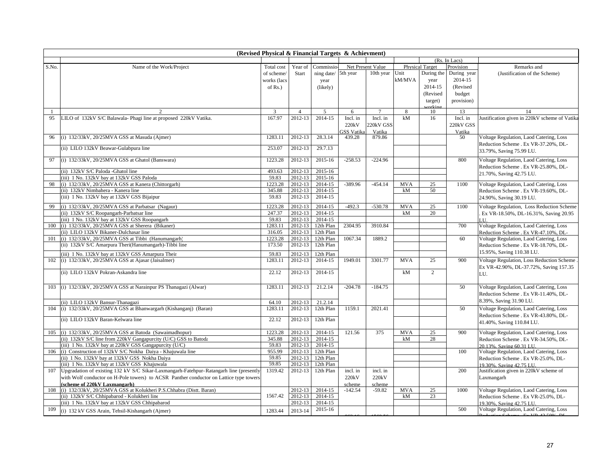| (Revised Physical & Financial Targets & Achievment) |                                                                                             |                   |                    |                        |                   |                   |            |                        |               |                                                                                 |  |  |  |  |  |
|-----------------------------------------------------|---------------------------------------------------------------------------------------------|-------------------|--------------------|------------------------|-------------------|-------------------|------------|------------------------|---------------|---------------------------------------------------------------------------------|--|--|--|--|--|
|                                                     |                                                                                             |                   |                    |                        |                   |                   |            |                        | (Rs. In Lacs) |                                                                                 |  |  |  |  |  |
| S.No.                                               | Name of the Work/Project                                                                    | Total cost        | Year of            | Commissio              |                   | Net Present Value |            | <b>Physical Target</b> | Provision     | Remarks and                                                                     |  |  |  |  |  |
|                                                     |                                                                                             | of scheme         | Start              | ning date/             | 5th year          | 10th year         | Unit       | During the             | During year   | (Justification of the Scheme)                                                   |  |  |  |  |  |
|                                                     |                                                                                             | works (lacs       |                    | year                   |                   |                   | kM/MVA     | year                   | 2014-15       |                                                                                 |  |  |  |  |  |
|                                                     |                                                                                             | of $Rs.$ )        |                    | (likely)               |                   |                   |            | 2014-15                | (Revised      |                                                                                 |  |  |  |  |  |
|                                                     |                                                                                             |                   |                    |                        |                   |                   |            | (Revised               | budget        |                                                                                 |  |  |  |  |  |
|                                                     |                                                                                             |                   |                    |                        |                   |                   |            | target)                | provision)    |                                                                                 |  |  |  |  |  |
|                                                     |                                                                                             |                   |                    |                        |                   |                   |            | arkin                  |               |                                                                                 |  |  |  |  |  |
|                                                     |                                                                                             | $\overline{3}$    | $\overline{4}$     | $\overline{5}$         | 6                 | $\overline{7}$    | 8          | 10                     | 13            | 14                                                                              |  |  |  |  |  |
| 95                                                  | LILO of 132kV S/C Balawala- Phagi line at proposed 220kV Vatika.                            | 167.97            | 2012-13            | 2014-15                | Incl. in          | Incl. in          | kM         | 16                     | Incl. in      | Justification given in 220kV scheme of Vatika                                   |  |  |  |  |  |
|                                                     |                                                                                             |                   |                    |                        | 220kV             | 220kV GSS         |            |                        | 220kV GSS     |                                                                                 |  |  |  |  |  |
|                                                     |                                                                                             |                   | 2012-13            | 28.3.14                | <b>GSS Vatika</b> | Vatika<br>879.86  |            |                        | Vatika        |                                                                                 |  |  |  |  |  |
| 96                                                  | (i) 132/33kV, 20/25MVA GSS at Masuda (Ajmer)                                                | 1283.11           |                    |                        | 439.28            |                   |            |                        | 50            | Voltage Regulation, Laod Catering, Loss<br>Reduction Scheme . Ex VR-37.20%, DL- |  |  |  |  |  |
|                                                     | (ii) LILO 132kV Beawar-Gulabpura line                                                       | 253.07            | 2012-13            | 29.7.13                |                   |                   |            |                        |               |                                                                                 |  |  |  |  |  |
|                                                     |                                                                                             |                   |                    |                        |                   |                   |            |                        |               | 33.79%, Saving 75.99 LU.                                                        |  |  |  |  |  |
| 97                                                  | (i) 132/33kV, 20/25MVA GSS at Ghatol (Banswara)                                             | 1223.28           | 2012-13            | 2015-16                | $-258.53$         | $-224.96$         |            |                        | 800           | Voltage Regulation, Laod Catering, Loss                                         |  |  |  |  |  |
|                                                     |                                                                                             |                   |                    |                        |                   |                   |            |                        |               | Reduction Scheme . Ex VR-25.80%, DL-                                            |  |  |  |  |  |
|                                                     | (ii) 132kV S/C Paloda - Ghatol line<br>(iii) 1 No. 132kV bay at 132kV GSS Paloda            | 493.63<br>59.83   | 2012-13<br>2012-13 | 2015-16<br>2015-16     |                   |                   |            |                        |               | 21.70%, Saving 42.75 LU.                                                        |  |  |  |  |  |
| 98                                                  | (i) 132/33kV, 20/25MVA GSS at Kanera (Chittorgarh)                                          | 1223.28           | 2012-13            | 2014-15                | $-389.96$         | $-454.14$         | <b>MVA</b> | 25                     | 1100          | Voltage Regulation, Laod Catering, Loss                                         |  |  |  |  |  |
|                                                     | (ii) 132kV Nimbahera - Kanera line                                                          | 345.88            | 2012-13            | 2014-15                |                   |                   | kM         | 50                     |               | Reduction Scheme . Ex VR-19.60%, DL-                                            |  |  |  |  |  |
|                                                     | (iii) 1 No. 132kV bay at 132kV GSS Bijaipur                                                 | 59.83             | 2012-13            | 2014-15                |                   |                   |            |                        |               | 24.90%, Saving 30.19 LU.                                                        |  |  |  |  |  |
|                                                     |                                                                                             |                   |                    |                        |                   |                   |            |                        |               |                                                                                 |  |  |  |  |  |
| 99                                                  | (i) 132/33kV, 20/25MVA GSS at Parbatsar (Nagaur)                                            | 1223.28           | 2012-13            | 2014-15                | $-492.3$          | $-530.78$         | <b>MVA</b> | 25                     | 1100          | Voltage Regulation, Loss Reduction Scheme                                       |  |  |  |  |  |
|                                                     | (ii) 132kV S/C Roopangarh-Parbatsar line                                                    | 247.37            | 2012-13            | 2014-15                |                   |                   | kM         | 20                     |               | Ex VR-18.50%, DL-16.31%, Saving 20.95                                           |  |  |  |  |  |
|                                                     | (iii) 1 No. 132kV bay at 132kV GSS Roopangarh                                               | 59.83             | 2012-13            | 2014-15                |                   |                   |            |                        |               | $\overline{11}$                                                                 |  |  |  |  |  |
| 100                                                 | (i) 132/33kV, 20/25MVA GSS at Sherera (Bikaner)                                             | 1283.11           | 2012-13            | 12th Plan              | 2304.95           | 3910.84           |            |                        | 700           | Voltage Regulation, Laod Catering, Loss                                         |  |  |  |  |  |
| 101                                                 | (ii) LILO 132kV Bikaner-Dulchasar line<br>(i) 132/33kV, 20/25MVA GSS at Tibbi (Hanumangarh) | 316.05<br>1223.28 | 2012-13<br>2012-13 | 12th Plan<br>12th Plan | 1067.34           | 1889.2            |            |                        | 60            | Reduction Scheme . Ex VR-47.10%, DL-                                            |  |  |  |  |  |
|                                                     | (ii) 132kV S/C Amarpura Theri(Hanumangarh)-Tibbi line                                       | 173.50            | 2012-13            | 12th Plan              |                   |                   |            |                        |               | Voltage Regulation, Laod Catering, Loss<br>Reduction Scheme . Ex VR-18.70%, DL- |  |  |  |  |  |
|                                                     |                                                                                             |                   |                    |                        |                   |                   |            |                        |               |                                                                                 |  |  |  |  |  |
|                                                     | (iii) 1 No. 132kV bay at 132kV GSS Amarpura Their                                           | 59.83             | 2012-13            | 12th Plan              |                   |                   |            |                        |               | 15.95%, Saving 110.38 LU.                                                       |  |  |  |  |  |
| 102                                                 | (i) 132/33kV, 20/25MVA GSS at Ajasar (Jaisalmer)                                            | 1283.11           | 2012-13            | 2014-15                | 1949.01           | 3301.77           | <b>MVA</b> | 25                     | 900           | Voltage Regulation, Loss Reduction Scheme                                       |  |  |  |  |  |
|                                                     | (ii) LILO 132kV Pokran-Askandra line                                                        | 22.12             | 2012-13            | 2014-15                |                   |                   | kM         | $\overline{2}$         |               | Ex VR-42.90%, DL-37.72%, Saving 157.35                                          |  |  |  |  |  |
|                                                     |                                                                                             |                   |                    |                        |                   |                   |            |                        |               | LU.                                                                             |  |  |  |  |  |
|                                                     |                                                                                             |                   |                    |                        |                   |                   |            |                        |               |                                                                                 |  |  |  |  |  |
| 103                                                 | (i) 132/33kV, 20/25MVA GSS at Narainpur PS Thanagazi (Alwar)                                | 1283.11           | 2012-13            | 21.2.14                | $-204.78$         | $-184.75$         |            |                        | 50            | Voltage Regulation, Laod Catering, Loss                                         |  |  |  |  |  |
|                                                     |                                                                                             |                   |                    |                        |                   |                   |            |                        |               | Reduction Scheme . Ex VR-11.40%, DL-                                            |  |  |  |  |  |
|                                                     | (ii) LILO 132kV Bansur-Thanagazi                                                            | 64.10             | 2012-13            | 21.2.14                |                   |                   |            |                        |               | 8.39%, Saving 31.90 LU.                                                         |  |  |  |  |  |
| 104                                                 | (i) 132/33kV, 20/25MVA GSS at Bhanwargarh (Kishanganj) (Baran)                              | 1283.11           | 2012-13            | 12th Plan              | 1159.1            | 2021.41           |            |                        | 50            | Voltage Regulation, Laod Catering, Loss                                         |  |  |  |  |  |
|                                                     | (ii) LILO 132kV Baran-Kelwara line                                                          | 22.12             | 2012-13            | 12th Plan              |                   |                   |            |                        |               | Reduction Scheme . Ex VR-43.80%, DL-                                            |  |  |  |  |  |
|                                                     |                                                                                             |                   |                    |                        |                   |                   |            |                        |               | 41.40%, Saving 110.84 LU.                                                       |  |  |  |  |  |
| 105                                                 | (i) 132/33kV, 20/25MVA GSS at Batoda (Sawaimadhopur)                                        | 1223.28           | 2012-13            | 2014-15                | 121.56            | 375               | <b>MVA</b> | 25                     | 900           | Voltage Regulation, Laod Catering, Loss                                         |  |  |  |  |  |
|                                                     | (ii) 132kV S/C line from 220kV Gangapurcity (U/C) GSS to Batoda                             | 345.88            | 2012-13            | 2014-15                |                   |                   | kM         | 28                     |               | Reduction Scheme . Ex VR-34.50%, DL-                                            |  |  |  |  |  |
|                                                     | (iii) 1 No. 132kV bay at 220kV GSS Gangapurcity (U/C)                                       | 59.83             | 2012-13            | 2014-15                |                   |                   |            |                        |               | 20.13%, Saving 60.31 LU.                                                        |  |  |  |  |  |
| 106                                                 | (i) Construction of 132kV S/C Nokha Daiya - Khajuwala line                                  | 955.99            | 2012-13            | 12th Plan              |                   |                   |            |                        | 100           | Voltage Regulation, Laod Catering, Loss                                         |  |  |  |  |  |
|                                                     | (ii) 1 No. 132kV bay at 132kV GSS Nokha Daiya                                               | 59.85             | 2012-13            | 12th Plan              |                   |                   |            |                        |               | Reduction Scheme . Ex VR-25.0%, DL-                                             |  |  |  |  |  |
|                                                     | (iii) 1 No. 132kV bay at 132kV GSS Khajuwala                                                | 59.85             | 2012-13            | 12th Plan              |                   |                   |            |                        |               | 19.30%, Saving 42.75 LU.                                                        |  |  |  |  |  |
| 107                                                 | Upgradation of existing 132 kV S/C Sikar-Laxmangarh-Fatehpur-Ratangarh line (presently      | 1319.42           | 2012-13            | 12th Plan              | incl. in          | incl. in          |            |                        | 200           | Justification given in 220kV scheme of                                          |  |  |  |  |  |
|                                                     | with Wolf conductor on H-Pole towers) to ACSR Panther conductor on Lattice type towers      |                   |                    |                        | 220kV             | 220kV             |            |                        |               | Laxmangarh                                                                      |  |  |  |  |  |
|                                                     | (scheme of 220kV Laxmangarh)                                                                |                   |                    |                        | scheme            | scheme            |            |                        |               |                                                                                 |  |  |  |  |  |
| 108                                                 | (i) 132/33kV, 20/25MVA GSS at Kolukheri P.S.Chhabra (Distt. Baran)                          |                   | 2012-13            | 2014-15                | $-142.54$         | $-59.82$          | <b>MVA</b> | 25                     | 1000          | Voltage Regulation, Laod Catering, Loss                                         |  |  |  |  |  |
|                                                     | (ii) 132kV S/C Chhipabarod - Kolukheri line                                                 | 1567.42           | 2012-13            | 2014-15                |                   |                   | kM         | 23                     |               | Reduction Scheme . Ex VR-25.0%, DL-                                             |  |  |  |  |  |
|                                                     | (iii) 1 No. 132kV bay at 132kV GSS Chhipabarod                                              |                   | 2012-13            | 2014-15                |                   |                   |            |                        |               | 19.30%, Saving 42.75 LU.                                                        |  |  |  |  |  |
| 109                                                 | (i) 132 kV GSS Arain, Tehsil-Kishangarh (Ajmer)                                             | 1283.44           | 2013-14            | 2015-16                |                   |                   |            |                        | 500           | Voltage Regulation, Laod Catering, Loss                                         |  |  |  |  |  |
|                                                     |                                                                                             |                   |                    |                        |                   |                   |            |                        |               |                                                                                 |  |  |  |  |  |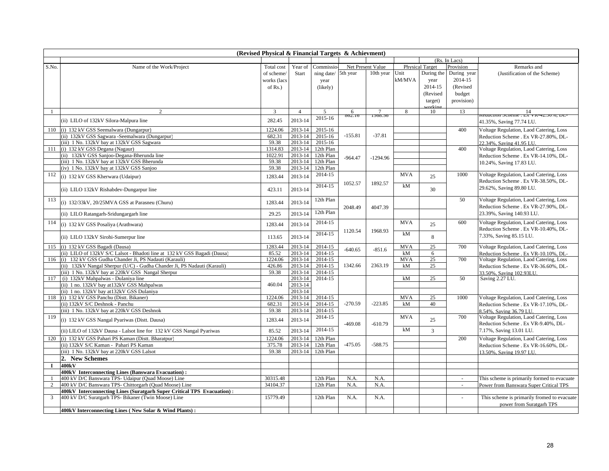| (Revised Physical & Financial Targets & Achievment)          |                                                                           |             |                |                          |           |            |            |              |                          |                                             |  |
|--------------------------------------------------------------|---------------------------------------------------------------------------|-------------|----------------|--------------------------|-----------|------------|------------|--------------|--------------------------|---------------------------------------------|--|
| (Rs. In Lacs)<br>Net Present Value<br><b>Physical Target</b> |                                                                           |             |                |                          |           |            |            |              |                          |                                             |  |
| S.No.                                                        | Name of the Work/Project                                                  | Total cost  | Year of        | Commissic                |           |            |            |              | Provision                | Remarks and                                 |  |
|                                                              |                                                                           | of scheme/  | Start          | ning date/               | 5th year  | 10th year  | Unit       | During the   | During year              | (Justification of the Scheme)               |  |
|                                                              |                                                                           | works (lacs |                | year                     |           |            | kM/MVA     | year         | 2014-15                  |                                             |  |
|                                                              |                                                                           | of $Rs.$ )  |                | (likely)                 |           |            |            | 2014-15      | (Revised                 |                                             |  |
|                                                              |                                                                           |             |                |                          |           |            |            | (Revised     | budget                   |                                             |  |
|                                                              |                                                                           |             |                |                          |           |            |            |              |                          |                                             |  |
|                                                              |                                                                           |             |                |                          |           |            |            | target)      | provision)               |                                             |  |
|                                                              | 2                                                                         | 3           | $\overline{4}$ | $\overline{\phantom{0}}$ | 6         | 7          | 8          | vrkin<br>10  | 13                       | 14                                          |  |
|                                                              |                                                                           | 282.45      | 2013-14        | 2015-16                  | 02.IO     | .J00.J     |            |              |                          |                                             |  |
|                                                              | (ii) LILO of 132kV Silora-Malpura line                                    |             |                |                          |           |            |            |              |                          | 41.35%, Saving 77.74 LU.                    |  |
| 110                                                          | (i) 132 kV GSS Seemalwara (Dungarpur)                                     | 1224.06     | 2013-14        | 2015-16                  |           |            |            |              | 400                      | Voltage Regulation, Laod Catering, Loss     |  |
|                                                              | (ii) 132kV GSS Sagwara - Seemalwara (Dungarpur)                           | 682.31      | 2013-14        | 2015-16                  | $-155.81$ | $-37.81$   |            |              |                          | Reduction Scheme. Ex VR-27.80%. DL-         |  |
|                                                              | (iii) 1 No. 132kV bay at 132kV GSS Sagwara                                | 59.38       | 2013-14        | 2015-16                  |           |            |            |              |                          | 22.34%, Saving 41.95 LU.                    |  |
| 111                                                          | (i) 132 kV GSS Degana (Nagaur)                                            | 1314.83     | 2013-14        | 12th Plan                |           |            |            |              | 400                      | Voltage Regulation, Laod Catering, Loss     |  |
|                                                              | (ii) 132kV GSS Sanjoo-Degana-Bherunda line                                | 1022.91     | 2013-14        | 12th Plan                | $-964.47$ | $-1294.96$ |            |              |                          | Reduction Scheme . Ex VR-14.10%, DL-        |  |
|                                                              | (iii) 1 No. 132kV bay at 132kV GSS Bherunda                               | 59.38       | 2013-14        | 12th Plan                |           |            |            |              |                          | 10.24%, Saving 17.83 LU.                    |  |
|                                                              | (iv) 1 No. 132kV bay at 132kV GSS Sanjoo                                  | 59.38       | 2013-14        | 12th Plan                |           |            |            |              |                          |                                             |  |
| 112                                                          | (i) 132 kV GSS Kherwara (Udaipur)                                         | 1283.44     | 2013-14        | 2014-15                  |           |            | <b>MVA</b> | 25           | 1000                     | Voltage Regulation, Laod Catering, Loss     |  |
|                                                              |                                                                           |             |                |                          | 1052.57   | 1892.57    |            |              |                          | Reduction Scheme . Ex VR-38.50%, DL-        |  |
|                                                              | (ii) LILO 132kV Rishabdev-Dungarpur line                                  | 423.11      | 2013-14        | 2014-15                  |           |            | kM         | 30           |                          | 29.62%, Saving 89.80 LU.                    |  |
|                                                              |                                                                           |             |                |                          |           |            |            |              |                          |                                             |  |
| 113                                                          |                                                                           |             | 2013-14        | 12th Plan                |           |            |            |              | 50                       | Voltage Regulation, Laod Catering, Loss     |  |
|                                                              | (i) 132/33kV, 20/25MVA GSS at Parasneu (Churu)                            | 1283.44     |                |                          | 2048.49   | 4047.39    |            |              |                          | Reduction Scheme . Ex VR-27.90%, DL-        |  |
|                                                              |                                                                           | 29.25       | 2013-14        | 12th Plan                |           |            |            |              |                          | 23.39%, Saving 140.93 LU.                   |  |
|                                                              | (ii) LILO Ratangarh-Sridungargarh line                                    |             |                |                          |           |            |            |              |                          |                                             |  |
| 114                                                          | (i) 132 kV GSS Posaliya (Arathwara)                                       | 1283.44     | 2013-14        | 2014-15                  |           |            | <b>MVA</b> | 25           | 600                      | Voltage Regulation, Laod Catering, Loss     |  |
|                                                              |                                                                           |             |                |                          | 1120.54   | 1968.93    |            |              |                          | Reduction Scheme . Ex VR-10.40%, DL-        |  |
|                                                              | (ii) LILO 132kV Sirohi-Sumerpur line                                      | 113.65      | 2013-14        | 2014-15                  |           |            | kM         | 8            |                          | 7.33%, Saving 85.15 LU.                     |  |
|                                                              |                                                                           |             |                |                          |           |            |            |              |                          |                                             |  |
| 115                                                          | (i) 132 kV GSS Bagadi (Dausa)                                             | 1283.44     | 2013-14        | 2014-15                  | $-640.65$ | $-851.6$   | <b>MVA</b> | 25           | 700                      | Voltage Regulation, Laod Catering, Loss     |  |
|                                                              | (ii) LILO of 132kV S/C Lalsot - Bhadoti line at 132 kV GSS Bagadi (Dausa) | 85.52       | 2013-14        | $2014 - 15$              |           |            | kM         | 6            |                          | Reduction Scheme. Ex VR-10.10%. DL-         |  |
| 116                                                          | (i) 132 kV GSS Gudha Chander Ji, PS Nadauti (Karauli)                     | 1224.06     | 2013-14        | 2014-15                  |           |            | <b>MVA</b> | 25           | 700                      | Voltage Regulation, Laod Catering, Loss     |  |
|                                                              | (ii) 132kV Nangal Sherpur (U/C) - Gudha Chander Ji, PS Nadauti (Karauli)  | 426.86      | 2013-14        | 2014-15                  | 1342.66   | 2363.19    | kM         | 25           |                          | Reduction Scheme . Ex VR-36.60%, DL-        |  |
|                                                              | (iii) 1 No. 132kV bay at 220kV GSS Nangal Sherpur                         | 59.38       | 2013-14        | 2014-15                  |           |            |            |              |                          | 33.50%, Saving 102.93LU.                    |  |
| 117                                                          | (i) 132kV Mahpalwas - Dulaniya line                                       |             | 2013-14        | 2014-15                  |           |            | kM         | 25           | 50                       | Saving 2.27 LU.                             |  |
|                                                              | (ii) 1 no. 132kV bay at 132kV GSS Mahpalwas                               | 460.04      | 2013-14        |                          |           |            |            |              |                          |                                             |  |
|                                                              | (ii) 1 no. 132kV bay at132kV GSS Dulaniya                                 |             | 2013-14        |                          |           |            |            |              |                          |                                             |  |
| 118                                                          | (i) 132 kV GSS Panchu (Distt. Bikaner)                                    | 1224.06     | 2013-14        | 2014-15                  |           |            | <b>MVA</b> | 25           | 1000                     | Voltage Regulation, Laod Catering, Loss     |  |
|                                                              | (ii) 132kV S/C Deshnok - Panchu                                           | 682.31      | 2013-14        | 2014-15                  | $-270.59$ | $-223.85$  | kM         | 40           |                          | Reduction Scheme . Ex VR-17.10%, DL-        |  |
|                                                              | (iii) 1 No. 132kV bay at 220kV GSS Deshnok                                | 59.38       | 2013-14        | 2014-15                  |           |            |            |              |                          | 8.54%, Saving 36.79 LU.                     |  |
| 119                                                          | (i) 132 kV GSS Nangal Pyariwas (Distt. Dausa)                             | 1283.44     | 2013-14        | 2014-15                  |           |            | <b>MVA</b> | 25           | 700                      | Voltage Regulation, Laod Catering, Loss     |  |
|                                                              |                                                                           |             |                |                          | $-469.08$ | $-610.79$  |            |              |                          | Reduction Scheme . Ex VR-9.40%, DL-         |  |
|                                                              | (ii) LILO of 132kV Dausa - Lalsot line for 132 kV GSS Nangal Pyariwas     | 85.52       | 2013-14        | 2014-15                  |           |            | kM         | $\mathbf{3}$ |                          | 7.17%, Saving 13.01 LU.                     |  |
| 120                                                          | (i) 132 kV GSS Pahari PS Kaman (Distt. Bharatpur)                         | 1224.06     | 2013-14        | 12th Plan                |           |            |            |              | 200                      | Voltage Regulation, Laod Catering, Loss     |  |
|                                                              | (ii) 132kV S/C Kaman - Pahari PS Kaman                                    | 375.78      | 2013-14        | 12th Plan                | $-475.05$ | $-588.75$  |            |              |                          |                                             |  |
|                                                              | (iii) 1 No. 132kV bay at 220kV GSS Lalsot                                 | 59.38       | 2013-14        | 12th Plan                |           |            |            |              |                          | Reduction Scheme . Ex VR-16.60%, DL-        |  |
|                                                              | 2. New Schemes                                                            |             |                |                          |           |            |            |              |                          | 13.50%, Saving 19.97 LU.                    |  |
|                                                              |                                                                           |             |                |                          |           |            |            |              |                          |                                             |  |
| $\mathbf I$                                                  | 400kV                                                                     |             |                |                          |           |            |            |              |                          |                                             |  |
|                                                              | 400kV Interconnecting Lines (Banswara Evacuation):                        |             |                |                          |           |            |            |              |                          |                                             |  |
| $\mathbf{1}$                                                 | 400 kV D/C Banswara TPS- Udaipur (Quad Moose) Line                        | 30315.48    |                | 12th Plan                | N.A.      | N.A.       |            |              | $\sim$                   | This scheme is primarily formed to evacuate |  |
| 2                                                            | 400 kV D/C Banswara TPS- Chittorgarh (Quad Moose) Line                    | 34104.37    |                | 12th Plan                | N.A.      | N.A.       |            |              | $\overline{\phantom{a}}$ | Power from Banswara Super Critical TPS      |  |
|                                                              | 400kV Interconnecting Lines (Suratgarh Super Critical TPS Evacuation):    |             |                |                          |           |            |            |              |                          |                                             |  |
| $\mathfrak{Z}$                                               | 400 kV D/C Suratgarh TPS- Bikaner (Twin Moose) Line                       | 15779.49    |                | 12th Plan                | N.A.      | N.A.       |            |              | $\omega$                 | This scheme is primarily fromed to evacuate |  |
|                                                              |                                                                           |             |                |                          |           |            |            |              |                          | power from Suratgarh TPS                    |  |
|                                                              | 400kV Interconnecting Lines (New Solar & Wind Plants):                    |             |                |                          |           |            |            |              |                          |                                             |  |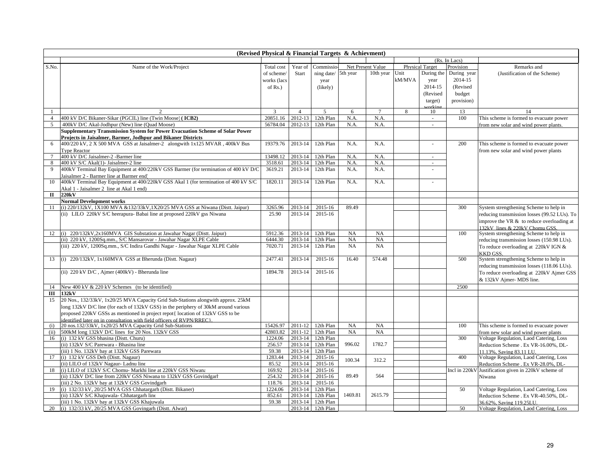| (Revised Physical & Financial Targets & Achievment) |                                                                                                                                                         |                  |                |                   |           |                   |        |                        |               |                                                                          |
|-----------------------------------------------------|---------------------------------------------------------------------------------------------------------------------------------------------------------|------------------|----------------|-------------------|-----------|-------------------|--------|------------------------|---------------|--------------------------------------------------------------------------|
|                                                     |                                                                                                                                                         |                  |                |                   |           |                   |        |                        | (Rs. In Lacs) |                                                                          |
| S.No.                                               | Name of the Work/Project                                                                                                                                | Total cost       | Year of        | Commissio         |           | Net Present Value |        | <b>Physical Target</b> | Provision     | Remarks and                                                              |
|                                                     |                                                                                                                                                         | of scheme/       | Start          | ning date/        | 5th year  | 10th year         | Unit   | During the             | During year   | (Justification of the Scheme)                                            |
|                                                     |                                                                                                                                                         | works (lacs      |                | year              |           |                   | kM/MVA | year                   | 2014-15       |                                                                          |
|                                                     |                                                                                                                                                         | of $Rs.$ )       |                | (likely)          |           |                   |        | 2014-15                | (Revised      |                                                                          |
|                                                     |                                                                                                                                                         |                  |                |                   |           |                   |        | (Revised               | budget        |                                                                          |
|                                                     |                                                                                                                                                         |                  |                |                   |           |                   |        | target)                | provision)    |                                                                          |
|                                                     |                                                                                                                                                         |                  |                |                   |           |                   |        | $\alpha$ kin           |               |                                                                          |
|                                                     | $\mathcal{D}$                                                                                                                                           | 3                | $\overline{4}$ | $\overline{5}$    | 6         | $\tau$            | 8      | 10                     | 13            | 14                                                                       |
| $\overline{4}$                                      | 400 kV D/C Bikaner-Sikar (PGCIL) line (Twin Moose) (ICB2)                                                                                               | 20851.16         | 2012-13        | 12th Plan         | N.A.      | N.A.              |        | $\sim$                 | 100           | This scheme is formed to evacuate power                                  |
| 5                                                   | 400kV D/C Akal-Jodhpur (New) line (Quad Moose)                                                                                                          | 56784.04         | 2012-13        | 12th Plan         | N.A.      | N.A.              |        |                        |               | from new solar and wind power plants.                                    |
|                                                     | Supplementary Transmission System for Power Evacuation Scheme of Solar Power                                                                            |                  |                |                   |           |                   |        |                        |               |                                                                          |
|                                                     | Projects in Jaisalmer, Barmer, Jodhpur and Bikaner Districts                                                                                            |                  |                |                   |           |                   |        |                        |               |                                                                          |
| 6                                                   | 400/220 kV, 2 X 500 MVA GSS at Jaisalmer-2 alongwith 1x125 MVAR, 400kV Bus                                                                              | 19379.76         | 2013-14        | 12th Plan         | N.A.      | N.A.              |        | ÷,                     | 200           | This scheme is formed to evacuate power                                  |
|                                                     | <b>Type Reactor</b>                                                                                                                                     |                  |                |                   |           |                   |        |                        |               | from new solar and wind power plants                                     |
| $\tau$                                              | 400 kV D/C Jaisalmer-2 -Barmer line                                                                                                                     | 13498.12         | 2013-14        | 12th Plan         | N.A.      | N.A.              |        | $\bar{a}$              |               |                                                                          |
| 8                                                   | 400 kV S/C Akal(1)- Jaisalmer-2 line                                                                                                                    | 3518.61          | 2013-14        | 12th Plan         | N.A.      | N.A.              |        | ÷.                     |               |                                                                          |
| 9                                                   | 400kV Terminal Bay Equipment at 400/220kV GSS Barmer (for termination of 400 kV D/C                                                                     | 3619.21          | 2013-14        | 12th Plan         | N.A.      | N.A.              |        |                        |               |                                                                          |
|                                                     | Jaisalmer 2 - Barmer line at Barmer end)                                                                                                                |                  |                |                   |           |                   |        |                        |               |                                                                          |
| 10                                                  | 400kV Terminal Bay Equipment at 400/220kV GSS Akal 1 (for termination of 400 kV S/C                                                                     | 1820.11          | 2013-14        | 12th Plan         | N.A.      | N.A.              |        | ÷.                     |               |                                                                          |
|                                                     | Akal 1 - Jaisalmer 2 line at Akal 1 end)                                                                                                                |                  |                |                   |           |                   |        |                        |               |                                                                          |
| $\mathbf{I}$                                        | 220kV                                                                                                                                                   |                  |                |                   |           |                   |        |                        |               |                                                                          |
| 11                                                  | <b>Normal Development works</b>                                                                                                                         |                  | 2013-14        | 2015-16           | 89.49     |                   |        |                        | 300           |                                                                          |
|                                                     | (i) 220/132kV, 1X100 MVA &132/33kV, 1X20/25 MVA GSS at Niwana (Distt. Jaipur)<br>(ii) LILO 220kV S/C heerapura- Babai line at proposed 220kV gss Niwana | 3265.96<br>25.90 | 2013-14        | 2015-16           |           |                   |        |                        |               | System strengthening Scheme to help in                                   |
|                                                     |                                                                                                                                                         |                  |                |                   |           |                   |        |                        |               | reducing transmission losses (99.52 LUs). To                             |
|                                                     |                                                                                                                                                         |                  |                |                   |           |                   |        |                        |               | improve the VR $&$ to reduce overloading at                              |
| 12                                                  | (i) 220/132kV,2x160MVA GIS Substation at Jawahar Nagar (Distt. Jaipur)                                                                                  | 5912.36          | 2013-14        | 12th Plan         | NA        | NA                |        |                        | 100           | 132kV lines & 220kV Chomu GSS.<br>System strengthening Scheme to help in |
|                                                     | (ii) 220 kV, 1200Sq.mm., S/C Mansarovar - Jawahar Nagar XLPE Cable                                                                                      | 6444.30          | 2013-14        | 12th Plan         | NA        | NA                |        |                        |               |                                                                          |
|                                                     | (iii) 220 kV, 1200Sq.mm., S/C Indira Gandhi Nagar - Jawahar Nagar XLPE Cable                                                                            | 7020.71          | 2013-14        | 12th Plan         | <b>NA</b> | NA                |        |                        |               | reducing transmission losses (150.98 LUs).                               |
|                                                     |                                                                                                                                                         |                  |                |                   |           |                   |        |                        |               | To reduce overloading at 220kV IGN &<br><b>KKD GSS.</b>                  |
| 13                                                  | (i) 220/132kV, 1x160MVA GSS at Bherunda (Distt. Nagaur)                                                                                                 | 2477.41          | 2013-14        | 2015-16           | 16.40     | 574.48            |        |                        | 500           | System strengthening Scheme to help in                                   |
|                                                     |                                                                                                                                                         |                  |                |                   |           |                   |        |                        |               | reducing transmission losses (118.06 LUs).                               |
|                                                     | (ii) 220 kV D/C, Ajmer (400kV) - Bherunda line                                                                                                          | 1894.78          | 2013-14        | 2015-16           |           |                   |        |                        |               | To reduce overloading at 220kV Ajmer GSS                                 |
|                                                     |                                                                                                                                                         |                  |                |                   |           |                   |        |                        |               | & 132kV Ajmer- MDS line.                                                 |
|                                                     |                                                                                                                                                         |                  |                |                   |           |                   |        |                        |               |                                                                          |
| 14                                                  | New 400 kV & 220 kV Schemes (to be identified)                                                                                                          |                  |                |                   |           |                   |        |                        | 2500          |                                                                          |
| Ш                                                   | 132kV                                                                                                                                                   |                  |                |                   |           |                   |        |                        |               |                                                                          |
| 15                                                  | 20 Nos., 132/33kV, 1x20/25 MVA Capacity Grid Sub-Stations alongwith approx. 25kM                                                                        |                  |                |                   |           |                   |        |                        |               |                                                                          |
|                                                     | long 132kV D/C line (for each of 132kV GSS) in the periphery of 30kM around various                                                                     |                  |                |                   |           |                   |        |                        |               |                                                                          |
|                                                     | proposed 220kV GSSs as mentioned in project repot{ location of 132kV GSS to be                                                                          |                  |                |                   |           |                   |        |                        |               |                                                                          |
| (i)                                                 | identified later on in consultation with field officers of RVPN/RREC).<br>20 nos.132/33kV, 1x20/25 MVA Capacity Grid Sub-Stations                       | 15426.97         | 2011-12        | 12th Plan         | NA        | NA                |        |                        | 100           | This scheme is formed to evacuate power                                  |
| (ii)                                                | 500kM long 132kV D/C lines for 20 Nos. 132kV GSS                                                                                                        | 42803.82         | 2011-12        | 12th Plan         | NA        | NA                |        |                        |               | from new solar and wind power plants                                     |
| 16                                                  | (i) 132 kV GSS bhasina (Distt. Churu)                                                                                                                   | 1224.06          | 2013-14        | 12th Plan         |           |                   |        |                        | 300           | Voltage Regulation, Laod Catering, Loss                                  |
|                                                     | (ii) 132kV S/C Parewara - Bhasina line                                                                                                                  | 256.57           | 2013-14        | 12th Plan         | 996.02    | 1782.7            |        |                        |               | Reduction Scheme . Ex VR-16.00%, DL-                                     |
|                                                     | (iii) 1 No. 132kV bay at 132kV GSS Parewara                                                                                                             | 59.38            | 2013-14        | 12th Plan         |           |                   |        |                        |               | 11.13%, Saving 83.11 LU.                                                 |
| 17                                                  | (i) 132 kV GSS Deh (Distt. Nagaur)                                                                                                                      | 1283.44          | 2013-14        | 2015-16           |           |                   |        |                        | 400           | Voltage Regulation, Laod Catering, Loss                                  |
|                                                     | (ii) LILO of 132kV Nagaur- Ladnu line                                                                                                                   | 85.52            | 2013-14        | 2015-16           | 100.34    | 312.2             |        |                        |               | Reduction Scheme . Ex VR-28.0%, DL-                                      |
| 18                                                  | (i) LILO of 132kV S/C Chomu- Markhi line at 220kV GSS Niwana                                                                                            | 169.92           | 2013-14        | 2015-16           |           |                   |        |                        | Incl in 220k  | Justification given in 220kV scheme of                                   |
|                                                     | (ii) 132kV D/C line from 220kV GSS Niwana to 132kV GSS Govindgarh                                                                                       | 254.32           | 2013-14        | 2015-16           | 89.49     | 564               |        |                        |               | Niwana                                                                   |
|                                                     | (iii) 2 No. 132kV bay at 132kV GSS Govindgarh                                                                                                           | 118.76           | 2013-14        | 2015-16           |           |                   |        |                        |               |                                                                          |
| 19                                                  | (i) 132/33 kV, 20/25 MVA GSS Chhatargarh (Distt. Bikaner)                                                                                               | 1224.06          | 2013-14        | 12th Plan         |           |                   |        |                        | 50            | Voltage Regulation, Laod Catering, Loss                                  |
|                                                     | (ii) 132kV S/C Khajuwala- Chhatargarh line                                                                                                              | 852.61           | 2013-14        | 12th Plan         | 1469.81   | 2615.79           |        |                        |               | Reduction Scheme . Ex VR-40.50%, DL-                                     |
|                                                     | (iii) 1 No. 132kV bay at 132kV GSS Khajuwala                                                                                                            | 59.38            | 2013-14        | 12th Plan         |           |                   |        |                        |               | 36.62%, Saving 119.25LU.                                                 |
| 20                                                  | (i) 132/33 kV, 20/25 MVA GSS Govingarh (Distt. Alwar)                                                                                                   |                  |                | 2013-14 12th Plan |           |                   |        |                        | 50            | Voltage Regulation, Laod Catering, Loss                                  |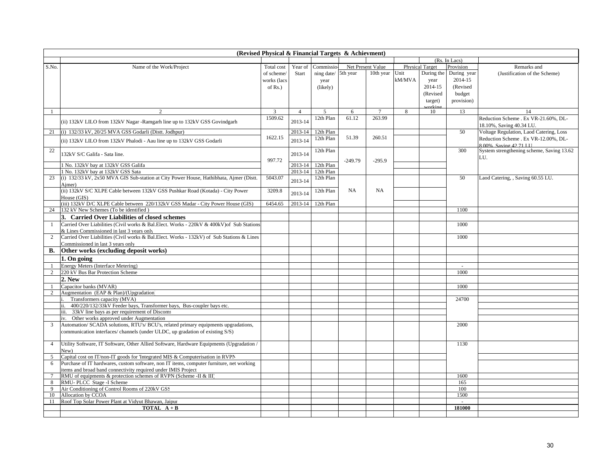| (Revised Physical & Financial Targets & Achievment) |                                                                                                                                    |               |                |            |           |                   |        |                        |               |                                           |
|-----------------------------------------------------|------------------------------------------------------------------------------------------------------------------------------------|---------------|----------------|------------|-----------|-------------------|--------|------------------------|---------------|-------------------------------------------|
|                                                     |                                                                                                                                    |               |                |            |           |                   |        |                        | (Rs. In Lacs) |                                           |
| S.No.                                               | Name of the Work/Project                                                                                                           | Total cost    | Year of        | Commissio  |           | Net Present Value |        | <b>Physical Target</b> | Provision     | Remarks and                               |
|                                                     |                                                                                                                                    | of scheme     | Start          | ning date/ | 5th year  | 10th year         | Unit   | During the             | During year   | (Justification of the Scheme)             |
|                                                     |                                                                                                                                    | works (lacs   |                | year       |           |                   | kM/MVA | year                   | 2014-15       |                                           |
|                                                     |                                                                                                                                    | of $Rs.$ )    |                | (likely)   |           |                   |        | 2014-15                | (Revised      |                                           |
|                                                     |                                                                                                                                    |               |                |            |           |                   |        | (Revised               | budget        |                                           |
|                                                     |                                                                                                                                    |               |                |            |           |                   |        |                        |               |                                           |
|                                                     |                                                                                                                                    |               |                |            |           |                   |        | target)                | provision)    |                                           |
|                                                     | $\mathcal{D}$                                                                                                                      | $\mathcal{R}$ | $\overline{4}$ | 5          | 6         |                   | 8      | vrkir<br>10            | 13            | 14                                        |
|                                                     |                                                                                                                                    | 1509.62       |                | 12th Plan  | 61.12     | 263.99            |        |                        |               | Reduction Scheme, Ex VR-21.60%, DL-       |
|                                                     | (ii) 132kV LILO from 132kV Nagar -Ramgarh line up to 132kV GSS Govindgarh                                                          |               | 2013-14        |            |           |                   |        |                        |               | 18.10%, Saving 40.34 LU.                  |
| 21                                                  | (i) 132/33 kV, 20/25 MVA GSS Godarli (Distt. Jodhpur)                                                                              |               | 2013-14        | 12th Plan  |           |                   |        |                        | 50            | Voltage Regulation, Laod Catering, Loss   |
|                                                     |                                                                                                                                    | 1622.15       |                | 12th Plan  | 51.39     | 260.51            |        |                        |               | Reduction Scheme . Ex VR-12.00%, DL-      |
|                                                     | (ii) 132kV LILO from 132kV Phalodi - Aau line up to 132kV GSS Godarli                                                              |               | 2013-14        |            |           |                   |        |                        |               | 8.00% Saving 42.71 LTL                    |
| 22                                                  |                                                                                                                                    |               |                | 12th Plan  |           |                   |        |                        | 300           | System strengthening scheme, Saving 13.62 |
|                                                     | 132kV S/C Galifa - Sata line.                                                                                                      |               | 2013-14        |            |           |                   |        |                        |               | LU.                                       |
|                                                     |                                                                                                                                    | 997.72        |                |            | $-249.79$ | $-295.9$          |        |                        |               |                                           |
|                                                     | 1 No. 132kV bay at 132kV GSS Galifa                                                                                                |               | 2013-14        | 12th Plan  |           |                   |        |                        |               |                                           |
|                                                     | 1 No. 132kV bay at 132kV GSS Sata                                                                                                  |               | 2013-14        | 12th Plan  |           |                   |        |                        |               |                                           |
| 23                                                  | (i) 132/33 kV, 2x50 MVA GIS Sub-station at City Power House, Hathibhata, Ajmer (Distt.                                             | 5043.07       | 2013-14        | 12th Plan  |           |                   |        |                        | 50            | Laod Catering, , Saving 60.55 LU.         |
|                                                     | Aimer)                                                                                                                             |               |                |            |           |                   |        |                        |               |                                           |
|                                                     | (ii) 132kV S/C XLPE Cable between 132kV GSS Pushkar Road (Kotada) - City Power                                                     | 3209.8        | 2013-14        | 12th Plan  | <b>NA</b> | NA                |        |                        |               |                                           |
|                                                     | House (GIS)                                                                                                                        |               |                |            |           |                   |        |                        |               |                                           |
|                                                     | (iii) 132kV D/C XLPE Cable between 220/132kV GSS Madar - City Power House (GIS)                                                    | 6454.65       | 2013-14        | 12th Plan  |           |                   |        |                        |               |                                           |
| 24                                                  | 132 kV New Schemes (To be identified)                                                                                              |               |                |            |           |                   |        |                        | 1100          |                                           |
|                                                     | 3. Carried Over Liabilities of closed schemes                                                                                      |               |                |            |           |                   |        |                        |               |                                           |
| 1                                                   | Carried Over Liabilities (Civil works & Bal.Elect. Works - 220kV & 400kV) of Sub Stations                                          |               |                |            |           |                   |        |                        | 1000          |                                           |
|                                                     | & Lines Commissioned in last 3 years only                                                                                          |               |                |            |           |                   |        |                        |               |                                           |
| 2                                                   | Carried Over Liabilities (Civil works & Bal.Elect. Works - 132kV) of Sub Stations & Lines                                          |               |                |            |           |                   |        |                        | 1000          |                                           |
|                                                     | Commissioned in last 3 years only                                                                                                  |               |                |            |           |                   |        |                        |               |                                           |
|                                                     |                                                                                                                                    |               |                |            |           |                   |        |                        |               |                                           |
| В.                                                  | Other works (excluding deposit works)                                                                                              |               |                |            |           |                   |        |                        |               |                                           |
|                                                     | 1. On going                                                                                                                        |               |                |            |           |                   |        |                        |               |                                           |
| 1                                                   | <b>Energy Meters (Interface Metering)</b>                                                                                          |               |                |            |           |                   |        |                        | $\sim$        |                                           |
| $\overline{2}$                                      | 220 kV Bus Bar Protection Scheme                                                                                                   |               |                |            |           |                   |        |                        | 1000          |                                           |
|                                                     | 2. New                                                                                                                             |               |                |            |           |                   |        |                        |               |                                           |
|                                                     | Capacitor banks (MVAR)                                                                                                             |               |                |            |           |                   |        |                        | 1000          |                                           |
| 2                                                   | Augmentation (EAP & Plan)/(Upgradation)                                                                                            |               |                |            |           |                   |        |                        |               |                                           |
|                                                     | Transformers capacity (MVA)                                                                                                        |               |                |            |           |                   |        |                        | 24700         |                                           |
|                                                     | 400/220/132/33kV Feeder bays, Transformer bays, Bus-coupler bays etc.<br>ii.                                                       |               |                |            |           |                   |        |                        |               |                                           |
|                                                     | iii. 33kV line bays as per requirement of Discoms                                                                                  |               |                |            |           |                   |        |                        |               |                                           |
|                                                     | iv. Other works approved under Augmentation                                                                                        |               |                |            |           |                   |        |                        |               |                                           |
| 3                                                   | Automation/ SCADA solutions, RTU's/ BCU's, related primary equipments upgradations,                                                |               |                |            |           |                   |        |                        | 2000          |                                           |
|                                                     | communication interfaces/ channels (under ULDC, up gradation of existing S/S)                                                      |               |                |            |           |                   |        |                        |               |                                           |
|                                                     |                                                                                                                                    |               |                |            |           |                   |        |                        |               |                                           |
| $\overline{4}$                                      | Utility Software, IT Software, Other Allied Software, Hardware Equipments (Upgradation /                                           |               |                |            |           |                   |        |                        | 1130          |                                           |
|                                                     | New)                                                                                                                               |               |                |            |           |                   |        |                        |               |                                           |
| 5                                                   | Capital cost on IT/non-IT goods for 'Integrated MIS & Computerisation in RVPN                                                      |               |                |            |           |                   |        |                        |               |                                           |
| 6                                                   | Purchase of IT hardwares, custom software, non IT items, computer furniture, net working                                           |               |                |            |           |                   |        |                        |               |                                           |
|                                                     |                                                                                                                                    |               |                |            |           |                   |        |                        |               |                                           |
| $\tau$                                              | items and broad band connectivity required under IMIS Project<br>RMU of equipments & protection schemes of RVPN (Scheme -II & III) |               |                |            |           |                   |        |                        | 1600          |                                           |
| 8                                                   | RMU-PLCC Stage -I Scheme                                                                                                           |               |                |            |           |                   |        |                        | 165           |                                           |
|                                                     |                                                                                                                                    |               |                |            |           |                   |        |                        |               |                                           |
| 9                                                   | Air Conditioning of Control Rooms of 220kV GSS                                                                                     |               |                |            |           |                   |        |                        | 100           |                                           |
| 10                                                  | Allocation by CCOA                                                                                                                 |               |                |            |           |                   |        |                        | 1500          |                                           |
| 11                                                  | Roof Top Solar Power Plant at Vidyut Bhawan, Jaipur                                                                                |               |                |            |           |                   |        |                        |               |                                           |
|                                                     | <b>TOTAL</b> $A + B$                                                                                                               |               |                |            |           |                   |        |                        | 181000        |                                           |
|                                                     |                                                                                                                                    |               |                |            |           |                   |        |                        |               |                                           |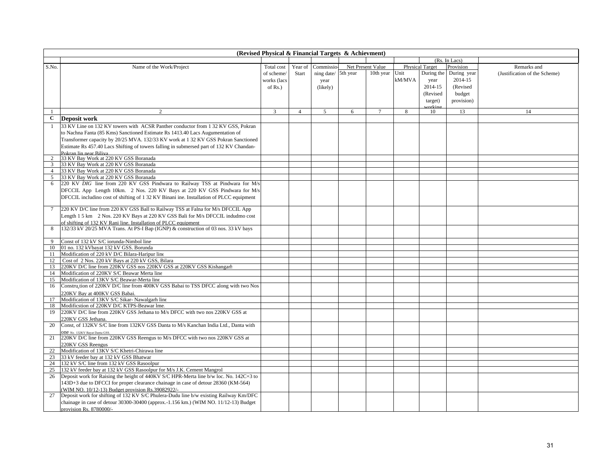| (Revised Physical & Financial Targets & Achievment) |                                                                                                                                  |             |                |            |          |                   |              |                        |               |                               |
|-----------------------------------------------------|----------------------------------------------------------------------------------------------------------------------------------|-------------|----------------|------------|----------|-------------------|--------------|------------------------|---------------|-------------------------------|
|                                                     |                                                                                                                                  |             |                |            |          |                   |              |                        | (Rs. In Lacs) |                               |
| S.No.                                               | Name of the Work/Project                                                                                                         | Total cost  | Year of        | Commissio  |          | Net Present Value |              | <b>Physical Target</b> | Provision     | Remarks and                   |
|                                                     |                                                                                                                                  | of scheme/  | Start          | ning date/ | 5th year | 10th year Unit    |              | During the             | During year   | (Justification of the Scheme) |
|                                                     |                                                                                                                                  | works (lacs |                | year       |          |                   | kM/MVA       | year                   | 2014-15       |                               |
|                                                     |                                                                                                                                  | of $Rs.$ )  |                | (likely)   |          |                   |              | 2014-15                | (Revised      |                               |
|                                                     |                                                                                                                                  |             |                |            |          |                   |              | (Revised               | budget        |                               |
|                                                     |                                                                                                                                  |             |                |            |          |                   |              | target)                | provision)    |                               |
|                                                     |                                                                                                                                  |             |                |            |          |                   |              | orkin                  |               |                               |
| -1                                                  | $\mathcal{D}$                                                                                                                    | 3           | $\overline{4}$ | 5          | 6        | $\tau$            | $\mathbf{8}$ | 10                     | 13            | 14                            |
| $\mathbf C$                                         | Deposit work                                                                                                                     |             |                |            |          |                   |              |                        |               |                               |
| $\mathbf{1}$                                        | 33 KV Line on 132 KV towers with ACSR Panther conductor from 1 32 KV GSS, Pokran                                                 |             |                |            |          |                   |              |                        |               |                               |
|                                                     | to Nachna Fanta (85 Kms) Sanctioned Estimate Rs 1413.40 Lacs Augumentation of                                                    |             |                |            |          |                   |              |                        |               |                               |
|                                                     | Transformer capacity by 20/25 MVA. 132/33 KV work at 1 32 KV GSS Pokran Sanctioned                                               |             |                |            |          |                   |              |                        |               |                               |
|                                                     | Estimate Rs 457.40 Lacs Shifting of towers falling in submersed part of 132 KV Chandan-                                          |             |                |            |          |                   |              |                        |               |                               |
|                                                     | Pokran lin near Biliva                                                                                                           |             |                |            |          |                   |              |                        |               |                               |
| $\overline{2}$                                      | 33 KV Bay Work at 220 KV GSS Boranada                                                                                            |             |                |            |          |                   |              |                        |               |                               |
| 3                                                   | 33 KV Bay Work at 220 KV GSS Boranada                                                                                            |             |                |            |          |                   |              |                        |               |                               |
| $\overline{4}$                                      | 33 KV Bay Work at 220 KV GSS Boranada                                                                                            |             |                |            |          |                   |              |                        |               |                               |
| .5                                                  | 33 KV Bay Work at 220 KV GSS Boranada                                                                                            |             |                |            |          |                   |              |                        |               |                               |
| 6                                                   | 220 KV DIG line from 220 KV GSS Pindwara to Railway TSS at Pindwara for M/s                                                      |             |                |            |          |                   |              |                        |               |                               |
|                                                     | DFCCIL App Length 10km. 2 Nos. 220 KV Bays at 220 KV GSS Pindwara for M/s                                                        |             |                |            |          |                   |              |                        |               |                               |
|                                                     | DFCCIL includino cost of shifting of 1 32 KV Binani ine. Installation of PLCC equipment                                          |             |                |            |          |                   |              |                        |               |                               |
|                                                     | 220 KV D/C line from 220 KV GSS Ball to Railway TSS at Falna for M/s DFCCIL App                                                  |             |                |            |          |                   |              |                        |               |                               |
|                                                     | Length 1 5 km 2 Nos. 220 KV Bays at 220 KV GSS Bali for M/s DFCCIL indudmo cost                                                  |             |                |            |          |                   |              |                        |               |                               |
|                                                     | of shifting of 132 KV Rani line. Installation of PLCC equipment                                                                  |             |                |            |          |                   |              |                        |               |                               |
| 8                                                   | 132/33 kV 20/25 MVA Trans. At PS-I Bap (IGNP) & construction of 03 nos. 33 kV bays                                               |             |                |            |          |                   |              |                        |               |                               |
|                                                     |                                                                                                                                  |             |                |            |          |                   |              |                        |               |                               |
| 9                                                   | Const of 132 kV S/C iorunda-Nimbol line                                                                                          |             |                |            |          |                   |              |                        |               |                               |
| 10                                                  | 01 no. 132 kVbayat 132 kV GSS. Borunda                                                                                           |             |                |            |          |                   |              |                        |               |                               |
| 11                                                  | Modification of 220 kV D/C Bilara-Haripur line                                                                                   |             |                |            |          |                   |              |                        |               |                               |
| 12                                                  | Cost of 2 Nos. 220 kV Bays at 220 kV GSS, Bilara                                                                                 |             |                |            |          |                   |              |                        |               |                               |
| 13                                                  | 220KV D/C line from 220KV GSS nos 220KV GSS at 220KV GSS Kishangarh                                                              |             |                |            |          |                   |              |                        |               |                               |
| 14                                                  | Modification of 220KV S/C Beawar Merta line                                                                                      |             |                |            |          |                   |              |                        |               |                               |
| 15<br>16                                            | Modification of 13KV S/C Beawar-Merta line<br>Construction of 220KV D/C line from 400KV GSS Babai to TSS DFCC along with two Nos |             |                |            |          |                   |              |                        |               |                               |
|                                                     |                                                                                                                                  |             |                |            |          |                   |              |                        |               |                               |
| 17                                                  | 220KV Bay at 400KV GSS Babai.                                                                                                    |             |                |            |          |                   |              |                        |               |                               |
| 18                                                  | Modification of 13KV S/C Sikar- Nawalgarh line<br>Modificstion of 220KV D/C KTPS-Beawar lme.                                     |             |                |            |          |                   |              |                        |               |                               |
| 19                                                  | 220KV D/C line from 220KV GSS Jethana to M/s DFCC with two nos 220KV GSS at                                                      |             |                |            |          |                   |              |                        |               |                               |
|                                                     | 220KV GSS Jethana.                                                                                                               |             |                |            |          |                   |              |                        |               |                               |
| 20                                                  | Const, of 132KV S/C line from 132KV GSS Danta to M/s Kanchan India Ltd., Danta with                                              |             |                |            |          |                   |              |                        |               |                               |
|                                                     | One No. 132KV Bayat Danta GSS.                                                                                                   |             |                |            |          |                   |              |                        |               |                               |
| 21                                                  | 220KV D/C line from 220KV GSS Reengus to M/s DFCC with two nos 220KV GSS at                                                      |             |                |            |          |                   |              |                        |               |                               |
|                                                     | 220KV GSS Reengus                                                                                                                |             |                |            |          |                   |              |                        |               |                               |
| 22                                                  | Modification of 13KV S/C Khetri-Chirawa line                                                                                     |             |                |            |          |                   |              |                        |               |                               |
| 23                                                  | 33 kV feeder bay at 132 kV GSS Bhatwar                                                                                           |             |                |            |          |                   |              |                        |               |                               |
| 24                                                  | 132 kV S/C line from 132 kV GSS Rasoolpur                                                                                        |             |                |            |          |                   |              |                        |               |                               |
| 25                                                  | 132 kV feeder bay at 132 kV GSS Rasoolpur for M/s J.K. Cement Mangrol                                                            |             |                |            |          |                   |              |                        |               |                               |
| 26                                                  | Deposit work for Raising the height of 440KV S/C HPR-Merta line b/w loc. No. 142C+3 to                                           |             |                |            |          |                   |              |                        |               |                               |
|                                                     | 143D+3 due to DFCCI for proper clearance chainage in case of detour 28360 (KM-564)                                               |             |                |            |          |                   |              |                        |               |                               |
| 27                                                  | (WIM NO. 10/12-13) Budget provision Rs.39082922/-                                                                                |             |                |            |          |                   |              |                        |               |                               |
|                                                     | Deposit work for shifting of 132 KV S/C Phulera-Dudu line b/w existing Railway Km/DFC                                            |             |                |            |          |                   |              |                        |               |                               |
|                                                     | chainage in case of detour 30300-30400 (approx.-1.156 km.) (WIM NO. 11/12-13) Budget                                             |             |                |            |          |                   |              |                        |               |                               |
|                                                     | provision Rs. 8780000/-                                                                                                          |             |                |            |          |                   |              |                        |               |                               |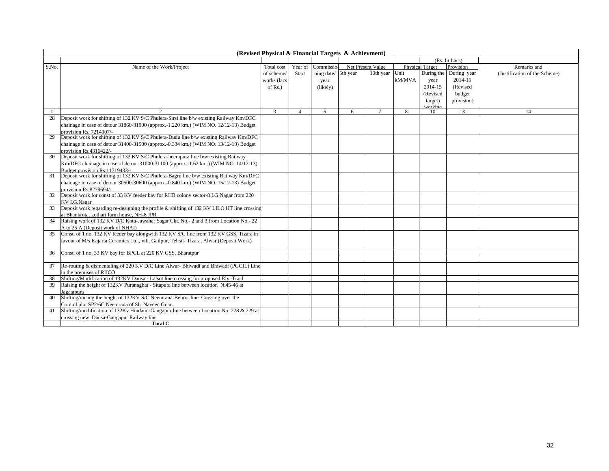|       |                                                                                                                                          | (Revised Physical & Financial Targets & Achievment) |          |                |                   |           |        |                        |                        |                               |
|-------|------------------------------------------------------------------------------------------------------------------------------------------|-----------------------------------------------------|----------|----------------|-------------------|-----------|--------|------------------------|------------------------|-------------------------------|
|       |                                                                                                                                          |                                                     |          |                |                   |           |        |                        | (Rs. In Lacs)          |                               |
| S.No. | Name of the Work/Project                                                                                                                 | Total cost                                          | Year of  | Commissio      | Net Present Value |           |        | <b>Physical Target</b> | Provision              | Remarks and                   |
|       |                                                                                                                                          | of scheme                                           | Start    | ning date/     | 5th year          | 10th year | Unit   |                        | During the During year | (Justification of the Scheme) |
|       |                                                                                                                                          | works (lacs                                         |          | year           |                   |           | kM/MVA | year                   | 2014-15                |                               |
|       |                                                                                                                                          | of $Rs.$ )                                          |          | (likely)       |                   |           |        | 2014-15                | (Revised               |                               |
|       |                                                                                                                                          |                                                     |          |                |                   |           |        | (Revised               | budget                 |                               |
|       |                                                                                                                                          |                                                     |          |                |                   |           |        |                        |                        |                               |
|       |                                                                                                                                          |                                                     |          |                |                   |           |        | target)                | provision)             |                               |
|       |                                                                                                                                          | 3                                                   | $\Delta$ | $\overline{5}$ | 6                 | $\tau$    | 8      | vorking<br>10          | 13                     | 14                            |
| 28    | Deposit work for shifting of 132 KV S/C Phulera-Sirsi line b/w existing Railway Km/DFC                                                   |                                                     |          |                |                   |           |        |                        |                        |                               |
|       | chainage in case of detour $31860-31900$ (approx.-1.220 km.) (WIM NO. 12/12-13) Budget                                                   |                                                     |          |                |                   |           |        |                        |                        |                               |
|       | provision Rs. 7214907/-                                                                                                                  |                                                     |          |                |                   |           |        |                        |                        |                               |
| 29    | Deposit work for shifting of 132 KV S/C Phulera-Dudu line b/w existing Railway Km/DFC                                                    |                                                     |          |                |                   |           |        |                        |                        |                               |
|       | chainage in case of detour 31400-31500 (approx.-0.334 km.) (WIM NO. 13/12-13) Budget                                                     |                                                     |          |                |                   |           |        |                        |                        |                               |
|       | provision Rs.4316422/-                                                                                                                   |                                                     |          |                |                   |           |        |                        |                        |                               |
| 30    | Deposit work for shifting of 132 KV S/C Phulera-heerapura line b/w existing Railway                                                      |                                                     |          |                |                   |           |        |                        |                        |                               |
|       | Km/DFC chainage in case of detour 31000-31100 (approx.-1.62 km.) (WIM NO. 14/12-13)                                                      |                                                     |          |                |                   |           |        |                        |                        |                               |
|       | Budget provision Rs.11719433/-                                                                                                           |                                                     |          |                |                   |           |        |                        |                        |                               |
| 31    | Deposit work for shifting of 132 KV S/C Phulera-Bagru line b/w existing Railway Km/DFC                                                   |                                                     |          |                |                   |           |        |                        |                        |                               |
|       | chainage in case of detour 30500-30600 (approx.-0.840 km.) (WIM NO. 15/12-13) Budget                                                     |                                                     |          |                |                   |           |        |                        |                        |                               |
|       | provision Rs.8279694/-                                                                                                                   |                                                     |          |                |                   |           |        |                        |                        |                               |
| 32    | Deposit work for const of 33 KV feeder bay for RHB colony sector-8 I.G.Nagar from 220                                                    |                                                     |          |                |                   |           |        |                        |                        |                               |
|       | KV I.G.Nagar                                                                                                                             |                                                     |          |                |                   |           |        |                        |                        |                               |
| 33    | Deposit work regarding re-designing the profile & shifting of 132 KV LILO HT line crossing                                               |                                                     |          |                |                   |           |        |                        |                        |                               |
|       | at Bhankrota, kothari farm house, NH-8 JPR                                                                                               |                                                     |          |                |                   |           |        |                        |                        |                               |
| 34    | Raising work of 132 KV D/C Kota-Jawahar Sagar Ckt. No.- 2 and 3 from Location No.- 22                                                    |                                                     |          |                |                   |           |        |                        |                        |                               |
|       | A to 25 A (Deposit work of NHAI)                                                                                                         |                                                     |          |                |                   |           |        |                        |                        |                               |
| 35    | Const. of 1 no. 132 KV feeder bay alongwith 132 KV S/C line from 132 KV GSS, Tizara in                                                   |                                                     |          |                |                   |           |        |                        |                        |                               |
|       | favour of M/s Kajaria Ceramics Ltd., vill. Gailpur, Tehsil- Tizara, Alwar (Deposit Work)                                                 |                                                     |          |                |                   |           |        |                        |                        |                               |
|       |                                                                                                                                          |                                                     |          |                |                   |           |        |                        |                        |                               |
| 36    | Const. of 1 no. 33 KV bay for BPCL at 220 KV GSS, Bharatpur                                                                              |                                                     |          |                |                   |           |        |                        |                        |                               |
|       |                                                                                                                                          |                                                     |          |                |                   |           |        |                        |                        |                               |
| 37    | Re-routing & dismentaling of 220 KV D/C Line Alwar-Bhiwadi and Bhiwadi (PGCIL) Line                                                      |                                                     |          |                |                   |           |        |                        |                        |                               |
|       | in the premises of RIICO                                                                                                                 |                                                     |          |                |                   |           |        |                        |                        |                               |
| 38    | Shifting/Modification of 132KV Dausa - Lalsot line crossing for proposed Rly. Tracl                                                      |                                                     |          |                |                   |           |        |                        |                        |                               |
| 39    | Raising the height of 132KV Puranaghat - Sitapura line between location N.45-46 at                                                       |                                                     |          |                |                   |           |        |                        |                        |                               |
| 40    | Jagaatpura<br>Shifting/raising the height of 132KV S/C Neemrana-Behror line Crossing over the                                            |                                                     |          |                |                   |           |        |                        |                        |                               |
|       |                                                                                                                                          |                                                     |          |                |                   |           |        |                        |                        |                               |
| 41    | Comml.plot SP2/6C Neemrana of Sh. Naveen Goar.<br>Shifting/modification of 132Kv Hindaun-Gangapur line between Location No. 228 & 229 at |                                                     |          |                |                   |           |        |                        |                        |                               |
|       | crossing new Dausa-Gangapur Railway line                                                                                                 |                                                     |          |                |                   |           |        |                        |                        |                               |
|       | <b>Total C</b>                                                                                                                           |                                                     |          |                |                   |           |        |                        |                        |                               |
|       |                                                                                                                                          |                                                     |          |                |                   |           |        |                        |                        |                               |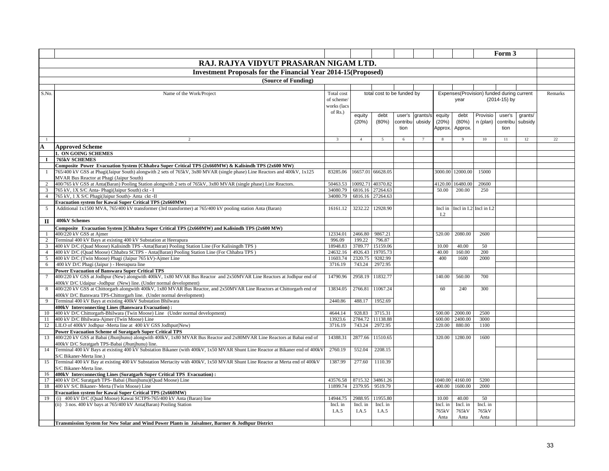|                                |                                                                                                                                                                        |                    |                   |                             |          |          |                   |                         |                                           | Form 3       |         |         |
|--------------------------------|------------------------------------------------------------------------------------------------------------------------------------------------------------------------|--------------------|-------------------|-----------------------------|----------|----------|-------------------|-------------------------|-------------------------------------------|--------------|---------|---------|
|                                | RAJ. RAJYA VIDYUT PRASARAN NIGAM LTD.                                                                                                                                  |                    |                   |                             |          |          |                   |                         |                                           |              |         |         |
|                                | <b>Investment Proposals for the Financial Year 2014-15 (Proposed)</b>                                                                                                  |                    |                   |                             |          |          |                   |                         |                                           |              |         |         |
|                                | (Source of Funding)                                                                                                                                                    |                    |                   |                             |          |          |                   |                         |                                           |              |         |         |
|                                |                                                                                                                                                                        |                    |                   |                             |          |          |                   |                         |                                           |              |         |         |
| S.No.                          | Name of the Work/Project                                                                                                                                               | Total cost         |                   | total cost to be funded by  |          |          |                   |                         | Expenses(Provision) funded during current |              |         | Remarks |
|                                |                                                                                                                                                                        | of scheme/         |                   |                             |          |          |                   | year                    |                                           | (2014-15) by |         |         |
|                                |                                                                                                                                                                        | works (lacs        |                   |                             |          |          |                   |                         |                                           |              |         |         |
|                                |                                                                                                                                                                        | of $Rs.$ )         | equity            | debt                        | user's   | grants/s | equity            | debt                    | Provisio                                  | user's       | grants/ |         |
|                                |                                                                                                                                                                        |                    | (20%)             | (80%)                       | contribu | ubsidy   | (20%)             | $(80\%)$                | n (plan)                                  | contribu     | subsidy |         |
|                                |                                                                                                                                                                        |                    |                   |                             | tion     |          | Approx.           | Approx                  |                                           | tion         |         |         |
|                                |                                                                                                                                                                        |                    |                   |                             |          |          |                   |                         |                                           |              |         |         |
| -1                             | $\overline{2}$                                                                                                                                                         | $\mathbf{3}$       | $\overline{4}$    | -5                          | -6       |          | -8                | -9                      | $10\,$                                    | 11           | 12      | 22      |
| $\mathbf{A}$                   | <b>Approved Scheme</b>                                                                                                                                                 |                    |                   |                             |          |          |                   |                         |                                           |              |         |         |
|                                | 1. ON GOING SCHEMES                                                                                                                                                    |                    |                   |                             |          |          |                   |                         |                                           |              |         |         |
| 1                              | <b>765kV SCHEMES</b>                                                                                                                                                   |                    |                   |                             |          |          |                   |                         |                                           |              |         |         |
|                                | Composite Power Evacuation System {Chhabra Super Critical TPS (2x660MW) & Kalisindh TPS (2x600 MW)                                                                     |                    |                   |                             |          |          |                   |                         |                                           |              |         |         |
| $\mathbf{1}$                   | 765/400 kV GSS at Phagi(Jaipur South) alongwith 2 sets of 765kV, 3x80 MVAR (single phase) Line Reactors and 400kV, 1x125                                               | 83285.06           | 16657.01          | 66628.05                    |          |          | 3000.00           | 12000.00                | 15000                                     |              |         |         |
|                                | MVAR Bus Reactor at Phagi (Jaipur South)                                                                                                                               |                    |                   |                             |          |          |                   |                         |                                           |              |         |         |
| 2                              | 400/765 kV GSS at Anta(Baran) Pooling Station alongwith 2 sets of 765kV, 3x80 MVAR (single phase) Line Reactors.                                                       | 50463.53           | 10092.71          | 40370.82                    |          |          | 4120.00           | 16480.00                | 20600                                     |              |         |         |
| 3                              | 765 kV, 1X S/C Anta- Phagi(Jaipur South) ckt - I                                                                                                                       | 34080.79           | 6816.16           | 27264.63                    |          |          | 50.00             | 200.00                  | 250                                       |              |         |         |
| $\overline{4}$                 | 765 kV, 1 X S/C Phagi(Jaipur South)- Anta ckt -II                                                                                                                      | 34080.79           | 6816.16           | 27264.63                    |          |          |                   |                         |                                           |              |         |         |
|                                | Evacuation system for Kawai Super Critical TPS (2x660MW)<br>Additional 1x1500 MVA, 765/400 kV transformer (3rd transformer) at 765/400 kV pooling station Anta (Baran) |                    | 3232.22           | 12928.90                    |          |          |                   | Incl in I.2 Incl in I.2 |                                           |              |         |         |
| 5                              |                                                                                                                                                                        | 16161.12           |                   |                             |          |          | Incl in<br>I.2    |                         |                                           |              |         |         |
| $\mathbf{I}$                   | 400kV Schemes                                                                                                                                                          |                    |                   |                             |          |          |                   |                         |                                           |              |         |         |
|                                |                                                                                                                                                                        |                    |                   |                             |          |          |                   |                         |                                           |              |         |         |
|                                | Composite Evacuation System [Chhabra Super Critical TPS (2x660MW) and Kalisindh TPS (2x600 MW)                                                                         |                    |                   |                             |          |          | 520.00            | 2080.00                 | 2600                                      |              |         |         |
| $\mathbf{1}$<br>$\overline{c}$ | 400/220 kV GSS at Ajmer<br>Terminal 400 kV Bays at existing 400 kV Substation at Heerapura                                                                             | 12334.01<br>996.09 | 2466.80<br>199.22 | 9867.21<br>796.87           |          |          |                   |                         |                                           |              |         |         |
| 3                              | 400 kV D/C (Quad Moose) Kalisindh TPS -Anta(Baran) Pooling Station Line (For Kalisingdh TPS)                                                                           | 18948.83           | 3789.77           | 15159.06                    |          |          | 10.00             | 40.00                   | 50                                        |              |         |         |
| $\overline{4}$                 | 400 kV D/C (Quad Moose) Chhabra SCTPS - Anta(Baran) Pooling Station Line (For Chhabra TPS)                                                                             | 24632.16           | 4926.43           | 19705.73                    |          |          | 40.00             | 160.00                  | 200                                       |              |         |         |
| 5                              | 400 kV D/C (Twin Moose) Phagi (Jaipur 765 kV)-Ajmer Line                                                                                                               | 11603.74           | 2320.75           | 9282.99                     |          |          | 400               | 1600                    | 2000                                      |              |         |         |
| 6                              | 400 kV D/C Phagi (Jaipur) - Heerapura line                                                                                                                             | 3716.19            | 743.24            | 2972.95                     |          |          |                   |                         |                                           |              |         |         |
|                                | <b>Power Evacuation of Banswara Super Critical TPS</b>                                                                                                                 |                    |                   |                             |          |          |                   |                         |                                           |              |         |         |
| $\tau$                         | 400/220 kV GSS at Jodhpur (New) alongwith 400kV, 1x80 MVAR Bus Reactor and 2x50MVAR Line Reactors at Jodhpur end of                                                    | 14790.96           | 2958.19           | 11832.77                    |          |          | 140.00            | 560.00                  | 700                                       |              |         |         |
|                                | 400kV D/C Udaipur -Jodhpur (New) line. (Under normal development)                                                                                                      |                    |                   |                             |          |          |                   |                         |                                           |              |         |         |
| 8                              | 400/220 kV GSS at Chittorgarh alongwith 400kV, 1x80 MVAR Bus Reactor, and 2x50MVAR Line Reactors at Chittorgarh end of                                                 | 13834.05           | 2766.81           | 11067.24                    |          |          | 60                | 240                     | 300                                       |              |         |         |
|                                | 400kV D/C Banswara TPS-Chittorgarh line. (Under normal development)                                                                                                    |                    |                   |                             |          |          |                   |                         |                                           |              |         |         |
| 9                              | Terminal 400 kV Bays at existing 400kV Substation Bhilwara                                                                                                             | 2440.86            | 488.17            | 1952.69                     |          |          |                   |                         |                                           |              |         |         |
|                                | 400kV Interconnecting Lines (Banswara Evacuation):                                                                                                                     |                    |                   |                             |          |          |                   |                         |                                           |              |         |         |
| 10                             | 400 kV D/C Chittorgarh-Bhilwara (Twin Moose) Line (Under normal development)                                                                                           | 4644.14            | 928.83            | 3715.31<br>2784.72 11138.88 |          |          | 500.00            | 2000.00                 | 2500<br>3000                              |              |         |         |
| 11<br>12                       | 400 kV D/C Bhilwara-Ajmer (Twin Moose) Line<br>LILO of 400kV Jodhpur -Merta line at 400 kV GSS Jodhpur(New)                                                            | 13923.6<br>3716.19 | 743.24            | 2972.95                     |          |          | 600.00<br>220.00  | 2400.00<br>880.00       | 1100                                      |              |         |         |
|                                | <b>Power Evacuation Scheme of Suratgarh Super Critical TPS</b>                                                                                                         |                    |                   |                             |          |          |                   |                         |                                           |              |         |         |
| 13                             | 400/220 kV GSS at Babai (Jhunjhunu) alongwith 400kV, 1x80 MVAR Bus Reactor and 2x80MVAR Line Reactors at Babai end of                                                  | 14388.31           | 2877.66           | 11510.65                    |          |          | 320.00            | 1280.00                 | 1600                                      |              |         |         |
|                                | 400kV D/C Suratgarh TPS-Babai (Jhunjhunu) line.                                                                                                                        |                    |                   |                             |          |          |                   |                         |                                           |              |         |         |
| 14                             | Terminal 400 kV Bays at existing 400 kV Substation Bikaner (with 400kV, 1x50 MVAR Shunt Line Reactor at Bikaner end of 400kV                                           | 2760.19            | 552.04            | 2208.15                     |          |          |                   |                         |                                           |              |         |         |
|                                | S/C Bikaner-Merta line.)                                                                                                                                               |                    |                   |                             |          |          |                   |                         |                                           |              |         |         |
| 15                             | Terminal 400 kV Bay at existing 400 kV Substation Mertacity with 400kV, 1x50 MVAR Shunt Line Reactor at Merta end of 400kV                                             | 1387.99            | 277.60            | 1110.39                     |          |          |                   |                         |                                           |              |         |         |
|                                | S/C Bikaner-Merta line.                                                                                                                                                |                    |                   |                             |          |          |                   |                         |                                           |              |         |         |
| 16                             | 400kV Interconnecting Lines (Suratgarh Super Critical TPS Evacuation):                                                                                                 |                    |                   |                             |          |          |                   |                         |                                           |              |         |         |
| 17                             | 400 kV D/C Suratgarh TPS- Babai (Jhunjhunu)(Quad Moose) Line                                                                                                           | 43576.58           | 8715.32           | 34861.26                    |          |          | 1040.00           | 4160.00                 | 5200                                      |              |         |         |
| 18                             | 400 kV S/C Bikaner- Merta (Twin Moose) Line                                                                                                                            | 11899.74           | 2379.95           | 9519.79                     |          |          | 400.00            | 1600.00                 | 2000                                      |              |         |         |
|                                | <b>Evacuation system for Kawai Super Critical TPS (2x660MW)</b>                                                                                                        | 14944.75           | 2988.95           | 11955.80                    |          |          |                   | 40.00                   |                                           |              |         |         |
| 19                             | (i) 400 kV D/C (Quad Moose) Kawai SCTPS-765/400 kV Anta (Baran) line<br>(ii) 3 nos. 400 kV bays at 765/400 kV Anta(Baran) Pooling Station                              | Incl. in           | Incl. in          | Incl. in                    |          |          | 10.00<br>Incl. in | Incl. in                | 50<br>Incl. in                            |              |         |         |
|                                |                                                                                                                                                                        | I.A.5              | I.A.5             | I.A.5                       |          |          | 765kV             | 765kV                   | 765kV                                     |              |         |         |
|                                |                                                                                                                                                                        |                    |                   |                             |          |          | Anta              | Anta                    | Anta                                      |              |         |         |
|                                | Transmission System for New Solar and Wind Power Plants in Jaisalmer, Barmer & Jodhpur District                                                                        |                    |                   |                             |          |          |                   |                         |                                           |              |         |         |
|                                |                                                                                                                                                                        |                    |                   |                             |          |          |                   |                         |                                           |              |         |         |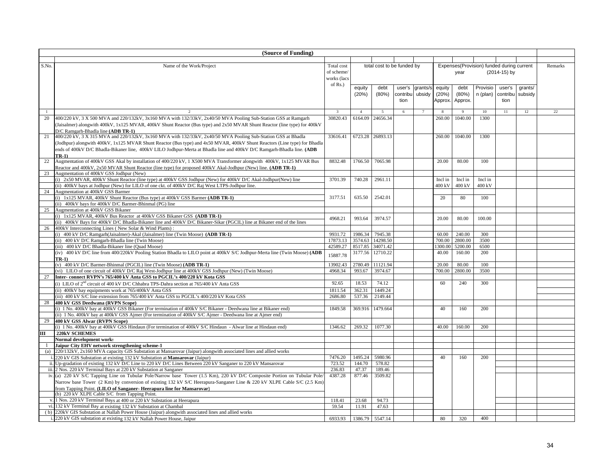|                | (Source of Funding)                                                                                                                                      |                         |                |                            |          |                |         |              |                                           |              |         |         |
|----------------|----------------------------------------------------------------------------------------------------------------------------------------------------------|-------------------------|----------------|----------------------------|----------|----------------|---------|--------------|-------------------------------------------|--------------|---------|---------|
|                |                                                                                                                                                          |                         |                |                            |          |                |         |              |                                           |              |         |         |
| S.No.          | Name of the Work/Project                                                                                                                                 | Total cost              |                | total cost to be funded by |          |                |         |              | Expenses(Provision) funded during current |              |         | Remarks |
|                |                                                                                                                                                          | of scheme/              |                |                            |          |                |         | year         |                                           | (2014-15) by |         |         |
|                |                                                                                                                                                          | works (lacs             |                |                            |          |                |         |              |                                           |              |         |         |
|                |                                                                                                                                                          | of $Rs.$ )              |                |                            |          |                |         |              |                                           |              |         |         |
|                |                                                                                                                                                          |                         | equity         | debt                       | user's   | grants/s       | equity  | debt         | Provisio                                  | user's       | grants/ |         |
|                |                                                                                                                                                          |                         | (20%)          | (80%)                      | contribu | ubsidy         | (20%)   | (80%)        | n (plan)                                  | contribu     | subsidy |         |
|                |                                                                                                                                                          |                         |                |                            | tion     |                | Approx. | Approx.      |                                           | tion         |         |         |
|                |                                                                                                                                                          |                         |                |                            |          |                |         |              |                                           |              |         |         |
| $\overline{1}$ | $\overline{2}$                                                                                                                                           | $\overline{\mathbf{3}}$ | $\overline{4}$ | 5                          | 6        | $\overline{7}$ |         | $\mathbf{Q}$ | 10                                        | 11           | 12      | 22      |
| 20             | 400/220 kV, 3 X 500 MVA and 220/132kV, 3x160 MVA with 132/33kV, 2x40/50 MVA Pooling Sub-Station GSS at Ramgarh                                           | 30820.43                | 6164.09        | 24656.34                   |          |                | 260.00  | 1040.00      | 1300                                      |              |         |         |
|                | (Jaisalmer) alongwith 400kV, 1x125 MVAR, 400kV Shunt Reactor (Bus type) and 2x50 MVAR Shunt Reactor (line type) for 400kV                                |                         |                |                            |          |                |         |              |                                           |              |         |         |
|                | D/C Ramgarh-Bhadla line (ADB TR-1)                                                                                                                       |                         |                |                            |          |                |         |              |                                           |              |         |         |
| 21             | 400/220 kV, 3 X 315 MVA and 220/132kV, 3x160 MVA with 132/33kV, 2x40/50 MVA Pooling Sub-Station GSS at Bhadla                                            | 33616.41                |                | 6723.28 26893.13           |          |                | 260.00  | 1040.00      | 1300                                      |              |         |         |
|                | (Jodhpur) alongwith 400kV, 1x125 MVAR Shunt Reactor (Bus type) and 4x50 MVAR, 400kV Shunt Reactors (Line type) for Bhadla                                |                         |                |                            |          |                |         |              |                                           |              |         |         |
|                | ends of 400kV D/C Bhadla-Bikaner line, 400kV LILO Jodhpur-Merta at Bhadla line and 400kV D/C Ramgarh-Bhadla line. (ADB                                   |                         |                |                            |          |                |         |              |                                           |              |         |         |
|                | $TR-1)$                                                                                                                                                  | 8832.48                 |                | 7065.98                    |          |                | 20.00   |              | 100                                       |              |         |         |
| 22             | Augmentation of 400kV GSS Akal by installation of 400/220 kV, 1 X500 MVA Transformer alongwith 400kV, 1x125 MVAR Bus                                     |                         | 1766.50        |                            |          |                |         | 80.00        |                                           |              |         |         |
| 23             | Reactor and 400kV, 2x50 MVAR Shunt Reactor (line type) for proposed 400kV Akal-Jodhpur (New) line. (ADB TR-1)<br>Augmentation of 400kV GSS Jodhpur (New) |                         |                |                            |          |                |         |              |                                           |              |         |         |
|                | (i) 2x50 MVAR, 400kV Shunt Reactor (line type) at 400kV GSS Jodhpur (New) for 400kV D/C Akal-Jodhpur(New) line                                           | 3701.39                 | 740.28         | 2961.11                    |          |                | Incl in | Incl in      | Incl in                                   |              |         |         |
|                | (ii) 400kV bays at Jodhpur (New) for LILO of one ckt. of 400kV D/C Raj West LTPS-Jodhpur line.                                                           |                         |                |                            |          |                | 400 kV  | 400 kV       | 400 kV                                    |              |         |         |
| 24             | Augmentation at 400kV GSS Barmer                                                                                                                         |                         |                |                            |          |                |         |              |                                           |              |         |         |
|                | (i) 1x125 MVAR, 400kV Shunt Reactor (Bus type) at 400kV GSS Barmer (ADB TR-1)                                                                            | 3177.51                 | 635.50         | 2542.01                    |          |                | 20      | 80           | 100                                       |              |         |         |
|                | (ii) 400kV bays for 400kV D/C Barmer-Bhinmal (PG) line                                                                                                   |                         |                |                            |          |                |         |              |                                           |              |         |         |
| 25             | Augmentation at 400kV GSS Bikaner                                                                                                                        |                         |                |                            |          |                |         |              |                                           |              |         |         |
|                | (i) 1x125 MVAR, 400kV Bus Reactor at 400kV GSS Bikaner GSS (ADB TR-1)                                                                                    |                         |                |                            |          |                |         |              |                                           |              |         |         |
|                | (ii) 400kV Bays for 400kV D/C Bhadla-Bikaner line and 400kV D/C Bikaner-Sikar (PGCIL) line at Bikaner end of the lines                                   | 4968.21                 | 993.64         | 3974.57                    |          |                | 20.00   | 80.00        | 100.00                                    |              |         |         |
| 26             | 400kV Interconnecting Lines (New Solar & Wind Plants):                                                                                                   |                         |                |                            |          |                |         |              |                                           |              |         |         |
|                | (i) 400 kV D/C Ramgarh(Jaisalmer)-Akal (Jaisalmer) line (Twin Moose) (ADB TR-1)                                                                          | 9931.72                 | 1986.34        | 7945.38                    |          |                | 60.00   | 240.00       | 300                                       |              |         |         |
|                | (ii) 400 kV D/C Ramgarh-Bhadla line (Twin Moose)                                                                                                         | 17873.13                | 3574.63        | 14298.50                   |          |                | 700.00  | 2800.00      | 3500                                      |              |         |         |
|                | (iii) 400 kV D/C Bhadla-Bikaner line (Quad Moose)                                                                                                        | 42589.27                | 8517.85        | 34071.42                   |          |                | 1300.00 | 5200.00      | 6500                                      |              |         |         |
|                | (iv) 400 kV D/C line from 400/220kV Pooling Station Bhadla to LILO point at 400kV S/C Jodhpur-Merta line (Twin Moose) (ADB                               | 15887.78                | 3177.56        | 12710.22                   |          |                | 40.00   | 160.00       | 200                                       |              |         |         |
|                | $TR-1$                                                                                                                                                   |                         |                |                            |          |                |         |              |                                           |              |         |         |
|                | (v) 400 kV D/C Barmer-Bhinmal (PGCIL) line (Twin Moose) (ADB TR-1)                                                                                       | 13902.43                | 2780.49        | 11121.94                   |          |                | 20.00   | 80.00        | 100                                       |              |         |         |
|                | (vi) LILO of one circuit of 400kV D/C Raj West-Jodhpur line at 400kV GSS Jodhpur (New) (Twin Moose)                                                      | 4968.34                 | 993.67         | 3974.67                    |          |                | 700.00  | 2800.00      | 3500                                      |              |         |         |
| 27             | Inter-connect RVPN's 765/400 kV Anta GSS to PGCIL's 400/220 kV Kota GSS                                                                                  |                         |                |                            |          |                |         |              |                                           |              |         |         |
|                | (i) LILO of $2nd$ circuit of 400 kV D/C Chhabra TPS-Dahra section at 765/400 kV Anta GSS                                                                 | 92.65                   | 18.53          | 74.12                      |          |                | 60      | 240          | 300                                       |              |         |         |
|                | (ii) 400kV bay equipments work at 765/400kV Anta GSS                                                                                                     | 1811.54                 | 362.31         | 1449.24                    |          |                |         |              |                                           |              |         |         |
|                | (iii) 400 kV S/C line extension from 765/400 kV Anta GSS to PGCIL's 400/220 kV Kota GSS                                                                  | 2686.80                 | 537.36         | 2149.44                    |          |                |         |              |                                           |              |         |         |
| 28             | 400 kV GSS Deedwana (RVPN Scope)                                                                                                                         |                         |                |                            |          |                |         |              |                                           |              |         |         |
|                | (i) 1 No. 400kV bay at 400kV GSS Bikaner (For termination of 400kV S/C Bikaner - Deedwana line at Bikaner end)                                           | 1849.58                 | 369.916        | 1479.664                   |          |                | 40      | 160          | 200                                       |              |         |         |
|                | (ii) 1 No. 400kV bay at 400kV GSS Ajmer (For termination of 400kV S/C Ajmer - Deedwana line at Ajmer end)                                                |                         |                |                            |          |                |         |              |                                           |              |         |         |
|                | 400 kV GSS Alwar (RVPN Scope)                                                                                                                            |                         |                |                            |          |                |         |              |                                           |              |         |         |
|                | (i) 1 No. 400kV bay at 400kV GSS Hindaun (For termination of 400kV S/C Hindaun - Alwar line at Hindaun end)                                              | 1346.62                 | 269.32         | 1077.30                    |          |                | 40.00   | 160.00       | 200                                       |              |         |         |
| Ш              | 220kV SCHEMES                                                                                                                                            |                         |                |                            |          |                |         |              |                                           |              |         |         |
|                | Normal development works<br>Jaipur City EHV network strengthening scheme-1                                                                               |                         |                |                            |          |                |         |              |                                           |              |         |         |
| (a)            | 220/132kV, 2x160 MVA capacity GIS Substation at Mansarovar (Jaipur) alongwith associated lines and allied works                                          |                         |                |                            |          |                |         |              |                                           |              |         |         |
|                | i. 220 kV GIS Substation at existing 132 kV Substation at Mansarovar (Jaipur)                                                                            | 7476.20                 | 1495.24        | 5980.96                    |          |                | 40      | 160          | 200                                       |              |         |         |
|                | ii. Up-gradation of existing 132 kV D/C Line to 220 kV D/C Lines Between 220 kV Sanganer to 220 kV Mansarovar                                            | 723.52                  | 144.70         | 578.82                     |          |                |         |              |                                           |              |         |         |
|                | iii. 2 Nos. 220 kV Terminal Bays at 220 kV Substation at Sanganer                                                                                        | 236.83                  | 47.37          | 189.46                     |          |                |         |              |                                           |              |         |         |
|                | iv. (a) 220 kV S/C Tapping Line on Tubular Pole/Narrow base Tower (1.5 Km), 220 kV D/C Composite Portion on Tubular Pole/                                | 4387.28                 | 877.46         | 3509.82                    |          |                |         |              |                                           |              |         |         |
|                | Narrow base Tower (2 Km) by conversion of existing 132 kV S/C Heerapura-Sanganer Line & 220 kV XLPE Cable S/C (2.5 Km)                                   |                         |                |                            |          |                |         |              |                                           |              |         |         |
|                | from Tapping Point. (LILO of Sanganer-Heerapura line for Mansarovar)                                                                                     |                         |                |                            |          |                |         |              |                                           |              |         |         |
|                | (b) 220 kV XLPE Cable S/C from Tapping Point.                                                                                                            |                         |                |                            |          |                |         |              |                                           |              |         |         |
|                | v. 1 Nos. 220 kV Terminal Bays at 400 or 220 kV Substation at Heerapura                                                                                  | 118.41                  | 23.68          | 94.73                      |          |                |         |              |                                           |              |         |         |
|                | vi. 132 kV Terminal Bay at existing 132 kV Substation at Chambal                                                                                         | 59.54                   | 11.91          | 47.63                      |          |                |         |              |                                           |              |         |         |
|                | (b) 220kV GIS Substation at Nallah Power House (Jaipur) alongwith associated lines and allied works                                                      |                         |                |                            |          |                |         |              |                                           |              |         |         |
|                | i. 220 kV GIS substation at existing 132 kV Nallah Power House, Jaipur                                                                                   | 6933.93                 |                | 1386.79 5547.14            |          |                | 80      | 320          | 400                                       |              |         |         |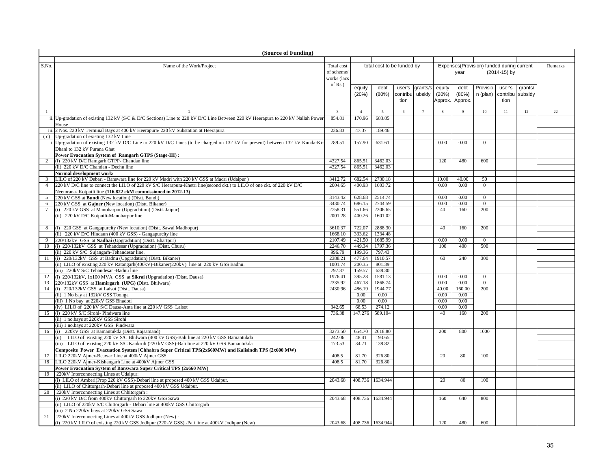|                 | (Source of Funding)                                                                                                              |                          |                |                            |          |                |         |              |                                           |              |         |                 |
|-----------------|----------------------------------------------------------------------------------------------------------------------------------|--------------------------|----------------|----------------------------|----------|----------------|---------|--------------|-------------------------------------------|--------------|---------|-----------------|
|                 |                                                                                                                                  |                          |                |                            |          |                |         |              |                                           |              |         |                 |
| S.No.           | Name of the Work/Project                                                                                                         | Total cost               |                | total cost to be funded by |          |                |         |              | Expenses(Provision) funded during current |              |         | Remarks         |
|                 |                                                                                                                                  | of scheme/               |                |                            |          |                |         | year         |                                           | (2014-15) by |         |                 |
|                 |                                                                                                                                  | works (lacs              |                |                            |          |                |         |              |                                           |              |         |                 |
|                 |                                                                                                                                  | of Rs.)                  | equity         | debt                       | user's   | grants/s       | equity  | debt         | Provisio                                  | user's       | grants/ |                 |
|                 |                                                                                                                                  |                          | (20%)          | (80%)                      | contribu | ubsidy         | (20%)   | (80%)        | n (plan) contribu                         |              | subsidy |                 |
|                 |                                                                                                                                  |                          |                |                            | tion     |                | Approx. | Approx.      |                                           | tion         |         |                 |
|                 |                                                                                                                                  |                          |                |                            |          |                |         |              |                                           |              |         |                 |
| $\mathbf{1}$    |                                                                                                                                  | $\overline{\mathbf{3}}$  | $\overline{4}$ | $\overline{5}$             | 6        | $\overline{7}$ |         | $\mathbf{Q}$ | 10                                        | 11           | 12      | $\overline{22}$ |
|                 | ii. Up-gradation of existing 132 kV (S/C & D/C Sections) Line to 220 kV D/C Line Between 220 kV Heerapura to 220 kV Nallah Power | 854.81                   | 170.96         | 683.85                     |          |                |         |              |                                           |              |         |                 |
|                 | House                                                                                                                            |                          |                |                            |          |                |         |              |                                           |              |         |                 |
| (c)             | iii. 2 Nos. 220 kV Terminal Bays at 400 kV Heerapura/ 220 kV Substation at Heerapura<br>Up-gradation of existing 132 kV Line     | 236.83                   | 47.37          | 189.46                     |          |                |         |              |                                           |              |         |                 |
|                 | Up-gradation of existing 132 kV D/C Line to 220 kV D/C Lines (to be charged on 132 kV for present) between 132 kV Kunda-Ki-      | 789.51                   | 157.90         | 631.61                     |          |                | 0.00    | 0.00         | $\theta$                                  |              |         |                 |
|                 | Dhani to 132 kV Purana Ghat                                                                                                      |                          |                |                            |          |                |         |              |                                           |              |         |                 |
|                 | Power Evacuation System of Ramgarh GTPS (Stage-III):                                                                             |                          |                |                            |          |                |         |              |                                           |              |         |                 |
| 2               | (i) 220 kV D/C Ramgarh GTPP- Chandan line                                                                                        | 4327.54                  | 865.51         | 3462.03                    |          |                | 120     | 480          | 600                                       |              |         |                 |
|                 | (ii) 220 kV D/C Chandan - Dechu line                                                                                             | 4327.54                  | 865.51         | 3462.03                    |          |                |         |              |                                           |              |         |                 |
|                 | <b>Normal development works</b>                                                                                                  |                          |                |                            |          |                |         |              |                                           |              |         |                 |
| 3               | LILO of 220 kV Debari - Banswara line for 220 kV Madri with 220 kV GSS at Madri (Udaipur)                                        | 3412.72                  | 682.54         | 2730.18                    |          |                | 10.00   | 40.00        | 50                                        |              |         |                 |
| $\overline{4}$  | 220 kV D/C line to connect the LILO of 220 kV S/C Heerapura-Khetri line(second ckt.) to LILO of one ckt. of 220 kV D/C           | 2004.65                  | 400.93         | 1603.72                    |          |                | 0.00    | 0.00         | $\overline{0}$                            |              |         |                 |
|                 | Neemrana-Kotputli line (116.822 ckM commissioned in 2012-13)                                                                     |                          |                |                            |          |                |         |              |                                           |              |         |                 |
| 5               | 220 kV GSS at Bundi (New location) (Distt. Bundi)                                                                                | 3143.42                  | 628.68         | 2514.74                    |          |                | 0.00    | 0.00         | $\overline{0}$                            |              |         |                 |
| 6               | 220 kV GSS at Gajner (New location) (Distt. Bikaner)                                                                             | 3430.74                  | 686.15         | 2744.59                    |          |                | 0.00    | 0.00         | $\mathbf{0}$                              |              |         |                 |
| $7\overline{ }$ | (i) 220 kV GSS at Manoharpur (Upgradation) (Distt. Jaipur)                                                                       | 2758.31                  | 551.66         | 2206.65                    |          |                | 40      | 160          | 200                                       |              |         |                 |
|                 | (ii) 220 kV D/C Kotputli-Manoharpur line                                                                                         | 2001.28                  | 400.26         | 1601.02                    |          |                |         |              |                                           |              |         |                 |
| 8               | (i) 220 GSS at Gangapurcity (New location) (Distt. Sawai Madhopur)                                                               | 3610.37                  | 722.07         | 2888.30                    |          |                | 40      | 160          | 200                                       |              |         |                 |
|                 | (ii) 220 kV D/C Hindaun (400 kV GSS) - Gangapurcity line                                                                         | 1668.10                  | 333.62         | 1334.48                    |          |                |         |              |                                           |              |         |                 |
| 9               | 220/132kV GSS at Nadbai (Upgradation) (Distt. Bhartpur)                                                                          | 2107.49                  | 421.50         | 1685.99                    |          |                | 0.00    | 0.00         | $\overline{0}$                            |              |         |                 |
| 10              | (i) 220/132kV GSS at Tehandesar (Upgradation) (Distt. Churu)                                                                     | 2246.70                  | 449.34         | 1797.36                    |          |                | 100     | 400          | 500                                       |              |         |                 |
|                 | (ii) 220 kV S/C Sujangarh-Tehandesar line.                                                                                       | 996.79                   | 199.36         | 797.43                     |          |                |         |              |                                           |              |         |                 |
| 11              | (i) 220/132kV GSS at Badnu (Upgradation) (Distt. Bikaner)                                                                        | 2388.21                  | 477.64         | 1910.57                    |          |                | 60      | 240          | 300                                       |              |         |                 |
|                 | (ii) LILO of existing 220 kV Ratangarh(400kV)-Bikaner(220kV) line at 220 kV GSS Badnu.                                           | 1001.74                  | 200.35         | 801.39                     |          |                |         |              |                                           |              |         |                 |
|                 | (iii) 220kV S/C Tehandesar -Badnu line                                                                                           | 797.87                   | 159.57         | 638.30                     |          |                |         |              |                                           |              |         |                 |
| 12              | (i) 220/132kV, 1x100 MVA GSS at Sikrai (Upgradation) (Distt. Dausa)                                                              | 1976.41                  | 395.28         | 1581.13                    |          |                | 0.00    | 0.00         | $\mathbf{0}$                              |              |         |                 |
| 13              | 220/132kV GSS at Hamirgarh (UPG) (Distt. Bhilwara)                                                                               | 2335.92                  | 467.18         | 1868.74                    |          |                | 0.00    | 0.00         | $\overline{0}$                            |              |         |                 |
| 14              | (i) 220/132kV GSS at Lalsot (Distt. Dausa)                                                                                       | 2430.96                  | 486.19         | 1944.77                    |          |                | 40.00   | 160.00       | 200                                       |              |         |                 |
|                 | (ii) 1 No bay at 132kV GSS Toonga                                                                                                |                          | 0.00           | 0.00                       |          |                | 0.00    | 0.00         |                                           |              |         |                 |
|                 | (iii) 1 No bay at 220kV GSS Bhadoti                                                                                              |                          | 0.00           | 0.00                       |          |                | 0.00    | 0.00         |                                           |              |         |                 |
|                 | (iv) LILO of 220 kV S/C Dausa-Anta line at 220 kV GSS Lalsot                                                                     | 342.65                   | 68.53          | 274.12                     |          |                | 0.00    | 0.00         |                                           |              |         |                 |
| 15              | (i) $220 \text{ kV}$ S/C Sirohi- Pindwara line<br>(ii) 1 no.bays at 220kV GSS Sirohi                                             | 736.38                   | 147.276        | 589.104                    |          |                | 40      | 160          | 200                                       |              |         |                 |
|                 | (iii) 1 no.bays at 220kV GSS Pindwara                                                                                            |                          |                |                            |          |                |         |              |                                           |              |         |                 |
| 16              | (i) 220kV GSS at Bamantukda (Distt. Rajsamand)                                                                                   | 3273.50                  | 654.70         | 2618.80                    |          |                | 200     | 800          | 1000                                      |              |         |                 |
|                 | (ii) LILO of existing 220 kV S/C Bhilwara (400 kV GSS)-Bali line at 220 kV GSS Bamantukda                                        | 242.06                   | 48.41          | 193.65                     |          |                |         |              |                                           |              |         |                 |
|                 | (iii) LILO of existing 220 kV S/C Kankroli (220 kV GSS)-Bali line at 220 kV GSS Bamantukda                                       | 173.53                   | 34.71          | 138.82                     |          |                |         |              |                                           |              |         |                 |
|                 | Composite Power Evacuation System [Chhabra Super Critical TPS(2x660MW) and Kalisindh TPS (2x600 MW)                              |                          |                |                            |          |                |         |              |                                           |              |         |                 |
| 17              | LILO 220kV Ajmer-Beawar Line at 400kV Ajmer GSS                                                                                  | 408.5                    | 81.70          | 326.80                     |          |                | 20      | 80           | 100                                       |              |         |                 |
| 18              | LILO 220kV Ajmer-Kishangarh Line at 400kV Ajmer GSS                                                                              | 408.5                    | 81.70          | 326.80                     |          |                |         |              |                                           |              |         |                 |
|                 | Power Evacuation System of Banswara Super Critical TPS (2x660 MW)                                                                |                          |                |                            |          |                |         |              |                                           |              |         |                 |
| 19              | 220kV Interconnecting Lines at Udaipur:                                                                                          |                          |                |                            |          |                |         |              |                                           |              |         |                 |
|                 | (i) LILO of Amberi(Prop 220 kV GSS)-Debari line at proposed 400 kV GSS Udaipur.                                                  | 2043.68                  |                | 408.736 1634.944           |          |                | 20      | 80           | 100                                       |              |         |                 |
|                 | ii) LILO of Chittorgarh-Debari line at proposed 400 kV GSS Udaipur.                                                              |                          |                |                            |          |                |         |              |                                           |              |         |                 |
| 20              | 220kV Interconnecting Lines at Chhitorgarh:                                                                                      |                          |                |                            |          |                |         |              |                                           |              |         |                 |
|                 | (i) 220 kV D/C from 400kV Chittorgarh to 220kV GSS Sawa                                                                          | 2043.68                  |                | 408.736 1634.944           |          |                | 160     | 640          | 800                                       |              |         |                 |
|                 | (ii) LILO of 220kV S/C Chittorgarh - Debari line at 400kV GSS Chittorgarh<br>(iii) 2 No 220kV bays at 220kV GSS Sawa             |                          |                |                            |          |                |         |              |                                           |              |         |                 |
| 21              | 220kV Interconnecting Lines at 400kV GSS Jodhpur (New):                                                                          |                          |                |                            |          |                |         |              |                                           |              |         |                 |
|                 | (i) 220 kV LILO of existing 220 kV GSS Jodhpur (220kV GSS) -Pali line at 400kV Jodhpur (New)                                     | 2043.68 408.736 1634.944 |                |                            |          |                | 120     | 480          | 600                                       |              |         |                 |
|                 |                                                                                                                                  |                          |                |                            |          |                |         |              |                                           |              |         |                 |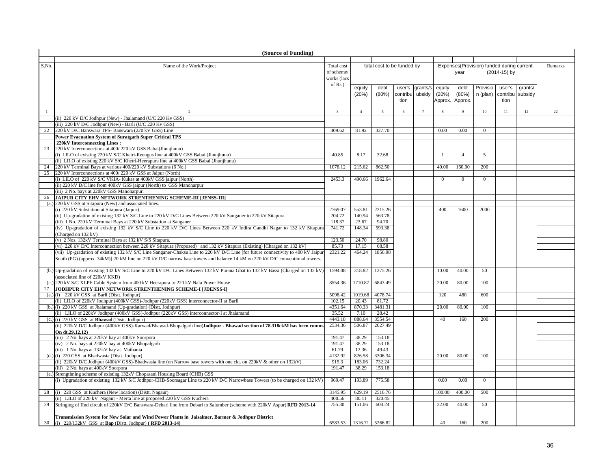|                | (Source of Funding)                                                                                                              |                         |                 |                            |          |          |              |                |                                           |              |         |         |
|----------------|----------------------------------------------------------------------------------------------------------------------------------|-------------------------|-----------------|----------------------------|----------|----------|--------------|----------------|-------------------------------------------|--------------|---------|---------|
|                |                                                                                                                                  |                         |                 |                            |          |          |              |                |                                           |              |         |         |
| S.No           | Name of the Work/Project                                                                                                         | Total cost              |                 | total cost to be funded by |          |          |              |                | Expenses(Provision) funded during current |              |         | Remarks |
|                |                                                                                                                                  | of scheme/              |                 |                            |          |          |              | year           |                                           | (2014-15) by |         |         |
|                |                                                                                                                                  | works (lacs             |                 |                            |          |          |              |                |                                           |              |         |         |
|                |                                                                                                                                  | of Rs.)                 | equity          | debt                       | user's   | grants/s | equity       | debt           | Provisio                                  | user's       | grants/ |         |
|                |                                                                                                                                  |                         | (20%)           | (80%)                      | contribu | ubsidy   | (20%)        | (80%)          | n (plan)                                  | contribu     | subsidy |         |
|                |                                                                                                                                  |                         |                 |                            | tion     |          | Approx.      | Approx.        |                                           | tion         |         |         |
|                |                                                                                                                                  |                         |                 |                            |          |          |              |                |                                           |              |         |         |
| $\overline{1}$ | $\mathcal{D}$                                                                                                                    | $\overline{\mathbf{3}}$ | $\overline{4}$  | $\overline{5}$             | 6        | 7        | -8           | 9              | 10                                        | 11           | 12      | 22      |
|                | (ii) 220 kV D/C Jodhpur (New) - Jhalamand (U/C 220 Kv GSS)                                                                       |                         |                 |                            |          |          |              |                |                                           |              |         |         |
|                | (iii) 220 kV D/C Jodhpur (New) - Barli (U/C 220 Kv GSS)                                                                          |                         |                 |                            |          |          |              |                |                                           |              |         |         |
| 22             | 220 kV D/C Banswara TPS- Banswara (220 kV GSS) Line                                                                              | 409.62                  | 81.92           | 327.70                     |          |          | 0.00         | 0.00           | $\overline{0}$                            |              |         |         |
|                | Power Evacuation System of Suratgarh Super Critical TPS                                                                          |                         |                 |                            |          |          |              |                |                                           |              |         |         |
|                | 220kV Interconnecting Lines:                                                                                                     |                         |                 |                            |          |          |              |                |                                           |              |         |         |
| 23             | 220 kV Interconnections at 400/220 kV GSS Babai(Jhunjhunu)                                                                       |                         |                 |                            |          |          |              |                |                                           |              |         |         |
|                | (i) LILO of existing 220 kV S/C Khetri-Reengus line at 400kV GSS Babai (Jhunjhunu)                                               | 40.85                   | 8.17            | 32.68                      |          |          | $\mathbf{1}$ | $\overline{4}$ | 5                                         |              |         |         |
|                | (ii) LILO of existing 220 kV S/C Khetri-Heerapura line at 400kV GSS Babai (Jhunjhunu)                                            |                         |                 |                            |          |          |              |                |                                           |              |         |         |
| 24             | 220 kV Terminal Bays at various 400/220 kV Substations (6 No.)                                                                   | 1078.12                 | 215.62          | 862.50                     |          |          | 40.00        | 160.00         | 200                                       |              |         |         |
| 25             | 220 kV Interconnections at 400/220 kV GSS at Jaipur (North)                                                                      |                         |                 |                            |          |          |              |                |                                           |              |         |         |
|                | (i) LILO of 220 kV S/C VKIA- Kukas at 400kV GSS jaipur (North)                                                                   | 2453.3                  | 490.66          | 1962.64                    |          |          | $\mathbf{0}$ | $\mathbf{0}$   | $\overline{0}$                            |              |         |         |
|                | (ii) 220 kV D/C line from 400kV GSS jaipur (North) to GSS Manoharpur                                                             |                         |                 |                            |          |          |              |                |                                           |              |         |         |
|                | (iii) 2 No. bays at 220kV GSS Manoharpur.                                                                                        |                         |                 |                            |          |          |              |                |                                           |              |         |         |
| 26             | JAIPUR CITY EHV NETWORK STRENTHENING SCHEME-III [JENSS-III]                                                                      |                         |                 |                            |          |          |              |                |                                           |              |         |         |
| (a.)           | 220 kV GSS at Sitapura (New) and associated lines.<br>(i) 220 kV Substation at Sitapura (Jaipur)                                 | 2769.07                 | 553.81          | 2215.26                    |          |          | 400          | 1600           | 2000                                      |              |         |         |
|                | (ii) Up-gradation of existing 132 kV S/C Line to 220 kV D/C Lines Between 220 kV Sanganer to 220 kV Sitapura.                    | 704.72                  | 140.94          | 563.78                     |          |          |              |                |                                           |              |         |         |
|                | (iii) 1 No. 220 kV Terminal Bays at 220 kV Substation at Sanganer                                                                | 118.37                  | 23.67           | 94.70                      |          |          |              |                |                                           |              |         |         |
|                | (iv) Up-gradation of existing 132 kV S/C Line to 220 kV D/C Lines Between 220 kV Indira Gandhi Nagar to 132 kV Sitapura          | 741.72                  | 148.34          | 593.38                     |          |          |              |                |                                           |              |         |         |
|                | (Charged on 132 kV)                                                                                                              |                         |                 |                            |          |          |              |                |                                           |              |         |         |
|                | (v) 2 Nos. 132kV Terminal Bays at 132 kV S/S Sitapura.                                                                           | 123.50                  | 24.70           | 98.80                      |          |          |              |                |                                           |              |         |         |
|                | (vi) 220 kV D/C Interconnection between 220 kV Sitapura (Proposed) and 132 kV Sitapura (Existing) [Charged on 132 kV]            | 85.73                   | 17.15           | 68.58                      |          |          |              |                |                                           |              |         |         |
|                | (vii) Up-gradation of existing 132 kV S/C Line Sanganer-Chaksu Line to 220 kV D/C Line [for future connectivity to 400 kV Jaipur | 2321.22                 | 464.24          | 1856.98                    |          |          |              |                |                                           |              |         |         |
|                | South (PG) (approx. 34kM)] 20 kM line on 220 kV D/C narrow base towers and balance 14 kM on 220 kV D/C conventional towers.      |                         |                 |                            |          |          |              |                |                                           |              |         |         |
|                |                                                                                                                                  |                         |                 |                            |          |          |              |                |                                           |              |         |         |
|                | (b.) Up-gradation of existing 132 kV S/C Line to 220 kV D/C Lines Between 132 kV Purana Ghat to 132 kV Bassi (Charged on 132 kV) | 1594.08                 | 318.82          | 1275.26                    |          |          | 10.00        | 40.00          | 50                                        |              |         |         |
|                | (associated line of 220kV KKD)                                                                                                   |                         |                 |                            |          |          |              |                |                                           |              |         |         |
| (c.)           | 220 kV S/C XLPE Cable System from 400 kV Heerapura to 220 kV Nala Power House                                                    | 8554.36                 | 1710.87         | 6843.49                    |          |          | 20.00        | 80.00          | 100                                       |              |         |         |
| 27             | JODHPUR CITY EHV NETWORK STRENTHENING SCHEME-I [JDENSS-I]                                                                        |                         |                 |                            |          |          |              |                |                                           |              |         |         |
|                | $(a.)$ (i) 220 kV GSS at Barli (Dist. Jodhpur)                                                                                   | 5098.42                 | 1019.68         | 4078.74                    |          |          | 120          | 480            | 600                                       |              |         |         |
|                | (ii) LILO of 220kV Jodhpur (400kV GSS)-Jodhpur (220kV GSS) interconnector-II at Barli                                            | 102.15                  | 20.43           | 81.72                      |          |          |              |                |                                           |              |         |         |
|                | (b.) (i) 220 kV GSS at Jhalamand (Up-gradation) (Distt. Jodhpur)                                                                 | 4351.64                 | 870.33          | 3481.31                    |          |          | 20.00        | 80.00          | 100                                       |              |         |         |
|                | (ii) LILO of 220kV Jodhpur (400kV GSS)-Jodhpur (220kV GSS) interconnector-I at Jhalamand                                         | 35.52                   | 7.10            | 28.42                      |          |          |              |                |                                           |              |         |         |
|                | $(c.)$ (i) 220 kV GSS at <b>Bhawad</b> (Dist. Jodhpur)                                                                           | 4443.18                 | 888.64          | 3554.54                    |          |          | 40           | 160            | 200                                       |              |         |         |
|                | (ii) 220kV D/C Jodhpur (400kV GSS)-Karwad/Bhawad-Bhopalgarh line(Jodhpur - Bhawad section of 78.318ckM has been comm.            | 2534.36                 | 506.87          | 2027.49                    |          |          |              |                |                                           |              |         |         |
|                | On dt.29.12.12)                                                                                                                  |                         |                 |                            |          |          |              |                |                                           |              |         |         |
|                | (iii) 2 No. bays at 220kV bay at 400kV Soorpora                                                                                  | 191.47                  | 38.29           | 153.18                     |          |          |              |                |                                           |              |         |         |
|                | (iv) 2 No. bays at 220kV bay at 400kV Bhopalgarh                                                                                 | 191.47                  | 38.29           | 153.18                     |          |          |              |                |                                           |              |         |         |
| (d.)           | (iii) 1 No. bays at 132kV bay at Mathania<br>(i) 220 GSS at Bhadwasia (Distt. Jodhpur)                                           | 61.79<br>4132.92        | 12.36<br>826.58 | 49.43<br>3306.34           |          |          | 20.00        | 80.00          | 100                                       |              |         |         |
|                | (ii) 220kV D/C Jodhpur (400kV GSS)-Bhadwasia line (on Narrow base towers with one ckt. on 220kV & other on 132kV)                | 915.3                   | 183.06          | 732.24                     |          |          |              |                |                                           |              |         |         |
|                | (iii) 2 No. bays at 400kV Soorpora                                                                                               | 191.47                  | 38.29           | 153.18                     |          |          |              |                |                                           |              |         |         |
|                | (e.) Strengthning scheme of existing 132kV Chopasani Housing Board (CHB) GSS                                                     |                         |                 |                            |          |          |              |                |                                           |              |         |         |
|                | (i) Upgradation of existing 132 kV S/C Jodhpur-CHB-Soorsagar Line to 220 kV D/C Narrowbase Towers (to be charged on 132 kV)      | 969.47                  | 193.89          | 775.58                     |          |          | 0.00         | 0.00           | $\overline{0}$                            |              |         |         |
|                |                                                                                                                                  |                         |                 |                            |          |          |              |                |                                           |              |         |         |
| 28             | (i) 220 GSS at Kuchera (New location) (Distt. Nagaur)                                                                            | 3145.95                 | 629.19          | 2516.76                    |          |          | 100.00       | 400.00         | 500                                       |              |         |         |
|                | (ii) LILO of 220 kV Nagaur - Merta line at proposed 220 kV GSS Kuchera                                                           | 400.56                  | 80.11           | 320.45                     |          |          |              |                |                                           |              |         |         |
| 29             | Stringing of IInd circuit of 220kV D/C Banswara-Debari line from Debari to Salumber (scheme with 220kV Aspur) RFD 2013-14        | 755.30                  | 151.06          | 604.24                     |          |          | 32.00        | 40.00          | 50                                        |              |         |         |
|                |                                                                                                                                  |                         |                 |                            |          |          |              |                |                                           |              |         |         |
|                | Transmission System for New Solar and Wind Power Plants in Jaisalmer, Barmer & Jodhpur District                                  |                         |                 |                            |          |          |              |                |                                           |              |         |         |
| 30             | (i) 220/132kV GSS at Bap (Distt. Jodhpur) (RFD 2013-14)                                                                          | 6583.53                 |                 | 1316.71 5266.82            |          |          | 40           | 160            | 200                                       |              |         |         |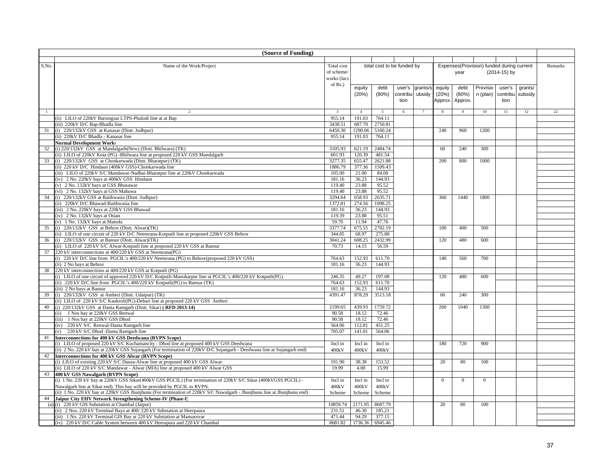|              | (Source of Funding)                                                                                                                                               |                          |                   |                            |          |          |          |                |                                           |              |         |         |
|--------------|-------------------------------------------------------------------------------------------------------------------------------------------------------------------|--------------------------|-------------------|----------------------------|----------|----------|----------|----------------|-------------------------------------------|--------------|---------|---------|
|              |                                                                                                                                                                   |                          |                   |                            |          |          |          |                |                                           |              |         |         |
| S.No.        | Name of the Work/Project                                                                                                                                          | Total cost<br>of scheme/ |                   | total cost to be funded by |          |          |          | year           | Expenses(Provision) funded during current | (2014-15) by |         | Remarks |
|              |                                                                                                                                                                   | works (lacs              |                   |                            |          |          |          |                |                                           |              |         |         |
|              |                                                                                                                                                                   | of Rs.)                  |                   |                            |          |          |          |                |                                           |              |         |         |
|              |                                                                                                                                                                   |                          | equity            | debt                       | user's   | grants/s | equity   | debt           | Provisio                                  | user's       | grants/ |         |
|              |                                                                                                                                                                   |                          | (20%)             | (80%)                      | contribu | ubsidy   | (20%)    | (80%)          | n (plan) contribu                         |              | subsidy |         |
|              |                                                                                                                                                                   |                          |                   |                            | tion     |          | Approx.  | Approx.        |                                           | tion         |         |         |
|              |                                                                                                                                                                   |                          |                   |                            |          |          |          | $\overline{Q}$ |                                           |              |         |         |
| $\mathbf{1}$ | 2                                                                                                                                                                 |                          | $\overline{4}$    | $\overline{5}$             | 6        |          |          |                | 10                                        | 11           | 12      | 22      |
|              | (ii) LILO of 220kV Barsingsar LTPS-Phalodi line at at Bap                                                                                                         | 955.14                   | 191.03            | 764.11                     |          |          |          |                |                                           |              |         |         |
| 31           | (iii) 220kV D/C Bap-Bhadla line<br>(i) 220/132kV GSS at Kanasar (Distt. Jodhpur)                                                                                  | 3438.51<br>6450.30       | 687.70<br>1290.06 | 2750.81<br>5160.24         |          |          | 240      | 960            | 1200                                      |              |         |         |
|              | (ii) 220kV D/C Bhadla - Kanasar line                                                                                                                              | 955.14                   | 191.03            | 764.11                     |          |          |          |                |                                           |              |         |         |
|              | <b>Normal Development Works</b>                                                                                                                                   |                          |                   |                            |          |          |          |                |                                           |              |         |         |
| 32           | (i) 220/132kV GSS at Mandalgarh(New) (Distt. Bhilwara) (TK)                                                                                                       | 3105.93                  | 621.19            | 2484.74                    |          |          | 60       | 240            | 300                                       |              |         |         |
|              | (ii) LILO of 220kV Kota (PG) -Bhilwara line at proposed 220 kV GSS Mandalgarh                                                                                     | 601.93                   | 120.39            | 481.54                     |          |          |          |                |                                           |              |         |         |
| 33           | (i) 220/132kV GSS at Chonkarwada (Distt. Bharatpur) (TK)                                                                                                          | 3277.35                  | 655.47            | 2621.88                    |          |          | 200      | 800            | 1000                                      |              |         |         |
|              | (ii) 220 kV D/C Hindaun (400kV GSS)-Chonkarwada line                                                                                                              | 1886.79                  | 377.36            | 1509.43                    |          |          |          |                |                                           |              |         |         |
|              | (iii) LILO of 220kV S/C Mandawar-Nadbai-Bharatpur line at 220kV Chonkarwada                                                                                       | 105.00                   | 21.00             | 84.00                      |          |          |          |                |                                           |              |         |         |
|              | (iv) 2 No. 220kV bays at 400kV GSS Hindaun                                                                                                                        | 181.16                   | 36.23             | 144.93                     |          |          |          |                |                                           |              |         |         |
|              | (v) 2 No. 132kV bays at GSS Bhusawar                                                                                                                              | 119.40                   | 23.88             | 95.52                      |          |          |          |                |                                           |              |         |         |
|              | (vi) 2 No. 132kV bays at GSS Mahuwa                                                                                                                               | 119.40                   | 23.88             | 95.52                      |          |          |          |                |                                           |              |         |         |
| 34           | (i) 220/132kV GSS at Baithwasia (Distt. Jodhpur)                                                                                                                  | 3294.64                  | 658.93            | 2635.71                    |          |          | 360      | 1440           | 1800                                      |              |         |         |
|              | (ii) 220kV D/C Bhawad-Baithwasia line<br>(iii) 2 No. 220kV bays at 220kV GSS Bhawad                                                                               | 1372.81<br>181.16        | 274.56<br>36.23   | 1098.25<br>144.93          |          |          |          |                |                                           |              |         |         |
|              | (iv) 2 No. 132kV bays at Osian                                                                                                                                    | 119.39                   | 23.88             | 95.51                      |          |          |          |                |                                           |              |         |         |
|              | (v) 1 No. 132kV bays at Matoda                                                                                                                                    | 59.70                    | 11.94             | 47.76                      |          |          |          |                |                                           |              |         |         |
| 35           | (i) 220/132kV GSS at Behror (Distt. Alwar)(TK)                                                                                                                    | 3377.74                  | 675.55            | 2702.19                    |          |          | 100      | 400            | 500                                       |              |         |         |
|              | (ii) LILO of one circuit of 220 kV D/C Neemrana-Kotputli line at proposed 220kV GSS Behror                                                                        | 344.85                   | 68.97             | 275.88                     |          |          |          |                |                                           |              |         |         |
| 36           | (i) 220/132kV GSS at Bansur (Distt. Alwar)(TK)                                                                                                                    | 3041.24                  | 608.25            | 2432.99                    |          |          | 120      | 480            | 600                                       |              |         |         |
|              | (ii) LILO of 220 kV S/C Alwar-Kotputli line at proposed 220 kV GSS at Bansur                                                                                      | 70.73                    | 14.15             | 56.59                      |          |          |          |                |                                           |              |         |         |
|              | 37 220 kV interconnections at 400/220 kV GSS at Neemrana(PG)                                                                                                      |                          |                   |                            |          |          |          |                |                                           |              |         |         |
|              | (i) 220 kV D/C line from PGCIL's 400/220 kV Neemrana (PG) to Behror(proposed 220 kV GSS)                                                                          | 764.63                   | 152.93            | 611.70                     |          |          | 140      | 560            | 700                                       |              |         |         |
|              | (ii) 2 No bays at Behror                                                                                                                                          | 181.16                   | 36.23             | 144.93                     |          |          |          |                |                                           |              |         |         |
|              | 38 220 kV interconnections at 400/220 kV GSS at Kotputli (PG)                                                                                                     |                          |                   |                            |          |          |          |                |                                           |              |         |         |
|              | (i) LILO of one circuit of approved 220 kV D/C Kotputli-Manoharpur line at PGCIL's 400/220 kV Kotputli(PG)                                                        | 246.35                   | 49.27             | 197.08                     |          |          | 120      | 480            | 600                                       |              |         |         |
|              | (ii) 220 kV D/C line from PGCIL's 400/220 kV Kotputli(PG) to Bansur (TK)<br>(iii) 2 No bays at Bansur                                                             | 764.63<br>181.16         | 152.93<br>36.23   | 611.70<br>144.93           |          |          |          |                |                                           |              |         |         |
| 39           | (i) 220/132kV GSS at Amberi (Distt. Udaipur) (TK)                                                                                                                 | 4391.47                  | 878.29            | 3513.18                    |          |          | 60       | 240            | 300                                       |              |         |         |
|              | (ii) LILO of 220 kV S/C Kankroli(PG)-Debari line at proposed 220 kV GSS Amberi                                                                                    |                          |                   |                            |          |          |          |                |                                           |              |         |         |
| 40           | (i) 220/132kV GSS at Danta Ramgarh (Distt. Sikar) (RFD 2013-14)                                                                                                   | 2199.65                  | 439.93            | 1759.72                    |          |          | 260      | 1040           | 1300                                      |              |         |         |
|              | (ii) 1 Nos bay at 220kV GSS Renwal                                                                                                                                | 90.58                    | 18.12             | 72.46                      |          |          |          |                |                                           |              |         |         |
|              | (iii) 1 Nos bay at 220kV GSS Dhod                                                                                                                                 | 90.58                    | 18.12             | 72.46                      |          |          |          |                |                                           |              |         |         |
|              | (iv) 220 kV S/C Renwal-Danta Ramgarh line                                                                                                                         | 564.06                   | 112.81            | 451.25                     |          |          |          |                |                                           |              |         |         |
|              | (v) 220 kV S/C Dhod -Danta Ramgarh line                                                                                                                           | 705.07                   | 141.01            | 564.06                     |          |          |          |                |                                           |              |         |         |
| 41           | Interconnections for 400 kV GSS Deedwana (RVPN Scope)                                                                                                             |                          |                   |                            |          |          |          |                |                                           |              |         |         |
|              | (i) LILO of proposed 220 kV S/C Kuchamancity - Dhod line at proposed 400 kV GSS Deedwana                                                                          | Incl in                  | Incl in           | Incl in                    |          |          | 180      | 720            | 900                                       |              |         |         |
|              | (ii) 2 No. 220 kV bay at 220kV GSS Sujangarh (For termination of 220kV D/C Sujangarh - Deedwana line at Sujangarh end)                                            | 400kV                    | 400kV             | 400kV                      |          |          |          |                |                                           |              |         |         |
| 42           | Interconnections for 400 kV GSS Alwar (RVPN Scope)                                                                                                                | 191.90                   | 38.38             | 153.52                     |          |          | 20       | 80             |                                           |              |         |         |
|              | (i) LILO of existing 220 kV S/C Dausa-Alwar line at proposed 400 kV GSS Alwar<br>(ii) LILO of 220 kV S/C Mandawar - Alwar (MIA) line at proposed 400 kV Alwar GSS | 19.99                    | 4.00              | 15.99                      |          |          |          |                | 100                                       |              |         |         |
| 43           | 400 kV GSS Nawalgarh (RVPN Scope)                                                                                                                                 |                          |                   |                            |          |          |          |                |                                           |              |         |         |
|              | (i) 1 No. 220 kV bay at 220kV GSS Sikar(400kV GSS PGCIL) (For termination of 220kV S/C Sikar (400kVGSS PGCIL) -                                                   | Incl in                  | Incl in           | Incl in                    |          |          | $\Omega$ | $\Omega$       | $\overline{0}$                            |              |         |         |
|              | Nawalgarh line at Sikar end). This bay will be provided by PGCIL to RVPN.                                                                                         | 400kV                    | 400kV             | 400kV                      |          |          |          |                |                                           |              |         |         |
|              | (ii) 1 No. 220 kV bay at 220kV GSS Jhunjhunu (For termination of 220kV S/C Nawalgarh - Jhunjhunu line at Jhunjhunu end)                                           | Scheme                   | Scheme            | Scheme                     |          |          |          |                |                                           |              |         |         |
| 44           | Jaipur City EHV Network Strengthening Scheme-IV (Phase-I)                                                                                                         |                          |                   |                            |          |          |          |                |                                           |              |         |         |
|              | (a) (i) 220 kV GIS Substation at Chambal (Jaipur)                                                                                                                 | 10859.74                 | 2171.95           | 8687.79                    |          |          | 20       | 80             | 100                                       |              |         |         |
|              | (ii) 2 Nos. 220 kV Terminal Bays at 400/220 kV Substation at Heerpaura                                                                                            | 231.51                   | 46.30             | 185.21                     |          |          |          |                |                                           |              |         |         |
|              | (iii) 1 No. 220 kV Terminal GIS Bay at 220 kV Substation at Mansarovar                                                                                            | 471.44                   | 94.29             | 377.15                     |          |          |          |                |                                           |              |         |         |
|              | (iv) 220 kV D/C Cable System between 400 kV Heerapura and 220 kV Chambal                                                                                          | 8681.82                  | 1736.36           | 6945.46                    |          |          |          |                |                                           |              |         |         |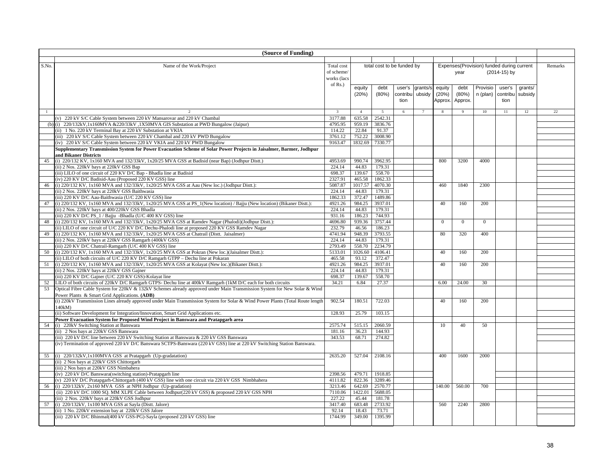|              | (Source of Funding)                                                                                                                                                                             |                    |                   |                            |          |                 |          |              |                                           |              |         |         |
|--------------|-------------------------------------------------------------------------------------------------------------------------------------------------------------------------------------------------|--------------------|-------------------|----------------------------|----------|-----------------|----------|--------------|-------------------------------------------|--------------|---------|---------|
|              |                                                                                                                                                                                                 |                    |                   |                            |          |                 |          |              |                                           |              |         |         |
| S.No.        | Name of the Work/Project                                                                                                                                                                        | Total cost         |                   | total cost to be funded by |          |                 |          |              | Expenses(Provision) funded during current |              |         | Remarks |
|              |                                                                                                                                                                                                 | of scheme/         |                   |                            |          |                 |          | year         |                                           | (2014-15) by |         |         |
|              |                                                                                                                                                                                                 | works (lacs        |                   |                            |          |                 |          |              |                                           |              |         |         |
|              |                                                                                                                                                                                                 | of $Rs.$ )         | equity            | debt                       | user's   | grants/s        | equity   | debt         | Provisio                                  | user's       | grants/ |         |
|              |                                                                                                                                                                                                 |                    | (20%)             | $(80\%)$                   | contribu | ubsidy          | (20%)    | (80%)        | n (plan)                                  | contribu     | subsidy |         |
|              |                                                                                                                                                                                                 |                    |                   |                            | tion     |                 | Approx.  | Approx.      |                                           | tion         |         |         |
|              |                                                                                                                                                                                                 |                    |                   |                            |          |                 |          |              |                                           |              |         |         |
| $\mathbf{1}$ | $\mathcal{D}$                                                                                                                                                                                   | $\overline{3}$     | $\overline{4}$    | $\overline{5}$             | 6        | $7\overline{ }$ | 8        | 9            | 10                                        | 11           | 12      | 22      |
|              | (v) 220 kV S/C Cable System between 220 kV Mansarovar and 220 kV Chambal                                                                                                                        | 3177.88            | 635.58            | 2542.31                    |          |                 |          |              |                                           |              |         |         |
|              | (b) (i) $220/132kV$ , 1x160MVA & $220/33kV$ , 1X50MVA GIS Substation at PWD Bungalow (Jaipur)                                                                                                   | 4795.95            | 959.19            | 3836.76                    |          |                 |          |              |                                           |              |         |         |
|              | (ii) 1 No. 220 kV Terminal Bay at 220 kV Substation at VKIA                                                                                                                                     | 114.22             | 22.84             | 91.37                      |          |                 |          |              |                                           |              |         |         |
|              | (iii) 220 kV S/C Cable System between 220 kV Chambal and 220 kV PWD Bungalow                                                                                                                    | 3761.12            | 752.22            | 3008.90                    |          |                 |          |              |                                           |              |         |         |
|              | (iv) 220 kV S/C Cable System between 220 kV VKIA and 220 kV PWD Bungalow<br>Supplementary Transmission System for Power Evacuation Scheme of Solar Power Projects in Jaisalmer, Barmer, Jodhpur | 9163.47            | 1832.69           | 7330.77                    |          |                 |          |              |                                           |              |         |         |
|              | and Bikaner Districts                                                                                                                                                                           |                    |                   |                            |          |                 |          |              |                                           |              |         |         |
| 45           | (i) $220/132$ KV, $1x160$ MVA and $132/33kV$ , $1x20/25$ MVA GSS at Badisid (near Bap) (Jodhpur Distt.)                                                                                         | 4953.69            | 990.74            | 3962.95                    |          |                 | 800      | 3200         | 4000                                      |              |         |         |
|              | (ii) 2 Nos. 220kV bays at 220kV GSS Bap                                                                                                                                                         | 224.14             | 44.83             | 179.31                     |          |                 |          |              |                                           |              |         |         |
|              | (iii) LILO of one circuit of 220 KV D/C Bap - Bhadla line at Badisid                                                                                                                            | 698.37             | 139.67            | 558.70                     |          |                 |          |              |                                           |              |         |         |
|              | (iv) 220 KV D/C Badisid-Aau (Proposed 220 KV GSS) line                                                                                                                                          | 2327.91            | 465.58            | 1862.33                    |          |                 |          |              |                                           |              |         |         |
| 46           | (i) 220/132 KV, 1x160 MVA and $132/33kV$ , 1x20/25 MVA GSS at Aau (New loc.) (Jodhpur Distt.):                                                                                                  | 5087.87            | 1017.57           | 4070.30                    |          |                 | 460      | 1840         | 2300                                      |              |         |         |
|              | (ii) 2 Nos. 220kV bays at 220kV GSS Baithwasia                                                                                                                                                  | 224.14             | 44.83             | 179.31                     |          |                 |          |              |                                           |              |         |         |
|              | (iii) 220 KV D/C Aau-Baithwasia (U/C 220 KV GSS) line                                                                                                                                           | 1862.33            | 372.47            | 1489.86                    |          |                 |          |              |                                           |              |         |         |
| 47           | (i) $220/132$ KV, $1x160$ MVA and $132/33kV$ , $1x20/25$ MVA GSS at PS_1(New location) / Bajju (New location) (Bikaner Distt.):                                                                 | 4921.26            | 984.25            | 3937.01                    |          |                 | 40       | 160          | 200                                       |              |         |         |
|              | (ii) 2 Nos. 220kV bays at 400/220kV GSS Bhadla                                                                                                                                                  | 224.14             | 44.83             | 179.31                     |          |                 |          |              |                                           |              |         |         |
|              | (iii) 220 KV D/C PS_1 / Bajju -Bhadla (U/C 400 KV GSS) line                                                                                                                                     | 931.16             | 186.23            | 744.93                     |          |                 |          |              |                                           |              |         |         |
| 48           | (i) 220/132 KV, 1x160 MVA and 132/33kV, 1x20/25 MVA GSS at Ramdev Nagar (Phalodi)(Jodhpur Distt.):                                                                                              | 4696.80            | 939.36            | 3757.44                    |          |                 | $\theta$ | $\mathbf{0}$ | $\Omega$                                  |              |         |         |
|              | (ii) LILO of one circuit of U/C 220 KV D/C Dechu-Phalodi line at proposed 220 KV GSS Ramdev Nagar                                                                                               | 232.79             | 46.56             | 186.23                     |          |                 |          |              |                                           |              |         |         |
| 49           | (i) 220/132 KV, 1x160 MVA and $132/33kV$ , 1x20/25 MVA GSS at Chatrail (Distt. Jaisalmer)                                                                                                       | 4741.94            | 948.39            | 3793.55                    |          |                 | 80       | 320          | 400                                       |              |         |         |
|              | (ii) 2 Nos. 220kV bays at 220kV GSS Ramgarh (400kV GSS)                                                                                                                                         | 224.14             | 44.83             | 179.31                     |          |                 |          |              |                                           |              |         |         |
| 50           | (iii) 220 KV D/C Chatrail-Ramgarh (U/C 400 KV GSS) line<br>(i) 220/132 KV, 1x160 MVA and 132/33kV, 1x20/25 MVA GSS at Pokran (New loc.)(Jaisalmer Distt.):                                      | 2793.49<br>5133.01 | 558.70<br>1026.60 | 2234.79<br>4106.41         |          |                 | 40       | 160          | 200                                       |              |         |         |
|              | (ii) LILO of both circuits of U/C 220 KV D/C Ramgarh GTPP - Dechu line at Pokaran                                                                                                               | 465.58             | 93.12             | 372.47                     |          |                 |          |              |                                           |              |         |         |
| 51           | (i) 220/132 KV, 1x160 MVA and 132/33kV, 1x20/25 MVA GSS at Kolayat (New loc.)(Bikaner Distt.):                                                                                                  | 4921.26            | 984.25            | 3937.01                    |          |                 | 40       | 160          | 200                                       |              |         |         |
|              | (ii) 2 Nos. 220kV bays at 220kV GSS Gajner                                                                                                                                                      | 224.14             | 44.83             | 179.31                     |          |                 |          |              |                                           |              |         |         |
|              | (iii) 220 KV D/C Gajner (U/C 220 KV GSS)-Kolayat line                                                                                                                                           | 698.37             | 139.67            | 558.70                     |          |                 |          |              |                                           |              |         |         |
| 52           | LILO of both circuits of 220kV D/C Ramgarh GTPS- Dechu line at 400kV Ramgarh (1kM D/C each for both circuits                                                                                    | 34.21              | 6.84              | 27.37                      |          |                 | 6.00     | 24.00        | 30                                        |              |         |         |
| 53           | Optical Fibre Cable System for 220kV & 132kV Schemes already approved under Main Transmission System for New Solar & Wind                                                                       |                    |                   |                            |          |                 |          |              |                                           |              |         |         |
|              | Power Plants & Smart Grid Applications. (ADB)                                                                                                                                                   |                    |                   |                            |          |                 |          |              |                                           |              |         |         |
|              | (i) 220kV Transmission Lines already approved under Main Transmission System for Solar & Wind Power Plants (Total Route length                                                                  | 902.54             | 180.51            | 722.03                     |          |                 | 40       | 160          | 200                                       |              |         |         |
|              | 140kM                                                                                                                                                                                           |                    |                   |                            |          |                 |          |              |                                           |              |         |         |
|              | (ii) Software Development for Integration/Innovation, Smart Grid Applications etc.                                                                                                              | 128.93             | 25.79             | 103.15                     |          |                 |          |              |                                           |              |         |         |
|              | Power Evacuation System for Proposed Wind Project in Banswara and Pratapgarh area                                                                                                               |                    |                   |                            |          |                 |          |              |                                           |              |         |         |
| 54           | (i) 220kV Switching Station at Banswara                                                                                                                                                         | 2575.74            | 515.15            | 2060.59                    |          |                 | 10       | 40           | 50                                        |              |         |         |
|              | (ii) 2 Nos bays at 220kV GSS Banswara                                                                                                                                                           | 181.16             | 36.23             | 144.93                     |          |                 |          |              |                                           |              |         |         |
|              | (iii) 220 kV D/C line between 220 kV Switching Station at Banswara & 220 kV GSS Banswara                                                                                                        | 343.53             | 68.71             | 274.82                     |          |                 |          |              |                                           |              |         |         |
|              | (iv) Termination of approved 220 kV D/C Banswara SCTPS-Banswara (220 kV GSS) line at 220 kV Switching Station Banswara.                                                                         |                    |                   |                            |          |                 |          |              |                                           |              |         |         |
|              | 55 (i) 220/132kV,1x100MVA GSS at Pratapgarh (Up-gradatation)                                                                                                                                    | 2635.20            | 527.04            | 2108.16                    |          |                 | 400      | 1600         | 2000                                      |              |         |         |
|              | (ii) 2 Nos bays at 220kV GSS Chittorgarh                                                                                                                                                        |                    |                   |                            |          |                 |          |              |                                           |              |         |         |
|              | (iii) 2 Nos bays at 220kV GSS Nimbahera                                                                                                                                                         |                    |                   |                            |          |                 |          |              |                                           |              |         |         |
|              | (iv) 220 kV D/C Banswara(switching station)-Pratapgarh line                                                                                                                                     | 2398.56            | 479.71            | 1918.85                    |          |                 |          |              |                                           |              |         |         |
|              | (v) 220 kV D/C Pratapgarh-Chittorgarh (400 kV GSS) line with one circuit via 220 kV GSS Nimbhahera                                                                                              | 4111.82            | 822.36            | 3289.46                    |          |                 |          |              |                                           |              |         |         |
| 56           | (i) 220/132kV, 2x160 MVA GSS at NPH Jodhpur (Up-gradation)                                                                                                                                      | 3213.46            | 642.69            | 2570.77                    |          |                 | 140.00   | 560.00       | 700                                       |              |         |         |
|              | (ii) 220 kV D/C 1000 SQ. MM XLPE Cable between Jodhpur(220 kV GSS) & proposed 220 kV GSS NPH                                                                                                    | 7110.06            | 1422.01           | 5688.05                    |          |                 |          |              |                                           |              |         |         |
|              | (iii) 2 Nos. 220kV bays at 220kV GSS Jodhpur                                                                                                                                                    | 227.22             | 45.44             | 181.78                     |          |                 |          |              |                                           |              |         |         |
| 57           | (i) 220/132kV, 1x100 MVA GSS at Sayla (Distt. Jalore)                                                                                                                                           | 3417.40            | 683.48            | 2733.92                    |          |                 | 560      | 2240         | 2800                                      |              |         |         |
|              | (ii) 1 No. 220kV extension bay at 220kV GSS Jalore                                                                                                                                              | 92.14              | 18.43             | 73.71                      |          |                 |          |              |                                           |              |         |         |
|              | (iii) 220 kV D/C Bhinmal(400 kV GSS-PG)-Sayla (proposed 220 kV GSS) line                                                                                                                        | 1744.99            | 349.00            | 1395.99                    |          |                 |          |              |                                           |              |         |         |
|              |                                                                                                                                                                                                 |                    |                   |                            |          |                 |          |              |                                           |              |         |         |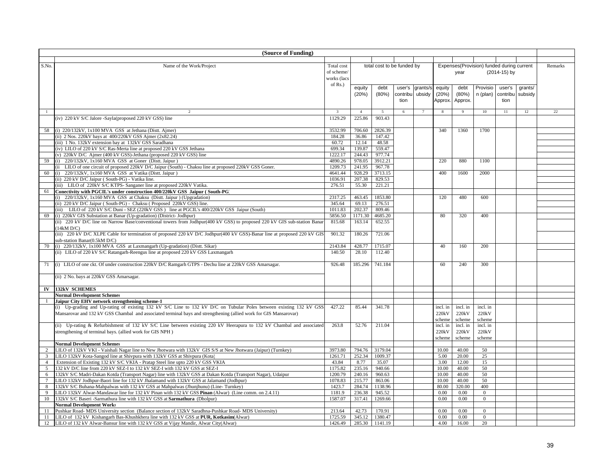|                 | (Source of Funding)                                                                                                                                                          |                         |                  |                            |          |                |              |               |                                           |              |         |         |
|-----------------|------------------------------------------------------------------------------------------------------------------------------------------------------------------------------|-------------------------|------------------|----------------------------|----------|----------------|--------------|---------------|-------------------------------------------|--------------|---------|---------|
|                 |                                                                                                                                                                              |                         |                  |                            |          |                |              |               |                                           |              |         |         |
| S.No.           | Name of the Work/Project                                                                                                                                                     | Total cost              |                  | total cost to be funded by |          |                |              |               | Expenses(Provision) funded during current |              |         | Remarks |
|                 |                                                                                                                                                                              | of scheme/              |                  |                            |          |                |              | year          |                                           | (2014-15) by |         |         |
|                 |                                                                                                                                                                              | works (lacs             |                  |                            |          |                |              |               |                                           |              |         |         |
|                 |                                                                                                                                                                              | of $Rs.$ )              | equity           | debt                       | user's   | grants/s       | equity       | debt          | Provisio                                  | user's       | grants/ |         |
|                 |                                                                                                                                                                              |                         | (20%)            | (80%)                      | contribu | ubsidy         | (20%)        | (80%)         | n (plan)                                  | contribu     | subsidy |         |
|                 |                                                                                                                                                                              |                         |                  |                            | tion     |                | Approx.      | Approx.       |                                           | tion         |         |         |
|                 |                                                                                                                                                                              |                         |                  |                            |          |                |              |               |                                           |              |         |         |
| $\mathbf{1}$    | $\mathcal{D}$                                                                                                                                                                | $\overline{\mathbf{3}}$ | $\overline{4}$   | $\overline{5}$             | 6        | $\overline{7}$ | 8            | 9             | 10                                        | 11           | 12      | 22      |
|                 | (iv) 220 kV S/C Jalore -Sayla(proposed 220 kV GSS) line                                                                                                                      | 1129.29                 | 225.86           | 903.43                     |          |                |              |               |                                           |              |         |         |
|                 |                                                                                                                                                                              |                         |                  |                            |          |                |              |               |                                           |              |         |         |
| 58              | (i) 220/132kV, 1x100 MVA GSS at Jethana (Distt. Ajmer)                                                                                                                       | 3532.99                 | 706.60           | 2826.39                    |          |                | 340          | 1360          | 1700                                      |              |         |         |
|                 | (ii) 2 Nos. 220kV bays at 400/220kV GSS Ajmer (2x82.24)<br>(iii) 1 No. 132kV extension bay at 132kV GSS Saradhana                                                            | 184.28<br>60.72         | 36.86<br>12.14   | 147.42<br>48.58            |          |                |              |               |                                           |              |         |         |
|                 | (iv) LILO of 220 kV S/C Ras-Merta line at proposed 220 kV GSS Jethana                                                                                                        | 699.34                  | 139.87           | 559.47                     |          |                |              |               |                                           |              |         |         |
|                 | (v) 220kV D/C Ajmer (400 kV GSS)-Jethana (proposed 220 kV GSS) line                                                                                                          | 1222.17                 | 244.43           | 977.74                     |          |                |              |               |                                           |              |         |         |
|                 | (i) 220/132kV, 1x160 MVA GSS at Goner (Distt. Jaipur)                                                                                                                        | 4890.26                 | 978.05           | 3912.21                    |          |                | 220          | 880           | 1100                                      |              |         |         |
| 59              |                                                                                                                                                                              | 1209.73                 |                  |                            |          |                |              |               |                                           |              |         |         |
| 60              | (ii LILO of one circuit of proposed 220kV D/C Jaipur (South) - Chaksu line at proposed 220kV GSS Goner.<br>(i) 220/132kV, 1x160 MVA GSS at Vatika (Distt. Jaipur)            | 4641.44                 | 241.95<br>928.29 | 967.78<br>3713.15          |          |                | 400          | 1600          | 2000                                      |              |         |         |
|                 | (ii) 220 kV D/C Jaipur (South-PG) - Vatika line.                                                                                                                             | 1036.91                 | 207.38           | 829.53                     |          |                |              |               |                                           |              |         |         |
|                 | (iii) LILO of 220kV S/C KTPS- Sanganer line at proposed 220kV Vatika.                                                                                                        | 276.51                  | 55.30            | 221.21                     |          |                |              |               |                                           |              |         |         |
| 61              | Conectivity with PGCIL's under construction 400/220kV GSS Jaipur (South-PG)                                                                                                  |                         |                  |                            |          |                |              |               |                                           |              |         |         |
|                 | (i) 220/132kV, 1x160 MVA GSS at Chaksu (Distt. Jaipur) (Upgradation)                                                                                                         | 2317.25                 | 463.45           | 1853.80                    |          |                | 120          | 480           | 600                                       |              |         |         |
|                 | (ii) 220 kV D/C Jaipur (South-PG) - Chaksu (Proposed 220kV GSS) line.                                                                                                        | 345.64                  | 69.13            | 276.51                     |          |                |              |               |                                           |              |         |         |
|                 | (iii) LILO of 220 kV S/C Duni - SEZ (220kV GSS) line at PGCIL's 400/220kV GSS Jaipur (South)                                                                                 | 1011.83                 | 202.37           | 809.46                     |          |                |              |               |                                           |              |         |         |
| 69              | (i) 220kV GIS Substation at Banar (Up-gradation) (District- Jodhpur)                                                                                                         | 5856.50                 | 1171.30          | 4685.20                    |          |                | 80           | 320           | 400                                       |              |         |         |
|                 | (ii) 220 kV D/C line on Narrow Base/conventional towers from Jodhpur(400 kV GSS) to proposed 220 kV GIS sub-station Banar                                                    | 815.68                  | 163.14           | 652.55                     |          |                |              |               |                                           |              |         |         |
|                 | (14kM D/C)                                                                                                                                                                   |                         |                  |                            |          |                |              |               |                                           |              |         |         |
|                 | (iii) 220 kV D/C XLPE Cable for termination of proposed 220 kV D/C Jodhpur(400 kV GSS)-Banar line at proposed 220 kV GIS                                                     | 901.32                  | 180.26           | 721.06                     |          |                |              |               |                                           |              |         |         |
|                 | sub-station Banar(0.5kM D/C)                                                                                                                                                 |                         |                  |                            |          |                |              |               |                                           |              |         |         |
| 70              | (i) 220/132kV, 1x100 MVA GSS at Laxmangarh (Up-gradation) (Distt. Sikar)                                                                                                     | 2143.84                 | 428.77           | 1715.07                    |          |                | 40           | 160           | 200                                       |              |         |         |
|                 | (ii) LILO of 220 kV S/C Ratangarh-Reengus line at proposed 220 kV GSS Laxmangarh                                                                                             | 140.50                  | 28.10            | 112.40                     |          |                |              |               |                                           |              |         |         |
|                 |                                                                                                                                                                              |                         |                  |                            |          |                |              |               |                                           |              |         |         |
| 71              | (i) LILO of one ckt. Of under construction 220kV D/C Ramgarh GTPS - Dechu line at 220kV GSS Amarsagar.                                                                       | 926.48                  | 185.296          | 741.184                    |          |                | 60           | 240           | 300                                       |              |         |         |
|                 |                                                                                                                                                                              |                         |                  |                            |          |                |              |               |                                           |              |         |         |
|                 | (ii) 2 No. bays at 220kV GSS Amarsagar.                                                                                                                                      |                         |                  |                            |          |                |              |               |                                           |              |         |         |
|                 |                                                                                                                                                                              |                         |                  |                            |          |                |              |               |                                           |              |         |         |
| $\mathbf{IV}$   | <b>132kV SCHEMES</b>                                                                                                                                                         |                         |                  |                            |          |                |              |               |                                           |              |         |         |
|                 | <b>Normal Development Schemes</b>                                                                                                                                            |                         |                  |                            |          |                |              |               |                                           |              |         |         |
|                 | Jaipur City EHV network strengthening scheme-1                                                                                                                               |                         |                  |                            |          |                |              |               |                                           |              |         |         |
|                 | (i) Up-grading and Up-rating of existing 132 kV S/C Line to 132 kV D/C on Tubular Poles between existing 132 kV GSS                                                          | 427.22                  | 85.44            | 341.78                     |          |                | incl. in     | incl. in      | incl. in                                  |              |         |         |
|                 | Mansarovar and 132 kV GSS Chambal and associated terminal bays and strengthening (allied work for GIS Mansarovar)                                                            |                         |                  |                            |          |                | 220kV        | 220kV         | 220 <sub>k</sub> V                        |              |         |         |
|                 |                                                                                                                                                                              |                         |                  |                            |          |                | scheme       | scheme        | scheme                                    |              |         |         |
|                 | (ii) Up-rating & Refurbishment of 132 kV S/C Line between existing 220 kV Heerapura to 132 kV Chambal and associated                                                         | 263.8                   | 52.76            | 211.04                     |          |                | incl. in     | incl. in      | incl. in                                  |              |         |         |
|                 | strengthening of terminal bays. (allied work for GIS NPH)                                                                                                                    |                         |                  |                            |          |                | 220kV        | 220kV         | 220kV                                     |              |         |         |
|                 |                                                                                                                                                                              |                         |                  |                            |          |                | scheme       | scheme        | scheme                                    |              |         |         |
|                 | <b>Normal Development Schemes</b>                                                                                                                                            |                         |                  |                            |          |                |              |               |                                           |              |         |         |
| 2               | LILO of 132kV VKI - Vaishali Nagar line to New Jhotwara with 132kV GIS S/S at New Jhotwara (Jaipur) (Turnkey)                                                                | 3973.80                 | 794.76           | 3179.04                    |          |                | 10.00        | 40.00         | 50                                        |              |         |         |
| $\overline{3}$  | LILO 132kV Kota-Sangod line at Shivpura with 132kV GSS at Shivpura (Kota)                                                                                                    | 1261.71                 | 252.34           | 1009.37                    |          |                | 5.00         | 20.00         | 25                                        |              |         |         |
| $\overline{4}$  | Extension of Existing 132 kV S/C VKIA - Pratap Steel line upto 220 kV GSS VKIA                                                                                               | 43.84                   | 8.77             | 35.07                      |          |                | 3.00         | 12.00         | 15                                        |              |         |         |
| 5               | 132 kV D/C line from 220 kV SEZ-I to 132 kV SEZ-I with 132 kV GSS at SEZ-I                                                                                                   | 1175.82                 | 235.16           | 940.66                     |          |                | 10.00        | 40.00         | 50                                        |              |         |         |
| 6               | 132kV S/C Madri-Dakan Kotda (Transport Nagar) line with 132kV GSS at Dakan Kotda (Transport Nagar), Udaipur                                                                  | 1200.79                 | 240.16           | 960.63                     |          |                | 10.00        | 40.00         | 50                                        |              |         |         |
| $7\phantom{.0}$ | LILO 132kV Jodhpur-Baori line for 132 kV Jhalamand with 132kV GSS at Jalamand (Jodhpur)                                                                                      | 1078.83                 | 215.77           | 863.06                     |          |                | 10.00        | 40.00         | 50                                        |              |         |         |
| 8               | 132kV S/C Buhana-Mahpalwas with 132 kV GSS at Mahpalwas (Jhunjhunu) (Line-Turnkey)                                                                                           | 1423.7                  | 284.74           | 1138.96                    |          |                | 80.00        | 320.00        | 400                                       |              |         |         |
| 9               | LILO 132kV Alwar-Mandawar line for 132 kV Pinan with 132 kV GSS Pinan (Alwar) (Line comm. on 2.4.11)                                                                         | 1181.9                  | 236.38           | 945.52                     |          |                | 0.00         | 0.00          | $\overline{0}$                            |              |         |         |
| 10              | 132kV S/C Baseri -Sarmathura line with 132 kV GSS at Sarmathura (Dholpur)                                                                                                    | 1587.07                 | 317.41           | 1269.66                    |          |                | 0.00         | 0.00          | $\mathbf{0}$                              |              |         |         |
|                 | <b>Normal Development Works</b>                                                                                                                                              |                         |                  |                            |          |                |              |               |                                           |              |         |         |
| 11              | Pushkar Road- MDS University section (Balance section of 132kV Saradhna-Pushkar Road- MDS University)                                                                        | 213.64                  | 42.73            | 170.91<br>1380.47          |          |                | 0.00         | 0.00          | $\mathbf{0}$                              |              |         |         |
| 11              | LILO of 132 kV Kishangarh Bas-Khushkhera line with 132 kV GSS at PUR, Kotkasim(Alwar)<br>LILO of 132 kV Alwar-Bansur line with 132 kV GSS at Vijay Mandir, Alwar City(Alwar) | 1725.59<br>1426.49      | 345.12<br>285.30 | 1141.19                    |          |                | 0.00<br>4.00 | 0.00<br>16.00 | $\overline{0}$<br>20                      |              |         |         |
| 12              |                                                                                                                                                                              |                         |                  |                            |          |                |              |               |                                           |              |         |         |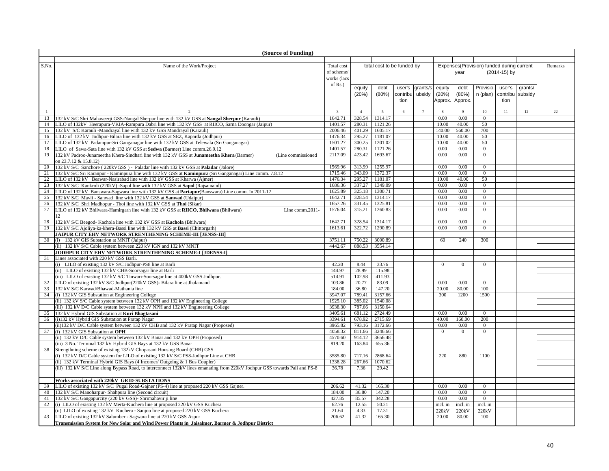|       | (Source of Funding)                                                                                                         |                         |                |                            |          |                |              |                |                                           |              |         |                 |
|-------|-----------------------------------------------------------------------------------------------------------------------------|-------------------------|----------------|----------------------------|----------|----------------|--------------|----------------|-------------------------------------------|--------------|---------|-----------------|
|       |                                                                                                                             |                         |                |                            |          |                |              |                |                                           |              |         |                 |
| S.No. | Name of the Work/Project                                                                                                    | Total cost              |                | total cost to be funded by |          |                |              |                | Expenses(Provision) funded during current |              |         | Remarks         |
|       |                                                                                                                             | of scheme/              |                |                            |          |                |              | year           |                                           | (2014-15) by |         |                 |
|       |                                                                                                                             | works (lacs             |                |                            |          |                |              |                |                                           |              |         |                 |
|       |                                                                                                                             | of $Rs.$ )              |                |                            |          |                |              |                |                                           |              |         |                 |
|       |                                                                                                                             |                         | equity         | debt                       | user's   | grants/s       | equity       | debt           | Provisio                                  | user's       | arants/ |                 |
|       |                                                                                                                             |                         | (20%)          | (80%)                      | contribu | ubsidy         | (20%)        | (80%)          | n (plan)                                  | contribu     | subsidy |                 |
|       |                                                                                                                             |                         |                |                            | tion     |                | Approx       | Approx.        |                                           | tion         |         |                 |
|       |                                                                                                                             |                         |                |                            |          |                |              |                |                                           |              |         |                 |
| -1    | $\mathcal{D}$                                                                                                               | $\overline{\mathbf{3}}$ | $\overline{4}$ | $\overline{5}$             | 6        | $\overline{7}$ | -8           | $\overline{9}$ | 10                                        | 11           | 12      | $\overline{22}$ |
| 13    | 132 kV S/C Shri Mahaveerji GSS-Nangal Sherpur line with 132 kV GSS at <b>Nangal Sherpur</b> (Karauli)                       | 1642.71                 | 328.54         | 1314.17                    |          |                | 0.00         | 0.00           | $\overline{0}$                            |              |         |                 |
| 14    | LILO of 132kV Heerapura-VKIA-Rampura Dabri line with 132 kV GSS at RIICO, Sarna Doongar (Jaipur)                            | 1401.57                 | 280.31         | 1121.26                    |          |                | 10.00        | 40.00          | 50                                        |              |         |                 |
| 15    | 132 kV S/C Karauli -Mandrayal line with 132 kV GSS Mandrayal (Karauli)                                                      | 2006.46                 | 401.29         | 1605.17                    |          |                | 140.00       | 560.00         | 700                                       |              |         |                 |
| 16    | LILO of 132 kV Jodhpur-Bilara line with 132 kV GSS at SEZ, Kaparda (Jodhpur)                                                | 1476.34                 | 295.27         | 1181.07                    |          |                | 10.00        | 40.00          | 50                                        |              |         |                 |
| 17    | LILO of 132 kV Padampur-Sri Ganganagar line with 132 kV GSS at Telewala (Sri Ganganagar)                                    | 1501.27                 | 300.25         | 1201.02                    |          |                | 10.00        | 40.00          | 50                                        |              |         |                 |
| 18    | LILO of Sawa-Sata line with 132 kV GSS at Sedwa (Barmer) Line comm.26.9.12                                                  | 1401.57                 | 280.31         | 1121.26                    |          |                | 0.00         | 0.00           | $\mathbf{0}$                              |              |         |                 |
| 19    | 132 kV Padroo-Junameetha Khera-Sindhari line with 132 kV GSS at <b>Junameetha Khera</b> (Barmer)<br>(Line commissioned      | 2117.09                 | 423.42         | 1693.67                    |          |                | 0.00         | 0.00           | $\mathbf{0}$                              |              |         |                 |
|       | on 23.7.12 & 15.8.12)                                                                                                       |                         |                |                            |          |                |              |                |                                           |              |         |                 |
| 20    | 132 kV S/C Sanchore (220kVGSS) - Paladar line with 132 kV GSS at Paladar (Jalore)                                           | 1569.96                 | 313.99         | 1255.97                    |          |                | 0.00         | 0.00           | $\overline{0}$                            |              |         |                 |
| 21    | 132 kV S/C Sri Karanpur - Kaminpura line with 132 kV GSS at Kaminpura (Sri Ganganagar) Line comm. 7.8.12                    | 1715.46                 | 343.09         | 1372.37                    |          |                | 0.00         | 0.00           | $\overline{0}$                            |              |         |                 |
| 22    | LILO of 132 kV Beawar-Nasirabad line with 132 kV GSS at Kharwa (Ajmer)                                                      | 1476.34                 | 295.27         | 1181.07                    |          |                | 10.00        | 40.00          | 50                                        |              |         |                 |
| 23    | 132 kV S/C Kankroli (220kV) -Sapol line with 132 kV GSS at Sapol (Rajsamand)                                                | 1686.36                 | 337.27         | 1349.09                    |          |                | 0.00         | 0.00           | $\overline{0}$                            |              |         |                 |
| 24    | LILO of 132 kV Banswara-Sagwara line with 132 kV GSS at Partapur(Banswara) Line comm. In 2011-12                            | 1625.89                 | 325.18         | 1300.71                    |          |                | 0.00         | 0.00           | $\overline{0}$                            |              |         |                 |
| 25    | 132 kV S/C Mavli - Sanwad line with 132 kV GSS at Sanwad (Udaipur)                                                          | 1642.71                 | 328.54         | 1314.17                    |          |                | 0.00         | 0.00           | $\overline{0}$                            |              |         |                 |
| 26    | 132 kV S/C Shri Madhopur - Thoi line with 132 kV GSS at Thoi (Sikar)                                                        | 1657.26                 | 331.45         | 1325.81                    |          |                | 0.00         | 0.00           | $\overline{0}$                            |              |         |                 |
| 27    | LILO of 132 kV Bhilwara-Hamirgarh line with 132 kV GSS at RIICO, Bhilwara (Bhilwara)<br>Line comm.2011-                     | 1576.04                 | 315.21         | 1260.83                    |          |                | 0.00         | 0.00           | $\mathbf{0}$                              |              |         |                 |
|       | $\mathbf{12}$                                                                                                               |                         |                |                            |          |                |              |                |                                           |              |         |                 |
| 28    | 132 kV S/C Beegod- Kachola line with 132 kV GSS at Kachola (Bhilwara)                                                       | 1642.71                 | 328.54         | 1314.17                    |          |                | 0.00         | 0.00           | $\mathbf{0}$                              |              |         |                 |
| 29    | 132 kV S/C Ajoliya-ka-khera-Bassi line with 132 kV GSS at Bassi (Chittorgarh)                                               | 1613.61                 | 322.72         | 1290.89                    |          |                | 0.00         | 0.00           | $\overline{0}$                            |              |         |                 |
|       | JAIPUR CITY EHV NETWORK STRENTHENING SCHEME-III [JENSS-III]                                                                 |                         |                |                            |          |                |              |                |                                           |              |         |                 |
| 30    | (i) 132 kV GIS Substation at MNIT (Jaipur)                                                                                  | 3751.11                 | 750.22         | 3000.89                    |          |                | 60           | 240            | 300                                       |              |         |                 |
|       | (ii) 132 kV S/C Cable system between 220 kV IGN and 132 kV MNIT                                                             | 4442.67                 | 888.53         | 3554.14                    |          |                |              |                |                                           |              |         |                 |
|       | JODHPUR CITY EHV NETWORK STRENTHENING SCHEME-I [JDENSS-I]                                                                   |                         |                |                            |          |                |              |                |                                           |              |         |                 |
| 31    | Lines associated with 220 kV GSS Barli.                                                                                     |                         |                |                            |          |                |              |                |                                           |              |         |                 |
|       | (i) LILO of existing 132 kV S/C Jodhpur-PS8 line at Barli                                                                   | 42.20                   | 8.44           | 33.76                      |          |                | $\theta$     | $\theta$       | $\theta$                                  |              |         |                 |
|       | (ii) LILO of existing 132 kV CHB-Soorsagar line at Barli                                                                    | 144.97                  | 28.99          | 115.98                     |          |                |              |                |                                           |              |         |                 |
|       | (iii) LILO of existing 132 kV S/C Tinwari-Soorsagar line at 400kV GSS Jodhpur.                                              | 514.91                  | 102.98         | 411.93                     |          |                |              |                |                                           |              |         |                 |
| 32    | LILO of existing 132 kV S/C Jodhpur(220kV GSS)- Bilara line at Jhalamand                                                    | 103.86                  | 20.77          | 83.09                      |          |                | 0.00         | 0.00           | $\overline{0}$                            |              |         |                 |
| 33    | 132 kV S/C Karwad/Bhawad-Mathania line                                                                                      | 184.00                  | 36.80          | 147.20                     |          |                | 20.00        | 80.00          | 100                                       |              |         |                 |
| 34    | (i) 132 kV GIS Substation at Engineering College                                                                            | 3947.07                 | 789.41         | 3157.66                    |          |                | 300          | 1200           | 1500                                      |              |         |                 |
|       | (ii) 132 kV S/C Cable system between 132 kV OPH and 132 kV Engineering College                                              | 1925.10                 | 385.02         | 1540.08                    |          |                |              |                |                                           |              |         |                 |
|       | (iii) 132 kV D/C Cable system between 132 kV NPH and 132 kV Engineering College                                             | 3938.30                 | 787.66         | 3150.64                    |          |                |              |                |                                           |              |         |                 |
| 35    | 132 kV Hybrid GIS Substation at Kuri Bhagtasani                                                                             | 3405.61                 | 681.12         | 2724.49                    |          |                | 0.00         | 0.00           | $\overline{0}$                            |              |         |                 |
| 36    | (i)132 kV Hybrid GIS Substation at Pratap Nagar                                                                             | 3394.61                 | 678.92         | 2715.69                    |          |                | 40.00        | 160.00         | 200                                       |              |         |                 |
|       | (ii)132 kV D/C Cable system between 132 kV CHB and 132 kV Pratap Nagar (Proposed)                                           | 3965.82                 | 793.16         | 3172.66                    |          |                | 0.00         | 0.00           | $\overline{0}$                            |              |         |                 |
| 37    | (i) 132 kV GIS Substation at OPH                                                                                            | 4058.32                 | 811.66         | 3246.66                    |          |                | $\mathbf{0}$ | $\overline{0}$ | $\mathbf{0}$                              |              |         |                 |
|       | (ii) 132 kV D/C Cable system between 132 kV Banar and 132 kV OPH (Proposed)                                                 | 4570.60                 | 914.12         | 3656.48                    |          |                |              |                |                                           |              |         |                 |
|       | (iii) 3 No. Terminal 132 kV Hybrid GIS Bays at 132 kV GSS Banar                                                             | 819.20                  | 163.84         | 655.36                     |          |                |              |                |                                           |              |         |                 |
| 38    | Strengthning scheme of existing 132kV Chopasani Housing Board (CHB) GSS                                                     |                         |                |                            |          |                |              |                |                                           |              |         |                 |
|       | (i) 132 kV D/C Cable system for LILO of existing 132 kV S/C PS8-Jodhpur Line at CHB                                         | 3585.80                 | 717.16         | 2868.64                    |          |                | 220          | 880            | 1100                                      |              |         |                 |
|       | (ii) 132 kV Terminal Hybrid GIS Bays (4 Incomer/ Outgoing & 1 Bus Coupler)                                                  | 1338.28                 | 267.66         | 1070.62                    |          |                |              |                |                                           |              |         |                 |
|       | (iii) 132 kV S/C Line along Bypass Road, to interconnect 132kV lines emanating from 220kV Jodhpur GSS towards Pali and PS-8 | 36.78                   | 7.36           | 29.42                      |          |                |              |                |                                           |              |         |                 |
|       |                                                                                                                             |                         |                |                            |          |                |              |                |                                           |              |         |                 |
|       | Works associated with 220kV GRID-SUBSTATIONS                                                                                |                         |                |                            |          |                |              |                |                                           |              |         |                 |
| 39    | LILO of existing 132 kV S/C Pugal Road-Gajner (PS-4) line at proposed 220 kV GSS Gajner.                                    | 206.62                  | 41.32          | 165.30                     |          |                | 0.00         | 0.00           | $\overline{0}$                            |              |         |                 |
| 40    | 132 kV S/C Manoharpur- Shahpura line (Second circuit)                                                                       | 184.00                  | 36.80          | 147.20                     |          |                | 0.00         | 0.00           | $\overline{0}$                            |              |         |                 |
| 41    | 132 kV S/C Gangapurcity (220 kV GSS)- Shrimahavir ji line                                                                   | 427.85                  | 85.57          | 342.28                     |          |                | 0.00         | 0.00           | $\mathbf{0}$                              |              |         |                 |
| 42    | (i) LILO of existing 132 kV Merta-Kuchera line at proposed 220 kV GSS Kuchera                                               | 62.76                   | 12.55          | 50.21                      |          |                | incl. in     | incl. in       | incl. in                                  |              |         |                 |
|       | (ii) LILO of existing 132 kV Kuchera - Sanjoo line at proposed 220 kV GSS Kuchera                                           | 21.64                   | 4.33           | 17.31                      |          |                | 220kV        | 220kV          | 220kV                                     |              |         |                 |
| 43    | LILO of existing 132 kV Salumber - Sagwara line at 220 kV GSS Aspur                                                         | 206.62                  | 41.32          | 165.30                     |          |                | 20.00        | 80.00          | 100                                       |              |         |                 |
|       | Transmission System for New Solar and Wind Power Plants in Jaisalmer, Barmer & Jodhpur District                             |                         |                |                            |          |                |              |                |                                           |              |         |                 |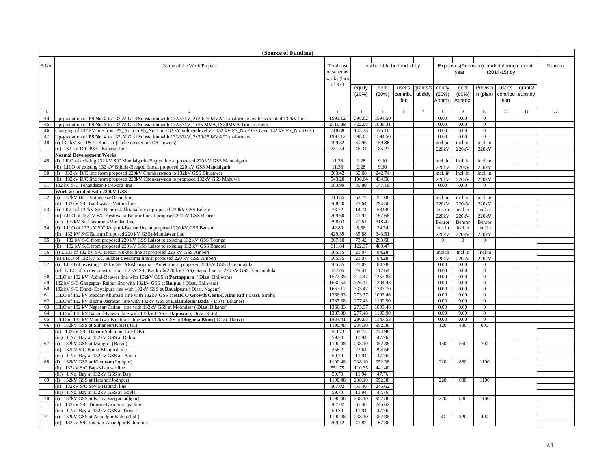|                | (Source of Funding)                                                                                                                                            |                   |                 |                            |          |                |                   |                   |                                           |              |         |         |
|----------------|----------------------------------------------------------------------------------------------------------------------------------------------------------------|-------------------|-----------------|----------------------------|----------|----------------|-------------------|-------------------|-------------------------------------------|--------------|---------|---------|
|                |                                                                                                                                                                |                   |                 |                            |          |                |                   |                   |                                           |              |         |         |
| S.No.          | Name of the Work/Project                                                                                                                                       | Total cost        |                 | total cost to be funded by |          |                |                   |                   | Expenses(Provision) funded during current |              |         | Remarks |
|                |                                                                                                                                                                | of scheme/        |                 |                            |          |                |                   | year              |                                           | (2014-15) by |         |         |
|                |                                                                                                                                                                | works (lacs       |                 |                            |          |                |                   |                   |                                           |              |         |         |
|                |                                                                                                                                                                | of Rs.)           | equity          | debt                       | user's   | grants/s       | equity            | debt              | Provisio                                  | user's       | grants/ |         |
|                |                                                                                                                                                                |                   | (20%)           | (80%)                      | contribu | ubsidy         | (20%)             | (80%)             | n (plan)                                  | contribu     | subsidy |         |
|                |                                                                                                                                                                |                   |                 |                            | tion     |                | Approx.           | Approx.           |                                           | tion         |         |         |
|                |                                                                                                                                                                |                   |                 |                            |          |                |                   |                   |                                           |              |         |         |
| $\overline{1}$ | $\overline{2}$                                                                                                                                                 | $\overline{3}$    | $\overline{4}$  | $\overline{5}$             | 6        | $\overline{7}$ | $\mathbf{8}$      | 9                 | 10                                        | 11           | 12      | 22      |
| 44             | Up-gradation of PS No. 2 to 132kV Grid Substation with 132/33kV, 2x20/25 MVA Transformers with associated 132kV line                                           | 1993.12           | 398.62          | 1594.50                    |          |                | 0.00              | 0.00              | $\overline{0}$                            |              |         |         |
| 45             | Up-gradation of PS No. 3 to 132kV Grid Substation with 132/33kV, 1x25 MVA,1X50MVA Transformers                                                                 | 2110.39           | 422.08          | 1688.31                    |          |                | 0.00              | 0.00              | $\mathbf{0}$                              |              |         |         |
| 46             | Charging of 132 kV line from PS No.5 to PS No.1 on 132 kV voltage level via 132 kV PS No.2 GSS and 132 kV PS No.3 GSS                                          | 718.88            | 143.78          | 575.10                     |          |                | 0.00              | 0.00              | $\overline{0}$                            |              |         |         |
| 47             | Up-gradation of PS No. 4 to 132kV Grid Substation with 132/33kV, 2x20/25 MVA Transformers                                                                      | 1993.12<br>199.82 | 398.62<br>39.96 | 1594.50                    |          |                | 0.00              | 0.00              | $\overline{0}$                            |              |         |         |
| 48             | (i) 132 kV S/C PS2 - Kanasar (To be erected on D/C towers)<br>(ii) 132 kV D/C PS3 - Kanasar line                                                               | 231.54            | 46.31           | 159.86<br>185.23           |          |                | incl. in<br>220kV | incl. in<br>220kV | incl. in<br>220kV                         |              |         |         |
|                | <b>Normal Development Works</b>                                                                                                                                |                   |                 |                            |          |                |                   |                   |                                           |              |         |         |
| 49             | (i) LILO of existing 132 kV S/C Mandalgarh- Begun line at proposed 220 kV GSS Mandalgarh                                                                       | 11.38             | 2.28            | 9.10                       |          |                | incl. in          | incl. in          | incl. in                                  |              |         |         |
|                | (ii) LILO of existing 132 kV Bijolia-Beegod line at proposed 220 kV GSS Mandalgarh                                                                             | 11.38             | 2.28            | 9.10                       |          |                | 220kV             | 220kV             | 220kV                                     |              |         |         |
| 50             | (i) 132kV D/C line from proposed 220kV Chonkarwada to 132kV GSS Bhusawar                                                                                       | 303.42            | 60.68           | 242.74                     |          |                | incl. in          | incl. in          | incl. in                                  |              |         |         |
|                | (ii) 132kV D/C line from proposed 220kV Chonkarwada to proposed 132kV GSS Mahuwa                                                                               | 543.20            | 108.64          | 434.56                     |          |                | 220kV             | 220kV             | 220kV                                     |              |         |         |
| 51             | 132 kV S/C Tehandesar-Parewara line                                                                                                                            | 183.99            | 36.80           | 147.19                     |          |                | 0.00              | 0.00              | $\overline{0}$                            |              |         |         |
|                | Work associated with 220kV GSS                                                                                                                                 |                   |                 |                            |          |                |                   |                   |                                           |              |         |         |
| 52             | (i) 132kV D/C Baithwasia-Osian line                                                                                                                            | 313.85            | 62.77           | 251.08                     |          |                | incl. in          | incl. in          | incl. in                                  |              |         |         |
|                | (ii) 132kV S/C Baithwasia-Matora line                                                                                                                          | 368.20            | 73.64           | 294.56                     |          |                | 220kV             | 220kV             | 220kV                                     |              |         |         |
| 53             | (i) LILO of 132kV S/C Behror-Jakhrana line at proposed 220kV GSS Behror                                                                                        | 73.72             | 14.74           | 58.98                      |          |                | incl.in           | incl.in           | incl.in                                   |              |         |         |
|                | (ii) LILO of 132kV S/C Keshwana-Behror line at proposed 220kV GSS Behror                                                                                       | 209.60            | 41.92           | 167.68                     |          |                | 220kV             | 220kV             | 220kV                                     |              |         |         |
|                | (iii) 132kV S/C Jakhrana-Mandan line                                                                                                                           | 398.03            | 79.61           | 318.42                     |          |                | Behror            | Behror            | Behror                                    |              |         |         |
| 54             | (i) LILO of 132 kV S/C Kotputli-Bansur line at proposed 220 kV GSS Bansur                                                                                      | 42.80             | 8.56            | 34.24                      |          |                | incl.in           | incl.in           | incl.in                                   |              |         |         |
|                | (ii) 132 kV S/C Bansur(Proposed 220 kV GSS)-Mundawar line                                                                                                      | 429.39            | 85.88           | 343.51                     |          |                | 220kV             | 220kV             | 220kV                                     |              |         |         |
| 55             | (i) 132 kV S/C from proposed 220 kV GSS Lalsot to existing 132 kV GSS Toonga<br>(ii) 132 kV S/C from proposed 220 kV GSS Lalsot to existing 132 kV GSS Bhadoti | 367.10<br>611.84  | 73.42<br>122.37 | 293.68<br>489.47           |          |                | $\theta$          | $\Omega$          | $\overline{0}$                            |              |         |         |
| 56             | (i) LILO of 132 kV S/C Debari-Sukher line at proposed 220 kV GSS Amberi                                                                                        | 105.35            | 21.07           | 84.28                      |          |                | Incl in           | Incl in           | Incl in                                   |              |         |         |
|                | (ii) LILO of 132 kV S/C Sukher-Seesarma line at proposed 220 kV GSS Amberi                                                                                     | 105.35            | 21.07           | 84.28                      |          |                | 220kV             | 220kV             | 220kV                                     |              |         |         |
| 57             | (i) LILO of existing 132 kV S/C Mokhampura -Amet line at proposed 220 kV GSS Bamantukda                                                                        | 105.35            | 21.07           | 84.28                      |          |                | 0.00              | 0.00              | $\overline{0}$                            |              |         |         |
|                | (ii) LILO of under construction 132 kV S/C Kankroli(220 kV GSS)-Sapol line at 220 kV GSS Bamantukda                                                            | 147.05            | 29.41           | 117.64                     |          |                | $0.00\,$          | 0.00              | $\mathbf{0}$                              |              |         |         |
| 58             | LILO of 132 kV Asind-Beawer line with 132kV GSS at Partappura (Disst. Bhilwara)                                                                                | 1572.35           | 314.47          | 1257.88                    |          |                | 0.00              | 0.00              | $\mathbf{0}$                              |              |         |         |
| 59             | 132 kV S/C Gangapur- Raipur line with 132kV GSS at Raipur (Disst. Bhilwara)                                                                                    | 1630.54           | 326.11          | 1304.43                    |          |                | 0.00              | 0.00              | $\mathbf{0}$                              |              |         |         |
| 60             | 132 kV S/C Dhod- Dayalpura line with 132kV GSS at Dayalpura (Disst. Nagaur)                                                                                    | 1667.12           | 333.42          | 1333.70                    |          |                | 0.00              | 0.00              | $\overline{0}$                            |              |         |         |
| 61             | LILO of 132 kV Reodar-Aburoad line with 132kV GSS at RIICO Growth Centre, Aburoad (Disst. Sirohi)                                                              | 1366.83           | 273.37          | 1093.46                    |          |                | 0.00              | 0.00              | $\overline{0}$                            |              |         |         |
| 62             | LILO of 132 kV Badnu-Jasrasar line with 132kV GSS at Lalamdesar Bada (Disst. Bikaner)                                                                          | 1387.38           | 277.48          | 1109.90                    |          |                | 0.00              | 0.00              | $\overline{0}$                            |              |         |         |
| 63             | LILO of 132 kV Napasar-Badnu line with 132kV GSS at Moondsar (Disst. Bikaner)                                                                                  | 1366.83           | 273.37          | 1093.46                    |          |                | 0.00              | 0.00              | $\mathbf{0}$                              |              |         |         |
| 64             | LILO of 132 kV Sangod-Kawai line with 132kV GSS at Bapawar (Disst. Kota)                                                                                       | 1387.38           | 277.48          | 1109.90                    |          |                | 0.00              | 0.00              | $\mathbf{0}$                              |              |         |         |
| 65             | LILO of 132 kV Mandawa-Bandikui line with 132kV GSS at Dhigaria Bhim (Disst. Dausa)                                                                            | 1434.41           | 286.88          | 1147.53                    |          |                | 0.00              | 0.00              | $\mathbf{0}$                              |              |         |         |
| 66             | (i) 132kV GSS at Sultanpur(Kota) (TK)                                                                                                                          | 1190.48           | 238.10          | 952.38                     |          |                | 120               | 480               | 600                                       |              |         |         |
|                | (ii) 132kV S/C Dahara-Sultanpur line (TK)<br>(iii) 1 No. Bay at 132kV GSS at Dahra                                                                             | 343.73<br>59.70   | 68.75<br>11.94  | 274.98<br>47.76            |          |                |                   |                   |                                           |              |         |         |
| 67             | (i) 132kV GSS at Mangrol (Baran)                                                                                                                               | 1190.48           | 238.10          | 952.38                     |          |                | 140               | 560               | 700                                       |              |         |         |
|                | (ii) 132kV S/C Baran-Mangrol line                                                                                                                              | 368.2             | 73.64           | 294.56                     |          |                |                   |                   |                                           |              |         |         |
|                | (iii) 1 No. Bay at 132kV GSS at Baran                                                                                                                          | 59.70             | 11.94           | 47.76                      |          |                |                   |                   |                                           |              |         |         |
| 68             | (i) 132kV GSS at Khetusar (Jodhpur)                                                                                                                            | 1190.48           | 238.10          | 952.38                     |          |                | 220               | 880               | 1100                                      |              |         |         |
|                | (ii) 132kV S/C Bap-Khetusar line                                                                                                                               | 551.75            | 110.35          | 441.40                     |          |                |                   |                   |                                           |              |         |         |
|                | (iii) 1 No. Bay at 132kV GSS at Bap                                                                                                                            | 59.70             | 11.94           | 47.76                      |          |                |                   |                   |                                           |              |         |         |
| 69             | (i) 132kV GSS at Hatundi(Jodhpur)                                                                                                                              | 1190.48           | 238.10          | 952.38                     |          |                | 220               | 880               | 1100                                      |              |         |         |
|                | (ii) 132kV S/C Soyla-Hatundi line                                                                                                                              | 307.02            | 61.40           | 245.62                     |          |                |                   |                   |                                           |              |         |         |
|                | (iii) 1 No. Bay at 132kV GSS at Soyla                                                                                                                          | 59.70             | 11.94           | 47.76                      |          |                |                   |                   |                                           |              |         |         |
| 70             | (i) 132kV GSS at Kirmarsariya(Jodhpur)                                                                                                                         | 1190.48           | 238.10          | 952.38                     |          |                | 220               | 880               | 1100                                      |              |         |         |
|                | (ii) 132kV S/C Tinwari-Kirmarsariya line                                                                                                                       | 307.02            | 61.40           | 245.62                     |          |                |                   |                   |                                           |              |         |         |
|                | (iii) 1 No. Bay at 132kV GSS at Tinwari                                                                                                                        | 59.70             | 11.94           | 47.76                      |          |                |                   |                   |                                           |              |         |         |
| 71             | (i) 132kV GSS at Anandpur Kaloo (Pali)                                                                                                                         | 1190.48           | 238.10          | 952.38                     |          |                | 80                | 320               | 400                                       |              |         |         |
|                | (ii) 132kV S/C Jaitaran-Anandpur Kaloo line                                                                                                                    | 209.12            | 41.82           | 167.30                     |          |                |                   |                   |                                           |              |         |         |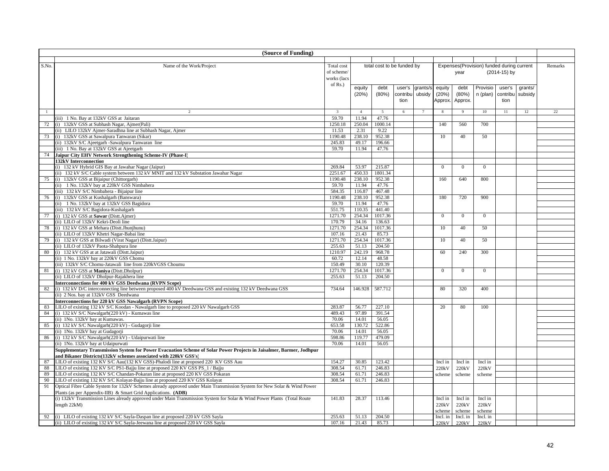|              | (Source of Funding)                                                                                                                                                   |                  |                |                            |          |                 |                |                |                                           |              |         |         |
|--------------|-----------------------------------------------------------------------------------------------------------------------------------------------------------------------|------------------|----------------|----------------------------|----------|-----------------|----------------|----------------|-------------------------------------------|--------------|---------|---------|
|              |                                                                                                                                                                       |                  |                |                            |          |                 |                |                |                                           |              |         |         |
| S.No.        | Name of the Work/Project                                                                                                                                              | Total cost       |                | total cost to be funded by |          |                 |                |                | Expenses(Provision) funded during current |              |         | Remarks |
|              |                                                                                                                                                                       | of scheme/       |                |                            |          |                 |                | year           |                                           | (2014-15) by |         |         |
|              |                                                                                                                                                                       | works (lacs      |                |                            |          |                 |                |                |                                           |              |         |         |
|              |                                                                                                                                                                       | of $Rs.$ )       | equity         | debt                       | user's   | grants/s        | equity         | debt           | Provisio                                  | user's       | grants/ |         |
|              |                                                                                                                                                                       |                  | (20%)          | (80%)                      | contribu | ubsidy          | (20%)          | (80%)          | n (plan)                                  | contribu     | subsidy |         |
|              |                                                                                                                                                                       |                  |                |                            | tion     |                 | Approx.        | Approx.        |                                           | tion         |         |         |
|              |                                                                                                                                                                       |                  |                |                            |          |                 |                |                |                                           |              |         |         |
| $\mathbf{1}$ | $\overline{2}$                                                                                                                                                        | $\overline{3}$   | $\overline{4}$ | $\overline{5}$             | 6        | $7\phantom{.0}$ | 8              | 9              | 10                                        | 11           | 12      | 22      |
|              | (iii) 1 No. Bay at 132kV GSS at Jaitaran                                                                                                                              | 59.70            | 11.94          | 47.76                      |          |                 |                |                |                                           |              |         |         |
| 72           | (i) 132kV GSS at Subhash Nagar, Ajmer(Pali)                                                                                                                           | 1250.18          | 250.04         | 1000.14                    |          |                 | 140            | 560            | 700                                       |              |         |         |
|              | (ii) LILO 132kV Ajmer-Saradhna line at Subhash Nagar, Ajmer                                                                                                           | 11.53            | 2.31           | 9.22                       |          |                 |                |                |                                           |              |         |         |
| 73           | (i) 132kV GSS at Sawalpura Tanwaran (Sikar)                                                                                                                           | 1190.48          | 238.10         | 952.38                     |          |                 | 10             | 40             | 50                                        |              |         |         |
|              | (ii) 132kV S/C Ajeetgarh -Sawalpura Tanwaran line                                                                                                                     | 245.83<br>59.70  | 49.17<br>11.94 | 196.66<br>47.76            |          |                 |                |                |                                           |              |         |         |
| 74           | (iii) 1 No. Bay at 132kV GSS at Ajeetgarh<br>Jaipur City EHV Network Strengthening Scheme-IV (Phase-I)                                                                |                  |                |                            |          |                 |                |                |                                           |              |         |         |
|              | 132kV Interconnection                                                                                                                                                 |                  |                |                            |          |                 |                |                |                                           |              |         |         |
|              | (i) 132 kV Hybrid GIS Bay at Jawahar Nagar (Jaipur)                                                                                                                   | 269.84           | 53.97          | 215.87                     |          |                 | $\overline{0}$ | $\overline{0}$ | $\overline{0}$                            |              |         |         |
|              | (ii) 132 kV S/C Cable system between 132 kV MNIT and 132 kV Substation Jawahar Nagar                                                                                  | 2251.67          | 450.33         | 1801.34                    |          |                 |                |                |                                           |              |         |         |
| 75           | (i) 132kV GSS at Bijaipur (Chittorgarh)                                                                                                                               | 1190.48          | 238.10         | 952.38                     |          |                 | 160            | 640            | 800                                       |              |         |         |
|              | (ii) 1 No. 132kV bay at 220kV GSS Nimbahera                                                                                                                           | 59.70            | 11.94          | 47.76                      |          |                 |                |                |                                           |              |         |         |
|              | (iii) 132 kV S/C Nimbahera - Bijaipur line                                                                                                                            | 584.35           | 116.87         | 467.48                     |          |                 |                |                |                                           |              |         |         |
| 76           | (i) 132kV GSS at Kushalgarh (Banswara)                                                                                                                                | 1190.48          | 238.10         | 952.38                     |          |                 | 180            | 720            | 900                                       |              |         |         |
|              | (ii) 1 No. 132kV bay at 132kV GSS Bagidora                                                                                                                            | 59.70            | 11.94          | 47.76                      |          |                 |                |                |                                           |              |         |         |
|              | (iii) 132 kV S/C Bagidora-Kushalgarh                                                                                                                                  | 551.75           | 110.35         | 441.40                     |          |                 |                |                |                                           |              |         |         |
| 77           | (i) 132 kV GSS at Sawar (Distt.Ajmer)                                                                                                                                 | 1271.70          | 254.34         | 1017.36                    |          |                 | $\mathbf{0}$   | $\overline{0}$ | $\overline{0}$                            |              |         |         |
|              | (ii) LILO of 132kV Kekri-Deoli line                                                                                                                                   | 170.79           | 34.16          | 136.63                     |          |                 |                |                |                                           |              |         |         |
| 78           | (i) 132 kV GSS at Mehara (Distt.Jhunjhunu)                                                                                                                            | 1271.70          | 254.34         | 1017.36                    |          |                 | 10             | 40             | 50                                        |              |         |         |
|              | (ii) LILO of 132kV Khetri Nagar-Babai line                                                                                                                            | 107.16           | 21.43          | 85.73                      |          |                 |                |                |                                           |              |         |         |
| 79           | (i) 132 kV GSS at Bilwadi (Virat Nagar) (Distt.Jaipur)                                                                                                                | 1271.70          | 254.34         | 1017.36                    |          |                 | 10             | 40             | 50                                        |              |         |         |
|              | (ii) LILO of 132kV Paota-Shahpura line                                                                                                                                | 255.63           | 51.13          | 204.50                     |          |                 |                |                |                                           |              |         |         |
| 80           | (i) 132 kV GSS at at Jatawali (Distt.Jaipur)                                                                                                                          | 1210.97<br>60.72 | 242.19         | 968.78<br>48.58            |          |                 | 60             | 240            | 300                                       |              |         |         |
|              | (ii) 1 No. 132kV bay at 220kV GSS Chomu<br>(iii) 132kV S/C Chomu-Jatawali line from 220kVGSS Choumu                                                                   | 150.49           | 12.14<br>30.10 | 120.39                     |          |                 |                |                |                                           |              |         |         |
| 81           | (i) 132 kV GSS at Maniya (Distt.Dholpur)                                                                                                                              | 1271.70          | 254.34         | 1017.36                    |          |                 | $\Omega$       | $\Omega$       | $\overline{0}$                            |              |         |         |
|              | (ii) LILO of 132kV Dholpur-Rajakhera line                                                                                                                             | 255.63           | 51.13          | 204.50                     |          |                 |                |                |                                           |              |         |         |
|              | Interconnections for 400 kV GSS Deedwana (RVPN Scope)                                                                                                                 |                  |                |                            |          |                 |                |                |                                           |              |         |         |
| 82           | (i) 132 kV D/C interconnecting line between proposed 400 kV Deedwana GSS and existing 132 kV Deedwana GSS                                                             | 734.64           | 146.928        | 587.712                    |          |                 | 80             | 320            | 400                                       |              |         |         |
|              | (ii) 2 Nos. bay at 132kV GSS Deedwana                                                                                                                                 |                  |                |                            |          |                 |                |                |                                           |              |         |         |
|              | Interconnections for 220 kV GSS Nawalgarh (RVPN Scope)                                                                                                                |                  |                |                            |          |                 |                |                |                                           |              |         |         |
| 83           | LILO of existing 132 kV S/C Koodan - Nawalgarh line to proposed 220 kV Nawalgarh GSS                                                                                  | 283.87           | 56.77          | 227.10                     |          |                 | 20             | 80             | 100                                       |              |         |         |
| 84           | (i) 132 kV S/C Nawalgarh(220 kV) - Kumawas line                                                                                                                       | 489.43           | 97.89          | 391.54                     |          |                 |                |                |                                           |              |         |         |
|              | ii) 1No. 132kV bay at Kumawas.                                                                                                                                        | 70.06            | 14.01          | 56.05                      |          |                 |                |                |                                           |              |         |         |
| 85           | (i) 132 kV S/C Nawalgarh(220 kV) - Gudagorji line                                                                                                                     | 653.58           | 130.72         | 522.86                     |          |                 |                |                |                                           |              |         |         |
|              | (ii) 1No. 132kV bay at Gudagorji                                                                                                                                      | 70.06            | 14.01          | 56.05                      |          |                 |                |                |                                           |              |         |         |
| 86           | (i) 132 kV S/C Nawalgarh(220 kV) - Udaipurwati line                                                                                                                   | 598.86           | 119.77         | 479.09                     |          |                 |                |                |                                           |              |         |         |
|              | (ii) 1No. 132kV bay at Udaipurwati                                                                                                                                    | 70.06            | 14.01          | 56.05                      |          |                 |                |                |                                           |              |         |         |
|              | Supplementary Transmission System for Power Evacuation Scheme of Solar Power Projects in Jaisalmer, Barmer, Jodhpur                                                   |                  |                |                            |          |                 |                |                |                                           |              |         |         |
| 87           | and Bikaner Districts(132kV schemes associated with 220kV GSS's)                                                                                                      | 154.27           | 30.85          | 123.42                     |          |                 | Incl in        | Incl in        | Incl in                                   |              |         |         |
| 88           | LILO of existing 132 KV S/C Aau(132 KV GSS)-Phalodi line at proposed 220 KV GSS Aau<br>LILO of existing 132 KV S/C PS1-Bajju line at proposed 220 KV GSS PS_1 / Bajju | 308.54           | 61.71          | 246.83                     |          |                 | 220kV          | 220kV          | 220 <sub>k</sub> V                        |              |         |         |
| 89           | LILO of existing 132 KV S/C Chandan-Pokaran line at proposed 220 KV GSS Pokaran                                                                                       | 308.54           | 61.71          | 246.83                     |          |                 | scheme         | scheme         | scheme                                    |              |         |         |
| 90           | LILO of existing 132 KV S/C Kolayat-Bajju line at proposed 220 KV GSS Kolayat                                                                                         | 308.54           | 61.71          | 246.83                     |          |                 |                |                |                                           |              |         |         |
| 91           | Optical Fibre Cable System for 132kV Schemes already approved under Main Transmission System for New Solar & Wind Power                                               |                  |                |                            |          |                 |                |                |                                           |              |         |         |
|              | Plants (as per Appendix-IIB) & Smart Grid Applications. (ADB)                                                                                                         |                  |                |                            |          |                 |                |                |                                           |              |         |         |
|              | (i) 132kV Transmission Lines already approved under Main Transmission System for Solar & Wind Power Plants (Total Route                                               | 141.83           | 28.37          | 113.46                     |          |                 | Incl in        | Incl in        | Incl in                                   |              |         |         |
|              | length $22kM$ )                                                                                                                                                       |                  |                |                            |          |                 | 220kV          | 220kV          | 220kV                                     |              |         |         |
|              |                                                                                                                                                                       |                  |                |                            |          |                 | scheme         | scheme         | scheme                                    |              |         |         |
| 92           | (i) LILO of existing 132 kV S/C Sayla-Daspan line at proposed 220 kV GSS Sayla                                                                                        | 255.63           | 51.13          | 204.50                     |          |                 | Incl. in       | Incl. in       | Incl. in                                  |              |         |         |
|              | (ii) LILO of existing 132 kV S/C Sayla-Jeewana line at proposed 220 kV GSS Sayla                                                                                      | 107.16           | 21.43          | 85.73                      |          |                 | 220kV          | 220kV          | 220kV                                     |              |         |         |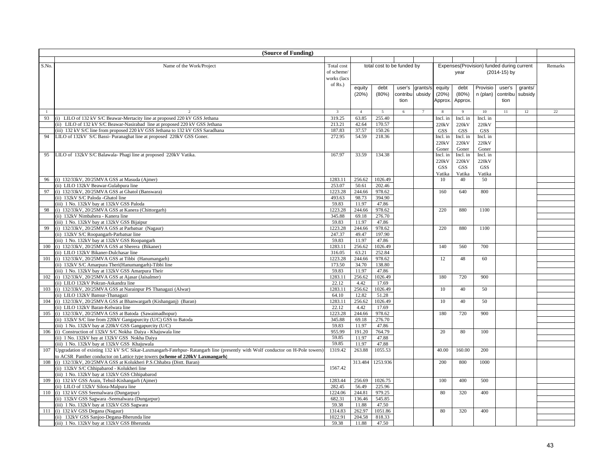|       | (Source of Funding)                                                                                                          |                         |                |                            |          |          |            |                     |                                           |              |         |         |
|-------|------------------------------------------------------------------------------------------------------------------------------|-------------------------|----------------|----------------------------|----------|----------|------------|---------------------|-------------------------------------------|--------------|---------|---------|
|       |                                                                                                                              |                         |                |                            |          |          |            |                     |                                           |              |         |         |
| S.No. | Name of the Work/Project                                                                                                     | Total cost              |                | total cost to be funded by |          |          |            |                     | Expenses(Provision) funded during current |              |         | Remarks |
|       |                                                                                                                              | of scheme/              |                |                            |          |          |            | year                |                                           | (2014-15) by |         |         |
|       |                                                                                                                              | works (lacs             |                |                            |          |          |            |                     |                                           |              |         |         |
|       |                                                                                                                              | of Rs.)                 |                |                            |          |          |            |                     |                                           |              |         |         |
|       |                                                                                                                              |                         | equity         | debt                       | user's   | grants/s | equity     | debt                | Provisio                                  | user's       | grants/ |         |
|       |                                                                                                                              |                         | (20%)          | (80%)                      | contribu | ubsidy   | (20%)      | (80%)               | n (plan)                                  | contribu     | subsidy |         |
|       |                                                                                                                              |                         |                |                            | tion     |          | Approx.    | Approx.             |                                           | tion         |         |         |
| -1    |                                                                                                                              | $\overline{\mathbf{3}}$ | $\overline{4}$ | 5                          | 6        |          |            |                     | 10                                        | 11           | 12      | 22      |
| 93    | (i) LILO of 132 kV S/C Beawar-Mertacity line at proposed 220 kV GSS Jethana                                                  | 319.25                  | 63.85          | 255.40                     |          |          | Incl. in   | Incl. in            | Incl. in                                  |              |         |         |
|       | (ii) LILO of 132 kV S/C Beawar-Nasirabad line at proposed 220 kV GSS Jethana                                                 | 213.21                  | 42.64          | 170.57                     |          |          | 220kV      |                     |                                           |              |         |         |
|       | (iii) 132 kV S/C line from proposed 220 kV GSS Jethana to 132 kV GSS Saradhana                                               | 187.83                  | 37.57          | 150.26                     |          |          | <b>GSS</b> | 220kV<br><b>GSS</b> | 220kV<br><b>GSS</b>                       |              |         |         |
| 94    | LILO of 132kV S/C Bassi- Puranaghat line at proposed 220kV GSS Goner.                                                        | 272.95                  | 54.59          | 218.36                     |          |          | Incl. in   | Incl. in            | Incl. in                                  |              |         |         |
|       |                                                                                                                              |                         |                |                            |          |          | 220kV      | 220kV               | 220kV                                     |              |         |         |
|       |                                                                                                                              |                         |                |                            |          |          | Goner      | Goner               | Goner                                     |              |         |         |
| 95    | LILO of 132kV S/C Balawala- Phagi line at proposed 220kV Vatika.                                                             | 167.97                  | 33.59          | 134.38                     |          |          | Incl. in   | Incl. in            | Incl. in                                  |              |         |         |
|       |                                                                                                                              |                         |                |                            |          |          | 220kV      | 220kV               | 220kV                                     |              |         |         |
|       |                                                                                                                              |                         |                |                            |          |          | <b>GSS</b> | GSS                 | GSS                                       |              |         |         |
|       |                                                                                                                              |                         |                |                            |          |          | Vatika     | Vatika              | Vatika                                    |              |         |         |
| 96    | (i) 132/33kV, 20/25MVA GSS at Masuda (Ajmer)                                                                                 | 1283.11                 | 256.62         | 1026.49                    |          |          | 10         | 40                  | 50                                        |              |         |         |
|       | (ii) LILO 132kV Beawar-Gulabpura line                                                                                        | 253.07                  | 50.61          | 202.46                     |          |          |            |                     |                                           |              |         |         |
| 97    | (i) 132/33kV, 20/25MVA GSS at Ghatol (Banswara)                                                                              | 1223.28                 | 244.66         | 978.62                     |          |          | 160        | 640                 | 800                                       |              |         |         |
|       | (ii) 132kV S/C Paloda -Ghatol line                                                                                           | 493.63                  | 98.73          | 394.90                     |          |          |            |                     |                                           |              |         |         |
|       | (iii) 1 No. 132kV bay at 132kV GSS Paloda                                                                                    | 59.83                   | 11.97          | 47.86                      |          |          |            |                     |                                           |              |         |         |
| 98    | (i) 132/33kV, 20/25MVA GSS at Kanera (Chittorgarh)                                                                           | 1223.28                 | 244.66         | 978.62                     |          |          | 220        | 880                 | 1100                                      |              |         |         |
|       | (ii) 132kV Nimbahera - Kanera line                                                                                           | 345.88                  | 69.18          | 276.70                     |          |          |            |                     |                                           |              |         |         |
|       | (iii) 1 No. 132kV bay at 132kV GSS Bijaipur                                                                                  | 59.83                   | 11.97          | 47.86                      |          |          |            |                     |                                           |              |         |         |
| 99    | (i) 132/33kV, 20/25MVA GSS at Parbatsar (Nagaur)                                                                             | 1223.28                 | 244.66         | 978.62                     |          |          | 220        | 880                 | 1100                                      |              |         |         |
|       | (ii) 132kV S/C Roopangarh-Parbatsar line                                                                                     | 247.37                  | 49.47          | 197.90                     |          |          |            |                     |                                           |              |         |         |
|       | (iii) 1 No. 132kV bay at 132kV GSS Roopangarh                                                                                | 59.83                   | 11.97          | 47.86                      |          |          |            |                     |                                           |              |         |         |
| 100   | (i) 132/33kV, 20/25MVA GSS at Sherera (Bikaner)                                                                              | 1283.11                 | 256.62         | 1026.49                    |          |          | 140        | 560                 | 700                                       |              |         |         |
|       | (ii) LILO 132kV Bikaner-Dulchasar line                                                                                       | 316.05                  | 63.21          | 252.84                     |          |          |            |                     |                                           |              |         |         |
| 101   | (i) 132/33kV, 20/25MVA GSS at Tibbi (Hanumangarh)                                                                            | 1223.28                 | 244.66         | 978.62                     |          |          | 12         | 48                  | 60                                        |              |         |         |
|       | (ii) 132kV S/C Amarpura Theri(Hanumangarh)-Tibbi line                                                                        | 173.50                  | 34.70          | 138.80                     |          |          |            |                     |                                           |              |         |         |
|       | (iii) 1 No. 132kV bay at 132kV GSS Amarpura Their                                                                            | 59.83                   | 11.97          | 47.86                      |          |          |            |                     |                                           |              |         |         |
| 102   | (i) 132/33kV, 20/25MVA GSS at Ajasar (Jaisalmer)                                                                             | 1283.11                 | 256.62         | 1026.49                    |          |          | 180        | 720                 | 900                                       |              |         |         |
|       | (ii) LILO 132kV Pokran-Askandra line                                                                                         | 22.12                   | 4.42           | 17.69                      |          |          |            |                     |                                           |              |         |         |
| 103   | (i) 132/33kV, 20/25MVA GSS at Narainpur PS Thanagazi (Alwar)                                                                 | 1283.11                 | 256.62         | 1026.49                    |          |          | 10         | 40                  | 50                                        |              |         |         |
|       | (ii) LILO 132kV Bansur-Thanagazi                                                                                             | 64.10                   | 12.82          | 51.28                      |          |          |            |                     |                                           |              |         |         |
| 104   | (i) 132/33kV, 20/25MVA GSS at Bhanwargarh (Kishanganj) (Baran)                                                               | 1283.11                 | 256.62         | 1026.49                    |          |          | 10         | 40                  | 50                                        |              |         |         |
|       | (ii) LILO 132kV Baran-Kelwara line                                                                                           | 22.12                   | 4.42           | 17.69                      |          |          |            |                     |                                           |              |         |         |
| 105   | (i) 132/33kV, 20/25MVA GSS at Batoda (Sawaimadhopur)                                                                         | 1223.28                 | 244.66         | 978.62                     |          |          | 180        | 720                 | 900                                       |              |         |         |
|       | (ii) 132kV S/C line from 220kV Gangapurcity (U/C) GSS to Batoda                                                              | 345.88                  | 69.18          | 276.70                     |          |          |            |                     |                                           |              |         |         |
|       | (iii) 1 No. 132kV bay at 220kV GSS Gangapurcity (U/C)                                                                        | 59.83                   | 11.97          | 47.86                      |          |          |            |                     |                                           |              |         |         |
| 106   | (i) Construction of 132kV S/C Nokha Daiya - Khajuwala line                                                                   | 955.99                  | 191.20         | 764.79                     |          |          | 20         | 80                  | 100                                       |              |         |         |
|       | (ii) 1 No. 132kV bay at 132kV GSS Nokha Daiya                                                                                | 59.85                   | 11.97          | 47.88                      |          |          |            |                     |                                           |              |         |         |
|       | (iii) 1 No. 132kV bay at 132kV GSS Khajuwala                                                                                 | 59.85                   | 11.97          | 47.88                      |          |          |            |                     |                                           |              |         |         |
| 107   | Upgradation of existing 132 kV S/C Sikar-Laxmangarh-Fatehpur-Ratangarh line (presently with Wolf conductor on H-Pole towers) | 1319.42                 | 263.88         | 1055.53                    |          |          | 40.00      | 160.00              | 200                                       |              |         |         |
|       | to ACSR Panther conductor on Lattice type towers (scheme of 220kV Laxmangarh)                                                |                         |                |                            |          |          |            |                     |                                           |              |         |         |
| 108   | (i) 132/33kV, 20/25MVA GSS at Kolukheri P.S.Chhabra (Distt. Baran)                                                           |                         | 313.484        | 1253.936                   |          |          | 200        | 800                 | 1000                                      |              |         |         |
|       | (ii) 132kV S/C Chhipabarod - Kolukheri line                                                                                  | 1567.42                 |                |                            |          |          |            |                     |                                           |              |         |         |
|       | (iii) 1 No. 132kV bay at 132kV GSS Chhipabarod                                                                               |                         |                |                            |          |          |            |                     |                                           |              |         |         |
| 109   | (i) 132 kV GSS Arain, Tehsil-Kishangarh (Ajmer)                                                                              | 1283.44                 | 256.69         | 1026.75                    |          |          | 100        | 400                 | 500                                       |              |         |         |
|       | (ii) LILO of 132kV Silora-Malpura line                                                                                       | 282.45                  | 56.49          | 225.96                     |          |          |            |                     |                                           |              |         |         |
| 110   | (i) 132 kV GSS Seemalwara (Dungarpur)                                                                                        | 1224.06                 | 244.81         | 979.25                     |          |          | 80         | 320                 | 400                                       |              |         |         |
|       | (ii) 132kV GSS Sagwara -Seemalwara (Dungarpur)                                                                               | 682.31                  | 136.46         | 545.85                     |          |          |            |                     |                                           |              |         |         |
|       | (iii) 1 No. 132kV bay at 132kV GSS Sagwara                                                                                   | 59.38                   | 11.88          | 47.50                      |          |          |            |                     |                                           |              |         |         |
| 111   | (i) 132 kV GSS Degana (Nagaur)                                                                                               | 1314.83                 | 262.97         | 1051.86                    |          |          | 80         | 320                 | 400                                       |              |         |         |
|       | (ii) 132kV GSS Sanjoo-Degana-Bherunda line                                                                                   | 1022.91                 | 204.58         | 818.33                     |          |          |            |                     |                                           |              |         |         |
|       | (iii) 1 No. 132kV bay at 132kV GSS Bherunda                                                                                  | 59.38                   | 11.88          | 47.50                      |          |          |            |                     |                                           |              |         |         |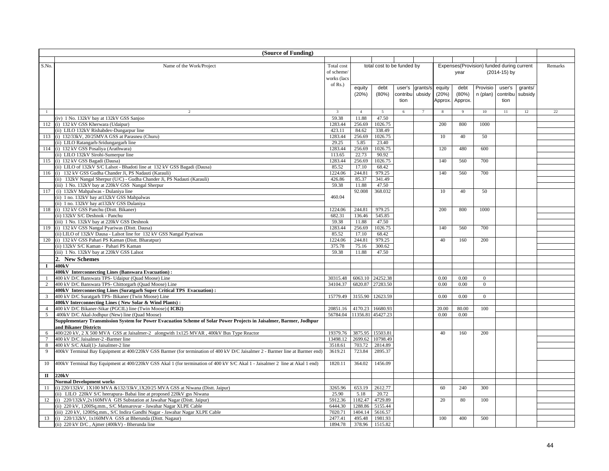|                      | (Source of Funding)                                                                                                            |                     |                   |                            |          |                 |          |         |                                           |              |         |         |
|----------------------|--------------------------------------------------------------------------------------------------------------------------------|---------------------|-------------------|----------------------------|----------|-----------------|----------|---------|-------------------------------------------|--------------|---------|---------|
|                      |                                                                                                                                |                     |                   |                            |          |                 |          |         |                                           |              |         |         |
| S.No.                | Name of the Work/Project                                                                                                       | Total cost          |                   | total cost to be funded by |          |                 |          |         | Expenses(Provision) funded during current |              |         | Remarks |
|                      |                                                                                                                                | of scheme/          |                   |                            |          |                 |          | year    |                                           | (2014-15) by |         |         |
|                      |                                                                                                                                | works (lacs         |                   |                            |          |                 |          |         |                                           |              |         |         |
|                      |                                                                                                                                | of Rs.)             | equity            | debt                       | user's   | grants/s        | equity   | debt    | Provisio                                  | user's       | grants/ |         |
|                      |                                                                                                                                |                     | (20%)             | (80%)                      | contribu | ubsidy          | (20%)    | (80%)   | n (plan) contribu                         |              | subsidy |         |
|                      |                                                                                                                                |                     |                   |                            | tion     |                 | Approx.  | Approx. |                                           | tion         |         |         |
|                      |                                                                                                                                |                     |                   |                            |          |                 |          |         |                                           |              |         |         |
| $\mathbf{1}$         | $\overline{2}$                                                                                                                 | $\overline{3}$      | $\overline{4}$    | 5                          | 6        | $7\phantom{.0}$ | 8        | 9       | 10                                        | 11           | 12      | 22      |
|                      | (iv) 1 No. 132kV bay at 132kV GSS Sanjoo                                                                                       | 59.38               | 11.88             | 47.50                      |          |                 |          |         |                                           |              |         |         |
| 112                  | (i) 132 kV GSS Kherwara (Udaipur)                                                                                              | 1283.44             | 256.69            | 1026.75                    |          |                 | 200      | 800     | 1000                                      |              |         |         |
| 113                  | (ii) LILO 132kV Rishabdev-Dungarpur line<br>(i) 132/33kV, 20/25MVA GSS at Parasneu (Churu)                                     | 423.11<br>1283.44   | 84.62<br>256.69   | 338.49<br>1026.75          |          |                 | 10       | 40      | 50                                        |              |         |         |
|                      | (ii) LILO Ratangarh-Sridungargarh line                                                                                         | 29.25               | 5.85              | 23.40                      |          |                 |          |         |                                           |              |         |         |
|                      | 114 (i) 132 kV GSS Posaliya (Arathwara)                                                                                        | 1283.44             | 256.69            | 1026.75                    |          |                 | 120      | 480     | 600                                       |              |         |         |
|                      | (ii) LILO 132kV Sirohi-Sumerpur line                                                                                           | 113.65              | 22.73             | 90.92                      |          |                 |          |         |                                           |              |         |         |
|                      | 115 (i) 132 kV GSS Bagadi (Dausa)                                                                                              | 1283.44             | 256.69            | 1026.75                    |          |                 | 140      | 560     | 700                                       |              |         |         |
|                      | (ii) LILO of 132kV S/C Lalsot - Bhadoti line at 132 kV GSS Bagadi (Dausa)                                                      | 85.52               | 17.10             | 68.42                      |          |                 |          |         |                                           |              |         |         |
| 116                  | (i) 132 kV GSS Gudha Chander Ji, PS Nadauti (Karauli)                                                                          | 1224.06             | 244.81            | 979.25                     |          |                 | 140      | 560     | 700                                       |              |         |         |
|                      | (ii) 132kV Nangal Sherpur (U/C) - Gudha Chander Ji, PS Nadauti (Karauli)                                                       | 426.86              | 85.37             | 341.49                     |          |                 |          |         |                                           |              |         |         |
|                      | (iii) 1 No. 132kV bay at 220kV GSS Nangal Sherpur                                                                              | 59.38               | 11.88             | 47.50                      |          |                 |          |         |                                           |              |         |         |
| 117                  | (i) 132kV Mahpalwas - Dulaniya line                                                                                            |                     | 92.008            | 368.032                    |          |                 | 10       | 40      | 50                                        |              |         |         |
|                      | (ii) 1 no. 132kV bay at 132kV GSS Mahpalwas                                                                                    | 460.04              |                   |                            |          |                 |          |         |                                           |              |         |         |
|                      | (ii) 1 no. 132kV bay at 132kV GSS Dulaniya                                                                                     |                     |                   |                            |          |                 |          |         |                                           |              |         |         |
|                      | 118 (i) 132 kV GSS Panchu (Distt. Bikaner)                                                                                     | 1224.06             | 244.81            | 979.25                     |          |                 | 200      | 800     | 1000                                      |              |         |         |
|                      | (ii) 132kV S/C Deshnok - Panchu                                                                                                | 682.31              | 136.46            | 545.85                     |          |                 |          |         |                                           |              |         |         |
|                      | (iii) 1 No. 132kV bay at 220kV GSS Deshnok                                                                                     | 59.38               | 11.88             | 47.50                      |          |                 |          |         |                                           |              |         |         |
|                      | 119 (i) 132 kV GSS Nangal Pyariwas (Distt. Dausa)                                                                              | 1283.44             | 256.69            | 1026.75                    |          |                 | 140      | 560     | 700                                       |              |         |         |
|                      | (ii) LILO of 132kV Dausa - Lalsot line for 132 kV GSS Nangal Pyariwas<br>120 (i) 132 kV GSS Pahari PS Kaman (Distt. Bharatpur) | 85.52<br>1224.06    | 17.10<br>244.81   | 68.42<br>979.25            |          |                 | 40       | 160     | 200                                       |              |         |         |
|                      | (ii) 132kV S/C Kaman - Pahari PS Kaman                                                                                         | 375.78              | 75.16             | 300.62                     |          |                 |          |         |                                           |              |         |         |
|                      | (iii) 1 No. 132kV bay at 220kV GSS Lalsot                                                                                      | 59.38               | 11.88             | 47.50                      |          |                 |          |         |                                           |              |         |         |
|                      | 2. New Schemes                                                                                                                 |                     |                   |                            |          |                 |          |         |                                           |              |         |         |
| $\bf{I}$             | 400kV                                                                                                                          |                     |                   |                            |          |                 |          |         |                                           |              |         |         |
|                      | 400kV Interconnecting Lines (Banswara Evacuation):                                                                             |                     |                   |                            |          |                 |          |         |                                           |              |         |         |
|                      | 400 kV D/C Banswara TPS- Udaipur (Quad Moose) Line                                                                             | 30315.48            |                   | 6063.10 24252.38           |          |                 | 0.00     | 0.00    | $\overline{0}$                            |              |         |         |
| $\overline{2}$       | 400 kV D/C Banswara TPS- Chittorgarh (Quad Moose) Line                                                                         | 34104.37            |                   | 6820.87 27283.50           |          |                 | 0.00     | 0.00    | $\overline{0}$                            |              |         |         |
|                      | 400kV Interconnecting Lines (Suratgarh Super Critical TPS Evacuation):                                                         |                     |                   |                            |          |                 |          |         |                                           |              |         |         |
| $\overline{3}$       | 400 kV D/C Suratgarh TPS- Bikaner (Twin Moose) Line                                                                            | 15779.49            |                   | 3155.90 12623.59           |          |                 | $0.00\,$ | 0.00    | $\overline{0}$                            |              |         |         |
|                      | 400kV Interconnecting Lines (New Solar & Wind Plants):                                                                         |                     |                   |                            |          |                 |          |         |                                           |              |         |         |
|                      | 400 kV D/C Bikaner-Sikar (PGCIL) line (Twin Moose) (ICB2)                                                                      | 20851.16            | 4170.23           | 16680.93                   |          |                 | 20.00    | 80.00   | 100                                       |              |         |         |
| 5                    | 400kV D/C Akal-Jodhpur (New) line (Quad Moose)                                                                                 | 56784.04            | 11356.81          | 45427.23                   |          |                 | $0.00\,$ | 0.00    |                                           |              |         |         |
|                      | Supplementary Transmission System for Power Evacuation Scheme of Solar Power Projects in Jaisalmer, Barmer, Jodhpur            |                     |                   |                            |          |                 |          |         |                                           |              |         |         |
|                      | and Bikaner Districts                                                                                                          |                     |                   |                            |          |                 |          |         |                                           |              |         |         |
| 6                    | 400/220 kV, 2 X 500 MVA GSS at Jaisalmer-2 alongwith 1x125 MVAR, 400kV Bus Type Reactor                                        | 19379.76            | 3875.95           | 15503.81                   |          |                 | 40       | 160     | 200                                       |              |         |         |
| $7\overline{ }$<br>8 | 400 kV D/C Jaisalmer-2 -Barmer line<br>400 kV S/C Akal(1)- Jaisalmer-2 line                                                    | 13498.12<br>3518.61 | 2699.62<br>703.72 | 10798.49<br>2814.89        |          |                 |          |         |                                           |              |         |         |
| 9                    | 400kV Terminal Bay Equipment at 400/220kV GSS Barmer (for termination of 400 kV D/C Jaisalmer 2 - Barmer line at Barmer end)   | 3619.21             | 723.84            | 2895.37                    |          |                 |          |         |                                           |              |         |         |
|                      |                                                                                                                                |                     |                   |                            |          |                 |          |         |                                           |              |         |         |
| 10                   | 400kV Terminal Bay Equipment at 400/220kV GSS Akal 1 (for termination of 400 kV S/C Akal 1 - Jaisalmer 2 line at Akal 1 end)   | 1820.11             | 364.02            | 1456.09                    |          |                 |          |         |                                           |              |         |         |
|                      |                                                                                                                                |                     |                   |                            |          |                 |          |         |                                           |              |         |         |
| $\mathbf{I}$         | 220kV                                                                                                                          |                     |                   |                            |          |                 |          |         |                                           |              |         |         |
|                      | <b>Normal Development works</b>                                                                                                |                     |                   |                            |          |                 |          |         |                                           |              |         |         |
| 11                   | (i) 220/132kV, 1X100 MVA &132/33kV, 1X20/25 MVA GSS at Niwana (Distt. Jaipur)                                                  | 3265.96             | 653.19            | 2612.77                    |          |                 | 60       | 240     | 300                                       |              |         |         |
|                      | (ii) LILO 220kV S/C heerapura- Babai line at proposed 220kV gss Niwana                                                         | 25.90               | 5.18              | 20.72                      |          |                 |          |         |                                           |              |         |         |
| 12                   | (i) 220/132kV,2x160MVA GIS Substation at Jawahar Nagar (Distt. Jaipur)                                                         | 5912.36             | 1182.47           | 4729.89                    |          |                 | 20       | 80      | 100                                       |              |         |         |
|                      | (ii) 220 kV, 1200Sq.mm., S/C Mansarovar - Jawahar Nagar XLPE Cable                                                             | 6444.30             | 1288.86           | 5155.44                    |          |                 |          |         |                                           |              |         |         |
|                      | (iii) 220 kV, 1200Sq.mm., S/C Indira Gandhi Nagar - Jawahar Nagar XLPE Cable                                                   | 7020.71             | 1404.14           | 5616.57                    |          |                 |          |         |                                           |              |         |         |
| 13                   | (i) 220/132kV, 1x160MVA GSS at Bherunda (Distt. Nagaur)                                                                        | 2477.41             | 495.48<br>378.96  | 1981.93                    |          |                 | 100      | 400     | 500                                       |              |         |         |
|                      | (ii) 220 kV D/C, Ajmer (400kV) - Bherunda line                                                                                 | 1894.78             |                   | 1515.82                    |          |                 |          |         |                                           |              |         |         |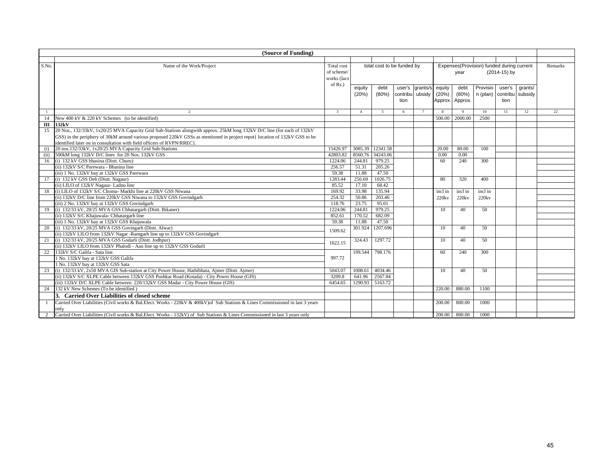|              | (Source of Funding)                                                                                                                                                                                                                                                                                                              |                                                       |                 |                            |                         |                 |                 |                                  |                                           |                |         |         |
|--------------|----------------------------------------------------------------------------------------------------------------------------------------------------------------------------------------------------------------------------------------------------------------------------------------------------------------------------------|-------------------------------------------------------|-----------------|----------------------------|-------------------------|-----------------|-----------------|----------------------------------|-------------------------------------------|----------------|---------|---------|
|              |                                                                                                                                                                                                                                                                                                                                  |                                                       |                 |                            |                         |                 |                 |                                  |                                           |                |         |         |
| S.No.        | Name of the Work/Project                                                                                                                                                                                                                                                                                                         | Total cost<br>of scheme/<br>works (lacs<br>of $Rs.$ ) |                 | total cost to be funded by |                         |                 |                 | year                             | Expenses(Provision) funded during current | (2014-15) by   |         | Remarks |
|              |                                                                                                                                                                                                                                                                                                                                  |                                                       | equity<br>(20%) | debt<br>(80%)              | contribu ubsidy<br>tion | user's grants/s | equity<br>(20%) | debt<br>(80%)<br>Approx. Approx. | Provisio<br>n (plan) contribu subsidy     | user's<br>tion | grants/ |         |
| -1           | 2                                                                                                                                                                                                                                                                                                                                | $\overline{\mathbf{3}}$                               | $\mathbf{A}$    | 5                          | 6                       | $\mathcal{I}$   | 8               | $\mathbf{Q}$                     | 10                                        | 11             | 12      | 22      |
| 14           | New 400 kV & 220 kV Schemes (to be identified)                                                                                                                                                                                                                                                                                   |                                                       |                 |                            |                         |                 | 500.00          | 2000.00                          | 2500                                      |                |         |         |
| III          | 132kV                                                                                                                                                                                                                                                                                                                            |                                                       |                 |                            |                         |                 |                 |                                  |                                           |                |         |         |
| 15           | 20 Nos., 132/33kV, 1x20/25 MVA Capacity Grid Sub-Stations alongwith approx. 25kM long 132kV D/C line (for each of 132kV<br>GSS) in the periphery of 30kM around various proposed 220kV GSSs as mentioned in project repot{ location of 132kV GSS to be<br>identified later on in consultation with field officers of RVPN/RREC). |                                                       |                 |                            |                         |                 |                 |                                  |                                           |                |         |         |
| (i)          | 20 nos.132/33kV, 1x20/25 MVA Capacity Grid Sub-Stations                                                                                                                                                                                                                                                                          | 15426.97                                              | 3085.39         | 12341.58                   |                         |                 | 20.00           | 80.00                            | 100                                       |                |         |         |
| (ii)         | 500kM long 132kV D/C lines for 20 Nos. 132kV GSS                                                                                                                                                                                                                                                                                 | 42803.82                                              | 8560.76         | 34243.06                   |                         |                 | 0.00            | 0.00                             |                                           |                |         |         |
| 16           | (i) 132 kV GSS bhasina (Distt. Churu)                                                                                                                                                                                                                                                                                            | 1224.06                                               | 244.81          | 979.25                     |                         |                 | 60              | 240                              | 300                                       |                |         |         |
|              | (ii) 132kV S/C Parewara - Bhasina line                                                                                                                                                                                                                                                                                           | 256.57                                                | 51.31           | 205.26                     |                         |                 |                 |                                  |                                           |                |         |         |
|              | (iii) 1 No. 132kV bay at 132kV GSS Parewara                                                                                                                                                                                                                                                                                      | 59.38                                                 | 11.88           | 47.50                      |                         |                 |                 |                                  |                                           |                |         |         |
| 17           | (i) 132 kV GSS Deh (Distt. Nagaur)                                                                                                                                                                                                                                                                                               | 1283.44                                               | 256.69          | 1026.75                    |                         |                 | 80              | 320                              | 400                                       |                |         |         |
|              | (ii) LILO of 132kV Nagaur- Ladnu line                                                                                                                                                                                                                                                                                            | 85.52                                                 | 17.10           | 68.42                      |                         |                 |                 |                                  |                                           |                |         |         |
| 18           | (i) LILO of 132kV S/C Chomu- Markhi line at 220kV GSS Niwana                                                                                                                                                                                                                                                                     | 169.92                                                | 33.98           | 135.94                     |                         |                 | incl in         | incl in                          | incl in                                   |                |         |         |
|              | (ii) 132kV D/C line from 220kV GSS Niwana to 132kV GSS Govindgarh                                                                                                                                                                                                                                                                | 254.32                                                | 50.86           | 203.46                     |                         |                 | 220kv           | 220ky                            | 220kv                                     |                |         |         |
|              | (iii) 2 No. 132kV bay at 132kV GSS Govindgarh                                                                                                                                                                                                                                                                                    | 118.76                                                | 23.75           | 95.01                      |                         |                 |                 |                                  |                                           |                |         |         |
| 19           | (i) 132/33 kV, 20/25 MVA GSS Chhatargarh (Distt. Bikaner)                                                                                                                                                                                                                                                                        | 1224.06                                               | 244.81          | 979.25                     |                         |                 | 10              | 40                               | 50                                        |                |         |         |
|              | (ii) 132kV S/C Khajuwala- Chhatargarh line                                                                                                                                                                                                                                                                                       | 852.61                                                | 170.52          | 682.09                     |                         |                 |                 |                                  |                                           |                |         |         |
|              | (iii) 1 No. 132kV bay at 132kV GSS Khajuwala                                                                                                                                                                                                                                                                                     | 59.38                                                 | 11.88           | 47.50                      |                         |                 |                 |                                  |                                           |                |         |         |
| 20           | (i) 132/33 kV, 20/25 MVA GSS Govingarh (Distt. Alwar)                                                                                                                                                                                                                                                                            | 1509.62                                               | 301.924         | 1207.696                   |                         |                 | 10              | 40                               | 50                                        |                |         |         |
|              | (ii) 132kV LILO from 132kV Nagar -Ramgarh line up to 132kV GSS Govindgarh                                                                                                                                                                                                                                                        |                                                       |                 |                            |                         |                 |                 |                                  |                                           |                |         |         |
| 21           | (i) 132/33 kV, 20/25 MVA GSS Godarli (Distt. Jodhpur)                                                                                                                                                                                                                                                                            | 1622.15                                               | 324.43          | 1297.72                    |                         |                 | 10              | 40                               | 50                                        |                |         |         |
|              | (ii) 132kV LILO from 132kV Phalodi - Aau line up to 132kV GSS Godarli                                                                                                                                                                                                                                                            |                                                       |                 |                            |                         |                 |                 |                                  |                                           |                |         |         |
| 22           | 132kV S/C Galifa - Sata line.                                                                                                                                                                                                                                                                                                    |                                                       | 199.544         | 798.176                    |                         |                 | 60              | 240                              | 300                                       |                |         |         |
|              | 1 No. 132kV bay at 132kV GSS Galifa                                                                                                                                                                                                                                                                                              | 997.72                                                |                 |                            |                         |                 |                 |                                  |                                           |                |         |         |
|              | 1 No. 132kV bay at 132kV GSS Sata                                                                                                                                                                                                                                                                                                |                                                       |                 |                            |                         |                 |                 |                                  |                                           |                |         |         |
| 23           | (i) 132/33 kV, 2x50 MVA GIS Sub-station at City Power House, Hathibhata, Ajmer (Distt. Ajmer)                                                                                                                                                                                                                                    | 5043.07                                               |                 | 1008.61 4034.46            |                         |                 | 10              | 40                               | 50                                        |                |         |         |
|              | (ii) 132kV S/C XLPE Cable between 132kV GSS Pushkar Road (Kotada) - City Power House (GIS)                                                                                                                                                                                                                                       | 3209.8                                                | 641.96          | 2567.84                    |                         |                 |                 |                                  |                                           |                |         |         |
|              | (iii) 132kV D/C XLPE Cable between 220/132kV GSS Madar - City Power House (GIS)                                                                                                                                                                                                                                                  | 6454.65                                               | 1290.93         | 5163.72                    |                         |                 |                 |                                  |                                           |                |         |         |
| 24           | 132 kV New Schemes (To be identified)                                                                                                                                                                                                                                                                                            |                                                       |                 |                            |                         |                 | 220.00          | 880.00                           | 1100                                      |                |         |         |
|              | 3. Carried Over Liabilities of closed scheme                                                                                                                                                                                                                                                                                     |                                                       |                 |                            |                         |                 |                 |                                  |                                           |                |         |         |
| $\mathbf{1}$ | Carried Over Liabilities (Civil works & Bal.Elect. Works - 220kV & 400kV) of Sub Stations & Lines Commissioned in last 3 years                                                                                                                                                                                                   |                                                       |                 |                            |                         |                 | 200.00          | 800.00                           | 1000                                      |                |         |         |
|              | only                                                                                                                                                                                                                                                                                                                             |                                                       |                 |                            |                         |                 |                 |                                  |                                           |                |         |         |
| 2            | Carried Over Liabilities (Civil works & Bal.Elect. Works - 132kV) of Sub Stations & Lines Commissioned in last 3 years only                                                                                                                                                                                                      |                                                       |                 |                            |                         |                 | 200.00          | 800.00                           | 1000                                      |                |         |         |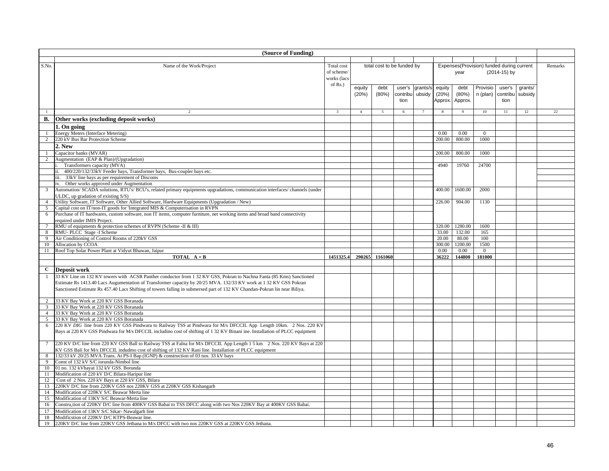|                 | (Source of Funding)                                                                                                                                                            |                         |                |                            |          |          |         |                |                                           |              |         |         |
|-----------------|--------------------------------------------------------------------------------------------------------------------------------------------------------------------------------|-------------------------|----------------|----------------------------|----------|----------|---------|----------------|-------------------------------------------|--------------|---------|---------|
|                 |                                                                                                                                                                                |                         |                |                            |          |          |         |                |                                           |              |         |         |
| S.No.           | Name of the Work/Project                                                                                                                                                       | Total cost              |                | total cost to be funded by |          |          |         |                | Expenses(Provision) funded during current |              |         | Remarks |
|                 |                                                                                                                                                                                | of scheme/              |                |                            |          |          |         | year           |                                           | (2014-15) by |         |         |
|                 |                                                                                                                                                                                | works (lacs             |                |                            |          |          |         |                |                                           |              |         |         |
|                 |                                                                                                                                                                                | of Rs.)                 | equity         | debt                       | user's   | grants/s | equity  | debt           | Provisio                                  | user's       | grants/ |         |
|                 |                                                                                                                                                                                |                         | (20%)          | (80%)                      | contribu | ubsidy   | (20%)   | (80%)          | n (plan)                                  | contribu     | subsidy |         |
|                 |                                                                                                                                                                                |                         |                |                            | tion     |          | Approx. | Approx.        |                                           | tion         |         |         |
|                 |                                                                                                                                                                                |                         |                |                            |          |          |         |                |                                           |              |         |         |
|                 | 2                                                                                                                                                                              | $\overline{\mathbf{3}}$ | $\overline{4}$ | 5                          | 6        |          |         | $\overline{9}$ | $10\,$                                    | 11           | 12      | 22      |
| <b>B.</b>       | Other works (excluding deposit works)                                                                                                                                          |                         |                |                            |          |          |         |                |                                           |              |         |         |
|                 | 1. On going                                                                                                                                                                    |                         |                |                            |          |          |         |                |                                           |              |         |         |
|                 | Energy Meters (Interface Metering)                                                                                                                                             |                         |                |                            |          |          | 0.00    | 0.00           | $\mathbf{0}$                              |              |         |         |
| $\overline{2}$  | 220 kV Bus Bar Protection Scheme                                                                                                                                               |                         |                |                            |          |          | 200.00  | 800.00         | 1000                                      |              |         |         |
|                 | 2. New                                                                                                                                                                         |                         |                |                            |          |          |         |                |                                           |              |         |         |
|                 | Capacitor banks (MVAR)                                                                                                                                                         |                         |                |                            |          |          | 200.00  | 800.00         | 1000                                      |              |         |         |
| $2^{\circ}$     | Augmentation (EAP & Plan)/(Upgradation)                                                                                                                                        |                         |                |                            |          |          |         |                |                                           |              |         |         |
|                 | Transformers capacity (MVA)                                                                                                                                                    |                         |                |                            |          |          | 4940    | 19760          | 24700                                     |              |         |         |
|                 | 400/220/132/33kV Feeder bays, Transformer bays, Bus-coupler bays etc.                                                                                                          |                         |                |                            |          |          |         |                |                                           |              |         |         |
|                 | iii. 33kV line bays as per requirement of Discoms                                                                                                                              |                         |                |                            |          |          |         |                |                                           |              |         |         |
|                 | iv. Other works approved under Augmentation                                                                                                                                    |                         |                |                            |          |          |         |                |                                           |              |         |         |
| 3               | Automation/ SCADA solutions, RTU's/ BCU's, related primary equipments upgradations, communication interfaces/ channels (under                                                  |                         |                |                            |          |          | 400.00  | 1600.00        | 2000                                      |              |         |         |
|                 | JLDC, up gradation of existing S/S)                                                                                                                                            |                         |                |                            |          |          |         |                |                                           |              |         |         |
| $\overline{4}$  | Utility Software, IT Software, Other Allied Software, Hardware Equipments (Upgradation / New)<br>Capital cost on IT/non-IT goods for 'Integrated MIS & Computerisation in RVPN |                         |                |                            |          |          | 226.00  | 904.00         | 1130                                      |              |         |         |
| 5<br>6          | Purchase of IT hardwares, custom software, non IT items, computer furniture, net working items and broad band connectivity                                                     |                         |                |                            |          |          |         |                |                                           |              |         |         |
|                 | required under IMIS Project.                                                                                                                                                   |                         |                |                            |          |          |         |                |                                           |              |         |         |
| $\overline{7}$  | RMU of equipments & protection schemes of RVPN (Scheme -II & III)                                                                                                              |                         |                |                            |          |          | 320.00  | 1280.00        | 1600                                      |              |         |         |
| 8               | RMU-PLCC Stage -I Scheme                                                                                                                                                       |                         |                |                            |          |          | 33.00   | 132.00         | 165                                       |              |         |         |
| 9               | Air Conditioning of Control Rooms of 220kV GSS                                                                                                                                 |                         |                |                            |          |          | 20.00   | 80.00          | 100                                       |              |         |         |
| 10              | Allocation by CCOA                                                                                                                                                             |                         |                |                            |          |          | 300.00  | 1200.00        | 1500                                      |              |         |         |
| 11              | Roof Top Solar Power Plant at Vidyut Bhawan, Jaipur                                                                                                                            |                         |                |                            |          |          | 0.00    | 0.00           | $\overline{0}$                            |              |         |         |
|                 | <b>TOTAL</b> $A + B$                                                                                                                                                           | 1451325.4               | 290265         | 1161060                    |          |          | 36222   | 144800         | 181000                                    |              |         |         |
|                 |                                                                                                                                                                                |                         |                |                            |          |          |         |                |                                           |              |         |         |
| C               | Deposit work                                                                                                                                                                   |                         |                |                            |          |          |         |                |                                           |              |         |         |
| -1              | 33 KV Line on 132 KV towers with ACSR Panther conductor from 1 32 KV GSS, Pokran to Nachna Fanta (85 Kms) Sanctioned                                                           |                         |                |                            |          |          |         |                |                                           |              |         |         |
|                 | Estimate Rs 1413.40 Lacs Augumentation of Transformer capacity by 20/25 MVA. 132/33 KV work at 1 32 KV GSS Pokran                                                              |                         |                |                            |          |          |         |                |                                           |              |         |         |
|                 | Sanctioned Estimate Rs 457.40 Lacs Shifting of towers falling in submersed part of 132 KV Chandan-Pokran lin near Biliya.                                                      |                         |                |                            |          |          |         |                |                                           |              |         |         |
|                 |                                                                                                                                                                                |                         |                |                            |          |          |         |                |                                           |              |         |         |
| $\overline{2}$  | 33 KV Bay Work at 220 KV GSS Boranada                                                                                                                                          |                         |                |                            |          |          |         |                |                                           |              |         |         |
| $\overline{3}$  | 33 KV Bay Work at 220 KV GSS Boranada                                                                                                                                          |                         |                |                            |          |          |         |                |                                           |              |         |         |
| $\overline{4}$  | 33 KV Bay Work at 220 KV GSS Boranada<br>33 KV Bay Work at 220 KV GSS Boranada                                                                                                 |                         |                |                            |          |          |         |                |                                           |              |         |         |
| 5<br>6          | 220 KV DIG line from 220 KV GSS Pindwara to Railway TSS at Pindwara for M/s DFCCIL App Length 10km. 2 Nos. 220 KV                                                              |                         |                |                            |          |          |         |                |                                           |              |         |         |
|                 | Bays at 220 KV GSS Pindwara for M/s DFCCIL includino cost of shifting of 1 32 KV Binani ine. Installation of PLCC equipment                                                    |                         |                |                            |          |          |         |                |                                           |              |         |         |
|                 |                                                                                                                                                                                |                         |                |                            |          |          |         |                |                                           |              |         |         |
| $7\phantom{.0}$ | 220 KV D/C line from 220 KV GSS Ball to Railway TSS at Falna for M/s DFCCIL App Length 1 5 km 2 Nos. 220 KV Bays at 220                                                        |                         |                |                            |          |          |         |                |                                           |              |         |         |
|                 | KV GSS Bali for M/s DFCCIL indudmo cost of shifting of 132 KV Rani line. Installation of PLCC equipment                                                                        |                         |                |                            |          |          |         |                |                                           |              |         |         |
| 8               | 132/33 kV 20/25 MVA Trans. At PS-I Bap (IGNP) & construction of 03 nos. 33 kV bays                                                                                             |                         |                |                            |          |          |         |                |                                           |              |         |         |
| $\overline{9}$  | Const of 132 kV S/C iorunda-Nimbol line                                                                                                                                        |                         |                |                            |          |          |         |                |                                           |              |         |         |
| 10              | 01 no. 132 kVbayat 132 kV GSS. Borunda                                                                                                                                         |                         |                |                            |          |          |         |                |                                           |              |         |         |
| 11              | Modification of 220 kV D/C Bilara-Haripur line                                                                                                                                 |                         |                |                            |          |          |         |                |                                           |              |         |         |
| 12              | Cost of 2 Nos. 220 kV Bays at 220 kV GSS, Bilara                                                                                                                               |                         |                |                            |          |          |         |                |                                           |              |         |         |
| 13              | 220KV D/C line from 220KV GSS nos 220KV GSS at 220KV GSS Kishangarh                                                                                                            |                         |                |                            |          |          |         |                |                                           |              |         |         |
| 14              | Modification of 220KV S/C Beawar Merta line                                                                                                                                    |                         |                |                            |          |          |         |                |                                           |              |         |         |
| 15              | Modification of 13KV S/C Beawar-Merta line                                                                                                                                     |                         |                |                            |          |          |         |                |                                           |              |         |         |
| 16              | Constru <sub>ction</sub> of 220KV D/C line from 400KV GSS Babai to TSS DFCC along with two Nos 220KV Bay at 400KV GSS Babai.                                                   |                         |                |                            |          |          |         |                |                                           |              |         |         |
| 17              | Modification of 13KV S/C Sikar-Nawalgarh line                                                                                                                                  |                         |                |                            |          |          |         |                |                                           |              |         |         |
| 18              | Modificstion of 220KV D/C KTPS-Beawar lme.                                                                                                                                     |                         |                |                            |          |          |         |                |                                           |              |         |         |
| 19              | 220KV D/C line from 220KV GSS Jethana to M/s DFCC with two nos 220KV GSS at 220KV GSS Jethana.                                                                                 |                         |                |                            |          |          |         |                |                                           |              |         |         |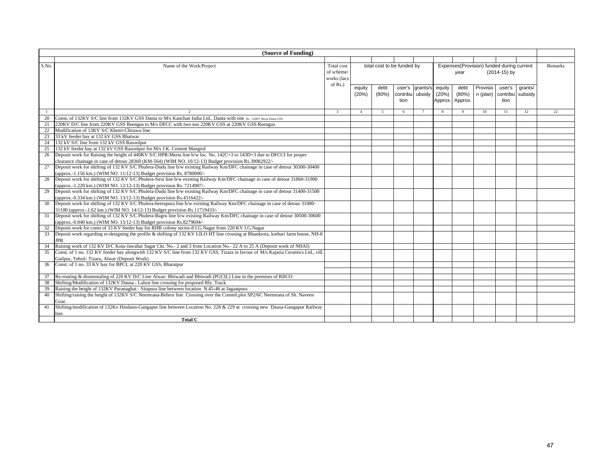|              | (Source of Funding)                                                                                                               |                          |                 |                            |          |                    |                 |                 |                                           |              |                    |         |
|--------------|-----------------------------------------------------------------------------------------------------------------------------------|--------------------------|-----------------|----------------------------|----------|--------------------|-----------------|-----------------|-------------------------------------------|--------------|--------------------|---------|
|              |                                                                                                                                   |                          |                 |                            |          |                    |                 |                 |                                           |              |                    |         |
| S.No.        | Name of the Work/Project                                                                                                          | Total cost<br>of scheme/ |                 | total cost to be funded by |          |                    |                 | year            | Expenses(Provision) funded during current | (2014-15) by |                    | Remarks |
|              |                                                                                                                                   | works (lacs              |                 |                            |          |                    |                 |                 |                                           |              |                    |         |
|              |                                                                                                                                   | of $Rs.$ )               |                 |                            | user's   |                    |                 |                 | Provisio                                  | user's       |                    |         |
|              |                                                                                                                                   |                          | equity<br>(20%) | debt<br>(80%)              | contribu | grants/s<br>ubsidy | equity<br>(20%) | debt<br>(80%)   | n (plan) contribu                         |              | grants/<br>subsidy |         |
|              |                                                                                                                                   |                          |                 |                            | tion     |                    |                 | Approx. Approx. |                                           | tion         |                    |         |
|              |                                                                                                                                   |                          |                 |                            |          |                    |                 |                 |                                           |              |                    |         |
| $\mathbf{1}$ |                                                                                                                                   | $\mathbf{3}$             | $\overline{4}$  | 5                          | 6        | 7                  | $\mathbf{R}$    | 9               | 10                                        | 11           | 12                 | 22      |
| 20           | Const, of 132KV S/C line from 132KV GSS Danta to M/s Kanchan India Ltd., Danta with one No. 132KV Bayat Danta GSS.                |                          |                 |                            |          |                    |                 |                 |                                           |              |                    |         |
| 21           | 220KV D/C line from 220KV GSS Reengus to M/s DFCC with two nos 220KV GSS at 220KV GSS Reengus                                     |                          |                 |                            |          |                    |                 |                 |                                           |              |                    |         |
| 22           | Modification of 13KV S/C Khetri-Chirawa line.                                                                                     |                          |                 |                            |          |                    |                 |                 |                                           |              |                    |         |
| 23           | 33 kV feeder bay at 132 kV GSS Bhatwar                                                                                            |                          |                 |                            |          |                    |                 |                 |                                           |              |                    |         |
| 24           | 132 kV S/C line from 132 kV GSS Rasoolpur                                                                                         |                          |                 |                            |          |                    |                 |                 |                                           |              |                    |         |
| 25           | 132 kV feeder bay at 132 kV GSS Rasoolpur for M/s J.K. Cement Mangrol                                                             |                          |                 |                            |          |                    |                 |                 |                                           |              |                    |         |
| 26           | Deposit work for Raising the height of 440KV S/C HPR-Merta line b/w loc. No. 142C+3 to 143D+3 due to DFCCI for proper             |                          |                 |                            |          |                    |                 |                 |                                           |              |                    |         |
|              | clearance chainage in case of detour 28360 (KM-564) (WIM NO. 10/12-13) Budget provision Rs.39082922/-                             |                          |                 |                            |          |                    |                 |                 |                                           |              |                    |         |
| 27           | Deposit work for shifting of 132 KV S/C Phulera-Dudu line b/w existing Railway Km/DFC chainage in case of detour 30300-30400      |                          |                 |                            |          |                    |                 |                 |                                           |              |                    |         |
|              | (approx.-1.156 km.) (WIM NO. 11/12-13) Budget provision Rs. 8780000/-                                                             |                          |                 |                            |          |                    |                 |                 |                                           |              |                    |         |
| 28           | Deposit work for shifting of 132 KV S/C Phulera-Sirsi line b/w existing Railway Km/DFC chainage in case of detour 31860-31900     |                          |                 |                            |          |                    |                 |                 |                                           |              |                    |         |
|              | (approx.-1.220 km.) (WIM NO. 12/12-13) Budget provision Rs. 7214907/-                                                             |                          |                 |                            |          |                    |                 |                 |                                           |              |                    |         |
| 29           | Deposit work for shifting of 132 KV S/C Phulera-Dudu line b/w existing Railway Km/DFC chainage in case of detour 31400-31500      |                          |                 |                            |          |                    |                 |                 |                                           |              |                    |         |
|              | (approx.-0.334 km.) (WIM NO. 13/12-13) Budget provision Rs.4316422/-                                                              |                          |                 |                            |          |                    |                 |                 |                                           |              |                    |         |
| 30           | Deposit work for shifting of 132 KV S/C Phulera-heerapura line b/w existing Railway Km/DFC chainage in case of detour 31000-      |                          |                 |                            |          |                    |                 |                 |                                           |              |                    |         |
|              | 31100 (approx.-1.62 km.) (WIM NO. 14/12-13) Budget provision Rs.11719433/-                                                        |                          |                 |                            |          |                    |                 |                 |                                           |              |                    |         |
| 31           | Deposit work for shifting of 132 KV S/C Phulera-Bagru line b/w existing Railway Km/DFC chainage in case of detour 30500-30600     |                          |                 |                            |          |                    |                 |                 |                                           |              |                    |         |
|              | (approx.-0.840 km.) (WIM NO. 15/12-13) Budget provision Rs.8279694/-                                                              |                          |                 |                            |          |                    |                 |                 |                                           |              |                    |         |
| 32           | Deposit work for const of 33 KV feeder bay for RHB colony sector-8 I.G.Nagar from 220 KV I.G.Nagar                                |                          |                 |                            |          |                    |                 |                 |                                           |              |                    |         |
| 33           | Deposit work regarding re-designing the profile & shifting of 132 KV LILO HT line crossing at Bhankrota, kothari farm house, NH-8 |                          |                 |                            |          |                    |                 |                 |                                           |              |                    |         |
|              | <b>JPR</b>                                                                                                                        |                          |                 |                            |          |                    |                 |                 |                                           |              |                    |         |
| 34           | Raising work of 132 KV D/C Kota-Jawahar Sagar Ckt. No.- 2 and 3 from Location No.- 22 A to 25 A (Deposit work of NHAI)            |                          |                 |                            |          |                    |                 |                 |                                           |              |                    |         |
| 35           | Const. of 1 no. 132 KV feeder bay alongwith 132 KV S/C line from 132 KV GSS, Tizara in favour of M/s Kajaria Ceramics Ltd., vill. |                          |                 |                            |          |                    |                 |                 |                                           |              |                    |         |
|              | Gailpur, Tehsil- Tizara, Alwar (Deposit Work)                                                                                     |                          |                 |                            |          |                    |                 |                 |                                           |              |                    |         |
| 36           | Const. of 1 no. 33 KV bay for BPCL at 220 KV GSS, Bharatpur                                                                       |                          |                 |                            |          |                    |                 |                 |                                           |              |                    |         |
|              |                                                                                                                                   |                          |                 |                            |          |                    |                 |                 |                                           |              |                    |         |
| 37           | Re-routing & dismentaling of 220 KV D/C Line Alwar-Bhiwadi and Bhiwadi (PGCIL) Line in the premises of RIICO                      |                          |                 |                            |          |                    |                 |                 |                                           |              |                    |         |
| 38           | Shifting/Modification of 132KV Dausa - Lalsot line crossing for proposed Rly. Track                                               |                          |                 |                            |          |                    |                 |                 |                                           |              |                    |         |
| 39           | Raising the height of 132KV Puranaghat - Sitapura line between location N.45-46 at Jagaatpura                                     |                          |                 |                            |          |                    |                 |                 |                                           |              |                    |         |
| 40           | Shifting/raising the height of 132KV S/C Neemrana-Behror line Crossing over the Comml.plot SP2/6C Neemrana of Sh. Naveen          |                          |                 |                            |          |                    |                 |                 |                                           |              |                    |         |
|              | Goar.                                                                                                                             |                          |                 |                            |          |                    |                 |                 |                                           |              |                    |         |
| 41           | Shifting/modification of 132Kv Hindaun-Gangapur line between Location No. 228 & 229 at crossing new Dausa-Gangapur Railway        |                          |                 |                            |          |                    |                 |                 |                                           |              |                    |         |
|              | ine                                                                                                                               |                          |                 |                            |          |                    |                 |                 |                                           |              |                    |         |
|              | Total C                                                                                                                           |                          |                 |                            |          |                    |                 |                 |                                           |              |                    |         |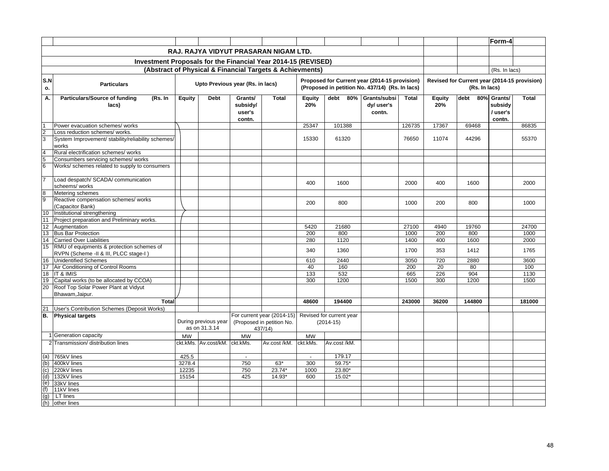|                 |                                                                                    |               |                                       |                              |                                                                   |               |                                                                                                  |                     |              |               |                                                               | Form-4                        |              |
|-----------------|------------------------------------------------------------------------------------|---------------|---------------------------------------|------------------------------|-------------------------------------------------------------------|---------------|--------------------------------------------------------------------------------------------------|---------------------|--------------|---------------|---------------------------------------------------------------|-------------------------------|--------------|
|                 |                                                                                    |               |                                       |                              | RAJ. RAJYA VIDYUT PRASARAN NIGAM LTD.                             |               |                                                                                                  |                     |              |               |                                                               |                               |              |
|                 |                                                                                    |               |                                       |                              |                                                                   |               |                                                                                                  |                     |              |               |                                                               |                               |              |
|                 | Investment Proposals for the Financial Year 2014-15 (REVISED)                      |               |                                       |                              |                                                                   |               |                                                                                                  |                     |              |               |                                                               |                               |              |
|                 |                                                                                    |               |                                       |                              | (Abstract of Physical & Financial Targets & Achievments)          |               |                                                                                                  |                     |              |               |                                                               | (Rs. In lacs)                 |              |
| S.N<br>о.       | <b>Particulars</b>                                                                 |               | Upto Previous year (Rs. in lacs)      |                              |                                                                   |               | Proposed for Current year (2014-15 provision)<br>(Proposed in petition No. 437/14) (Rs. In lacs) |                     |              |               | Revised for Current year (2014-15 provision)<br>(Rs. In lacs) |                               |              |
| А.              | <b>Particulars/Source of funding</b><br>(Rs. In                                    | <b>Equity</b> | <b>Debt</b>                           | Grants/                      | <b>Total</b>                                                      | <b>Equity</b> | debt<br>80%                                                                                      | Grants/subsi        | <b>Total</b> | <b>Equity</b> | 80%<br>debt                                                   | Grants/                       | <b>Total</b> |
|                 | lacs)                                                                              |               |                                       | subsidy/<br>user's<br>contn. |                                                                   | 20%           |                                                                                                  | dy/user's<br>contn. |              | 20%           |                                                               | subsidy<br>/ user's<br>contn. |              |
| $\overline{1}$  | Power evacuation schemes/ works                                                    |               |                                       |                              |                                                                   | 25347         | 101388                                                                                           |                     | 126735       | 17367         | 69468                                                         |                               | 86835        |
| صا م            | Loss reduction schemes/ works.                                                     |               |                                       |                              |                                                                   |               |                                                                                                  |                     |              |               |                                                               |                               |              |
|                 | System Improvement/ stability/reliability schemes/<br>works                        |               |                                       |                              |                                                                   | 15330         | 61320                                                                                            |                     | 76650        | 11074         | 44296                                                         |                               | 55370        |
| $\overline{4}$  | Rural electrification schemes/ works                                               |               |                                       |                              |                                                                   |               |                                                                                                  |                     |              |               |                                                               |                               |              |
| 5               | Consumbers servicing schemes/ works                                                |               |                                       |                              |                                                                   |               |                                                                                                  |                     |              |               |                                                               |                               |              |
| $6\overline{6}$ | Works/ schemes related to supply to consumers                                      |               |                                       |                              |                                                                   |               |                                                                                                  |                     |              |               |                                                               |                               |              |
| 7               | Load despatch/ SCADA/ communication                                                |               |                                       |                              |                                                                   | 400           | 1600                                                                                             |                     | 2000         | 400           | 1600                                                          |                               | 2000         |
|                 | scheems/works                                                                      |               |                                       |                              |                                                                   |               |                                                                                                  |                     |              |               |                                                               |                               |              |
| 8               | Metering schemes                                                                   |               |                                       |                              |                                                                   |               |                                                                                                  |                     |              |               |                                                               |                               |              |
| 9               | Reactive compensation schemes/ works                                               |               |                                       |                              |                                                                   | 200           | 800                                                                                              |                     | 1000         | 200           | 800                                                           |                               | 1000         |
|                 | (Capacitor Bank)                                                                   |               |                                       |                              |                                                                   |               |                                                                                                  |                     |              |               |                                                               |                               |              |
| 10              | Institutional strengthening                                                        |               |                                       |                              |                                                                   |               |                                                                                                  |                     |              |               |                                                               |                               |              |
| 11              | Project preparation and Preliminary works.                                         |               |                                       |                              |                                                                   |               |                                                                                                  |                     |              |               |                                                               |                               |              |
| 12              | Augmentation                                                                       |               |                                       |                              |                                                                   | 5420          | 21680                                                                                            |                     | 27100        | 4940          | 19760                                                         |                               | 24700        |
| 13              | <b>Bus Bar Protection</b>                                                          |               |                                       |                              |                                                                   | 200           | 800                                                                                              |                     | 1000         | 200           | 800                                                           |                               | 1000         |
| 14              | <b>Carried Over Liabilities</b>                                                    |               |                                       |                              |                                                                   | 280           | 1120                                                                                             |                     | 1400         | 400           | 1600                                                          |                               | 2000         |
| 15              | RMU of equipments & protection schemes of<br>RVPN (Scheme -II & III, PLCC stage-I) |               |                                       |                              |                                                                   | 340           | 1360                                                                                             |                     | 1700         | 353           | 1412                                                          |                               | 1765         |
| 16              | <b>Unidentified Schemes</b>                                                        |               |                                       |                              |                                                                   | 610           | 2440                                                                                             |                     | 3050         | 720           | 2880                                                          |                               | 3600         |
| 17              | Air Conditioning of Control Rooms                                                  |               |                                       |                              |                                                                   | 40            | 160                                                                                              |                     | 200          | 20            | 80                                                            |                               | 100          |
| 18              | IT & IMIS                                                                          |               |                                       |                              |                                                                   | 133           | 532                                                                                              |                     | 665          | 226           | 904                                                           |                               | 1130         |
| 19              | Capital works (to be allocated by CCOA)                                            |               |                                       |                              |                                                                   | 300           | 1200                                                                                             |                     | 1500         | 300           | 1200                                                          |                               | 1500         |
| 20              | Roof Top Solar Power Plant at Vidyut                                               |               |                                       |                              |                                                                   |               |                                                                                                  |                     |              |               |                                                               |                               |              |
|                 | Bhawam, Jaipur.                                                                    |               |                                       |                              |                                                                   |               |                                                                                                  |                     |              |               |                                                               |                               |              |
|                 | Total                                                                              |               |                                       |                              |                                                                   | 48600         | 194400                                                                                           |                     | 243000       | 36200         | 144800                                                        |                               | 181000       |
| 21<br>B.        | User's Contribution Schemes (Deposit Works)                                        |               |                                       |                              |                                                                   |               |                                                                                                  |                     |              |               |                                                               |                               |              |
|                 | <b>Physical targets</b>                                                            |               | During previous year<br>as on 31.3.14 |                              | For current year (2014-15)<br>(Proposed in petition No.<br>437/14 |               | Revised for current year<br>$(2014-15)$                                                          |                     |              |               |                                                               |                               |              |
|                 | Generation capacity                                                                | <b>MW</b>     |                                       | <b>MW</b>                    |                                                                   | <b>MW</b>     |                                                                                                  |                     |              |               |                                                               |                               |              |
|                 | 2 Transmission/ distribution lines                                                 |               | ckt.kMs. Av.cost/kM. ckt.kMs.         |                              | Av.cost/kM.                                                       | ckt.kMs.      | Av.cost /kM.                                                                                     |                     |              |               |                                                               |                               |              |
| (a)             | 765kV lines                                                                        | 425.5         |                                       | $\sim$                       |                                                                   | $\omega$      | 179.17                                                                                           |                     |              |               |                                                               |                               |              |
| (b)             | 400kV lines                                                                        | 3278.4        |                                       | 750                          | $63*$                                                             | 300           | 59.75*                                                                                           |                     |              |               |                                                               |                               |              |
| (c)             | 220kV lines                                                                        | 12235         |                                       | 750                          | $23.74*$                                                          | 1000          | 23.80*                                                                                           |                     |              |               |                                                               |                               |              |
| (d)             | 132kV lines                                                                        | 15154         |                                       | 425                          | 14.93*                                                            | 600           | 15.02*                                                                                           |                     |              |               |                                                               |                               |              |
| (e)             | 33kV lines                                                                         |               |                                       |                              |                                                                   |               |                                                                                                  |                     |              |               |                                                               |                               |              |
| (f)             | 11kV lines                                                                         |               |                                       |                              |                                                                   |               |                                                                                                  |                     |              |               |                                                               |                               |              |
| (g)             | LT lines                                                                           |               |                                       |                              |                                                                   |               |                                                                                                  |                     |              |               |                                                               |                               |              |
| (h)             | other lines                                                                        |               |                                       |                              |                                                                   |               |                                                                                                  |                     |              |               |                                                               |                               |              |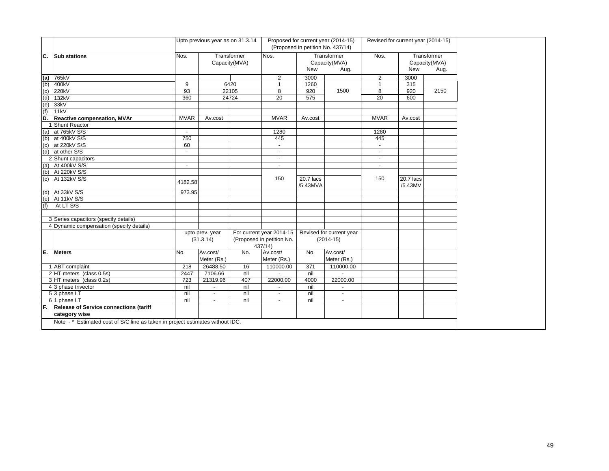|                   |                                                                                |                | Upto previous year as on 31.3.14 |             |                             |                       | Proposed for current year (2014-15)<br>(Proposed in petition No. 437/14) |                          | Revised for current year (2014-15) |                                      |
|-------------------|--------------------------------------------------------------------------------|----------------|----------------------------------|-------------|-----------------------------|-----------------------|--------------------------------------------------------------------------|--------------------------|------------------------------------|--------------------------------------|
| C.                | <b>Sub stations</b>                                                            | Nos.           | Capacity(MVA)                    | Transformer | Nos.                        | <b>New</b>            | Transformer<br>Capacity(MVA)<br>Aug.                                     | Nos.                     | New                                | Transformer<br>Capacity(MVA)<br>Aug. |
|                   | 765kV                                                                          |                |                                  |             | 2                           | 3000                  |                                                                          | $\overline{2}$           | 3000                               |                                      |
| $(a)$<br>$(b)$    | 400kV                                                                          | 9              | 6420                             |             | $\mathbf{1}$                | 1260                  |                                                                          | $\mathbf{1}$             | 315                                |                                      |
|                   | 220kV                                                                          | 93             |                                  | 22105       | 8                           | 920                   | 1500                                                                     | 8                        | 920                                | 2150                                 |
| $\frac{c}{d}$     | 132kV                                                                          | 360            | 24724                            |             | 20                          | 575                   |                                                                          | 20                       | 600                                |                                      |
|                   | 33kV                                                                           |                |                                  |             |                             |                       |                                                                          |                          |                                    |                                      |
| $(e)$<br>(f)      | 11kV                                                                           |                |                                  |             |                             |                       |                                                                          |                          |                                    |                                      |
| D.                | Reactive compensation, MVAr                                                    | <b>MVAR</b>    | Av.cost                          |             | <b>MVAR</b>                 | Av.cost               |                                                                          | <b>MVAR</b>              | Av.cost                            |                                      |
|                   | Shunt Reactor                                                                  |                |                                  |             |                             |                       |                                                                          |                          |                                    |                                      |
| (a)               | at 765kV S/S                                                                   | $\sim$         |                                  |             | 1280                        |                       |                                                                          | 1280                     |                                    |                                      |
| $\frac{(b)}{(c)}$ | at 400kV S/S                                                                   | 750            |                                  |             | 445                         |                       |                                                                          | 445                      |                                    |                                      |
|                   | at 220kV S/S                                                                   | 60             |                                  |             |                             |                       |                                                                          | $\blacksquare$           |                                    |                                      |
| (d)               | at other S/S                                                                   | $\sim$         |                                  |             | $\blacksquare$              |                       |                                                                          | $\blacksquare$           |                                    |                                      |
|                   | 2 Shunt capacitors                                                             |                |                                  |             | $\overline{\phantom{a}}$    |                       |                                                                          | $\overline{\phantom{a}}$ |                                    |                                      |
| (a)               | At 400kV S/S                                                                   | $\overline{a}$ |                                  |             | $\overline{\phantom{a}}$    |                       |                                                                          | $\overline{\phantom{a}}$ |                                    |                                      |
| (b)               | At 220kV S/S                                                                   |                |                                  |             |                             |                       |                                                                          |                          |                                    |                                      |
| (c)               | At 132kV S/S                                                                   | 4182.58        |                                  |             | 150                         | 20.7 lacs<br>/5.43MVA |                                                                          | 150                      | 20.7 lacs<br>/5.43MV               |                                      |
| (d)               | At 33kV S/S                                                                    | 973.95         |                                  |             |                             |                       |                                                                          |                          |                                    |                                      |
| (e)               | At 11kV S/S                                                                    |                |                                  |             |                             |                       |                                                                          |                          |                                    |                                      |
| (f)               | At LT S/S                                                                      |                |                                  |             |                             |                       |                                                                          |                          |                                    |                                      |
|                   |                                                                                |                |                                  |             |                             |                       |                                                                          |                          |                                    |                                      |
|                   | 3 Series capacitors (specify details)                                          |                |                                  |             |                             |                       |                                                                          |                          |                                    |                                      |
|                   | 4 Dynamic compensation (specify details)                                       |                |                                  |             |                             |                       |                                                                          |                          |                                    |                                      |
|                   |                                                                                |                | upto prev. year                  |             | For current year 2014-15    |                       | Revised for current year                                                 |                          |                                    |                                      |
|                   |                                                                                |                | (31.3.14)                        |             | (Proposed in petition No.   |                       | $(2014-15)$                                                              |                          |                                    |                                      |
|                   |                                                                                |                |                                  |             | 437/14)                     |                       |                                                                          |                          |                                    |                                      |
| E.                | <b>Meters</b>                                                                  | No.            | Av.cost/<br>Meter (Rs.)          | No.         | Av.cost/                    | No.                   | Av.cost/<br>Meter (Rs.)                                                  |                          |                                    |                                      |
|                   |                                                                                |                |                                  |             | Meter (Rs.)                 |                       |                                                                          |                          |                                    |                                      |
|                   | 1 ABT complaint<br>2 HT meters (class 0.5s)                                    | 218<br>2447    | 26488.50<br>7106.66              | 16<br>nil   | 110000.00<br>$\overline{a}$ | 371<br>nil            | 110000.00                                                                |                          |                                    |                                      |
|                   | 3 HT meters (class 0.2s)                                                       | 723            | 21319.96                         | 407         | 22000.00                    | 4000                  | 22000.00                                                                 |                          |                                    |                                      |
|                   | 4 3 phase trivector                                                            | nil            | $\sim$                           | nil         | $\sim$                      | nil                   | $\blacksquare$                                                           |                          |                                    |                                      |
|                   | 53 phase LT                                                                    | nil            | $\mathbf{r}$                     | nil         | $\sim$                      | nil                   | $\blacksquare$                                                           |                          |                                    |                                      |
|                   | 6 1 phase LT                                                                   | nil            | $\blacksquare$                   | nil         | $\sim$                      | nil                   | $\blacksquare$                                                           |                          |                                    |                                      |
|                   | F. Release of Service connections (tariff                                      |                |                                  |             |                             |                       |                                                                          |                          |                                    |                                      |
|                   | category wise                                                                  |                |                                  |             |                             |                       |                                                                          |                          |                                    |                                      |
|                   | Note - * Estimated cost of S/C line as taken in project estimates without IDC. |                |                                  |             |                             |                       |                                                                          |                          |                                    |                                      |
|                   |                                                                                |                |                                  |             |                             |                       |                                                                          |                          |                                    |                                      |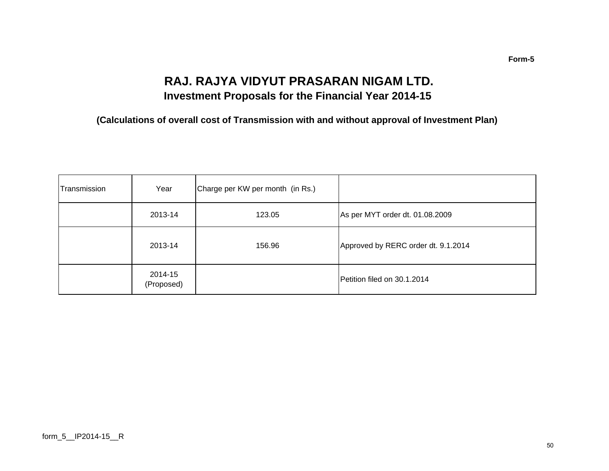### **RAJ. RAJYA VIDYUT PRASARAN NIGAM LTD. Investment Proposals for the Financial Year 2014-15**

**(Calculations of overall cost of Transmission with and without approval of Investment Plan)**

| Transmission | Year                  | Charge per KW per month (in Rs.) |                                     |
|--------------|-----------------------|----------------------------------|-------------------------------------|
|              | 2013-14               | 123.05                           | As per MYT order dt. 01.08.2009     |
|              | 2013-14               | 156.96                           | Approved by RERC order dt. 9.1.2014 |
|              | 2014-15<br>(Proposed) |                                  | Petition filed on 30.1.2014         |